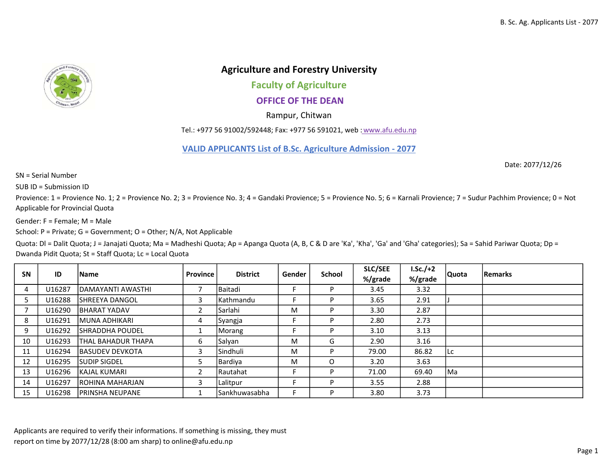

## Agriculture and Forestry University

Faculty of Agriculture

OFFICE OF THE DEAN

Rampur, Chitwan

Tel.: +977 56 91002/592448; Fax: +977 56 591021, web : www.afu.edu.np

VALID APPLICANTS List of B.Sc. Agriculture Admission - 2077

Date: 2077/12/26

SN = Serial Number

SUB ID = Submission ID

Provience: 1 = Provience No. 1; 2 = Provience No. 2; 3 = Provience No. 3; 4 = Gandaki Provience; 5 = Provience No. 5; 6 = Karnali Provience; 7 = Sudur Pachhim Provience; 0 = Not Applicable for Provincial Quota

Gender: F = Female; M = Male

School: P = Private; G = Government; O = Other; N/A, Not Applicable

Quota: Dl = Dalit Quota; J = Janajati Quota; Ma = Madheshi Quota; Ap = Apanga Quota (A, B, C & D are 'Ka', 'Kha', 'Ga' and 'Gha' categories); Sa = Sahid Pariwar Quota; Dp = Dwanda Pidit Quota; St = Staff Quota; Lc = Local Quota

| <b>SN</b> | ID     | <b>Name</b>            | <b>Province</b> | <b>District</b> | Gender | <b>School</b> | <b>SLC/SEE</b><br>%/grade | $LSc./+2$<br>%/grade | Quota | <b>IRemarks</b> |
|-----------|--------|------------------------|-----------------|-----------------|--------|---------------|---------------------------|----------------------|-------|-----------------|
| 4         | U16287 | DAMAYANTI AWASTHI      |                 | <b>Baitadi</b>  |        | D             | 3.45                      | 3.32                 |       |                 |
|           | U16288 | ISHREEYA DANGOL        |                 | l Kathmandu     |        | D             | 3.65                      | 2.91                 |       |                 |
|           | U16290 | <b>BHARAT YADAV</b>    |                 | Sarlahi         | M      | D             | 3.30                      | 2.87                 |       |                 |
| 8         | U16291 | <b>MUNA ADHIKARI</b>   | 4               | Syangja         |        | D             | 2.80                      | 2.73                 |       |                 |
| 9         | U16292 | ISHRADDHA POUDEL       | J.              | Morang          |        | D             | 3.10                      | 3.13                 |       |                 |
| 10        | U16293 | THAL BAHADUR THAPA     | 6               | Salyan          | м      | G             | 2.90                      | 3.16                 |       |                 |
| 11        | U16294 | <b>BASUDEV DEVKOTA</b> | ξ               | <b>Sindhuli</b> | M      | P             | 79.00                     | 86.82                | Lc    |                 |
| 12        | U16295 | ISUDIP SIGDEL          | 5               | Bardiya         | M      | O             | 3.20                      | 3.63                 |       |                 |
| 13        | U16296 | <b>KAJAL KUMARI</b>    |                 | Rautahat        |        | D             | 71.00                     | 69.40                | lMa   |                 |
| 14        | U16297 | <b>ROHINA MAHARJAN</b> |                 | Lalitpur        |        | P             | 3.55                      | 2.88                 |       |                 |
| 15        | U16298 | IPRINSHA NEUPANE       |                 | l Sankhuwasabha |        | D             | 3.80                      | 3.73                 |       |                 |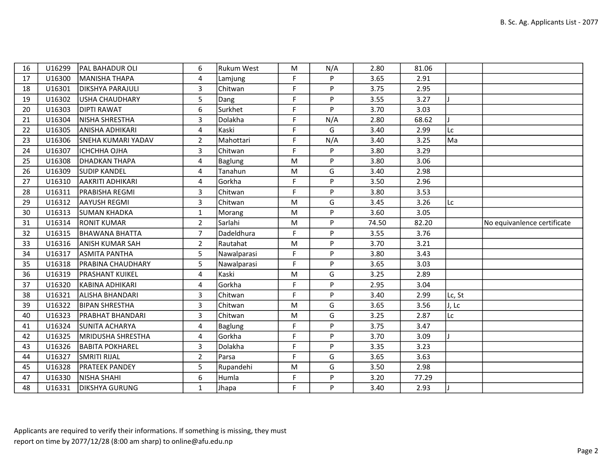| 16 | U16299 | <b>PAL BAHADUR OLI</b>  | 6              | <b>Rukum West</b> | M  | N/A | 2.80  | 81.06 |        |                             |
|----|--------|-------------------------|----------------|-------------------|----|-----|-------|-------|--------|-----------------------------|
| 17 | U16300 | MANISHA THAPA           | 4              | Lamjung           | F. | P   | 3.65  | 2.91  |        |                             |
| 18 | U16301 | <b>DIKSHYA PARAJULI</b> | 3              | Chitwan           | F  | P   | 3.75  | 2.95  |        |                             |
| 19 | U16302 | USHA CHAUDHARY          | 5              | Dang              | F  | P   | 3.55  | 3.27  |        |                             |
| 20 | U16303 | DIPTI RAWAT             | 6              | Surkhet           | F. | P   | 3.70  | 3.03  |        |                             |
| 21 | U16304 | NISHA SHRESTHA          | 3              | Dolakha           | F. | N/A | 2.80  | 68.62 |        |                             |
| 22 | U16305 | ANISHA ADHIKARI         | 4              | Kaski             | F. | G   | 3.40  | 2.99  | Lc.    |                             |
| 23 | U16306 | SNEHA KUMARI YADAV      | $\overline{2}$ | Mahottari         | F. | N/A | 3.40  | 3.25  | Ma     |                             |
| 24 | U16307 | ІІСНСННА ОЈНА           | 3              | Chitwan           | F. | P   | 3.80  | 3.29  |        |                             |
| 25 | U16308 | DHADKAN THAPA           | 4              | <b>Baglung</b>    | M  | P   | 3.80  | 3.06  |        |                             |
| 26 | U16309 | SUDIP KANDEL            | 4              | Tanahun           | M  | G   | 3.40  | 2.98  |        |                             |
| 27 | U16310 | AAKRITI ADHIKARI        | $\overline{4}$ | Gorkha            | F. | P   | 3.50  | 2.96  |        |                             |
| 28 | U16311 | PRABISHA REGMI          | $\overline{3}$ | Chitwan           | F  | P   | 3.80  | 3.53  |        |                             |
| 29 | U16312 | AAYUSH REGMI            | 3              | Chitwan           | M  | G   | 3.45  | 3.26  | Lc     |                             |
| 30 | U16313 | SUMAN KHADKA            | $\mathbf 1$    | Morang            | M  | P.  | 3.60  | 3.05  |        |                             |
| 31 | U16314 | <b>RONIT KUMAR</b>      | $\overline{2}$ | Sarlahi           | M  | P   | 74.50 | 82.20 |        | No equivanlence certificate |
| 32 | U16315 | BHAWANA BHATTA          | $\overline{7}$ | Dadeldhura        |    | P   | 3.55  | 3.76  |        |                             |
| 33 | U16316 | ANISH KUMAR SAH         | $\overline{2}$ | Rautahat          | M  | P   | 3.70  | 3.21  |        |                             |
| 34 | U16317 | <b>ASMITA PANTHA</b>    | 5              | Nawalparasi       | F. | P   | 3.80  | 3.43  |        |                             |
| 35 | U16318 | PRABINA CHAUDHARY       | 5              | Nawalparasi       | F  | P   | 3.65  | 3.03  |        |                             |
| 36 | U16319 | PRASHANT KUIKEL         | 4              | Kaski             | M  | G   | 3.25  | 2.89  |        |                             |
| 37 | U16320 | KABINA ADHIKARI         | 4              | Gorkha            | F. | P   | 2.95  | 3.04  |        |                             |
| 38 | U16321 | ALISHA BHANDARI         | 3              | Chitwan           | F  | P   | 3.40  | 2.99  | Lc, St |                             |
| 39 | U16322 | BIPAN SHRESTHA          | 3              | Chitwan           | M  | G   | 3.65  | 3.56  | J, Lc  |                             |
| 40 | U16323 | <b>PRABHAT BHANDARI</b> | 3              | Chitwan           | M  | G   | 3.25  | 2.87  | Lc     |                             |
| 41 | U16324 | SUNITA ACHARYA          | 4              | Baglung           | F  | P   | 3.75  | 3.47  |        |                             |
| 42 | U16325 | MRIDUSHA SHRESTHA       | 4              | Gorkha            | F  | P   | 3.70  | 3.09  |        |                             |
| 43 | U16326 | <b>BABITA POKHAREL</b>  | 3              | Dolakha           | F. | P.  | 3.35  | 3.23  |        |                             |
| 44 | U16327 | <b>SMRITI RIJAL</b>     | $\overline{2}$ | Parsa             | F  | G   | 3.65  | 3.63  |        |                             |
| 45 | U16328 | <b>PRATEEK PANDEY</b>   | 5              | Rupandehi         | M  | G   | 3.50  | 2.98  |        |                             |
| 47 | U16330 | NISHA SHAHI             | 6              | Humla             | E  | P   | 3.20  | 77.29 |        |                             |
| 48 | U16331 | <b>DIKSHYA GURUNG</b>   | $\mathbf{1}$   | Jhapa             | F  | P   | 3.40  | 2.93  |        |                             |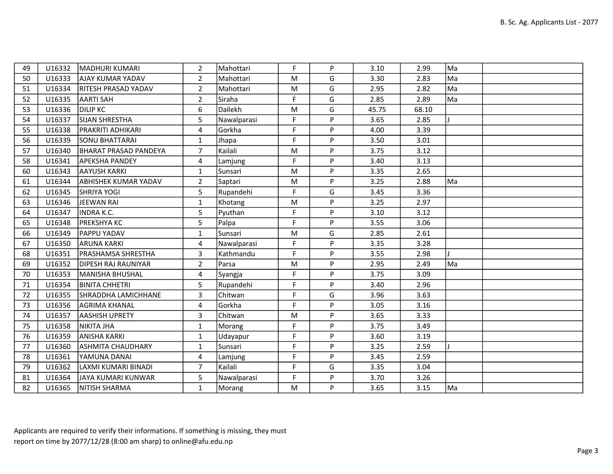| 49 | U16332 | MADHURI KUMARI             | $\overline{2}$ | Mahottari   | F. | P  | 3.10  | 2.99  | Ma  |  |
|----|--------|----------------------------|----------------|-------------|----|----|-------|-------|-----|--|
| 50 | U16333 | AJAY KUMAR YADAV           | $\overline{2}$ | Mahottari   | M  | G  | 3.30  | 2.83  | Ma  |  |
| 51 | U16334 | RITESH PRASAD YADAV        | $\overline{2}$ | Mahottari   | M  | G  | 2.95  | 2.82  | Ma  |  |
| 52 | U16335 | AARTI SAH                  | $\overline{2}$ | Siraha      | F  | G  | 2.85  | 2.89  | Ma  |  |
| 53 | U16336 | <b>DILIP KC</b>            | 6              | Dailekh     | M  | G  | 45.75 | 68.10 |     |  |
| 54 | U16337 | SIJAN SHRESTHA             | 5              | Nawalparasi | F. | P  | 3.65  | 2.85  |     |  |
| 55 | U16338 | PRAKRITI ADHIKARI          | $\overline{4}$ | Gorkha      | F. | P  | 4.00  | 3.39  |     |  |
| 56 | U16339 | <b>SONU BHATTARAI</b>      | $\mathbf{1}$   | Jhapa       | F. | P  | 3.50  | 3.01  |     |  |
| 57 | U16340 | BHARAT PRASAD PANDEYA      | $\overline{7}$ | Kailali     | M  | P  | 3.75  | 3.12  |     |  |
| 58 | U16341 | APEKSHA PANDEY             | 4              | Lamjung     | F. | P  | 3.40  | 3.13  |     |  |
| 60 | U16343 | AAYUSH KARKI]              | $\mathbf{1}$   | Sunsari     | M  | P  | 3.35  | 2.65  |     |  |
| 61 | U16344 | ABHISHEK KUMAR YADAV       | $\overline{2}$ | Saptari     | M  | P  | 3.25  | 2.88  | Ma  |  |
| 62 | U16345 | <b>SHRIYA YOGI</b>         | 5              | Rupandehi   | F. | G  | 3.45  | 3.36  |     |  |
| 63 | U16346 | JEEWAN RAI                 | $\mathbf{1}$   | Khotang     | M  | P  | 3.25  | 2.97  |     |  |
| 64 | U16347 | <b>INDRA K.C.</b>          | 5              | Pyuthan     | F. | P. | 3.10  | 3.12  |     |  |
| 65 | U16348 | PREKSHYA KC                | 5              | Palpa       | F  | P  | 3.55  | 3.06  |     |  |
| 66 | U16349 | PAPPU YADAV                | $\mathbf{1}$   | Sunsari     | M  | G  | 2.85  | 2.61  |     |  |
| 67 | U16350 | ARUNA KARKI                | $\overline{4}$ | Nawalparasi | F. | P. | 3.35  | 3.28  |     |  |
| 68 | U16351 | PRASHAMSA SHRESTHA         | $\overline{3}$ | Kathmandu   | F. | P  | 3.55  | 2.98  |     |  |
| 69 | U16352 | <b>DIPESH RAJ RAUNIYAR</b> | $\overline{2}$ | Parsa       | M  | P  | 2.95  | 2.49  | lMa |  |
| 70 | U16353 | MANISHA BHUSHAL            | $\overline{4}$ | Syangja     | F. | P. | 3.75  | 3.09  |     |  |
| 71 | U16354 | <b>BINITA CHHETRI</b>      | 5              | Rupandehi   | F. | P  | 3.40  | 2.96  |     |  |
| 72 | U16355 | <b>SHRADDHA LAMICHHANE</b> | $\overline{3}$ | Chitwan     | F  | G  | 3.96  | 3.63  |     |  |
| 73 | U16356 | <b>AGRIMA KHANAL</b>       | $\overline{4}$ | Gorkha      | F. | P  | 3.05  | 3.16  |     |  |
| 74 | U16357 | <b>AASHISH UPRETY</b>      | $\mathbf{3}$   | Chitwan     | M  | P  | 3.65  | 3.33  |     |  |
| 75 | U16358 | <b>NIKITA JHA</b>          | $\mathbf 1$    | Morang      | F  | P  | 3.75  | 3.49  |     |  |
| 76 | U16359 | <b>ANISHA KARKI</b>        | $\mathbf{1}$   | Udayapur    | F. | P  | 3.60  | 3.19  |     |  |
| 77 | U16360 | ASHMITA CHAUDHARY          | $\mathbf 1$    | Sunsari     | F. | P  | 3.25  | 2.59  |     |  |
| 78 | U16361 | YAMUNA DANAI               | 4              | Lamjung     | F  | P  | 3.45  | 2.59  |     |  |
| 79 | U16362 | LAXMI KUMARI BINADI        | $\overline{7}$ | Kailali     | F. | G  | 3.35  | 3.04  |     |  |
| 81 | U16364 | JAYA KUMARI KUNWAR         | 5              | Nawalparasi | F  | P  | 3.70  | 3.26  |     |  |
| 82 | U16365 | NITISH SHARMA              | $\mathbf{1}$   | Morang      | M  | P  | 3.65  | 3.15  | Ma  |  |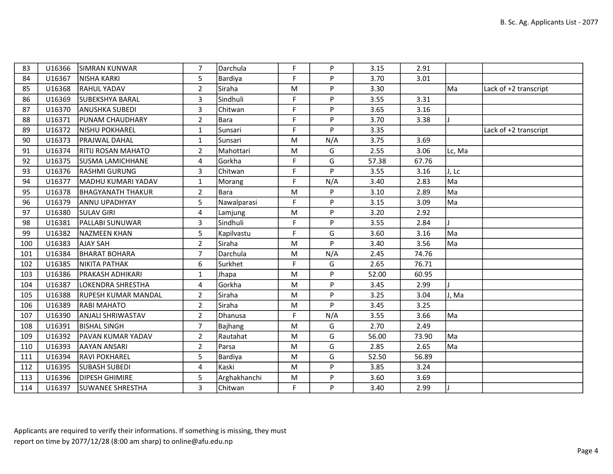| 83  | U16366 | <b>SIMRAN KUNWAR</b>    | $\overline{7}$          | Darchula     | F         | P        | 3.15  | 2.91  |        |                       |
|-----|--------|-------------------------|-------------------------|--------------|-----------|----------|-------|-------|--------|-----------------------|
| 84  | U16367 | <b>NISHA KARKI</b>      | 5                       | Bardiya      | F         | P        | 3.70  | 3.01  |        |                       |
| 85  | U16368 | IRAHUL YADAV            | $\overline{2}$          | Siraha       | M         | D        | 3.30  |       | Ma     | Lack of +2 transcript |
| 86  | U16369 | <b>SUBEKSHYA BARAL</b>  | 3                       | Sindhuli     | F         | P        | 3.55  | 3.31  |        |                       |
| 87  | U16370 | ANUSHKA SUBEDI          | 3                       | Chitwan      | F.        | P        | 3.65  | 3.16  |        |                       |
| 88  | U16371 | IPUNAM CHAUDHARY        | $\overline{2}$          | <b>Bara</b>  | F.        | Þ        | 3.70  | 3.38  |        |                       |
| 89  | U16372 | <b>NISHU POKHAREL</b>   | $\mathbf 1$             | Sunsari      | F.        | P        | 3.35  |       |        | Lack of +2 transcript |
| 90  | U16373 | <b>PRAJWAL DAHAL</b>    | $\mathbf{1}$            | Sunsari      | M         | N/A      | 3.75  | 3.69  |        |                       |
| 91  | U16374 | RITIJ ROSAN MAHATO      | $\overline{2}$          | Mahottari    | M         | G        | 2.55  | 3.06  | Lc, Ma |                       |
| 92  | U16375 | <b>SUSMA LAMICHHANE</b> | 4                       | Gorkha       | F.        | G        | 57.38 | 67.76 |        |                       |
| 93  | U16376 | <b>RASHMI GURUNG</b>    | 3                       | Chitwan      | F.        | P        | 3.55  | 3.16  | J, Lc  |                       |
| 94  | U16377 | MADHU KUMARI YADAV      | $\mathbf{1}$            | Morang       | F.        | N/A      | 3.40  | 2.83  | Ma     |                       |
| 95  | U16378 | BHAGYANATH THAKUR       | $\overline{2}$          | Bara         | M         | P        | 3.10  | 2.89  | Ma     |                       |
| 96  | U16379 | <b>ANNU UPADHYAY</b>    | 5                       | Nawalparasi  | F.        | P        | 3.15  | 3.09  | Ma     |                       |
| 97  | U16380 | SULAV GIRI              | $\overline{\mathbf{4}}$ | Lamjung      | M         | P        | 3.20  | 2.92  |        |                       |
| 98  | U16381 | PALLABI SUNUWAR         | 3                       | Sindhuli     | F         | P        | 3.55  | 2.84  |        |                       |
| 99  | U16382 | <b>NAZMEEN KHAN</b>     | 5                       | Kapilvastu   | F.        | G        | 3.60  | 3.16  | Ma     |                       |
| 100 | U16383 | AJAY SAH                | $\overline{2}$          | Siraha       | M         | <b>P</b> | 3.40  | 3.56  | Ma     |                       |
| 101 | U16384 | BHARAT BOHARA           | $\overline{7}$          | Darchula     | M         | N/A      | 2.45  | 74.76 |        |                       |
| 102 | U16385 | <b>NIKITA PATHAK</b>    | 6                       | Surkhet      | F.        | G        | 2.65  | 76.71 |        |                       |
| 103 | U16386 | PRAKASH ADHIKARI        | $\mathbf{1}$            | Jhapa        | M         | P        | 52.00 | 60.95 |        |                       |
| 104 | U16387 | LOKENDRA SHRESTHA       | 4                       | Gorkha       | M         | P        | 3.45  | 2.99  |        |                       |
| 105 | U16388 | RUPESH KUMAR MANDAL     | $\overline{2}$          | Siraha       | M         | P        | 3.25  | 3.04  | J, Ma  |                       |
| 106 | U16389 | <b>RABI MAHATO</b>      | $\overline{2}$          | Siraha       | M         | P        | 3.45  | 3.25  |        |                       |
| 107 | U16390 | ANJALI SHRIWASTAV       | $\overline{2}$          | Dhanusa      | F.        | N/A      | 3.55  | 3.66  | Ma     |                       |
| 108 | U16391 | <b>BISHAL SINGH</b>     | $\overline{7}$          | Bajhang      | M         | G        | 2.70  | 2.49  |        |                       |
| 109 | U16392 | PAVAN KUMAR YADAV       | $\overline{2}$          | Rautahat     | M         | G        | 56.00 | 73.90 | Ma     |                       |
| 110 | U16393 | AAYAN ANSARI            | $\overline{2}$          | Parsa        | M         | G        | 2.85  | 2.65  | Ma     |                       |
| 111 | U16394 | <b>RAVI POKHAREL</b>    | 5                       | Bardiya      | M         | G        | 52.50 | 56.89 |        |                       |
| 112 | U16395 | <b>SUBASH SUBEDI</b>    | $\overline{4}$          | Kaski        | ${\sf M}$ | P        | 3.85  | 3.24  |        |                       |
| 113 | U16396 | <b>DIPESH GHIMIRE</b>   | 5                       | Arghakhanchi | M         | D        | 3.60  | 3.69  |        |                       |
| 114 | U16397 | <b>SUWANEE SHRESTHA</b> | 3                       | Chitwan      | F.        | P        | 3.40  | 2.99  |        |                       |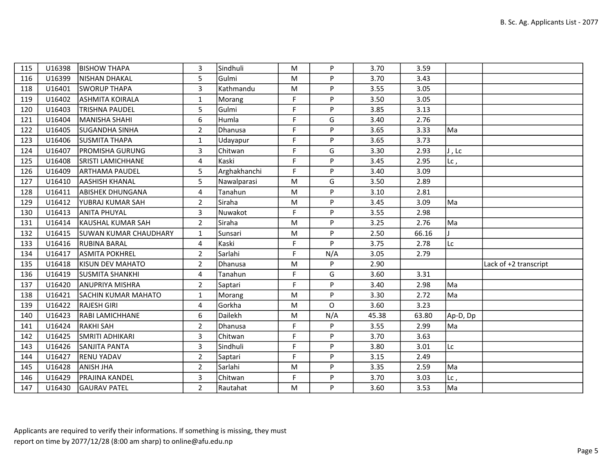| 115 | U16398 | <b>BISHOW THAPA</b>        | 3              | Sindhuli     | M  | P       | 3.70  | 3.59  |          |                       |
|-----|--------|----------------------------|----------------|--------------|----|---------|-------|-------|----------|-----------------------|
| 116 | U16399 | NISHAN DHAKAL              | 5              | Gulmi        | M  | P       | 3.70  | 3.43  |          |                       |
| 118 | U16401 | <b>SWORUP THAPA</b>        | 3              | Kathmandu    | M  | P       | 3.55  | 3.05  |          |                       |
| 119 | U16402 | ASHMITA KOIRALA            | $\mathbf 1$    | Morang       | F. | P       | 3.50  | 3.05  |          |                       |
| 120 | U16403 | <b>TRISHNA PAUDEL</b>      | 5              | Gulmi        | F. | P       | 3.85  | 3.13  |          |                       |
| 121 | U16404 | MANISHA SHAHI              | 6              | Humla        | F  | G       | 3.40  | 2.76  |          |                       |
| 122 | U16405 | SUGANDHA SINHA             | $\overline{2}$ | Dhanusa      | F. | P       | 3.65  | 3.33  | Ma       |                       |
| 123 | U16406 | SUSMITA THAPA              | $\mathbf{1}$   | Udayapur     | F  | P       | 3.65  | 3.73  |          |                       |
| 124 | U16407 | PROMISHA GURUNG            | 3              | Chitwan      | F. | G       | 3.30  | 2.93  | $J$ . Lc |                       |
| 125 | U16408 | SRISTI LAMICHHANE          | 4              | Kaski        | F  | P       | 3.45  | 2.95  | $Lc$ ,   |                       |
| 126 | U16409 | ARTHAMA PAUDEL             | 5              | Arghakhanchi | F  | P       | 3.40  | 3.09  |          |                       |
| 127 | U16410 | <b>AASHISH KHANAL</b>      | 5              | Nawalparasi  | M  | G       | 3.50  | 2.89  |          |                       |
| 128 | U16411 | <b>ABISHEK DHUNGANA</b>    | 4              | Tanahun      | M  | P       | 3.10  | 2.81  |          |                       |
| 129 | U16412 | YUBRAJ KUMAR SAH           | $\overline{2}$ | Siraha       | M  | P       | 3.45  | 3.09  | lMa      |                       |
| 130 | U16413 | ANITA PHUYAL               | $\overline{3}$ | Nuwakot      | F. | P.      | 3.55  | 2.98  |          |                       |
| 131 | U16414 | KAUSHAL KUMAR SAH          | $\overline{2}$ | Siraha       | M  | P       | 3.25  | 2.76  | Ma       |                       |
| 132 | U16415 | ISUWAN KUMAR CHAUDHARY     | 1              | Sunsari      | M  | P       | 2.50  | 66.16 |          |                       |
| 133 | U16416 | <b>RUBINA BARAL</b>        | $\overline{4}$ | Kaski        | F. | P.      | 3.75  | 2.78  | Lc       |                       |
| 134 | U16417 | <b>ASMITA POKHREL</b>      | $\overline{2}$ | Sarlahi      | F  | N/A     | 3.05  | 2.79  |          |                       |
| 135 | U16418 | KISUN DEV MAHATO           | $\overline{2}$ | Dhanusa      | M  | P       | 2.90  |       |          | Lack of +2 transcript |
| 136 | U16419 | SUSMITA SHANKHI            | 4              | Tanahun      | F. | G       | 3.60  | 3.31  |          |                       |
| 137 | U16420 | <b>ANUPRIYA MISHRA</b>     | $\overline{2}$ | Saptari      | F. | P       | 3.40  | 2.98  | Ma       |                       |
| 138 | U16421 | <b>SACHIN KUMAR MAHATO</b> | 1              | Morang       | M  | P       | 3.30  | 2.72  | Ma       |                       |
| 139 | U16422 | RAJESH GIRI                | 4              | Gorkha       | M  | $\circ$ | 3.60  | 3.23  |          |                       |
| 140 | U16423 | <b>RABI LAMICHHANE</b>     | 6              | Dailekh      | M  | N/A     | 45.38 | 63.80 | Ap-D, Dp |                       |
| 141 | U16424 | RAKHI SAH                  | $\overline{2}$ | Dhanusa      | F  | P       | 3.55  | 2.99  | lMa      |                       |
| 142 | U16425 | SMRITI ADHIKARI            | 3              | Chitwan      | F  | P       | 3.70  | 3.63  |          |                       |
| 143 | U16426 | <b>SANJITA PANTA</b>       | 3              | Sindhuli     | F. | P       | 3.80  | 3.01  | Lc       |                       |
| 144 | U16427 | <b>RENU YADAV</b>          | $\overline{2}$ | Saptari      | F  | P       | 3.15  | 2.49  |          |                       |
| 145 | U16428 | ANISH JHA                  | $\overline{2}$ | Sarlahi      | M  | P       | 3.35  | 2.59  | Ma       |                       |
| 146 | U16429 | PRAJINA KANDEL             | 3              | Chitwan      | F  | P       | 3.70  | 3.03  | $Lc$ ,   |                       |
| 147 | U16430 | <b>GAURAV PATEL</b>        | $\overline{2}$ | Rautahat     | M  | P       | 3.60  | 3.53  | Ma       |                       |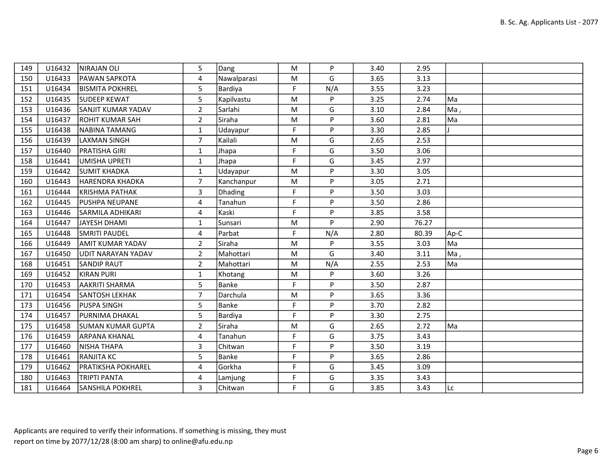| 149 | U16432 | INIRAJAN OLI              | 5              | Dang           | М  | P        | 3.40 | 2.95  |      |  |
|-----|--------|---------------------------|----------------|----------------|----|----------|------|-------|------|--|
| 150 | U16433 | PAWAN SAPKOTA             | 4              | Nawalparasi    | M  | G        | 3.65 | 3.13  |      |  |
| 151 | U16434 | <b>BISMITA POKHREL</b>    | 5              | Bardiya        | F. | N/A      | 3.55 | 3.23  |      |  |
| 152 | U16435 | SUDEEP KEWAT              | 5              | Kapilvastu     | M  | P        | 3.25 | 2.74  | Ma   |  |
| 153 | U16436 | <b>SANJIT KUMAR YADAV</b> | $\overline{2}$ | Sarlahi        | M  | G        | 3.10 | 2.84  | Ma,  |  |
| 154 | U16437 | ROHIT KUMAR SAH           | $\overline{2}$ | Siraha         | M  | P        | 3.60 | 2.81  | Ma   |  |
| 155 | U16438 | <b>NABINA TAMANG</b>      | $\mathbf 1$    | Udayapur       | F  | P        | 3.30 | 2.85  |      |  |
| 156 | U16439 | <b>LAXMAN SINGH</b>       | $\overline{7}$ | Kailali        | M  | G        | 2.65 | 2.53  |      |  |
| 157 | U16440 | PRATISHA GIRI             | $\mathbf{1}$   | Jhapa          | F. | G        | 3.50 | 3.06  |      |  |
| 158 | U16441 | UMISHA UPRETI             | $\mathbf{1}$   | Jhapa          | F  | G        | 3.45 | 2.97  |      |  |
| 159 | U16442 | <b>SUMIT KHADKA</b>       | $\mathbf{1}$   | Udayapur       | M  | P        | 3.30 | 3.05  |      |  |
| 160 | U16443 | <b>HARENDRA KHADKA</b>    | $\overline{7}$ | Kanchanpur     | M  | Þ        | 3.05 | 2.71  |      |  |
| 161 | U16444 | KRISHMA PATHAK            | $\overline{3}$ | <b>Dhading</b> | F  | P        | 3.50 | 3.03  |      |  |
| 162 | U16445 | <b>PUSHPA NEUPANE</b>     | $\pmb{4}$      | Tanahun        | F  | P        | 3.50 | 2.86  |      |  |
| 163 | U16446 | SARMILA ADHIKARI          | 4              | Kaski          | F  | P        | 3.85 | 3.58  |      |  |
| 164 | U16447 | <b>JAYESH DHAMI</b>       | $\mathbf{1}$   | Sunsari        | M  | P        | 2.90 | 76.27 |      |  |
| 165 | U16448 | <b>SMRITI PAUDEL</b>      | 4              | Parbat         | F. | N/A      | 2.80 | 80.39 | Ap-C |  |
| 166 | U16449 | AMIT KUMAR YADAV          | $\overline{2}$ | Siraha         | M  | P        | 3.55 | 3.03  | Ma   |  |
| 167 | U16450 | UDIT NARAYAN YADAV        | $\overline{2}$ | Mahottari      | M  | G        | 3.40 | 3.11  | Ma,  |  |
| 168 | U16451 | <b>SANDIP RAUT</b>        | $\overline{2}$ | Mahottari      | M  | N/A      | 2.55 | 2.53  | Ma   |  |
| 169 | U16452 | KIRAN PURI                | $\mathbf{1}$   | Khotang        | M  | P        | 3.60 | 3.26  |      |  |
| 170 | U16453 | AAKRITI SHARMA            | 5              | <b>Banke</b>   | F. | P        | 3.50 | 2.87  |      |  |
| 171 | U16454 | <b>SANTOSH LEKHAK</b>     | $\overline{7}$ | Darchula       | M  | P        | 3.65 | 3.36  |      |  |
| 173 | U16456 | PUSPA SINGH               | 5              | Banke          | F. | <b>P</b> | 3.70 | 2.82  |      |  |
| 174 | U16457 | PURNIMA DHAKAL            | 5              | Bardiya        | F  | p        | 3.30 | 2.75  |      |  |
| 175 | U16458 | <b>SUMAN KUMAR GUPTA</b>  | $\overline{2}$ | Siraha         | M  | G        | 2.65 | 2.72  | Ma   |  |
| 176 | U16459 | ARPANA KHANAL             | 4              | Tanahun        | F. | G        | 3.75 | 3.43  |      |  |
| 177 | U16460 | <b>NISHA THAPA</b>        | 3              | Chitwan        | F. | P        | 3.50 | 3.19  |      |  |
| 178 | U16461 | <b>RANJITA KC</b>         | 5              | Banke          | F. | P        | 3.65 | 2.86  |      |  |
| 179 | U16462 | <b>PRATIKSHA POKHAREL</b> | 4              | Gorkha         | F. | G        | 3.45 | 3.09  |      |  |
| 180 | U16463 | <b>TRIPTI PANTA</b>       | 4              | Lamjung        | F. | G        | 3.35 | 3.43  |      |  |
| 181 | U16464 | SANSHILA POKHREL          | 3              | Chitwan        | F  | G        | 3.85 | 3.43  | Lc:  |  |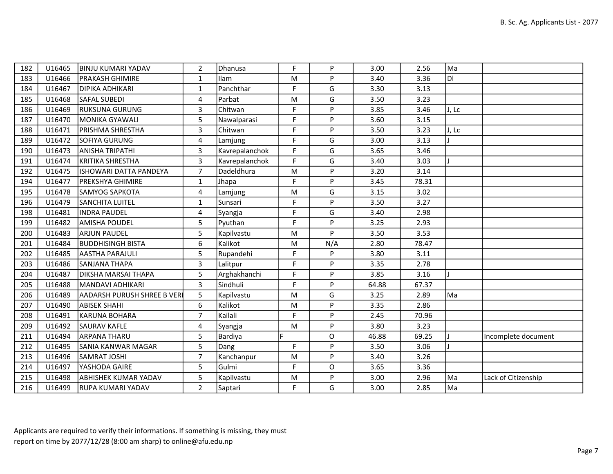| 182 | U16465 | <b>BINJU KUMARI YADAV</b>  | $\overline{2}$          | Dhanusa        | F. | P            | 3.00  | 2.56  | Ma    |                     |
|-----|--------|----------------------------|-------------------------|----------------|----|--------------|-------|-------|-------|---------------------|
| 183 | U16466 | <b>PRAKASH GHIMIRE</b>     | $\mathbf{1}$            | Ilam           | M  | P            | 3.40  | 3.36  | Iol   |                     |
| 184 | U16467 | DIPIKA ADHIKARI            | $\mathbf{1}$            | Panchthar      | F. | G            | 3.30  | 3.13  |       |                     |
| 185 | U16468 | SAFAL SUBEDI               | 4                       | Parbat         | M  | G            | 3.50  | 3.23  |       |                     |
| 186 | U16469 | RUKSUNA GURUNG             | 3                       | Chitwan        | F. | P            | 3.85  | 3.46  | J, Lc |                     |
| 187 | U16470 | MONIKA GYAWALI             | 5                       | Nawalparasi    | F. | Þ            | 3.60  | 3.15  |       |                     |
| 188 | U16471 | PRISHMA SHRESTHA           | $\overline{3}$          | Chitwan        | F  | P            | 3.50  | 3.23  | J, Lc |                     |
| 189 | U16472 | SOFIYA GURUNG              | $\overline{\mathbf{4}}$ | Lamjung        | F  | G            | 3.00  | 3.13  |       |                     |
| 190 | U16473 | <b>ANISHA TRIPATHI</b>     | $\mathsf{3}$            | Kavrepalanchok | F  | G            | 3.65  | 3.46  |       |                     |
| 191 | U16474 | KRITIKA SHRESTHA           | 3                       | Kavrepalanchok | F. | G            | 3.40  | 3.03  |       |                     |
| 192 | U16475 | ISHOWARI DATTA PANDEYA     | $\overline{7}$          | Dadeldhura     | M  | P            | 3.20  | 3.14  |       |                     |
| 194 | U16477 | <b>PREKSHYA GHIMIRE</b>    | $\mathbf{1}$            | Jhapa          | F  | <b>P</b>     | 3.45  | 78.31 |       |                     |
| 195 | U16478 | SAMYOG SAPKOTA             | 4                       | Lamjung        | M  | G            | 3.15  | 3.02  |       |                     |
| 196 | U16479 | SANCHITA LUITEL            | $\mathbf{1}$            | Sunsari        | F. | P            | 3.50  | 3.27  |       |                     |
| 198 | U16481 | <b>INDRA PAUDEL</b>        | 4                       | Syangja        | F. | G            | 3.40  | 2.98  |       |                     |
| 199 | U16482 | <b>AMISHA POUDEL</b>       | 5                       | Pyuthan        | F. | P            | 3.25  | 2.93  |       |                     |
| 200 | U16483 | <b>ARJUN PAUDEL</b>        | 5                       | Kapilvastu     | M  | P            | 3.50  | 3.53  |       |                     |
| 201 | U16484 | <b>BUDDHISINGH BISTA</b>   | 6                       | Kalikot        | M  | N/A          | 2.80  | 78.47 |       |                     |
| 202 | U16485 | AASTHA PARAJULI            | 5                       | Rupandehi      | F. | P            | 3.80  | 3.11  |       |                     |
| 203 | U16486 | SANJANA THAPA              | $\overline{3}$          | Lalitpur       | F  | P            | 3.35  | 2.78  |       |                     |
| 204 | U16487 | DIKSHA MARSAI THAPA        | 5                       | Arghakhanchi   | F. | P            | 3.85  | 3.16  |       |                     |
| 205 | U16488 | MANDAVI ADHIKARI           | $\overline{3}$          | Sindhuli       | F. | P            | 64.88 | 67.37 |       |                     |
| 206 | U16489 | AADARSH PURUSH SHREE B VER | 5                       | Kapilvastu     | M  | G            | 3.25  | 2.89  | Ma    |                     |
| 207 | U16490 | ABISEK SHAHI               | 6                       | Kalikot        | M  | P            | 3.35  | 2.86  |       |                     |
| 208 | U16491 | KARUNA BOHARA              | $\overline{7}$          | Kailali        | E. | P            | 2.45  | 70.96 |       |                     |
| 209 | U16492 | SAURAV KAFLE               | 4                       | Syangja        | M  | P            | 3.80  | 3.23  |       |                     |
| 211 | U16494 | ARPANA THARU               | 5                       | Bardiya        | F. | $\mathsf{O}$ | 46.88 | 69.25 |       | Incomplete document |
| 212 | U16495 | SANIA KANWAR MAGAR         | 5                       | Dang           | F. | P            | 3.50  | 3.06  |       |                     |
| 213 | U16496 | <b>SAMRAT JOSHI</b>        | $\overline{7}$          | Kanchanpur     | M  | P            | 3.40  | 3.26  |       |                     |
| 214 | U16497 | YASHODA GAIRE              | 5                       | Gulmi          | F. | $\mathsf{O}$ | 3.65  | 3.36  |       |                     |
| 215 | U16498 | ABHISHEK KUMAR YADAV       | 5                       | Kapilvastu     | M  | P            | 3.00  | 2.96  | Ma    | Lack of Citizenship |
| 216 | U16499 | RUPA KUMARI YADAV          | $\overline{2}$          | Saptari        | F  | G            | 3.00  | 2.85  | Ma    |                     |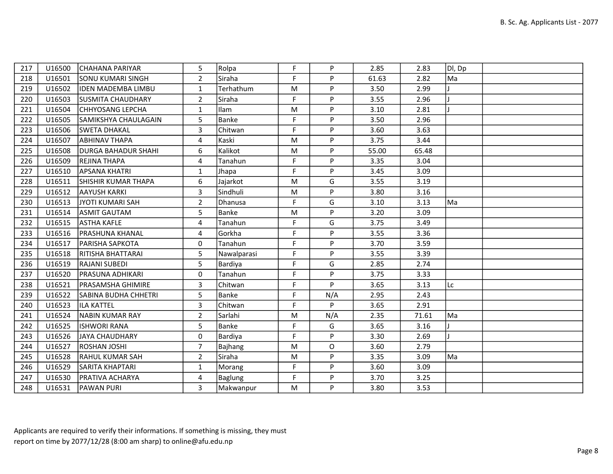| 217 | U16500 | <b>CHAHANA PARIYAR</b>     | 5              | Rolpa        | F  | P   | 2.85  | 2.83  | DI, Dp |  |
|-----|--------|----------------------------|----------------|--------------|----|-----|-------|-------|--------|--|
| 218 | U16501 | SONU KUMARI SINGH          | $\overline{2}$ | Siraha       | F  | P   | 61.63 | 2.82  | Ma     |  |
| 219 | U16502 | <b>IIDEN MADEMBA LIMBU</b> | 1              | Terhathum    | M  | P   | 3.50  | 2.99  |        |  |
| 220 | U16503 | <b>SUSMITA CHAUDHARY</b>   | $\overline{2}$ | Siraha       | F. | P   | 3.55  | 2.96  |        |  |
| 221 | U16504 | CHHYOSANG LEPCHA           | $\mathbf{1}$   | <b>Ilam</b>  | M  | P   | 3.10  | 2.81  |        |  |
| 222 | U16505 | İSAMIKSHYA CHAULAGAIN      | 5              | Banke        | F. | Þ   | 3.50  | 2.96  |        |  |
| 223 | U16506 | lsweta dhakal              | 3              | Chitwan      | F  | P   | 3.60  | 3.63  |        |  |
| 224 | U16507 | ABHINAV THAPA              | 4              | Kaski        | M  | P   | 3.75  | 3.44  |        |  |
| 225 | U16508 | <b>DURGA BAHADUR SHAHI</b> | 6              | Kalikot      | M  | P   | 55.00 | 65.48 |        |  |
| 226 | U16509 | IREJINA THAPA              | 4              | Tanahun      | F. | P   | 3.35  | 3.04  |        |  |
| 227 | U16510 | APSANA KHATRI              | $\mathbf{1}$   | Jhapa        | F  | P   | 3.45  | 3.09  |        |  |
| 228 | U16511 | SHISHIR KUMAR THAPA        | 6              | Jajarkot     | M  | G   | 3.55  | 3.19  |        |  |
| 229 | U16512 | <b>AAYUSH KARKI</b>        | 3              | Sindhuli     | M  | P   | 3.80  | 3.16  |        |  |
| 230 | U16513 | JYOTI KUMARI SAH           | $\overline{2}$ | Dhanusa      | F  | G   | 3.10  | 3.13  | lMa    |  |
| 231 | U16514 | <b>ASMIT GAUTAM</b>        | 5              | <b>Banke</b> | M  | P.  | 3.20  | 3.09  |        |  |
| 232 | U16515 | <b>ASTHA KAFLE</b>         | $\pmb{4}$      | Tanahun      | F. | G   | 3.75  | 3.49  |        |  |
| 233 | U16516 | PRASHUNA KHANAL            | $\overline{4}$ | Gorkha       | F  | P   | 3.55  | 3.36  |        |  |
| 234 | U16517 | PARISHA SAPKOTA            | $\mathbf 0$    | Tanahun      | F. | P.  | 3.70  | 3.59  |        |  |
| 235 | U16518 | <b>RITISHA BHATTARAI</b>   | 5              | Nawalparasi  | F  | P   | 3.55  | 3.39  |        |  |
| 236 | U16519 | RAJANI SUBEDI              | 5              | Bardiya      | F  | G   | 2.85  | 2.74  |        |  |
| 237 | U16520 | PRASUNA ADHIKARI           | $\mathbf 0$    | Tanahun      | F. | P.  | 3.75  | 3.33  |        |  |
| 238 | U16521 | <b>PRASAMSHA GHIMIRE</b>   | $\mathbf{3}$   | Chitwan      | F. | P   | 3.65  | 3.13  | Lc     |  |
| 239 | U16522 | SABINA BUDHA CHHETRI       | 5              | Banke        | F  | N/A | 2.95  | 2.43  |        |  |
| 240 | U16523 | ILA KATTEL                 | 3              | Chitwan      | F. | P   | 3.65  | 2.91  |        |  |
| 241 | U16524 | <b>NABIN KUMAR RAY</b>     | $\overline{2}$ | Sarlahi      | M  | N/A | 2.35  | 71.61 | Ma     |  |
| 242 | U16525 | lishwori rana              | 5              | Banke        | F  | G   | 3.65  | 3.16  |        |  |
| 243 | U16526 | lJAYA CHAUDHARY            | $\mathbf 0$    | Bardiya      | F  | P   | 3.30  | 2.69  |        |  |
| 244 | U16527 | <b>ROSHAN JOSHI</b>        | $\overline{7}$ | Bajhang      | M  | O   | 3.60  | 2.79  |        |  |
| 245 | U16528 | RAHUL KUMAR SAH            | $\overline{2}$ | Siraha       | M  | P   | 3.35  | 3.09  | lMa    |  |
| 246 | U16529 | SARITA KHAPTARI            | $\mathbf{1}$   | Morang       | F. | P   | 3.60  | 3.09  |        |  |
| 247 | U16530 | <b>PRATIVA ACHARYA</b>     | 4              | Baglung      | F  | P   | 3.70  | 3.25  |        |  |
| 248 | U16531 | <b>PAWAN PURI</b>          | $\overline{3}$ | Makwanpur    | M  | P   | 3.80  | 3.53  |        |  |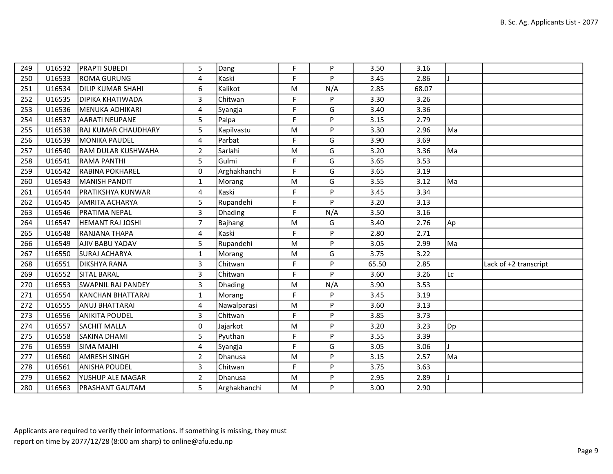| 249 | U16532 | <b>PRAPTI SUBEDI</b>      | 5              | Dang           | F         | P   | 3.50  | 3.16  |    |                       |
|-----|--------|---------------------------|----------------|----------------|-----------|-----|-------|-------|----|-----------------------|
| 250 | U16533 | ROMA GURUNG               | 4              | Kaski          | F         | P   | 3.45  | 2.86  |    |                       |
| 251 | U16534 | <b>DILIP KUMAR SHAHI</b>  | 6              | Kalikot        | M         | N/A | 2.85  | 68.07 |    |                       |
| 252 | U16535 | <b>DIPIKA KHATIWADA</b>   | 3              | Chitwan        | F.        | P   | 3.30  | 3.26  |    |                       |
| 253 | U16536 | MENUKA ADHIKARI           | 4              | Syangja        | F.        | G   | 3.40  | 3.36  |    |                       |
| 254 | U16537 | <b>AARATI NEUPANE</b>     | 5              | Palpa          | F.        | Þ   | 3.15  | 2.79  |    |                       |
| 255 | U16538 | RAJ KUMAR CHAUDHARY       | 5              | Kapilvastu     | M         | P   | 3.30  | 2.96  | Ma |                       |
| 256 | U16539 | MONIKA PAUDEL             | 4              | Parbat         | F.        | G   | 3.90  | 3.69  |    |                       |
| 257 | U16540 | RAM DULAR KUSHWAHA        | $\overline{2}$ | Sarlahi        | M         | G   | 3.20  | 3.36  | Ma |                       |
| 258 | U16541 | RAMA PANTHI               | 5              | Gulmi          | F         | G   | 3.65  | 3.53  |    |                       |
| 259 | U16542 | RABINA POKHAREL           | 0              | Arghakhanchi   | F         | G   | 3.65  | 3.19  |    |                       |
| 260 | U16543 | MANISH PANDIT             | $\mathbf{1}$   | Morang         | M         | G   | 3.55  | 3.12  | Ma |                       |
| 261 | U16544 | PRATIKSHYA KUNWAR         | 4              | Kaski          | F.        | P   | 3.45  | 3.34  |    |                       |
| 262 | U16545 | AMRITA ACHARYA            | 5              | Rupandehi      | F         | P   | 3.20  | 3.13  |    |                       |
| 263 | U16546 | PRATIMA NEPAL             | $\overline{3}$ | <b>Dhading</b> | F.        | N/A | 3.50  | 3.16  |    |                       |
| 264 | U16547 | HEMANT RAJ JOSHI          | $\overline{7}$ | <b>Bajhang</b> | ${\sf M}$ | G   | 3.40  | 2.76  | Ap |                       |
| 265 | U16548 | RANJANA THAPA             | 4              | Kaski          | F         | P   | 2.80  | 2.71  |    |                       |
| 266 | U16549 | AJIV BABU YADAV           | 5              | Rupandehi      | M         | P   | 3.05  | 2.99  | Ma |                       |
| 267 | U16550 | <b>SURAJ ACHARYA</b>      | $\mathbf{1}$   | Morang         | M         | G   | 3.75  | 3.22  |    |                       |
| 268 | U16551 | DIKSHYA RANA              | $\mathbf{3}$   | Chitwan        | F.        | P   | 65.50 | 2.85  |    | Lack of +2 transcript |
| 269 | U16552 | SITAL BARAL               | 3              | Chitwan        | F.        | P   | 3.60  | 3.26  | Lc |                       |
| 270 | U16553 | <b>SWAPNIL RAJ PANDEY</b> | $\overline{3}$ | Dhading        | M         | N/A | 3.90  | 3.53  |    |                       |
| 271 | U16554 | <b>KANCHAN BHATTARAI</b>  | $\mathbf{1}$   | Morang         | F         | P   | 3.45  | 3.19  |    |                       |
| 272 | U16555 | ANUJ BHATTARAI            | 4              | Nawalparasi    | M         | P   | 3.60  | 3.13  |    |                       |
| 273 | U16556 | <b>ANIKITA POUDEL</b>     | $\overline{3}$ | Chitwan        | F         | P   | 3.85  | 3.73  |    |                       |
| 274 | U16557 | <b>SACHIT MALLA</b>       | $\mathbf 0$    | Jajarkot       | M         | P   | 3.20  | 3.23  | Dp |                       |
| 275 | U16558 | SAKINA DHAMI              | 5              | Pyuthan        | F.        | P   | 3.55  | 3.39  |    |                       |
| 276 | U16559 | SIMA MAJHI                | 4              | Syangja        | F.        | G   | 3.05  | 3.06  |    |                       |
| 277 | U16560 | <b>AMRESH SINGH</b>       | $\overline{2}$ | Dhanusa        | M         | P   | 3.15  | 2.57  | Ma |                       |
| 278 | U16561 | ANISHA POUDEL             | 3              | Chitwan        | F.        | P   | 3.75  | 3.63  |    |                       |
| 279 | U16562 | YUSHUP ALE MAGAR          | $\overline{2}$ | Dhanusa        | M         | D   | 2.95  | 2.89  |    |                       |
| 280 | U16563 | <b>PRASHANT GAUTAM</b>    | 5              | Arghakhanchi   | M         | P   | 3.00  | 2.90  |    |                       |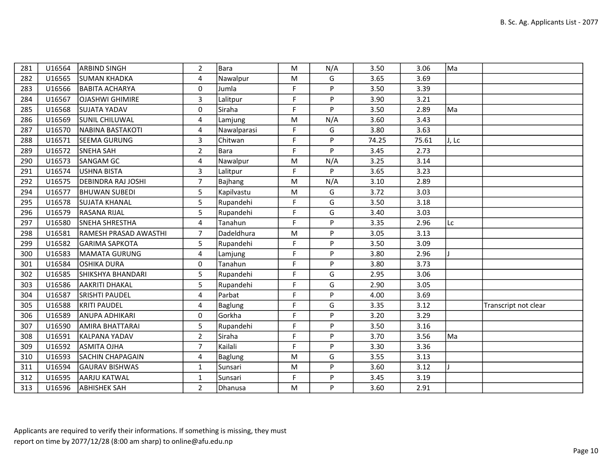| 281 | U16564 | <b>ARBIND SINGH</b>       | $\overline{2}$ | <b>Bara</b>    | M         | N/A | 3.50  | 3.06  | Ma    |                      |
|-----|--------|---------------------------|----------------|----------------|-----------|-----|-------|-------|-------|----------------------|
| 282 | U16565 | <b>SUMAN KHADKA</b>       | 4              | Nawalpur       | M         | G   | 3.65  | 3.69  |       |                      |
| 283 | U16566 | <b>BABITA ACHARYA</b>     | 0              | Jumla          | F.        | Þ   | 3.50  | 3.39  |       |                      |
| 284 | U16567 | <b>OJASHWI GHIMIRE</b>    | 3              | Lalitpur       | F         | P   | 3.90  | 3.21  |       |                      |
| 285 | U16568 | <b>SUJATA YADAV</b>       | 0              | Siraha         | F         | P   | 3.50  | 2.89  | Ma    |                      |
| 286 | U16569 | SUNIL CHILUWAL            | 4              | Lamjung        | M         | N/A | 3.60  | 3.43  |       |                      |
| 287 | U16570 | NABINA BASTAKOTI          | 4              | Nawalparasi    | F         | G   | 3.80  | 3.63  |       |                      |
| 288 | U16571 | <b>SEEMA GURUNG</b>       | 3              | Chitwan        | F         | P   | 74.25 | 75.61 | J, Lc |                      |
| 289 | U16572 | <b>SNEHA SAH</b>          | $\overline{2}$ | <b>Bara</b>    | F.        | Þ   | 3.45  | 2.73  |       |                      |
| 290 | U16573 | SANGAM GC                 | 4              | Nawalpur       | M         | N/A | 3.25  | 3.14  |       |                      |
| 291 | U16574 | <b>USHNA BISTA</b>        | 3              | Lalitpur       | F         | P   | 3.65  | 3.23  |       |                      |
| 292 | U16575 | <b>DEBINDRA RAJ JOSHI</b> | $\overline{7}$ | Bajhang        | M         | N/A | 3.10  | 2.89  |       |                      |
| 294 | U16577 | <b>BHUWAN SUBEDI</b>      | 5              | Kapilvastu     | M         | G   | 3.72  | 3.03  |       |                      |
| 295 | U16578 | <b>SUJATA KHANAL</b>      | 5              | Rupandehi      | F         | G   | 3.50  | 3.18  |       |                      |
| 296 | U16579 | RASANA RIJAL              | 5              | Rupandehi      | F.        | G   | 3.40  | 3.03  |       |                      |
| 297 | U16580 | SNEHA SHRESTHA            | 4              | Tanahun        | F.        | P   | 3.35  | 2.96  | Lc    |                      |
| 298 | U16581 | RAMESH PRASAD AWASTHI     | $\overline{7}$ | Dadeldhura     | M         | P   | 3.05  | 3.13  |       |                      |
| 299 | U16582 | <b>GARIMA SAPKOTA</b>     | 5              | Rupandehi      | F.        | P   | 3.50  | 3.09  |       |                      |
| 300 | U16583 | <b>MAMATA GURUNG</b>      | 4              | Lamjung        | F         | P   | 3.80  | 2.96  |       |                      |
| 301 | U16584 | <b>OSHIKA DURA</b>        | 0              | Tanahun        | F         | P   | 3.80  | 3.73  |       |                      |
| 302 | U16585 | SHIKSHYA BHANDARI         | 5              | Rupandehi      | F.        | G   | 2.95  | 3.06  |       |                      |
| 303 | U16586 | <b>AAKRITI DHAKAL</b>     | 5              | Rupandehi      | F.        | G   | 2.90  | 3.05  |       |                      |
| 304 | U16587 | <b>SRISHTI PAUDEL</b>     | 4              | Parbat         | F         | P   | 4.00  | 3.69  |       |                      |
| 305 | U16588 | <b>KRITI PAUDEL</b>       | 4              | <b>Baglung</b> | F.        | G   | 3.35  | 3.12  |       | Transcript not clear |
| 306 | U16589 | <b>ANUPA ADHIKARI</b>     | 0              | Gorkha         | F.        | P   | 3.20  | 3.29  |       |                      |
| 307 | U16590 | AMIRA BHATTARAI           | 5              | Rupandehi      | F         | P   | 3.50  | 3.16  |       |                      |
| 308 | U16591 | KALPANA YADAV             | $\overline{2}$ | Siraha         | F.        | P   | 3.70  | 3.56  | Ma    |                      |
| 309 | U16592 | <b>ASMITA OJHA</b>        | $\overline{7}$ | Kailali        | F.        | P   | 3.30  | 3.36  |       |                      |
| 310 | U16593 | SACHIN CHAPAGAIN          | 4              | <b>Baglung</b> | M         | G   | 3.55  | 3.13  |       |                      |
| 311 | U16594 | <b>GAURAV BISHWAS</b>     | $\mathbf{1}$   | Sunsari        | ${\sf M}$ | P   | 3.60  | 3.12  |       |                      |
| 312 | U16595 | <b>AARJU KATWAL</b>       | $\mathbf{1}$   | Sunsari        | E         | P   | 3.45  | 3.19  |       |                      |
| 313 | U16596 | <b>ABHISHEK SAH</b>       | $\overline{2}$ | Dhanusa        | M         | P   | 3.60  | 2.91  |       |                      |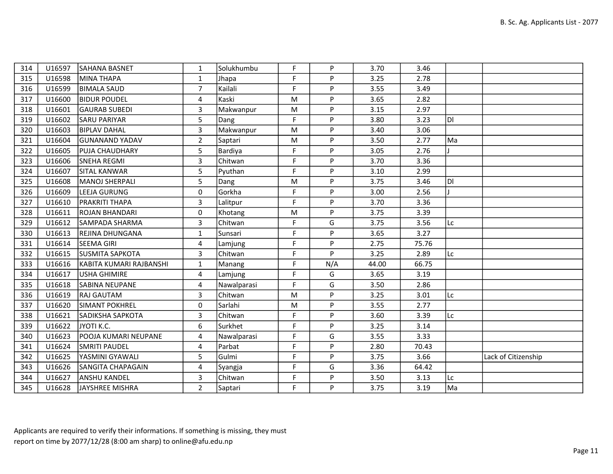| 314 | U16597 | SAHANA BASNET           | $\mathbf{1}$   | Solukhumbu  | F         | P   | 3.70  | 3.46  |      |                     |
|-----|--------|-------------------------|----------------|-------------|-----------|-----|-------|-------|------|---------------------|
| 315 | U16598 | İMINA THAPA             | $\mathbf{1}$   | Jhapa       | F         | P   | 3.25  | 2.78  |      |                     |
| 316 | U16599 | BIMALA SAUD             | $\overline{7}$ | Kailali     | F         | P   | 3.55  | 3.49  |      |                     |
| 317 | U16600 | <b>BIDUR POUDEL</b>     | 4              | Kaski       | M         | P   | 3.65  | 2.82  |      |                     |
| 318 | U16601 | <b>GAURAB SUBEDI</b>    | 3              | Makwanpur   | M         | P   | 3.15  | 2.97  |      |                     |
| 319 | U16602 | SARU PARIYAR            | 5              | Dang        | F         | Þ   | 3.80  | 3.23  | IDI. |                     |
| 320 | U16603 | BIPLAV DAHAL            | 3              | Makwanpur   | ${\sf M}$ | P   | 3.40  | 3.06  |      |                     |
| 321 | U16604 | GUNANAND YADAV          | $\overline{2}$ | Saptari     | M         | P   | 3.50  | 2.77  | Ma   |                     |
| 322 | U16605 | <b>PUJA CHAUDHARY</b>   | 5              | Bardiya     | F         | P   | 3.05  | 2.76  |      |                     |
| 323 | U16606 | SNEHA REGMI             | 3              | Chitwan     | F         | P   | 3.70  | 3.36  |      |                     |
| 324 | U16607 | SITAL KANWAR            | 5              | Pyuthan     | F.        | P   | 3.10  | 2.99  |      |                     |
| 325 | U16608 | MANOJ SHERPALI          | 5              | Dang        | M         | P   | 3.75  | 3.46  | IDI  |                     |
| 326 | U16609 | LEEJA GURUNG            | 0              | Gorkha      | F.        | P   | 3.00  | 2.56  |      |                     |
| 327 | U16610 | PRAKRITI THAPA          | 3              | Lalitpur    | F         | P   | 3.70  | 3.36  |      |                     |
| 328 | U16611 | ROJAN BHANDARI          | $\mathbf 0$    | Khotang     | M         | P   | 3.75  | 3.39  |      |                     |
| 329 | U16612 | SAMPADA SHARMA          | 3              | Chitwan     | F         | G   | 3.75  | 3.56  | Lc   |                     |
| 330 | U16613 | REJINA DHUNGANA         | $\mathbf{1}$   | Sunsari     | F         | P   | 3.65  | 3.27  |      |                     |
| 331 | U16614 | SEEMA GIRI              | $\overline{4}$ | Lamjung     | F.        | P   | 2.75  | 75.76 |      |                     |
| 332 | U16615 | <b>SUSMITA SAPKOTA</b>  | 3              | Chitwan     | F         | P   | 3.25  | 2.89  | Lc   |                     |
| 333 | U16616 | KABITA KUMARI RAJBANSHI | $\mathbf{1}$   | Manang      | F         | N/A | 44.00 | 66.75 |      |                     |
| 334 | U16617 | USHA GHIMIRE            | 4              | Lamjung     | F.        | G   | 3.65  | 3.19  |      |                     |
| 335 | U16618 | SABINA NEUPANE          | 4              | Nawalparasi | F         | G   | 3.50  | 2.86  |      |                     |
| 336 | U16619 | <b>RAJ GAUTAM</b>       | 3              | Chitwan     | M         | P   | 3.25  | 3.01  | Lc   |                     |
| 337 | U16620 | <b>SIMANT POKHREL</b>   | $\mathbf 0$    | Sarlahi     | M         | P   | 3.55  | 2.77  |      |                     |
| 338 | U16621 | SADIKSHA SAPKOTA        | 3              | Chitwan     | F         | P   | 3.60  | 3.39  | Lc   |                     |
| 339 | U16622 | JYOTI K.C.              | 6              | Surkhet     | F         | P   | 3.25  | 3.14  |      |                     |
| 340 | U16623 | POOJA KUMARI NEUPANE    | 4              | Nawalparasi | F.        | G   | 3.55  | 3.33  |      |                     |
| 341 | U16624 | SMRITI PAUDEL           | $\pmb{4}$      | Parbat      | F         | P   | 2.80  | 70.43 |      |                     |
| 342 | U16625 | YASMINI GYAWALI         | 5              | Gulmi       | F         | P   | 3.75  | 3.66  |      | Lack of Citizenship |
| 343 | U16626 | SANGITA CHAPAGAIN       | $\pmb{4}$      | Syangja     | F.        | G   | 3.36  | 64.42 |      |                     |
| 344 | U16627 | ANSHU KANDEL            | 3              | Chitwan     | F         | P   | 3.50  | 3.13  | Lc   |                     |
| 345 | U16628 | JAYSHREE MISHRA         | $\overline{2}$ | Saptari     | F         | P   | 3.75  | 3.19  | Ma   |                     |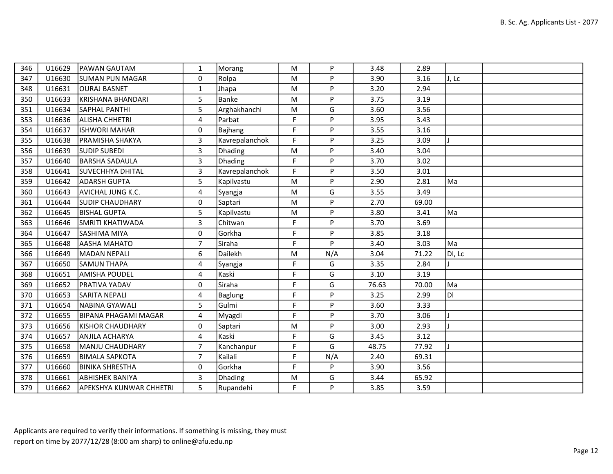| 346 | U16629 | <b>PAWAN GAUTAM</b>         | $\mathbf{1}$   | Morang         | M         | P   | 3.48  | 2.89  |        |  |
|-----|--------|-----------------------------|----------------|----------------|-----------|-----|-------|-------|--------|--|
| 347 | U16630 | <b>SUMAN PUN MAGAR</b>      | 0              | Rolpa          | M         | P   | 3.90  | 3.16  | J, Lc  |  |
| 348 | U16631 | <b>OURAJ BASNET</b>         | $\mathbf{1}$   | Jhapa          | M         | Þ   | 3.20  | 2.94  |        |  |
| 350 | U16633 | <b>KRISHANA BHANDARI</b>    | 5              | Banke          | ${\sf M}$ | P   | 3.75  | 3.19  |        |  |
| 351 | U16634 | SAPHAL PANTHI               | 5              | Arghakhanchi   | M         | G   | 3.60  | 3.56  |        |  |
| 353 | U16636 | <b>ALISHA CHHETRI</b>       | 4              | Parbat         | F         | D   | 3.95  | 3.43  |        |  |
| 354 | U16637 | <b>ISHWORI MAHAR</b>        | 0              | Bajhang        | F         | P   | 3.55  | 3.16  |        |  |
| 355 | U16638 | PRAMISHA SHAKYA             | 3              | Kavrepalanchok | F         | P   | 3.25  | 3.09  |        |  |
| 356 | U16639 | <b>SUDIP SUBEDI</b>         | 3              | <b>Dhading</b> | M         | P   | 3.40  | 3.04  |        |  |
| 357 | U16640 | <b>BARSHA SADAULA</b>       | 3              | Dhading        | F.        | P   | 3.70  | 3.02  |        |  |
| 358 | U16641 | SUVECHHYA DHITAL            | 3              | Kavrepalanchok | F         | P   | 3.50  | 3.01  |        |  |
| 359 | U16642 | <b>ADARSH GUPTA</b>         | 5              | Kapilvastu     | M         | Þ   | 2.90  | 2.81  | Ma     |  |
| 360 | U16643 | AVICHAL JUNG K.C.           | 4              | Syangja        | M         | G   | 3.55  | 3.49  |        |  |
| 361 | U16644 | <b>SUDIP CHAUDHARY</b>      | 0              | Saptari        | M         | P   | 2.70  | 69.00 |        |  |
| 362 | U16645 | <b>BISHAL GUPTA</b>         | 5              | Kapilvastu     | ${\sf M}$ | P   | 3.80  | 3.41  | Ma     |  |
| 363 | U16646 | SMRITI KHATIWADA            | 3              | Chitwan        | F         | P   | 3.70  | 3.69  |        |  |
| 364 | U16647 | SASHIMA MIYA                | 0              | Gorkha         | F.        | P   | 3.85  | 3.18  |        |  |
| 365 | U16648 | <b>AASHA MAHATO</b>         | $\overline{7}$ | Siraha         | F.        | P   | 3.40  | 3.03  | Ma     |  |
| 366 | U16649 | <b>MADAN NEPALI</b>         | 6              | Dailekh        | M         | N/A | 3.04  | 71.22 | DI, Lc |  |
| 367 | U16650 | <b>SAMUN THAPA</b>          | 4              | Syangja        | F.        | G   | 3.35  | 2.84  |        |  |
| 368 | U16651 | AMISHA POUDEL               | 4              | Kaski          | F         | G   | 3.10  | 3.19  |        |  |
| 369 | U16652 | PRATIVA YADAV               | 0              | Siraha         | F.        | G   | 76.63 | 70.00 | Ma     |  |
| 370 | U16653 | <b>SARITA NEPALI</b>        | 4              | <b>Baglung</b> | F         | P   | 3.25  | 2.99  | IDI    |  |
| 371 | U16654 | <b>NABINA GYAWALI</b>       | 5              | Gulmi          | F         | P   | 3.60  | 3.33  |        |  |
| 372 | U16655 | <b>BIPANA PHAGAMI MAGAR</b> | $\pmb{4}$      | Myagdi         | F.        | Þ   | 3.70  | 3.06  |        |  |
| 373 | U16656 | <b>KISHOR CHAUDHARY</b>     | $\pmb{0}$      | Saptari        | ${\sf M}$ | P   | 3.00  | 2.93  |        |  |
| 374 | U16657 | ANJILA ACHARYA              | 4              | Kaski          | F         | G   | 3.45  | 3.12  |        |  |
| 375 | U16658 | MANJU CHAUDHARY             | $\overline{7}$ | Kanchanpur     | F         | G   | 48.75 | 77.92 |        |  |
| 376 | U16659 | <b>BIMALA SAPKOTA</b>       | $\overline{7}$ | Kailali        | F         | N/A | 2.40  | 69.31 |        |  |
| 377 | U16660 | <b>BINIKA SHRESTHA</b>      | 0              | Gorkha         | F.        | P   | 3.90  | 3.56  |        |  |
| 378 | U16661 | <b>ABHISHEK BANIYA</b>      | 3              | <b>Dhading</b> | M         | G   | 3.44  | 65.92 |        |  |
| 379 | U16662 | APEKSHYA KUNWAR CHHETRI     | 5              | Rupandehi      | F.        | P   | 3.85  | 3.59  |        |  |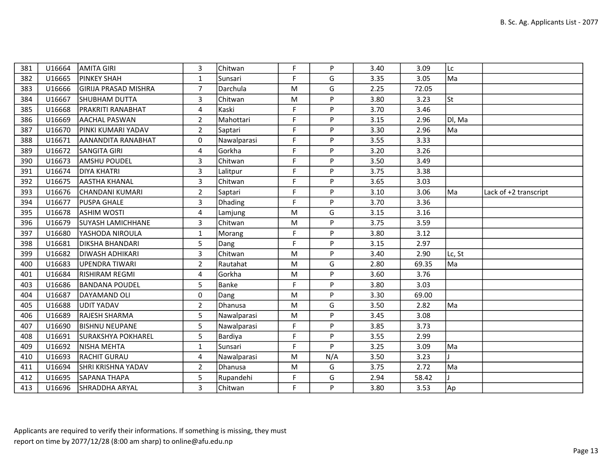| 381 | U16664 | AMITA GIRI                | 3              | Chitwan     | F  | P   | 3.40 | 3.09  | Lc        |                       |
|-----|--------|---------------------------|----------------|-------------|----|-----|------|-------|-----------|-----------------------|
| 382 | U16665 | <b>PINKEY SHAH</b>        | $\mathbf{1}$   | Sunsari     | F. | G   | 3.35 | 3.05  | Ma        |                       |
| 383 | U16666 | GIRIJA PRASAD MISHRA      | $\overline{7}$ | Darchula    | M  | G   | 2.25 | 72.05 |           |                       |
| 384 | U16667 | <b>SHUBHAM DUTTA</b>      | $\mathbf{3}$   | Chitwan     | M  | P   | 3.80 | 3.23  | <b>St</b> |                       |
| 385 | U16668 | <b>PRAKRITI RANABHAT</b>  | 4              | Kaski       | F. | P   | 3.70 | 3.46  |           |                       |
| 386 | U16669 | AACHAL PASWAN             | $\overline{2}$ | Mahottari   | F  | Þ   | 3.15 | 2.96  | DI, Ma    |                       |
| 387 | U16670 | PINKI KUMARI YADAV        | $\overline{2}$ | Saptari     | F  | P   | 3.30 | 2.96  | Ma        |                       |
| 388 | U16671 | AANANDITA RANABHAT        | $\mathbf 0$    | Nawalparasi | F  | P   | 3.55 | 3.33  |           |                       |
| 389 | U16672 | SANGITA GIRI              | $\overline{4}$ | Gorkha      | F  | P   | 3.20 | 3.26  |           |                       |
| 390 | U16673 | <b>AMSHU POUDEL</b>       | 3              | Chitwan     | F  | P   | 3.50 | 3.49  |           |                       |
| 391 | U16674 | DIYA KHATRI               | $\mathbf{3}$   | Lalitpur    | F  | P   | 3.75 | 3.38  |           |                       |
| 392 | U16675 | AASTHA KHANAL             | 3              | Chitwan     | F. | P   | 3.65 | 3.03  |           |                       |
| 393 | U16676 | CHANDANI KUMARI           | $\overline{2}$ | Saptari     | F  | P   | 3.10 | 3.06  | Ma        | Lack of +2 transcript |
| 394 | U16677 | <b>PUSPA GHALE</b>        | $\mathbf{3}$   | Dhading     | F  | P   | 3.70 | 3.36  |           |                       |
| 395 | U16678 | ASHIM WOSTI               | $\overline{4}$ | Lamjung     | M  | G   | 3.15 | 3.16  |           |                       |
| 396 | U16679 | SUYASH LAMICHHANE         | 3              | Chitwan     | M  | P   | 3.75 | 3.59  |           |                       |
| 397 | U16680 | YASHODA NIROULA           | $\mathbf{1}$   | Morang      | F  | P   | 3.80 | 3.12  |           |                       |
| 398 | U16681 | <b>DIKSHA BHANDARI</b>    | 5              | Dang        | F. | P.  | 3.15 | 2.97  |           |                       |
| 399 | U16682 | DIWASH ADHIKARI           | $\mathbf{3}$   | Chitwan     | M  | P   | 3.40 | 2.90  | Lc, St    |                       |
| 400 | U16683 | UPENDRA TIWARI            | $\overline{2}$ | Rautahat    | M  | G   | 2.80 | 69.35 | Ma        |                       |
| 401 | U16684 | <b>RISHIRAM REGMI</b>     | 4              | Gorkha      | M  | P.  | 3.60 | 3.76  |           |                       |
| 403 | U16686 | BANDANA POUDEL            | 5              | Banke       | F. | P   | 3.80 | 3.03  |           |                       |
| 404 | U16687 | DAYAMAND OLI              | $\mathbf 0$    | Dang        | M  | P   | 3.30 | 69.00 |           |                       |
| 405 | U16688 | <b>UDIT YADAV</b>         | $\overline{2}$ | Dhanusa     | M  | G   | 3.50 | 2.82  | Ma        |                       |
| 406 | U16689 | RAJESH SHARMA             | 5              | Nawalparasi | M  | P   | 3.45 | 3.08  |           |                       |
| 407 | U16690 | <b>BISHNU NEUPANE</b>     | 5              | Nawalparasi | F  | P   | 3.85 | 3.73  |           |                       |
| 408 | U16691 | <b>SURAKSHYA POKHAREL</b> | 5              | Bardiya     | F  | P   | 3.55 | 2.99  |           |                       |
| 409 | U16692 | NISHA MEHTA               | $\mathbf 1$    | Sunsari     | F. | Þ   | 3.25 | 3.09  | Ma        |                       |
| 410 | U16693 | <b>RACHIT GURAU</b>       | 4              | Nawalparasi | M  | N/A | 3.50 | 3.23  |           |                       |
| 411 | U16694 | <b>SHRI KRISHNA YADAV</b> | $\overline{2}$ | Dhanusa     | M  | G   | 3.75 | 2.72  | Ma        |                       |
| 412 | U16695 | SAPANA THAPA              | 5              | Rupandehi   | E  | G   | 2.94 | 58.42 |           |                       |
| 413 | U16696 | SHRADDHA ARYAL            | 3              | Chitwan     | F. | P   | 3.80 | 3.53  | Ap        |                       |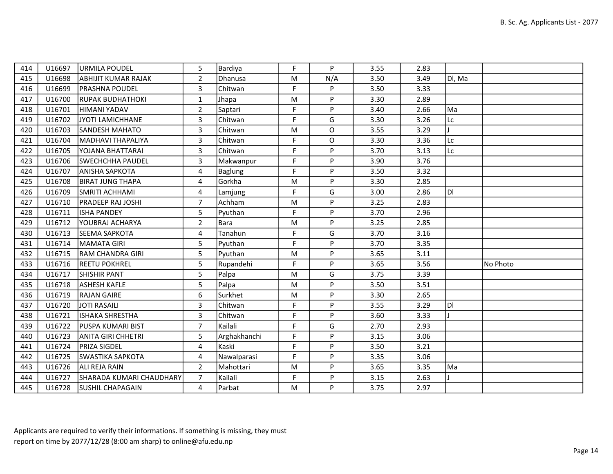| 414 | U16697 | <b>URMILA POUDEL</b>            | 5              | Bardiya        | F  | P            | 3.55 | 2.83 |        |          |
|-----|--------|---------------------------------|----------------|----------------|----|--------------|------|------|--------|----------|
| 415 | U16698 | ABHIJIT KUMAR RAJAK             | $\overline{2}$ | Dhanusa        | M  | N/A          | 3.50 | 3.49 | DI, Ma |          |
| 416 | U16699 | <b>PRASHNA POUDEL</b>           | $\overline{3}$ | Chitwan        | F  | Þ.           | 3.50 | 3.33 |        |          |
| 417 | U16700 | RUPAK BUDHATHOKI                | $\mathbf 1$    | Jhapa          | M  | P            | 3.30 | 2.89 |        |          |
| 418 | U16701 | İHIMANI YADAV                   | $\overline{2}$ | Saptari        | F. | P            | 3.40 | 2.66 | lMa    |          |
| 419 | U16702 | JYOTI LAMICHHANE                | 3              | Chitwan        | F  | G            | 3.30 | 3.26 | Lc     |          |
| 420 | U16703 | SANDESH MAHATO                  | 3              | Chitwan        | M  | $\mathsf O$  | 3.55 | 3.29 |        |          |
| 421 | U16704 | MADHAVI THAPALIYA               | 3              | Chitwan        | F  | $\mathsf{O}$ | 3.30 | 3.36 | Lc     |          |
| 422 | U16705 | YOJANA BHATTARAI                | $\overline{3}$ | Chitwan        | F. | P            | 3.70 | 3.13 | Lc     |          |
| 423 | U16706 | lswechchha Paudel               | 3              | Makwanpur      | F  | P            | 3.90 | 3.76 |        |          |
| 424 | U16707 | ANISHA SAPKOTA                  | 4              | <b>Baglung</b> | F  | P            | 3.50 | 3.32 |        |          |
| 425 | U16708 | <b>BIRAT JUNG THAPA</b>         | $\overline{4}$ | Gorkha         | M  | P.           | 3.30 | 2.85 |        |          |
| 426 | U16709 | SMRITI ACHHAMI                  | 4              | Lamjung        | F. | G            | 3.00 | 2.86 | ldi    |          |
| 427 | U16710 | PRADEEP RAJ JOSHI               | $\overline{7}$ | Achham         | M  | P            | 3.25 | 2.83 |        |          |
| 428 | U16711 | ISHA PANDEY                     | 5              | Pyuthan        | F. | P            | 3.70 | 2.96 |        |          |
| 429 | U16712 | YOUBRAJ ACHARYA                 | $\overline{2}$ | Bara           | M  | P            | 3.25 | 2.85 |        |          |
| 430 | U16713 | <b>SEEMA SAPKOTA</b>            | $\overline{4}$ | Tanahun        | F  | G            | 3.70 | 3.16 |        |          |
| 431 | U16714 | MAMATA GIRI                     | 5              | Pyuthan        | F. | P            | 3.70 | 3.35 |        |          |
| 432 | U16715 | <b>RAM CHANDRA GIRI</b>         | 5              | Pyuthan        | M  | P            | 3.65 | 3.11 |        |          |
| 433 | U16716 | REETU POKHREL                   | 5              | Rupandehi      | F  | P            | 3.65 | 3.56 |        | No Photo |
| 434 | U16717 | SHISHIR PANT                    | 5              | Palpa          | M  | G            | 3.75 | 3.39 |        |          |
| 435 | U16718 | <b>ASHESH KAFLE</b>             | 5              | Palpa          | M  | P            | 3.50 | 3.51 |        |          |
| 436 | U16719 | <b>RAJAN GAIRE</b>              | 6              | Surkhet        | M  | P            | 3.30 | 2.65 |        |          |
| 437 | U16720 | <b>JOTI RASAILI</b>             | 3              | Chitwan        | F. | P            | 3.55 | 3.29 | IDI.   |          |
| 438 | U16721 | <b>ISHAKA SHRESTHA</b>          | 3              | Chitwan        | F. | P            | 3.60 | 3.33 |        |          |
| 439 | U16722 | PUSPA KUMARI BIST               | $\overline{7}$ | Kailali        | F  | G            | 2.70 | 2.93 |        |          |
| 440 | U16723 | ANITA GIRI CHHETRI              | 5              | Arghakhanchi   | F. | P            | 3.15 | 3.06 |        |          |
| 441 | U16724 | <b>PRIZA SIGDEL</b>             | 4              | Kaski          | F  | P.           | 3.50 | 3.21 |        |          |
| 442 | U16725 | SWASTIKA SAPKOTA                | 4              | Nawalparasi    | F  | P            | 3.35 | 3.06 |        |          |
| 443 | U16726 | ALI REJA RAIN                   | $\overline{2}$ | Mahottari      | M  | P            | 3.65 | 3.35 | Ma     |          |
| 444 | U16727 | <b>SHARADA KUMARI CHAUDHARY</b> | $\overline{7}$ | Kailali        | F  | P            | 3.15 | 2.63 |        |          |
| 445 | U16728 | <b>SUSHIL CHAPAGAIN</b>         | $\overline{4}$ | Parbat         | M  | P            | 3.75 | 2.97 |        |          |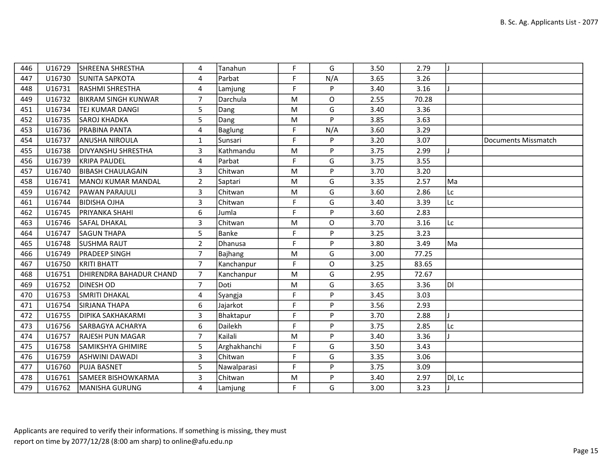| 446 | U16729 | <b>SHREENA SHRESTHA</b>        | 4              | Tanahun        | F  | G        | 3.50 | 2.79  |        |                     |
|-----|--------|--------------------------------|----------------|----------------|----|----------|------|-------|--------|---------------------|
| 447 | U16730 | <b>SUNITA SAPKOTA</b>          | $\overline{4}$ | Parbat         | F  | N/A      | 3.65 | 3.26  |        |                     |
| 448 | U16731 | <b>RASHMI SHRESTHA</b>         | 4              | Lamjung        | F  | P        | 3.40 | 3.16  |        |                     |
| 449 | U16732 | <b>BIKRAM SINGH KUNWAR</b>     | $\overline{7}$ | Darchula       | M  | O        | 2.55 | 70.28 |        |                     |
| 451 | U16734 | <b>TEJ KUMAR DANGI</b>         | 5              | Dang           | M  | G        | 3.40 | 3.36  |        |                     |
| 452 | U16735 | SAROJ KHADKA                   | 5              | Dang           | M  | <b>P</b> | 3.85 | 3.63  |        |                     |
| 453 | U16736 | <b>PRABINA PANTA</b>           | $\overline{4}$ | <b>Baglung</b> | F  | N/A      | 3.60 | 3.29  |        |                     |
| 454 | U16737 | <b>ANUSHA NIROULA</b>          | $\mathbf{1}$   | Sunsari        | F  | P        | 3.20 | 3.07  |        | Documents Missmatch |
| 455 | U16738 | <b>DIVYANSHU SHRESTHA</b>      | 3              | Kathmandu      | M  | P        | 3.75 | 2.99  |        |                     |
| 456 | U16739 | <b>KRIPA PAUDEL</b>            | 4              | Parbat         | F. | G        | 3.75 | 3.55  |        |                     |
| 457 | U16740 | <b>BIBASH CHAULAGAIN</b>       | $\overline{3}$ | Chitwan        | M  | P        | 3.70 | 3.20  |        |                     |
| 458 | U16741 | MANOJ KUMAR MANDAL             | $\overline{2}$ | Saptari        | M  | G        | 3.35 | 2.57  | Ma     |                     |
| 459 | U16742 | <b>PAWAN PARAJULI</b>          | 3              | Chitwan        | M  | G        | 3.60 | 2.86  | Lc     |                     |
| 461 | U16744 | <b>BIDISHA OJHA</b>            | $\overline{3}$ | Chitwan        | F  | G        | 3.40 | 3.39  | Lc     |                     |
| 462 | U16745 | <b>PRIYANKA SHAHI</b>          | 6              | Jumla          | F. | P        | 3.60 | 2.83  |        |                     |
| 463 | U16746 | <b>SAFAL DHAKAL</b>            | 3              | Chitwan        | M  | O        | 3.70 | 3.16  | Lc     |                     |
| 464 | U16747 | <b>SAGUN THAPA</b>             | 5              | <b>Banke</b>   | F  | P        | 3.25 | 3.23  |        |                     |
| 465 | U16748 | <b>SUSHMA RAUT</b>             | $\overline{2}$ | Dhanusa        | F. | P        | 3.80 | 3.49  | Ma     |                     |
| 466 | U16749 | <b>PRADEEP SINGH</b>           | $\overline{7}$ | <b>Bajhang</b> | M  | G        | 3.00 | 77.25 |        |                     |
| 467 | U16750 | IKRITI BHATT                   | $\overline{7}$ | Kanchanpur     | F. | O        | 3.25 | 83.65 |        |                     |
| 468 | U16751 | <b>DHIRENDRA BAHADUR CHAND</b> | $\overline{7}$ | Kanchanpur     | M  | G        | 2.95 | 72.67 |        |                     |
| 469 | U16752 | <b>DINESH OD</b>               | $\overline{7}$ | Doti           | M  | G        | 3.65 | 3.36  | IDI    |                     |
| 470 | U16753 | İSMRITI DHAKAL                 | 4              | Syangja        | F  | P        | 3.45 | 3.03  |        |                     |
| 471 | U16754 | SIRJANA THAPA                  | 6              | Jajarkot       | F. | P        | 3.56 | 2.93  |        |                     |
| 472 | U16755 | <b>DIPIKA SAKHAKARMI</b>       | 3              | Bhaktapur      | F. | P        | 3.70 | 2.88  |        |                     |
| 473 | U16756 | SARBAGYA ACHARYA               | 6              | Dailekh        | F. | P        | 3.75 | 2.85  | Lc     |                     |
| 474 | U16757 | <b>RAJESH PUN MAGAR</b>        | $\overline{7}$ | Kailali        | M  | P        | 3.40 | 3.36  |        |                     |
| 475 | U16758 | <b>ISAMIKSHYA GHIMIRE</b>      | 5              | Arghakhanchi   | F. | G        | 3.50 | 3.43  |        |                     |
| 476 | U16759 | ASHWINI DAWADI                 | $\overline{3}$ | Chitwan        | F  | G        | 3.35 | 3.06  |        |                     |
| 477 | U16760 | <b>PUJA BASNET</b>             | 5              | Nawalparasi    | F. | P        | 3.75 | 3.09  |        |                     |
| 478 | U16761 | <b>ISAMEER BISHOWKARMA</b>     | $\overline{3}$ | Chitwan        | M  | P        | 3.40 | 2.97  | DI, Lc |                     |
| 479 | U16762 | MANISHA GURUNG                 | 4              | Lamjung        | F. | G        | 3.00 | 3.23  |        |                     |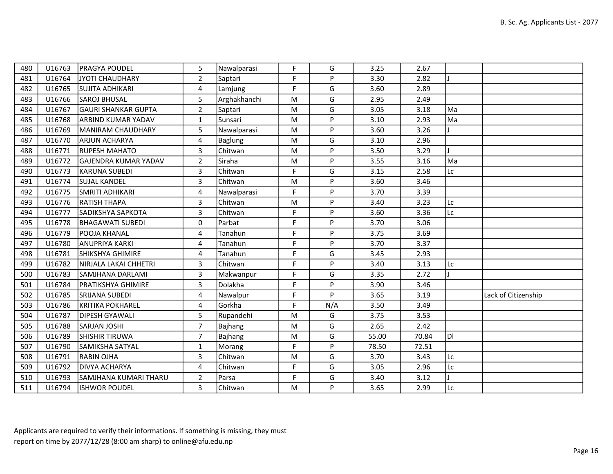| 480 | U16763 | PRAGYA POUDEL               | 5              | Nawalparasi    | F. | G   | 3.25  | 2.67  |      |                     |
|-----|--------|-----------------------------|----------------|----------------|----|-----|-------|-------|------|---------------------|
| 481 | U16764 | JYOTI CHAUDHARY             | $\overline{2}$ | Saptari        | F. | P   | 3.30  | 2.82  |      |                     |
| 482 | U16765 | SUJITA ADHIKARI             | 4              | Lamjung        | F. | G   | 3.60  | 2.89  |      |                     |
| 483 | U16766 | <b>SAROJ BHUSAL</b>         | 5              | Arghakhanchi   | M  | G   | 2.95  | 2.49  |      |                     |
| 484 | U16767 | <b>GAURI SHANKAR GUPTA</b>  | $\overline{2}$ | Saptari        | M  | G   | 3.05  | 3.18  | l Ma |                     |
| 485 | U16768 | ARBIND KUMAR YADAV          | $\mathbf{1}$   | Sunsari        | M  | P   | 3.10  | 2.93  | Ma   |                     |
| 486 | U16769 | <b>MANIRAM CHAUDHARY</b>    | 5              | Nawalparasi    | M  | P   | 3.60  | 3.26  |      |                     |
| 487 | U16770 | ARJUN ACHARYA               | 4              | <b>Baglung</b> | M  | G   | 3.10  | 2.96  |      |                     |
| 488 | U16771 | <b>RUPESH MAHATO</b>        | $\mathsf{3}$   | Chitwan        | M  | P   | 3.50  | 3.29  |      |                     |
| 489 | U16772 | <b>GAJENDRA KUMAR YADAV</b> | $\overline{2}$ | Siraha         | M  | P   | 3.55  | 3.16  | Ma   |                     |
| 490 | U16773 | <b>KARUNA SUBEDI</b>        | 3              | Chitwan        | F. | G   | 3.15  | 2.58  | Lc   |                     |
| 491 | U16774 | SUJAL KANDEL                | $\overline{3}$ | Chitwan        | M  | P   | 3.60  | 3.46  |      |                     |
| 492 | U16775 | SMRITI ADHIKARI             | 4              | Nawalparasi    | F. | P   | 3.70  | 3.39  |      |                     |
| 493 | U16776 | <b>RATISH THAPA</b>         | $\mathbf{3}$   | Chitwan        | M  | P   | 3.40  | 3.23  | Lc   |                     |
| 494 | U16777 | SADIKSHYA SAPKOTA           | $\mathsf{3}$   | Chitwan        | F. | P   | 3.60  | 3.36  | Lc   |                     |
| 495 | U16778 | <b>BHAGAWATI SUBEDI</b>     | $\pmb{0}$      | Parbat         | F  | P   | 3.70  | 3.06  |      |                     |
| 496 | U16779 | POOJA KHANAL                | 4              | Tanahun        | F  | P   | 3.75  | 3.69  |      |                     |
| 497 | U16780 | <b>ANUPRIYA KARKI</b>       | $\overline{4}$ | Tanahun        | F. | P   | 3.70  | 3.37  |      |                     |
| 498 | U16781 | <b>SHIKSHYA GHIMIRE</b>     | 4              | Tanahun        | F  | G   | 3.45  | 2.93  |      |                     |
| 499 | U16782 | NIRJALA LAKAI CHHETRI       | 3              | Chitwan        | F. | P   | 3.40  | 3.13  | Lc   |                     |
| 500 | U16783 | <b>SAMJHANA DARLAMI</b>     | 3              | Makwanpur      | F. | G   | 3.35  | 2.72  |      |                     |
| 501 | U16784 | <b>PRATIKSHYA GHIMIRE</b>   | $\mathsf{3}$   | Dolakha        | F. | P   | 3.90  | 3.46  |      |                     |
| 502 | U16785 | <b>SRIJANA SUBEDI</b>       | 4              | Nawalpur       | F  | P   | 3.65  | 3.19  |      | Lack of Citizenship |
| 503 | U16786 | <b>KRITIKA POKHAREL</b>     | 4              | Gorkha         | F. | N/A | 3.50  | 3.49  |      |                     |
| 504 | U16787 | DIPESH GYAWALI              | 5              | Rupandehi      | M  | G   | 3.75  | 3.53  |      |                     |
| 505 | U16788 | <b>SARJAN JOSHI</b>         | $\overline{7}$ | <b>Bajhang</b> | M  | G   | 2.65  | 2.42  |      |                     |
| 506 | U16789 | SHISHIR TIRUWA              | $\overline{7}$ | Bajhang        | M  | G   | 55.00 | 70.84 | DI.  |                     |
| 507 | U16790 | <b>SAMIKSHA SATYAL</b>      | $\mathbf{1}$   | Morang         | F. | P   | 78.50 | 72.51 |      |                     |
| 508 | U16791 | <b>RABIN OJHA</b>           | 3              | Chitwan        | M  | G   | 3.70  | 3.43  | Lc   |                     |
| 509 | U16792 | <b>DIVYA ACHARYA</b>        | $\overline{4}$ | Chitwan        | F. | G   | 3.05  | 2.96  | Lc   |                     |
| 510 | U16793 | ISAMJHANA KUMARI THARU      | $\overline{2}$ | Parsa          | F. | G   | 3.40  | 3.12  |      |                     |
| 511 | U16794 | <b>ISHWOR POUDEL</b>        | 3              | Chitwan        | M  | P   | 3.65  | 2.99  | Lc   |                     |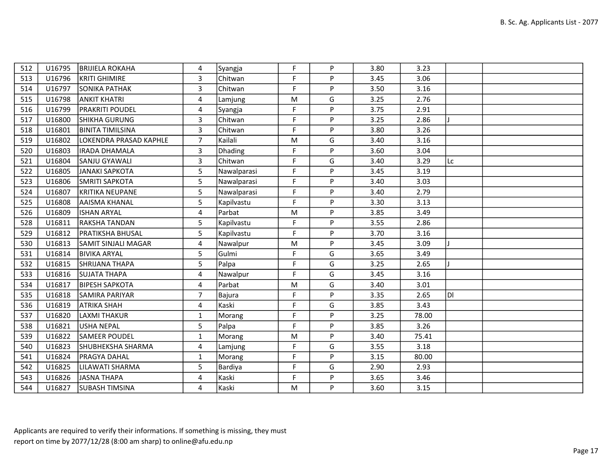| 512 | U16795 | <b>BRIJIELA ROKAHA</b>  | 4                       | Syangja       | F  | P | 3.80 | 3.23  |    |  |
|-----|--------|-------------------------|-------------------------|---------------|----|---|------|-------|----|--|
| 513 | U16796 | KRITI GHIMIRE           | 3                       | Chitwan       | F  | P | 3.45 | 3.06  |    |  |
| 514 | U16797 | SONIKA PATHAK           | 3                       | Chitwan       | F  | P | 3.50 | 3.16  |    |  |
| 515 | U16798 | ANKIT KHATRI            | 4                       | Lamjung       | M  | G | 3.25 | 2.76  |    |  |
| 516 | U16799 | PRAKRITI POUDEL         | 4                       | Syangja       | F. | P | 3.75 | 2.91  |    |  |
| 517 | U16800 | SHIKHA GURUNG           | 3                       | Chitwan       | F  | P | 3.25 | 2.86  |    |  |
| 518 | U16801 | <b>BINITA TIMILSINA</b> | 3                       | Chitwan       | F. | P | 3.80 | 3.26  |    |  |
| 519 | U16802 | LOKENDRA PRASAD KAPHLE  | $\overline{7}$          | Kailali       | M  | G | 3.40 | 3.16  |    |  |
| 520 | U16803 | IRADA DHAMALA           | 3                       | Dhading       | F. | P | 3.60 | 3.04  |    |  |
| 521 | U16804 | SANJU GYAWALI           | 3                       | Chitwan       | F  | G | 3.40 | 3.29  | Lc |  |
| 522 | U16805 | <b>JANAKI SAPKOTA</b>   | 5                       | Nawalparasi   | F. | P | 3.45 | 3.19  |    |  |
| 523 | U16806 | SMRITI SAPKOTA          | 5                       | Nawalparasi   | F. | P | 3.40 | 3.03  |    |  |
| 524 | U16807 | KRITIKA NEUPANE         | 5                       | Nawalparasi   | F  | P | 3.40 | 2.79  |    |  |
| 525 | U16808 | AAISMA KHANAL           | 5                       | Kapilvastu    | F. | P | 3.30 | 3.13  |    |  |
| 526 | U16809 | ISHAN ARYAL             | $\overline{4}$          | Parbat        | M  | Þ | 3.85 | 3.49  |    |  |
| 528 | U16811 | RAKSHA TANDAN           | 5                       | Kapilvastu    | F  | P | 3.55 | 2.86  |    |  |
| 529 | U16812 | PRATIKSHA BHUSAL        | 5                       | Kapilvastu    | F  | P | 3.70 | 3.16  |    |  |
| 530 | U16813 | SAMIT SINJALI MAGAR     | $\overline{\mathbf{4}}$ | Nawalpur      | M  | P | 3.45 | 3.09  |    |  |
| 531 | U16814 | <b>BIVIKA ARYAL</b>     | 5                       | Gulmi         | F. | G | 3.65 | 3.49  |    |  |
| 532 | U16815 | SHRIJANA THAPA          | 5                       | Palpa         | F  | G | 3.25 | 2.65  |    |  |
| 533 | U16816 | SUJATA THAPA            | 4                       | Nawalpur      | F. | G | 3.45 | 3.16  |    |  |
| 534 | U16817 | <b>BIPESH SAPKOTA</b>   | 4                       | Parbat        | M  | G | 3.40 | 3.01  |    |  |
| 535 | U16818 | SAMIRA PARIYAR          | $\overline{7}$          | <b>Bajura</b> | F  | P | 3.35 | 2.65  | DI |  |
| 536 | U16819 | ATRIKA SHAH             | $\overline{4}$          | Kaski         | F. | G | 3.85 | 3.43  |    |  |
| 537 | U16820 | LAXMI THAKUR            | $\mathbf{1}$            | Morang        | F  | P | 3.25 | 78.00 |    |  |
| 538 | U16821 | <b>USHA NEPAL</b>       | 5                       | Palpa         | F  | P | 3.85 | 3.26  |    |  |
| 539 | U16822 | SAMEER POUDEL           | $\mathbf{1}$            | Morang        | M  | P | 3.40 | 75.41 |    |  |
| 540 | U16823 | SHUBHEKSHA SHARMA       | 4                       | Lamjung       | F. | G | 3.55 | 3.18  |    |  |
| 541 | U16824 | PRAGYA DAHAL            | $\mathbf{1}$            | Morang        | F  | P | 3.15 | 80.00 |    |  |
| 542 | U16825 | LILAWATI SHARMA         | 5                       | Bardiya       | F. | G | 2.90 | 2.93  |    |  |
| 543 | U16826 | JASNA THAPA             | 4                       | Kaski         | F  | Þ | 3.65 | 3.46  |    |  |
| 544 | U16827 | SUBASH TIMSINA          | 4                       | Kaski         | M  | P | 3.60 | 3.15  |    |  |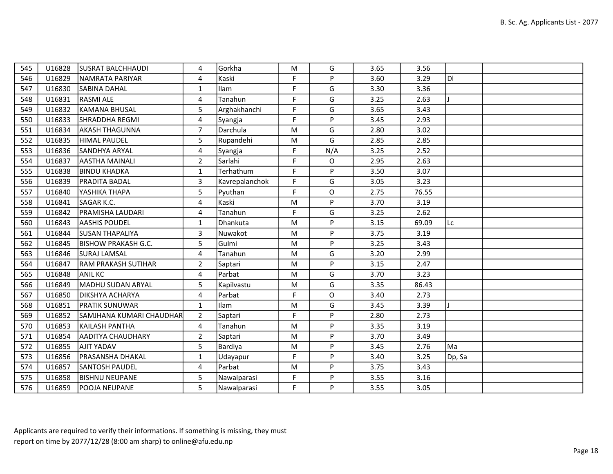| 545 | U16828 | <b>SUSRAT BALCHHAUDI</b>   | 4              | Gorkha         | M  | G            | 3.65 | 3.56  |        |  |
|-----|--------|----------------------------|----------------|----------------|----|--------------|------|-------|--------|--|
| 546 | U16829 | NAMRATA PARIYAR            | 4              | Kaski          | F. | P            | 3.60 | 3.29  | DI.    |  |
| 547 | U16830 | SABINA DAHAL               | $\mathbf{1}$   | Ilam           | F  | G            | 3.30 | 3.36  |        |  |
| 548 | U16831 | RASMI ALE                  | 4              | Tanahun        | F  | G            | 3.25 | 2.63  |        |  |
| 549 | U16832 | <b>KAMANA BHUSAL</b>       | 5              | Arghakhanchi   | F. | G            | 3.65 | 3.43  |        |  |
| 550 | U16833 | SHRADDHA REGMI             | $\overline{4}$ | Syangja        | F  | P            | 3.45 | 2.93  |        |  |
| 551 | U16834 | AKASH THAGUNNA             | $\overline{7}$ | Darchula       | M  | G            | 2.80 | 3.02  |        |  |
| 552 | U16835 | HIMAL PAUDEL               | 5              | Rupandehi      | M  | G            | 2.85 | 2.85  |        |  |
| 553 | U16836 | SANDHYA ARYAL              | 4              | Syangja        | F. | N/A          | 3.25 | 2.52  |        |  |
| 554 | U16837 | AASTHA MAINALI             | $\overline{2}$ | Sarlahi        | F  | O            | 2.95 | 2.63  |        |  |
| 555 | U16838 | BINDU KHADKA               | $\mathbf{1}$   | Terhathum      | F  | P            | 3.50 | 3.07  |        |  |
| 556 | U16839 | PRADITA BADAL              | $\overline{3}$ | Kavrepalanchok | F. | G            | 3.05 | 3.23  |        |  |
| 557 | U16840 | YASHIKA THAPA              | 5              | Pyuthan        | F. | $\mathsf{O}$ | 2.75 | 76.55 |        |  |
| 558 | U16841 | SAGAR K.C.                 | 4              | Kaski          | M  | P            | 3.70 | 3.19  |        |  |
| 559 | U16842 | PRAMISHA LAUDARI           | $\overline{4}$ | Tanahun        | F. | G            | 3.25 | 2.62  |        |  |
| 560 | U16843 | AASHIS POUDEL              | $\mathbf 1$    | Dhankuta       | M  | P            | 3.15 | 69.09 | Lc     |  |
| 561 | U16844 | lSUSAN THAPALIYA           | 3              | Nuwakot        | M  | P            | 3.75 | 3.19  |        |  |
| 562 | U16845 | BISHOW PRAKASH G.C.        | 5              | Gulmi          | M  | P.           | 3.25 | 3.43  |        |  |
| 563 | U16846 | <b>SURAJ LAMSAL</b>        | 4              | Tanahun        | M  | G            | 3.20 | 2.99  |        |  |
| 564 | U16847 | <b>RAM PRAKASH SUTIHAR</b> | $\overline{2}$ | Saptari        | M  | P            | 3.15 | 2.47  |        |  |
| 565 | U16848 | ANIL KC                    | 4              | Parbat         | M  | G            | 3.70 | 3.23  |        |  |
| 566 | U16849 | MADHU SUDAN ARYAL          | 5              | Kapilvastu     | M  | G            | 3.35 | 86.43 |        |  |
| 567 | U16850 | DIKSHYA ACHARYA            | 4              | Parbat         | F  | $\mathsf{O}$ | 3.40 | 2.73  |        |  |
| 568 | U16851 | PRATIK SUNUWAR             | $\mathbf{1}$   | Ilam           | M  | G            | 3.45 | 3.39  |        |  |
| 569 | U16852 | SAMJHANA KUMARI CHAUDHAR   | $\overline{2}$ | Saptari        | F  | P            | 2.80 | 2.73  |        |  |
| 570 | U16853 | <b>KAILASH PANTHA</b>      | $\pmb{4}$      | Tanahun        | M  | P            | 3.35 | 3.19  |        |  |
| 571 | U16854 | <b>AADITYA CHAUDHARY</b>   | $\overline{2}$ | Saptari        | M  | P            | 3.70 | 3.49  |        |  |
| 572 | U16855 | <b>AJIT YADAV</b>          | 5              | Bardiya        | M  | P            | 3.45 | 2.76  | Ma     |  |
| 573 | U16856 | PRASANSHA DHAKAL           | $\mathbf{1}$   | Udayapur       | F  | P            | 3.40 | 3.25  | Dp, Sa |  |
| 574 | U16857 | <b>SANTOSH PAUDEL</b>      | $\overline{4}$ | Parbat         | M  | P            | 3.75 | 3.43  |        |  |
| 575 | U16858 | <b>BISHNU NEUPANE</b>      | 5              | Nawalparasi    | E  | P            | 3.55 | 3.16  |        |  |
| 576 | U16859 | POOJA NEUPANE              | 5              | Nawalparasi    | F. | P            | 3.55 | 3.05  |        |  |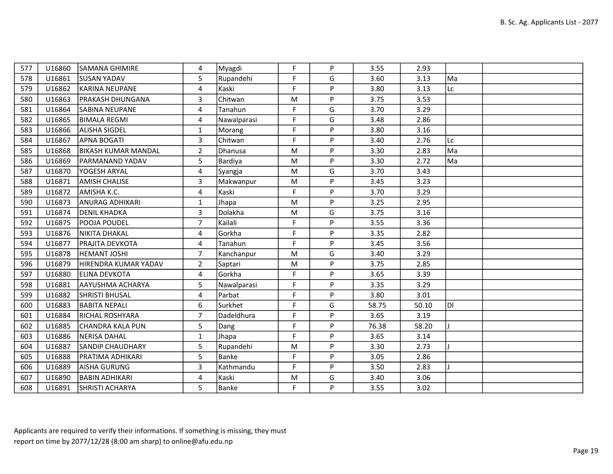| 577 | U16860 | SAMANA GHIMIRE             | 4              | Myagdi       | F. | P | 3.55  | 2.93  |      |  |
|-----|--------|----------------------------|----------------|--------------|----|---|-------|-------|------|--|
| 578 | U16861 | SUSAN YADAV                | 5              | Rupandehi    | F. | G | 3.60  | 3.13  | Ma   |  |
| 579 | U16862 | KARINA NEUPANE             | 4              | Kaski        | F. | P | 3.80  | 3.13  | Lc   |  |
| 580 | U16863 | PRAKASH DHUNGANA           | 3              | Chitwan      | M  | P | 3.75  | 3.53  |      |  |
| 581 | U16864 | SABINA NEUPANE             | 4              | Tanahun      | F. | G | 3.70  | 3.29  |      |  |
| 582 | U16865 | BIMALA REGMI               | 4              | Nawalparasi  | F. | G | 3.48  | 2.86  |      |  |
| 583 | U16866 | ALISHA SIGDEL              | $\mathbf{1}$   | Morang       | F. | P | 3.80  | 3.16  |      |  |
| 584 | U16867 | APNA BOGATI                | 3              | Chitwan      | F. | P | 3.40  | 2.76  | Lc   |  |
| 585 | U16868 | <b>BIKASH KUMAR MANDAL</b> | $\overline{2}$ | Dhanusa      | M  | P | 3.30  | 2.83  | l Ma |  |
| 586 | U16869 | lPARMANAND YADAV           | 5              | Bardiya      | M  | P | 3.30  | 2.72  | Ma   |  |
| 587 | U16870 | YOGESH ARYAL               | 4              | Syangja      | M  | G | 3.70  | 3.43  |      |  |
| 588 | U16871 | AMISH CHALISE              | 3              | Makwanpur    | M  | P | 3.45  | 3.23  |      |  |
| 589 | U16872 | AMISHA K.C.                | $\overline{4}$ | Kaski        | F. | P | 3.70  | 3.29  |      |  |
| 590 | U16873 | ANURAG ADHIKARI            | $\mathbf{1}$   | Jhapa        | M  | P | 3.25  | 2.95  |      |  |
| 591 | U16874 | DENIL KHADKA               | 3              | Dolakha      | M  | G | 3.75  | 3.16  |      |  |
| 592 | U16875 | POOJA POUDEL               | $\overline{7}$ | Kailali      | F  | P | 3.55  | 3.36  |      |  |
| 593 | U16876 | NIKITA DHAKAL              | 4              | Gorkha       | E. | P | 3.35  | 2.82  |      |  |
| 594 | U16877 | PRAJITA DEVKOTA            | $\overline{4}$ | Tanahun      | F. | P | 3.45  | 3.56  |      |  |
| 595 | U16878 | HEMANT JOSHI               | $\overline{7}$ | Kanchanpur   | M  | G | 3.40  | 3.29  |      |  |
| 596 | U16879 | HIRENDRA KUMAR YADAV       | $\overline{2}$ | Saptari      | M  | P | 3.75  | 2.85  |      |  |
| 597 | U16880 | ELINA DEVKOTA              | 4              | Gorkha       | F. | P | 3.65  | 3.39  |      |  |
| 598 | U16881 | AAYUSHMA ACHARYA           | 5              | Nawalparasi  | F. | P | 3.35  | 3.29  |      |  |
| 599 | U16882 | <b>SHRISTI BHUSAL</b>      | 4              | Parbat       | F. | P | 3.80  | 3.01  |      |  |
| 600 | U16883 | BABITA NEPALI              | 6              | Surkhet      | F. | G | 58.75 | 50.10 | ldi. |  |
| 601 | U16884 | RICHAL ROSHYARA            | $\overline{7}$ | Dadeldhura   | F. | P | 3.65  | 3.19  |      |  |
| 602 | U16885 | <b>CHANDRA KALA PUN</b>    | 5              | Dang         | F  | P | 76.38 | 58.20 |      |  |
| 603 | U16886 | <b>NERISA DAHAL</b>        | $\mathbf{1}$   | Jhapa        | F. | P | 3.65  | 3.14  |      |  |
| 604 | U16887 | SANDIP CHAUDHARY           | 5              | Rupandehi    | M  | P | 3.30  | 2.73  |      |  |
| 605 | U16888 | PRATIMA ADHIKARI           | 5              | Banke        | F. | P | 3.05  | 2.86  |      |  |
| 606 | U16889 | <b>AISHA GURUNG</b>        | 3              | Kathmandu    | F. | P | 3.50  | 2.83  |      |  |
| 607 | U16890 | BABIN ADHIKARI             | $\overline{4}$ | Kaski        | M  | G | 3.40  | 3.06  |      |  |
| 608 | U16891 | SHRISTI ACHARYA            | 5              | <b>Banke</b> | F. | P | 3.55  | 3.02  |      |  |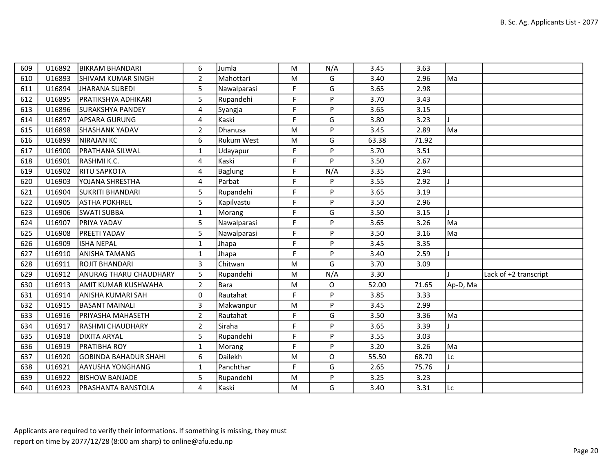| 609 | U16892 | <b>BIKRAM BHANDARI</b>       | 6              | Jumla             | M  | N/A          | 3.45  | 3.63  |          |                       |
|-----|--------|------------------------------|----------------|-------------------|----|--------------|-------|-------|----------|-----------------------|
| 610 | U16893 | <b>SHIVAM KUMAR SINGH</b>    | $\overline{2}$ | Mahottari         | M  | G            | 3.40  | 2.96  | l Ma     |                       |
| 611 | U16894 | JHARANA SUBEDI               | 5              | Nawalparasi       | F  | G            | 3.65  | 2.98  |          |                       |
| 612 | U16895 | PRATIKSHYA ADHIKARI          | 5              | Rupandehi         | F  | P            | 3.70  | 3.43  |          |                       |
| 613 | U16896 | <b>SURAKSHYA PANDEY</b>      | 4              | Syangja           | F. | P            | 3.65  | 3.15  |          |                       |
| 614 | U16897 | APSARA GURUNG                | 4              | Kaski             | F  | G            | 3.80  | 3.23  |          |                       |
| 615 | U16898 | <b>SHASHANK YADAV</b>        | $\overline{2}$ | Dhanusa           | M  | P            | 3.45  | 2.89  | Ma       |                       |
| 616 | U16899 | <b>NIRAJAN KC</b>            | 6              | <b>Rukum West</b> | M  | G            | 63.38 | 71.92 |          |                       |
| 617 | U16900 | PRATHANA SILWAL              | $\mathbf{1}$   | Udayapur          | F  | P            | 3.70  | 3.51  |          |                       |
| 618 | U16901 | RASHMI K.C.                  | 4              | Kaski             | F. | P            | 3.50  | 2.67  |          |                       |
| 619 | U16902 | <b>RITU SAPKOTA</b>          | 4              | <b>Baglung</b>    | F  | N/A          | 3.35  | 2.94  |          |                       |
| 620 | U16903 | YOJANA SHRESTHA              | 4              | Parbat            | F  | P            | 3.55  | 2.92  |          |                       |
| 621 | U16904 | SUKRITI BHANDARI             | 5              | Rupandehi         | F  | P            | 3.65  | 3.19  |          |                       |
| 622 | U16905 | <b>ASTHA POKHREL</b>         | 5              | Kapilvastu        | F  | P            | 3.50  | 2.96  |          |                       |
| 623 | U16906 | SWATI SUBBA                  | $\mathbf{1}$   | Morang            | F. | G            | 3.50  | 3.15  |          |                       |
| 624 | U16907 | <b>PRIYA YADAV</b>           | 5              | Nawalparasi       | F  | P            | 3.65  | 3.26  | Ma       |                       |
| 625 | U16908 | PREETI YADAV                 | 5              | Nawalparasi       | F  | P            | 3.50  | 3.16  | Ma       |                       |
| 626 | U16909 | <b>ISHA NEPAL</b>            | $\mathbf{1}$   | Jhapa             | F. | P            | 3.45  | 3.35  |          |                       |
| 627 | U16910 | <b>ANISHA TAMANG</b>         | $\mathbf{1}$   | Jhapa             | F  | P            | 3.40  | 2.59  |          |                       |
| 628 | U16911 | <b>ROJIT BHANDARI</b>        | 3              | Chitwan           | M  | G            | 3.70  | 3.09  |          |                       |
| 629 | U16912 | ANURAG THARU CHAUDHARY       | 5              | Rupandehi         | M  | N/A          | 3.30  |       |          | Lack of +2 transcript |
| 630 | U16913 | AMIT KUMAR KUSHWAHA          | $\overline{2}$ | <b>Bara</b>       | M  | $\mathsf{O}$ | 52.00 | 71.65 | Ap-D, Ma |                       |
| 631 | U16914 | ANISHA KUMARI SAH            | $\mathbf 0$    | Rautahat          | F  | P            | 3.85  | 3.33  |          |                       |
| 632 | U16915 | <b>BASANT MAINALI</b>        | 3              | Makwanpur         | M  | P            | 3.45  | 2.99  |          |                       |
| 633 | U16916 | PRIYASHA MAHASETH            | $\overline{2}$ | Rautahat          | F. | G            | 3.50  | 3.36  | Ma       |                       |
| 634 | U16917 | <b>RASHMI CHAUDHARY</b>      | $\overline{2}$ | Siraha            | F  | P            | 3.65  | 3.39  |          |                       |
| 635 | U16918 | <b>DIXITA ARYAL</b>          | 5              | Rupandehi         | F. | P            | 3.55  | 3.03  |          |                       |
| 636 | U16919 | <b>PRATIBHA ROY</b>          | $\mathbf{1}$   | Morang            | F  | P            | 3.20  | 3.26  | Ma       |                       |
| 637 | U16920 | <b>GOBINDA BAHADUR SHAHI</b> | 6              | Dailekh           | M  | $\mathsf{O}$ | 55.50 | 68.70 | Lc       |                       |
| 638 | U16921 | AAYUSHA YONGHANG             | $\mathbf{1}$   | Panchthar         | F. | G            | 2.65  | 75.76 |          |                       |
| 639 | U16922 | <b>BISHOW BANJADE</b>        | 5              | Rupandehi         | M  | P            | 3.25  | 3.23  |          |                       |
| 640 | U16923 | PRASHANTA BANSTOLA           | $\overline{4}$ | Kaski             | M  | G            | 3.40  | 3.31  | lLc      |                       |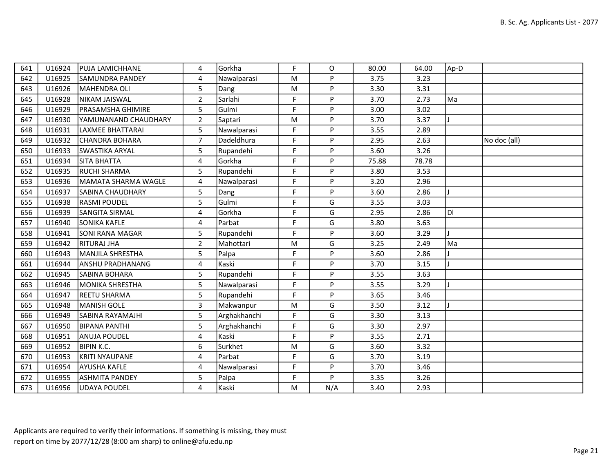| 641 | U16924 | <b>PUJA LAMICHHANE</b>   | 4                       | Gorkha       | F. | $\Omega$ | 80.00 | 64.00 | Ap-D |              |
|-----|--------|--------------------------|-------------------------|--------------|----|----------|-------|-------|------|--------------|
| 642 | U16925 | SAMUNDRA PANDEY          | $\overline{4}$          | Nawalparasi  | M  | P        | 3.75  | 3.23  |      |              |
| 643 | U16926 | MAHENDRA OLI             | 5                       | Dang         | M  | <b>D</b> | 3.30  | 3.31  |      |              |
| 645 | U16928 | NIKAM JAISWAL            | $\overline{2}$          | Sarlahi      | F  | P        | 3.70  | 2.73  | Ma   |              |
| 646 | U16929 | <b>PRASAMSHA GHIMIRE</b> | 5                       | Gulmi        | F  | P        | 3.00  | 3.02  |      |              |
| 647 | U16930 | YAMUNANAND CHAUDHARY     | $\overline{2}$          | Saptari      | M  | D        | 3.70  | 3.37  |      |              |
| 648 | U16931 | LAXMEE BHATTARAI         | 5                       | Nawalparasi  | F. | P        | 3.55  | 2.89  |      |              |
| 649 | U16932 | CHANDRA BOHARA           | $\overline{7}$          | Dadeldhura   | F  | P        | 2.95  | 2.63  |      | No doc (all) |
| 650 | U16933 | SWASTIKA ARYAL           | 5                       | Rupandehi    | F  | P        | 3.60  | 3.26  |      |              |
| 651 | U16934 | SITA BHATTA              | 4                       | Gorkha       | F. | P        | 75.88 | 78.78 |      |              |
| 652 | U16935 | RUCHI SHARMA             | 5                       | Rupandehi    | F  | P        | 3.80  | 3.53  |      |              |
| 653 | U16936 | MAMATA SHARMA WAGLE      | $\overline{\mathbf{4}}$ | Nawalparasi  | F  | Þ        | 3.20  | 2.96  |      |              |
| 654 | U16937 | <b>SABINA CHAUDHARY</b>  | 5                       | Dang         | F. | P        | 3.60  | 2.86  |      |              |
| 655 | U16938 | <b>RASMI POUDEL</b>      | 5                       | Gulmi        | F  | G        | 3.55  | 3.03  |      |              |
| 656 | U16939 | SANGITA SIRMAL           | 4                       | Gorkha       | F. | G        | 2.95  | 2.86  | DI.  |              |
| 657 | U16940 | SONIKA KAFLE             | 4                       | Parbat       | F. | G        | 3.80  | 3.63  |      |              |
| 658 | U16941 | SONI RANA MAGAR          | 5                       | Rupandehi    | F  | P        | 3.60  | 3.29  |      |              |
| 659 | U16942 | RITURAJ JHA              | $\overline{2}$          | Mahottari    | M  | G        | 3.25  | 2.49  | Ma   |              |
| 660 | U16943 | MANJILA SHRESTHA         | 5                       | Palpa        | F. | P        | 3.60  | 2.86  |      |              |
| 661 | U16944 | ANSHU PRADHANANG         | $\overline{4}$          | Kaski        | F. | P        | 3.70  | 3.15  |      |              |
| 662 | U16945 | SABINA BOHARA            | 5                       | Rupandehi    | F. | P        | 3.55  | 3.63  |      |              |
| 663 | U16946 | MONIKA SHRESTHA          | 5                       | Nawalparasi  | F. | P        | 3.55  | 3.29  |      |              |
| 664 | U16947 | REETU SHARMA             | 5                       | Rupandehi    | F. | P        | 3.65  | 3.46  |      |              |
| 665 | U16948 | MANISH GOLE              | 3                       | Makwanpur    | M  | G        | 3.50  | 3.12  |      |              |
| 666 | U16949 | SABINA RAYAMAJHI         | 5                       | Arghakhanchi | F. | G        | 3.30  | 3.13  |      |              |
| 667 | U16950 | <b>BIPANA PANTHI</b>     | 5                       | Arghakhanchi | F  | G        | 3.30  | 2.97  |      |              |
| 668 | U16951 | ANUJA POUDEL             | 4                       | Kaski        | F. | P        | 3.55  | 2.71  |      |              |
| 669 | U16952 | <b>BIPIN K.C.</b>        | 6                       | Surkhet      | M  | G        | 3.60  | 3.32  |      |              |
| 670 | U16953 | KRITI NYAUPANE           | $\overline{4}$          | Parbat       | F  | G        | 3.70  | 3.19  |      |              |
| 671 | U16954 | AYUSHA KAFLE             | 4                       | Nawalparasi  | F. | P        | 3.70  | 3.46  |      |              |
| 672 | U16955 | <b>ASHMITA PANDEY</b>    | 5                       | Palpa        | F. | Þ        | 3.35  | 3.26  |      |              |
| 673 | U16956 | UDAYA POUDEL             | $\overline{4}$          | Kaski        | M  | N/A      | 3.40  | 2.93  |      |              |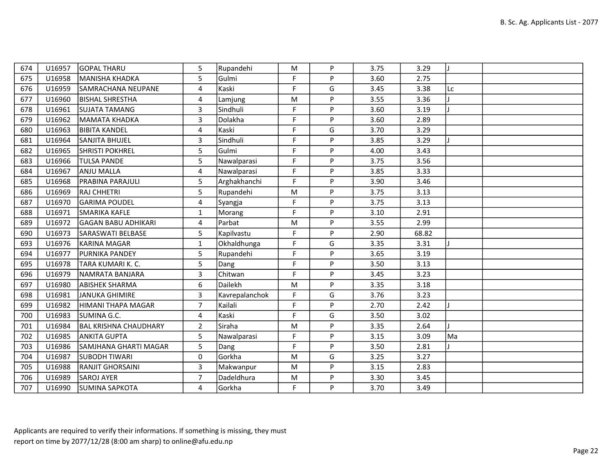| 674 | U16957 | GOPAL THARU                  | 5              | Rupandehi      | M  | P | 3.75 | 3.29  |    |  |
|-----|--------|------------------------------|----------------|----------------|----|---|------|-------|----|--|
| 675 | U16958 | <b>MANISHA KHADKA</b>        | 5              | Gulmi          | F. | P | 3.60 | 2.75  |    |  |
| 676 | U16959 | <b>SAMRACHANA NEUPANE</b>    | 4              | Kaski          | F. | G | 3.45 | 3.38  | Lc |  |
| 677 | U16960 | <b>BISHAL SHRESTHA</b>       | 4              | Lamjung        | M  | P | 3.55 | 3.36  |    |  |
| 678 | U16961 | <b>SUJATA TAMANG</b>         | 3              | Sindhuli       | F. | P | 3.60 | 3.19  |    |  |
| 679 | U16962 | <b>MAMATA KHADKA</b>         | 3              | Dolakha        | È. | Þ | 3.60 | 2.89  |    |  |
| 680 | U16963 | <b>BIBITA KANDEL</b>         | 4              | Kaski          | F. | G | 3.70 | 3.29  |    |  |
| 681 | U16964 | <b>SANJITA BHUJEL</b>        | $\mathbf{3}$   | Sindhuli       | F  | P | 3.85 | 3.29  |    |  |
| 682 | U16965 | <b>SHRISTI POKHREL</b>       | 5              | Gulmi          | F. | P | 4.00 | 3.43  |    |  |
| 683 | U16966 | <b>TULSA PANDE</b>           | 5              | Nawalparasi    | F. | P | 3.75 | 3.56  |    |  |
| 684 | U16967 | <b>ANJU MALLA</b>            | 4              | Nawalparasi    | F. | P | 3.85 | 3.33  |    |  |
| 685 | U16968 | PRABINA PARAJULI             | 5              | Arghakhanchi   | F. | P | 3.90 | 3.46  |    |  |
| 686 | U16969 | <b>RAJ CHHETRI</b>           | 5              | Rupandehi      | M  | P | 3.75 | 3.13  |    |  |
| 687 | U16970 | <b>GARIMA POUDEL</b>         | 4              | Syangja        | F. | P | 3.75 | 3.13  |    |  |
| 688 | U16971 | <b>SMARIKA KAFLE</b>         | $\mathbf{1}$   | Morang         | F. | P | 3.10 | 2.91  |    |  |
| 689 | U16972 | <b>GAGAN BABU ADHIKARI</b>   | 4              | Parbat         | M  | P | 3.55 | 2.99  |    |  |
| 690 | U16973 | SARASWATI BELBASE            | 5              | Kapilvastu     | F. | P | 2.90 | 68.82 |    |  |
| 693 | U16976 | <b>KARINA MAGAR</b>          | $\mathbf 1$    | Okhaldhunga    | F. | G | 3.35 | 3.31  |    |  |
| 694 | U16977 | PURNIKA PANDEY               | 5              | Rupandehi      | F. | P | 3.65 | 3.19  |    |  |
| 695 | U16978 | TARA KUMARI K. C.            | 5              | Dang           | F. | P | 3.50 | 3.13  |    |  |
| 696 | U16979 | NAMRATA BANJARA              | 3              | Chitwan        | F. | P | 3.45 | 3.23  |    |  |
| 697 | U16980 | <b>ABISHEK SHARMA</b>        | 6              | Dailekh        | M  | P | 3.35 | 3.18  |    |  |
| 698 | U16981 | <b>JANUKA GHIMIRE</b>        | $\mathsf{3}$   | Kavrepalanchok | F  | G | 3.76 | 3.23  |    |  |
| 699 | U16982 | HIMANI THAPA MAGAR           | $\overline{7}$ | Kailali        | F. | P | 2.70 | 2.42  |    |  |
| 700 | U16983 | SUMINA G.C.                  | $\overline{4}$ | Kaski          | F. | G | 3.50 | 3.02  |    |  |
| 701 | U16984 | <b>BAL KRISHNA CHAUDHARY</b> | $\overline{2}$ | Siraha         | M  | P | 3.35 | 2.64  |    |  |
| 702 | U16985 | <b>ANKITA GUPTA</b>          | 5              | Nawalparasi    | F. | P | 3.15 | 3.09  | Ma |  |
| 703 | U16986 | SAMJHANA GHARTI MAGAR        | 5              | Dang           | F. | P | 3.50 | 2.81  |    |  |
| 704 | U16987 | <b>SUBODH TIWARI</b>         | $\mathbf 0$    | Gorkha         | M  | G | 3.25 | 3.27  |    |  |
| 705 | U16988 | <b>RANJIT GHORSAINI</b>      | 3              | Makwanpur      | M  | P | 3.15 | 2.83  |    |  |
| 706 | U16989 | <b>SAROJ AYER</b>            | $\overline{7}$ | Dadeldhura     | M  | Þ | 3.30 | 3.45  |    |  |
| 707 | U16990 | <b>SUMINA SAPKOTA</b>        | 4              | Gorkha         | F. | P | 3.70 | 3.49  |    |  |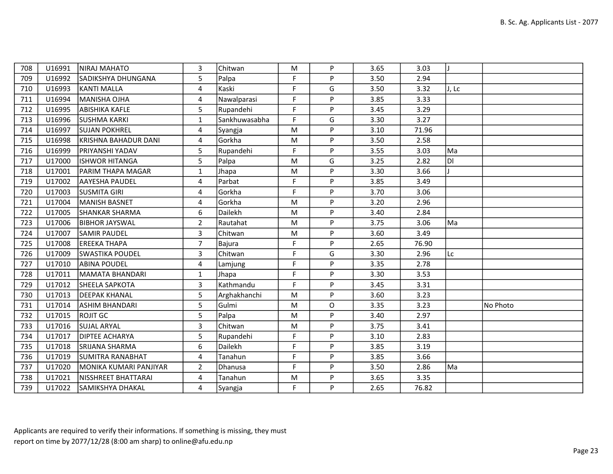| 708 | U16991 | NIRAJ MAHATO           | 3              | Chitwan       | M  | P            | 3.65 | 3.03  |       |          |
|-----|--------|------------------------|----------------|---------------|----|--------------|------|-------|-------|----------|
| 709 | U16992 | SADIKSHYA DHUNGANA     | 5              | Palpa         | F  | P            | 3.50 | 2.94  |       |          |
| 710 | U16993 | KANTI MALLA            | 4              | Kaski         | F. | G            | 3.50 | 3.32  | J, Lc |          |
| 711 | U16994 | MANISHA OJHA           | $\overline{4}$ | Nawalparasi   | F  | P            | 3.85 | 3.33  |       |          |
| 712 | U16995 | ABISHIKA KAFLE         | 5              | Rupandehi     | F. | P            | 3.45 | 3.29  |       |          |
| 713 | U16996 | SUSHMA KARKI           | $\mathbf{1}$   | Sankhuwasabha | F. | G            | 3.30 | 3.27  |       |          |
| 714 | U16997 | <b>SUJAN POKHREL</b>   | 4              | Syangja       | M  | P            | 3.10 | 71.96 |       |          |
| 715 | U16998 | KRISHNA BAHADUR DANI   | 4              | Gorkha        | M  | P            | 3.50 | 2.58  |       |          |
| 716 | U16999 | <b>PRIYANSHI YADAV</b> | 5              | Rupandehi     | F. | P            | 3.55 | 3.03  | lMa   |          |
| 717 | U17000 | <b>ISHWOR HITANGA</b>  | 5              | Palpa         | M  | G            | 3.25 | 2.82  | DI.   |          |
| 718 | U17001 | PARIM THAPA MAGAR      | $\mathbf{1}$   | Jhapa         | M  | P            | 3.30 | 3.66  |       |          |
| 719 | U17002 | AAYESHA PAUDEL         | 4              | Parbat        | F. | Þ            | 3.85 | 3.49  |       |          |
| 720 | U17003 | <b>SUSMITA GIRI</b>    | $\overline{4}$ | Gorkha        | F. | P            | 3.70 | 3.06  |       |          |
| 721 | U17004 | MANISH BASNET          | 4              | Gorkha        | M  | P            | 3.20 | 2.96  |       |          |
| 722 | U17005 | SHANKAR SHARMA         | 6              | Dailekh       | M  | P.           | 3.40 | 2.84  |       |          |
| 723 | U17006 | <b>BIBHOR JAYSWAL</b>  | $\overline{2}$ | Rautahat      | M  | P            | 3.75 | 3.06  | Ma    |          |
| 724 | U17007 | <b>SAMIR PAUDEL</b>    | 3              | Chitwan       | M  | P            | 3.60 | 3.49  |       |          |
| 725 | U17008 | <b>EREEKA THAPA</b>    | $\overline{7}$ | Bajura        | F. | P            | 2.65 | 76.90 |       |          |
| 726 | U17009 | <b>SWASTIKA POUDEL</b> | $\overline{3}$ | Chitwan       | F. | G            | 3.30 | 2.96  | Lc    |          |
| 727 | U17010 | <b>ABINA POUDEL</b>    | 4              | Lamjung       | F. | P            | 3.35 | 2.78  |       |          |
| 728 | U17011 | MAMATA BHANDARI        | $\mathbf{1}$   | Jhapa         | F. | P            | 3.30 | 3.53  |       |          |
| 729 | U17012 | <b>SHEELA SAPKOTA</b>  | $\overline{3}$ | Kathmandu     | F. | P            | 3.45 | 3.31  |       |          |
| 730 | U17013 | DEEPAK KHANAL          | 5              | Arghakhanchi  | M  | P            | 3.60 | 3.23  |       |          |
| 731 | U17014 | ASHIM BHANDARI         | 5              | Gulmi         | M  | $\mathsf{O}$ | 3.35 | 3.23  |       | No Photo |
| 732 | U17015 | <b>ROJIT GC</b>        | 5              | Palpa         | M  | P            | 3.40 | 2.97  |       |          |
| 733 | U17016 | <b>SUJAL ARYAL</b>     | $\overline{3}$ | Chitwan       | M  | P            | 3.75 | 3.41  |       |          |
| 734 | U17017 | <b>DIPTEE ACHARYA</b>  | 5              | Rupandehi     | F  | P            | 3.10 | 2.83  |       |          |
| 735 | U17018 | <b>SRIJANA SHARMA</b>  | 6              | Dailekh       | F. | Þ            | 3.85 | 3.19  |       |          |
| 736 | U17019 | SUMITRA RANABHAT       | 4              | Tanahun       | F  | P            | 3.85 | 3.66  |       |          |
| 737 | U17020 | MONIKA KUMARI PANJIYAR | $\overline{2}$ | Dhanusa       | F. | P            | 3.50 | 2.86  | Ma    |          |
| 738 | U17021 | NISSHREET BHATTARAI    | 4              | Tanahun       | M  | D            | 3.65 | 3.35  |       |          |
| 739 | U17022 | SAMIKSHYA DHAKAL       | 4              | Syangja       | F. | P            | 2.65 | 76.82 |       |          |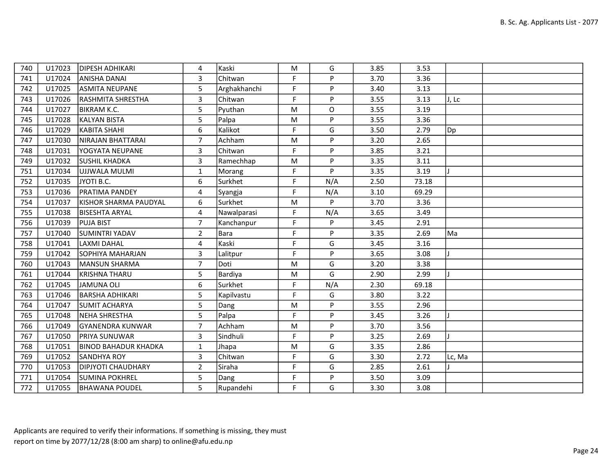| 740 | U17023 | <b>DIPESH ADHIKARI</b>    | 4              | Kaski        | M  | G   | 3.85 | 3.53  |        |  |
|-----|--------|---------------------------|----------------|--------------|----|-----|------|-------|--------|--|
| 741 | U17024 | ANISHA DANAI              | 3              | Chitwan      | F  | P   | 3.70 | 3.36  |        |  |
| 742 | U17025 | <b>ASMITA NEUPANE</b>     | 5              | Arghakhanchi | F. | P   | 3.40 | 3.13  |        |  |
| 743 | U17026 | RASHMITA SHRESTHA         | 3              | Chitwan      | F. | P   | 3.55 | 3.13  | J, Lc  |  |
| 744 | U17027 | <b>BIKRAM K.C.</b>        | 5              | Pyuthan      | M  | O   | 3.55 | 3.19  |        |  |
| 745 | U17028 | KALYAN BISTA              | 5              | Palpa        | M  | P   | 3.55 | 3.36  |        |  |
| 746 | U17029 | <b>KABITA SHAHI</b>       | 6              | Kalikot      | F. | G   | 3.50 | 2.79  | Dp     |  |
| 747 | U17030 | NIRAJAN BHATTARAI         | $\overline{7}$ | Achham       | M  | P   | 3.20 | 2.65  |        |  |
| 748 | U17031 | YOGYATA NEUPANE           | 3              | Chitwan      | F. | P   | 3.85 | 3.21  |        |  |
| 749 | U17032 | SUSHIL KHADKA             | 3              | Ramechhap    | M  | P   | 3.35 | 3.11  |        |  |
| 751 | U17034 | UJJWALA MULMI             | $\mathbf 1$    | Morang       | F. | P   | 3.35 | 3.19  |        |  |
| 752 | U17035 | JYOTI B.C.                | 6              | Surkhet      | F. | N/A | 2.50 | 73.18 |        |  |
| 753 | U17036 | PRATIMA PANDEY            | $\overline{4}$ | Syangja      | F. | N/A | 3.10 | 69.29 |        |  |
| 754 | U17037 | KISHOR SHARMA PAUDYAL     | 6              | Surkhet      | M  | P   | 3.70 | 3.36  |        |  |
| 755 | U17038 | <b>BISESHTA ARYAL</b>     | $\overline{4}$ | Nawalparasi  | F. | N/A | 3.65 | 3.49  |        |  |
| 756 | U17039 | <b>PUJA BIST</b>          | $\overline{7}$ | Kanchanpur   | F. | P   | 3.45 | 2.91  |        |  |
| 757 | U17040 | <b>SUMINTRI YADAV</b>     | $\overline{2}$ | <b>Bara</b>  | F. | P   | 3.35 | 2.69  | lMa    |  |
| 758 | U17041 | <b>LAXMI DAHAL</b>        | $\overline{4}$ | Kaski        | F. | G   | 3.45 | 3.16  |        |  |
| 759 | U17042 | SOPHIYA MAHARJAN          | $\overline{3}$ | Lalitpur     | F. | P   | 3.65 | 3.08  |        |  |
| 760 | U17043 | <b>MANSUN SHARMA</b>      | $\overline{7}$ | Doti         | M  | G   | 3.20 | 3.38  |        |  |
| 761 | U17044 | <b>KRISHNA THARU</b>      | 5              | Bardiya      | M  | G   | 2.90 | 2.99  |        |  |
| 762 | U17045 | JAMUNA OLI                | 6              | Surkhet      | F. | N/A | 2.30 | 69.18 |        |  |
| 763 | U17046 | <b>BARSHA ADHIKARI</b>    | 5              | Kapilvastu   | F  | G   | 3.80 | 3.22  |        |  |
| 764 | U17047 | <b>SUMIT ACHARYA</b>      | 5              | Dang         | M  | P   | 3.55 | 2.96  |        |  |
| 765 | U17048 | INEHA SHRESTHA            | 5              | Palpa        | F. | P   | 3.45 | 3.26  |        |  |
| 766 | U17049 | <b>GYANENDRA KUNWAR</b>   | $\overline{7}$ | Achham       | M  | P   | 3.70 | 3.56  |        |  |
| 767 | U17050 | <b>PRIYA SUNUWAR</b>      | 3              | Sindhuli     | F. | P   | 3.25 | 2.69  |        |  |
| 768 | U17051 | BINOD BAHADUR KHADKA      | $\mathbf{1}$   | Jhapa        | M  | G   | 3.35 | 2.86  |        |  |
| 769 | U17052 | <b>SANDHYA ROY</b>        | 3              | Chitwan      | F  | G   | 3.30 | 2.72  | Lc, Ma |  |
| 770 | U17053 | <b>DIPJYOTI CHAUDHARY</b> | $\overline{2}$ | Siraha       | F. | G   | 2.85 | 2.61  |        |  |
| 771 | U17054 | SUMINA POKHREL            | 5              | Dang         | E. | P   | 3.50 | 3.09  |        |  |
| 772 | U17055 | <b>BHAWANA POUDEL</b>     | 5              | Rupandehi    | F. | G   | 3.30 | 3.08  |        |  |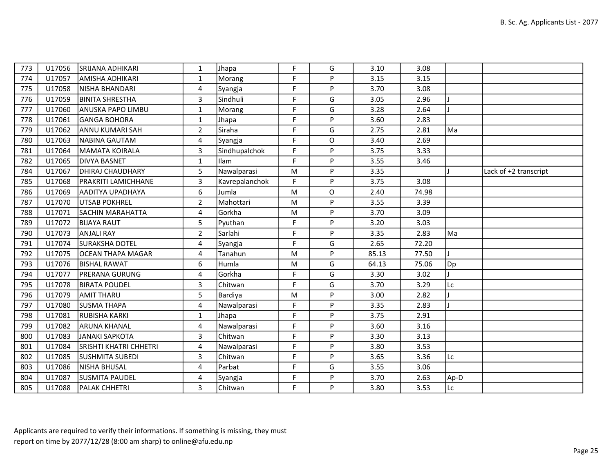| 773 | U17056 | SRIJANA ADHIKARI         | $\mathbf{1}$            | Jhapa          | F  | G | 3.10  | 3.08  |      |                       |
|-----|--------|--------------------------|-------------------------|----------------|----|---|-------|-------|------|-----------------------|
| 774 | U17057 | <b>AMISHA ADHIKARI</b>   | $\mathbf 1$             | Morang         | F  | P | 3.15  | 3.15  |      |                       |
| 775 | U17058 | NISHA BHANDARI           | $\overline{4}$          | Syangja        | F. | Þ | 3.70  | 3.08  |      |                       |
| 776 | U17059 | <b>BINITA SHRESTHA</b>   | 3                       | Sindhuli       | F  | G | 3.05  | 2.96  |      |                       |
| 777 | U17060 | ANUSKA PAPO LIMBU        | $\mathbf{1}$            | Morang         | F. | G | 3.28  | 2.64  |      |                       |
| 778 | U17061 | <b>GANGA BOHORA</b>      | $\mathbf{1}$            | Jhapa          | F. | Þ | 3.60  | 2.83  |      |                       |
| 779 | U17062 | <b>ANNU KUMARI SAH</b>   | $\overline{2}$          | Siraha         | F. | G | 2.75  | 2.81  | Ma   |                       |
| 780 | U17063 | <b>NABINA GAUTAM</b>     | $\overline{\mathbf{4}}$ | Syangja        | F  | O | 3.40  | 2.69  |      |                       |
| 781 | U17064 | MAMATA KOIRALA           | 3                       | Sindhupalchok  | F. | P | 3.75  | 3.33  |      |                       |
| 782 | U17065 | DIVYA BASNET             | $\mathbf{1}$            | Ilam           | F. | P | 3.55  | 3.46  |      |                       |
| 784 | U17067 | <b>DHIRAJ CHAUDHARY</b>  | 5                       | Nawalparasi    | M  | P | 3.35  |       |      | Lack of +2 transcript |
| 785 | U17068 | PRAKRITI LAMICHHANE      | $\overline{3}$          | Kavrepalanchok | F. | P | 3.75  | 3.08  |      |                       |
| 786 | U17069 | AADITYA UPADHAYA         | 6                       | Jumla          | M  | O | 2.40  | 74.98 |      |                       |
| 787 | U17070 | UTSAB POKHREL            | $\overline{2}$          | Mahottari      | M  | Þ | 3.55  | 3.39  |      |                       |
| 788 | U17071 | SACHIN MARAHATTA         | $\pmb{4}$               | Gorkha         | M  | P | 3.70  | 3.09  |      |                       |
| 789 | U17072 | <b>BIJAYA RAUT</b>       | 5                       | Pyuthan        | F. | P | 3.20  | 3.03  |      |                       |
| 790 | U17073 | <b>ANJALI RAY</b>        | $\overline{2}$          | Sarlahi        | F  | P | 3.35  | 2.83  | Ma   |                       |
| 791 | U17074 | SURAKSHA DOTEL           | 4                       | Syangja        | F. | G | 2.65  | 72.20 |      |                       |
| 792 | U17075 | <b>OCEAN THAPA MAGAR</b> | $\overline{4}$          | Tanahun        | M  | P | 85.13 | 77.50 |      |                       |
| 793 | U17076 | <b>BISHAL RAWAT</b>      | 6                       | Humla          | M  | G | 64.13 | 75.06 | Dp   |                       |
| 794 | U17077 | PRERANA GURUNG           | 4                       | Gorkha         | F. | G | 3.30  | 3.02  |      |                       |
| 795 | U17078 | BIRATA POUDEL            | $\overline{3}$          | Chitwan        | F. | G | 3.70  | 3.29  | Lc.  |                       |
| 796 | U17079 | <b>AMIT THARU</b>        | $\overline{5}$          | Bardiya        | M  | P | 3.00  | 2.82  |      |                       |
| 797 | U17080 | SUSMA THAPA              | $\pmb{4}$               | Nawalparasi    | F  | P | 3.35  | 2.83  |      |                       |
| 798 | U17081 | RUBISHA KARKI            | $\mathbf 1$             | Jhapa          | F. | Þ | 3.75  | 2.91  |      |                       |
| 799 | U17082 | <b>ARUNA KHANAL</b>      | 4                       | Nawalparasi    | F  | P | 3.60  | 3.16  |      |                       |
| 800 | U17083 | <b>JANAKI SAPKOTA</b>    | 3                       | Chitwan        | F  | P | 3.30  | 3.13  |      |                       |
| 801 | U17084 | SRISHTI KHATRI CHHETRI   | 4                       | Nawalparasi    | F. | D | 3.80  | 3.53  |      |                       |
| 802 | U17085 | <b>SUSHMITA SUBEDI</b>   | 3                       | Chitwan        | F  | P | 3.65  | 3.36  | Lc   |                       |
| 803 | U17086 | <b>NISHA BHUSAL</b>      | $\overline{4}$          | Parbat         | F  | G | 3.55  | 3.06  |      |                       |
| 804 | U17087 | <b>SUSMITA PAUDEL</b>    | $\overline{4}$          | Syangja        | F. | P | 3.70  | 2.63  | Ap-D |                       |
| 805 | U17088 | PALAK CHHETRI            | 3                       | Chitwan        | F  | P | 3.80  | 3.53  | Lc   |                       |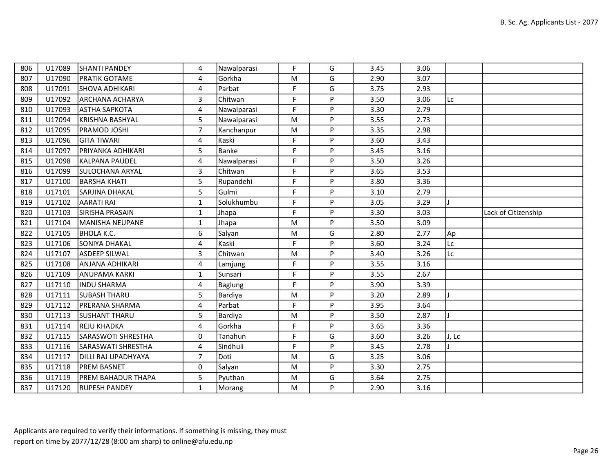| 806 | U17089 | SHANTI PANDEY              | 4                       | Nawalparasi    | F.        | G  | 3.45 | 3.06 |       |                     |
|-----|--------|----------------------------|-------------------------|----------------|-----------|----|------|------|-------|---------------------|
| 807 | U17090 | <b>PRATIK GOTAME</b>       | 4                       | Gorkha         | M         | G  | 2.90 | 3.07 |       |                     |
| 808 | U17091 | <b>SHOVA ADHIKARI</b>      | 4                       | Parbat         | F.        | G  | 3.75 | 2.93 |       |                     |
| 809 | U17092 | <b>ARCHANA ACHARYA</b>     | 3                       | Chitwan        | F         | P  | 3.50 | 3.06 | Lc    |                     |
| 810 | U17093 | <b>ASTHA SAPKOTA</b>       | 4                       | Nawalparasi    | F.        | P  | 3.30 | 2.79 |       |                     |
| 811 | U17094 | <b>KRISHNA BASHYAL</b>     | 5                       | Nawalparasi    | M         | Þ  | 3.55 | 2.73 |       |                     |
| 812 | U17095 | <b>PRAMOD JOSHI</b>        | $\overline{7}$          | Kanchanpur     | ${\sf M}$ | P  | 3.35 | 2.98 |       |                     |
| 813 | U17096 | <b>GITA TIWARI</b>         | 4                       | Kaski          | F         | P  | 3.60 | 3.43 |       |                     |
| 814 | U17097 | PRIYANKA ADHIKARI          | 5                       | Banke          | F         | P  | 3.45 | 3.16 |       |                     |
| 815 | U17098 | <b>KALPANA PAUDEL</b>      | 4                       | Nawalparasi    | F         | P  | 3.50 | 3.26 |       |                     |
| 816 | U17099 | SULOCHANA ARYAL            | 3                       | Chitwan        | F         | P  | 3.65 | 3.53 |       |                     |
| 817 | U17100 | BARSHA KHATI               | 5                       | Rupandehi      | F.        | P  | 3.80 | 3.36 |       |                     |
| 818 | U17101 | SARJINA DHAKAL             | 5                       | Gulmi          | F         | P  | 3.10 | 2.79 |       |                     |
| 819 | U17102 | <b>AARATI RAI</b>          | $\mathbf{1}$            | Solukhumbu     | F         | P  | 3.05 | 3.29 |       |                     |
| 820 | U17103 | SIRISHA PRASAIN            | $\mathbf{1}$            | Jhapa          | F.        | P. | 3.30 | 3.03 |       | Lack of Citizenship |
| 821 | U17104 | MANISHA NEUPANE            | $\mathbf 1$             | Jhapa          | M         | P  | 3.50 | 3.09 |       |                     |
| 822 | U17105 | <b>BHOLA K.C.</b>          | 6                       | Salyan         | M         | G  | 2.80 | 2.77 | Ap    |                     |
| 823 | U17106 | SONIYA DHAKAL              | $\overline{4}$          | Kaski          | F.        | P  | 3.60 | 3.24 | Lc    |                     |
| 824 | U17107 | <b>ASDEEP SILWAL</b>       | $\mathbf{3}$            | Chitwan        | M         | P  | 3.40 | 3.26 | Lc    |                     |
| 825 | U17108 | ANJANA ADHIKARI            | 4                       | Lamjung        | F         | P  | 3.55 | 3.16 |       |                     |
| 826 | U17109 | ANUPAMA KARKI              | $\mathbf{1}$            | Sunsari        | F.        | P. | 3.55 | 2.67 |       |                     |
| 827 | U17110 | INDU SHARMA                | 4                       | <b>Baglung</b> | F.        | P  | 3.90 | 3.39 |       |                     |
| 828 | U17111 | <b>SUBASH THARU</b>        | 5                       | Bardiya        | M         | P  | 3.20 | 2.89 |       |                     |
| 829 | U17112 | <b>PRERANA SHARMA</b>      | $\overline{4}$          | Parbat         | F         | P  | 3.95 | 3.64 |       |                     |
| 830 | U17113 | <b>SUSHANT THARU</b>       | 5                       | Bardiya        | M         | P  | 3.50 | 2.87 |       |                     |
| 831 | U17114 | <b>REJU KHADKA</b>         | $\overline{\mathbf{4}}$ | Gorkha         | F         | P  | 3.65 | 3.36 |       |                     |
| 832 | U17115 | SARASWOTI SHRESTHA         | $\mathbf 0$             | Tanahun        | F         | G  | 3.60 | 3.26 | J, Lc |                     |
| 833 | U17116 | SARASWATI SHRESTHA         | 4                       | Sindhuli       | F.        | P  | 3.45 | 2.78 |       |                     |
| 834 | U17117 | <b>DILLI RAJ UPADHYAYA</b> | $\overline{7}$          | Doti           | M         | G  | 3.25 | 3.06 |       |                     |
| 835 | U17118 | <b>PREM BASNET</b>         | $\pmb{0}$               | Salyan         | M         | P  | 3.30 | 2.75 |       |                     |
| 836 | U17119 | PREM BAHADUR THAPA         | 5                       | Pyuthan        | M         | G  | 3.64 | 2.75 |       |                     |
| 837 | U17120 | <b>RUPESH PANDEY</b>       | $\mathbf{1}$            | Morang         | M         | P  | 2.90 | 3.16 |       |                     |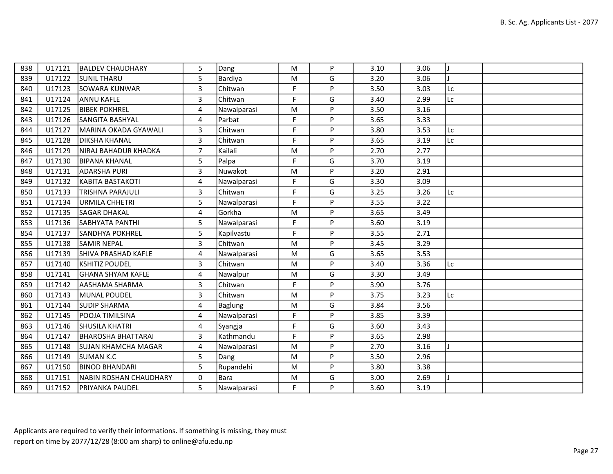| 838 | U17121 | <b>BALDEV CHAUDHARY</b>   | 5              | Dang           | M  | P | 3.10 | 3.06 |     |  |
|-----|--------|---------------------------|----------------|----------------|----|---|------|------|-----|--|
| 839 | U17122 | SUNIL THARU               | 5              | Bardiya        | M  | G | 3.20 | 3.06 |     |  |
| 840 | U17123 | SOWARA KUNWAR             | 3              | Chitwan        | F  | P | 3.50 | 3.03 | Lc  |  |
| 841 | U17124 | ANNU KAFLE                | 3              | Chitwan        | F  | G | 3.40 | 2.99 | Lc  |  |
| 842 | U17125 | <b>BIBEK POKHREL</b>      | 4              | Nawalparasi    | M  | P | 3.50 | 3.16 |     |  |
| 843 | U17126 | SANGITA BASHYAL           | 4              | Parbat         | F  | P | 3.65 | 3.33 |     |  |
| 844 | U17127 | MARINA OKADA GYAWALI      | 3              | Chitwan        | F  | P | 3.80 | 3.53 | Lc  |  |
| 845 | U17128 | DIKSHA KHANAL             | 3              | Chitwan        | F. | P | 3.65 | 3.19 | Lc: |  |
| 846 | U17129 | NIRAJ BAHADUR KHADKA      | $\overline{7}$ | Kailali        | M  | P | 2.70 | 2.77 |     |  |
| 847 | U17130 | BIPANA KHANAL             | 5              | Palpa          | F  | G | 3.70 | 3.19 |     |  |
| 848 | U17131 | ADARSHA PURI              | 3              | Nuwakot        | M  | P | 3.20 | 2.91 |     |  |
| 849 | U17132 | KABITA BASTAKOTI          | 4              | Nawalparasi    | F. | G | 3.30 | 3.09 |     |  |
| 850 | U17133 | TRISHNA PARAJULI          | $\mathsf{3}$   | Chitwan        | F  | G | 3.25 | 3.26 | Lc  |  |
| 851 | U17134 | <b>URMILA CHHETRI</b>     | 5              | Nawalparasi    | F  | P | 3.55 | 3.22 |     |  |
| 852 | U17135 | SAGAR DHAKAL              | $\overline{4}$ | Gorkha         | M  | P | 3.65 | 3.49 |     |  |
| 853 | U17136 | SABHYATA PANTHI           | 5              | Nawalparasi    | F  | P | 3.60 | 3.19 |     |  |
| 854 | U17137 | <b>SANDHYA POKHREL</b>    | 5              | Kapilvastu     | E  | P | 3.55 | 2.71 |     |  |
| 855 | U17138 | SAMIR NEPAL               | 3              | Chitwan        | M  | P | 3.45 | 3.29 |     |  |
| 856 | U17139 | SHIVA PRASHAD KAFLE       | 4              | Nawalparasi    | M  | G | 3.65 | 3.53 |     |  |
| 857 | U17140 | KSHITIZ POUDEL            | 3              | Chitwan        | M  | P | 3.40 | 3.36 | Lc: |  |
| 858 | U17141 | GHANA SHYAM KAFLE         | 4              | Nawalpur       | M  | G | 3.30 | 3.49 |     |  |
| 859 | U17142 | AASHAMA SHARMA            | 3              | Chitwan        | F. | P | 3.90 | 3.76 |     |  |
| 860 | U17143 | MUNAL POUDEL              | $\mathsf{3}$   | Chitwan        | M  | P | 3.75 | 3.23 | Lc  |  |
| 861 | U17144 | SUDIP SHARMA              | 4              | <b>Baglung</b> | M  | G | 3.84 | 3.56 |     |  |
| 862 | U17145 | <b>POOJA TIMILSINA</b>    | 4              | Nawalparasi    | F. | P | 3.85 | 3.39 |     |  |
| 863 | U17146 | SHUSILA KHATRI            | 4              | Syangja        | F  | G | 3.60 | 3.43 |     |  |
| 864 | U17147 | <b>BHAROSHA BHATTARAI</b> | 3              | Kathmandu      | F. | P | 3.65 | 2.98 |     |  |
| 865 | U17148 | SUJAN KHAMCHA MAGAR       | 4              | Nawalparasi    | M  | Þ | 2.70 | 3.16 |     |  |
| 866 | U17149 | SUMAN K.C                 | 5              | Dang           | M  | P | 3.50 | 2.96 |     |  |
| 867 | U17150 | <b>BINOD BHANDARI</b>     | 5              | Rupandehi      | M  | P | 3.80 | 3.38 |     |  |
| 868 | U17151 | NABIN ROSHAN CHAUDHARY    | $\mathbf 0$    | <b>Bara</b>    | M  | G | 3.00 | 2.69 |     |  |
| 869 | U17152 | PRIYANKA PAUDEL           | 5              | Nawalparasi    | F. | P | 3.60 | 3.19 |     |  |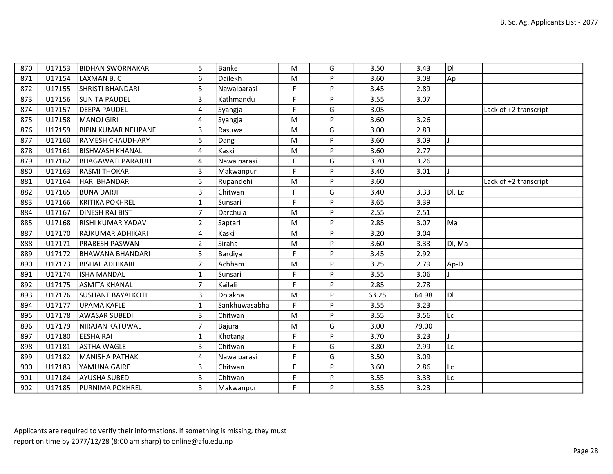| 870 | U17153 | <b>BIDHAN SWORNAKAR</b>    | 5              | Banke         | M  | G | 3.50  | 3.43  | Iы     |                       |
|-----|--------|----------------------------|----------------|---------------|----|---|-------|-------|--------|-----------------------|
| 871 | U17154 | LAXMAN B. C                | 6              | Dailekh       | M  | P | 3.60  | 3.08  | Ap     |                       |
| 872 | U17155 | SHRISTI BHANDARI           | 5              | Nawalparasi   | F. | P | 3.45  | 2.89  |        |                       |
| 873 | U17156 | <b>SUNITA PAUDEL</b>       | 3              | Kathmandu     | F. | P | 3.55  | 3.07  |        |                       |
| 874 | U17157 | <b>DEEPA PAUDEL</b>        | 4              | Syangja       | F. | G | 3.05  |       |        | Lack of +2 transcript |
| 875 | U17158 | MANOJ GIRI                 | $\overline{4}$ | Syangja       | M  | P | 3.60  | 3.26  |        |                       |
| 876 | U17159 | <b>BIPIN KUMAR NEUPANE</b> | 3              | Rasuwa        | M  | G | 3.00  | 2.83  |        |                       |
| 877 | U17160 | <b>RAMESH CHAUDHARY</b>    | 5              | Dang          | M  | P | 3.60  | 3.09  |        |                       |
| 878 | U17161 | BISHWASH KHANAL            | 4              | Kaski         | M  | P | 3.60  | 2.77  |        |                       |
| 879 | U17162 | BHAGAWATI PARAJULI         | 4              | Nawalparasi   | F. | G | 3.70  | 3.26  |        |                       |
| 880 | U17163 | <b>RASMI THOKAR</b>        | 3              | Makwanpur     | F. | P | 3.40  | 3.01  |        |                       |
| 881 | U17164 | <b>HARI BHANDARI</b>       | 5              | Rupandehi     | M  | P | 3.60  |       |        | Lack of +2 transcript |
| 882 | U17165 | <b>BUNA DARJI</b>          | $\mathsf{3}$   | Chitwan       | F. | G | 3.40  | 3.33  | DI, Lc |                       |
| 883 | U17166 | <b>KRITIKA POKHREL</b>     | $\mathbf{1}$   | Sunsari       | F. | P | 3.65  | 3.39  |        |                       |
| 884 | U17167 | <b>DINESH RAJ BIST</b>     | $\overline{7}$ | Darchula      | M  | P | 2.55  | 2.51  |        |                       |
| 885 | U17168 | <b>RISHI KUMAR YADAV</b>   | $\overline{2}$ | Saptari       | M  | P | 2.85  | 3.07  | Ma     |                       |
| 887 | U17170 | RAJKUMAR ADHIKARI          | 4              | Kaski         | M  | P | 3.20  | 3.04  |        |                       |
| 888 | U17171 | <b>PRABESH PASWAN</b>      | $\overline{2}$ | Siraha        | M  | P | 3.60  | 3.33  | DI, Ma |                       |
| 889 | U17172 | IBHAWANA BHANDARI          | 5              | Bardiya       | F. | P | 3.45  | 2.92  |        |                       |
| 890 | U17173 | <b>BISHAL ADHIKARI</b>     | $\overline{7}$ | Achham        | M  | P | 3.25  | 2.79  | Ap-D   |                       |
| 891 | U17174 | <b>ISHA MANDAL</b>         | $\mathbf{1}$   | Sunsari       | F. | P | 3.55  | 3.06  |        |                       |
| 892 | U17175 | ASMITA KHANAL              | $\overline{7}$ | Kailali       | F. | P | 2.85  | 2.78  |        |                       |
| 893 | U17176 | <b>SUSHANT BAYALKOTI</b>   | $\overline{3}$ | Dolakha       | M  | P | 63.25 | 64.98 | ldi.   |                       |
| 894 | U17177 | <b>UPAMA KAFLE</b>         | $\mathbf{1}$   | Sankhuwasabha | F. | P | 3.55  | 3.23  |        |                       |
| 895 | U17178 | AWASAR SUBEDI              | 3              | Chitwan       | M  | P | 3.55  | 3.56  | Lc     |                       |
| 896 | U17179 | <b>NIRAJAN KATUWAL</b>     | $\overline{7}$ | Bajura        | M  | G | 3.00  | 79.00 |        |                       |
| 897 | U17180 | <b>EESHA RAI</b>           | $\mathbf{1}$   | Khotang       | F. | P | 3.70  | 3.23  |        |                       |
| 898 | U17181 | <b>ASTHA WAGLE</b>         | 3              | Chitwan       | F. | G | 3.80  | 2.99  | Lc     |                       |
| 899 | U17182 | <b>MANISHA PATHAK</b>      | 4              | Nawalparasi   | F  | G | 3.50  | 3.09  |        |                       |
| 900 | U17183 | YAMUNA GAIRE               | 3              | Chitwan       | F. | P | 3.60  | 2.86  | Lc     |                       |
| 901 | U17184 | AYUSHA SUBEDI              | 3              | Chitwan       | E. | P | 3.55  | 3.33  | Lc     |                       |
| 902 | U17185 | PURNIMA POKHREL            | 3              | Makwanpur     | F. | P | 3.55  | 3.23  |        |                       |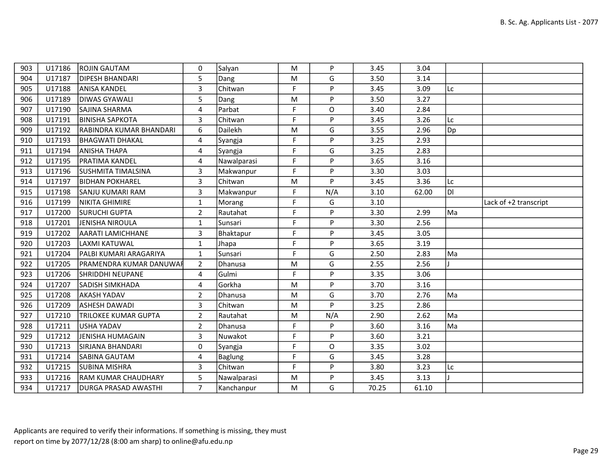| 903 | U17186 | <b>ROJIN GAUTAM</b>        | $\mathbf{0}$   | Salyan         | M  | P            | 3.45  | 3.04  |    |                       |
|-----|--------|----------------------------|----------------|----------------|----|--------------|-------|-------|----|-----------------------|
| 904 | U17187 | DIPESH BHANDARI            | 5              | Dang           | M  | G            | 3.50  | 3.14  |    |                       |
| 905 | U17188 | ANISA KANDEL               | 3              | Chitwan        | F. | P            | 3.45  | 3.09  | Lc |                       |
| 906 | U17189 | DIWAS GYAWALI              | 5              | Dang           | M  | P            | 3.50  | 3.27  |    |                       |
| 907 | U17190 | <b>SAJINA SHARMA</b>       | 4              | Parbat         | F. | O            | 3.40  | 2.84  |    |                       |
| 908 | U17191 | BINISHA SAPKOTA            | 3              | Chitwan        | F. | Þ            | 3.45  | 3.26  | Lc |                       |
| 909 | U17192 | RABINDRA KUMAR BHANDARI    | 6              | Dailekh        | M  | G            | 3.55  | 2.96  | Dp |                       |
| 910 | U17193 | <b>BHAGWATI DHAKAL</b>     | 4              | Syangja        | F. | P            | 3.25  | 2.93  |    |                       |
| 911 | U17194 | ANISHA THAPA               | 4              | Syangja        | F  | G            | 3.25  | 2.83  |    |                       |
| 912 | U17195 | <b>PRATIMA KANDEL</b>      | 4              | Nawalparasi    | F  | P            | 3.65  | 3.16  |    |                       |
| 913 | U17196 | SUSHMITA TIMALSINA         | 3              | Makwanpur      | F  | P            | 3.30  | 3.03  |    |                       |
| 914 | U17197 | <b>BIDHAN POKHAREL</b>     | 3              | Chitwan        | M  | P            | 3.45  | 3.36  | Lc |                       |
| 915 | U17198 | SANJU KUMARI RAM           | 3              | Makwanpur      | F  | N/A          | 3.10  | 62.00 | DI |                       |
| 916 | U17199 | <b>NIKITA GHIMIRE</b>      | $\mathbf{1}$   | Morang         | F  | G            | 3.10  |       |    | Lack of +2 transcript |
| 917 | U17200 | SURUCHI GUPTA              | $\overline{2}$ | Rautahat       | F. | P            | 3.30  | 2.99  | Ma |                       |
| 918 | U17201 | <b>JENISHA NIROULA</b>     | $\mathbf 1$    | Sunsari        | F  | P            | 3.30  | 2.56  |    |                       |
| 919 | U17202 | <b>AARATI LAMICHHANE</b>   | 3              | Bhaktapur      | F. | P            | 3.45  | 3.05  |    |                       |
| 920 | U17203 | LAXMI KATUWAL              | $\mathbf 1$    | Jhapa          | F. | P            | 3.65  | 3.19  |    |                       |
| 921 | U17204 | PALBI KUMARI ARAGARIYA     | $\mathbf 1$    | Sunsari        | F. | G            | 2.50  | 2.83  | Ma |                       |
| 922 | U17205 | IPRAMENDRA KUMAR DANUWAI   | $\overline{2}$ | Dhanusa        | M  | G            | 2.55  | 2.56  |    |                       |
| 923 | U17206 | <b>SHRIDDHI NEUPANE</b>    | 4              | Gulmi          | F. | P            | 3.35  | 3.06  |    |                       |
| 924 | U17207 | <b>SADISH SIMKHADA</b>     | 4              | Gorkha         | M  | P            | 3.70  | 3.16  |    |                       |
| 925 | U17208 | <b>AKASH YADAV</b>         | $\overline{2}$ | Dhanusa        | M  | G            | 3.70  | 2.76  | Ma |                       |
| 926 | U17209 | <b>ASHESH DAWADI</b>       | 3              | Chitwan        | M  | P            | 3.25  | 2.86  |    |                       |
| 927 | U17210 | TRILOKEE KUMAR GUPTA       | $\overline{2}$ | Rautahat       | M  | N/A          | 2.90  | 2.62  | Ma |                       |
| 928 | U17211 | <b>USHA YADAV</b>          | $\overline{2}$ | Dhanusa        | F  | P            | 3.60  | 3.16  | Ma |                       |
| 929 | U17212 | <b>JENISHA HUMAGAIN</b>    | 3              | Nuwakot        | F  | P            | 3.60  | 3.21  |    |                       |
| 930 | U17213 | SIRJANA BHANDARI           | $\mathbf 0$    | Syangja        | F. | $\mathsf{O}$ | 3.35  | 3.02  |    |                       |
| 931 | U17214 | <b>SABINA GAUTAM</b>       | $\pmb{4}$      | <b>Baglung</b> | F  | G            | 3.45  | 3.28  |    |                       |
| 932 | U17215 | SUBINA MISHRA              | 3              | Chitwan        | F  | P            | 3.80  | 3.23  | Lc |                       |
| 933 | U17216 | <b>RAM KUMAR CHAUDHARY</b> | 5              | Nawalparasi    | M  | Þ            | 3.45  | 3.13  |    |                       |
| 934 | U17217 | DURGA PRASAD AWASTHI       | $\overline{7}$ | Kanchanpur     | M  | G            | 70.25 | 61.10 |    |                       |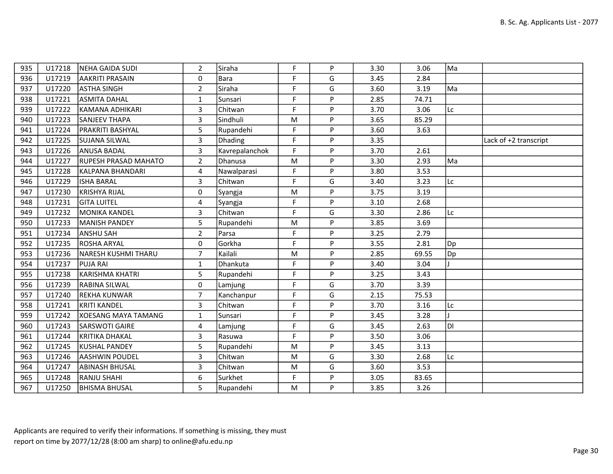| 935 | U17218 | NEHA GAIDA SUDI             | $\overline{2}$ | Siraha         | F  | P | 3.30 | 3.06  | Ma        |                       |
|-----|--------|-----------------------------|----------------|----------------|----|---|------|-------|-----------|-----------------------|
| 936 | U17219 | <b>AAKRITI PRASAIN</b>      | $\mathbf 0$    | <b>Bara</b>    | F  | G | 3.45 | 2.84  |           |                       |
| 937 | U17220 | <b>ASTHA SINGH</b>          | $\overline{2}$ | Siraha         | F  | G | 3.60 | 3.19  | Ma        |                       |
| 938 | U17221 | <b>ASMITA DAHAL</b>         | $\mathbf{1}$   | Sunsari        | F  | P | 2.85 | 74.71 |           |                       |
| 939 | U17222 | KAMANA ADHIKARI             | 3              | Chitwan        | F  | P | 3.70 | 3.06  | Lc        |                       |
| 940 | U17223 | SANJEEV THAPA               | 3              | Sindhuli       | M  | Þ | 3.65 | 85.29 |           |                       |
| 941 | U17224 | <b>PRAKRITI BASHYAL</b>     | 5              | Rupandehi      | F  | P | 3.60 | 3.63  |           |                       |
| 942 | U17225 | <b>SUJANA SILWAL</b>        | 3              | <b>Dhading</b> | E  | P | 3.35 |       |           | Lack of +2 transcript |
| 943 | U17226 | <b>ANUSA BADAL</b>          | 3              | Kavrepalanchok | F  | P | 3.70 | 2.61  |           |                       |
| 944 | U17227 | <b>RUPESH PRASAD MAHATO</b> | $\overline{2}$ | Dhanusa        | M  | P | 3.30 | 2.93  | Ma        |                       |
| 945 | U17228 | KALPANA BHANDARI            | 4              | Nawalparasi    | F  | P | 3.80 | 3.53  |           |                       |
| 946 | U17229 | <b>ISHA BARAL</b>           | 3              | Chitwan        | F. | G | 3.40 | 3.23  | Lc        |                       |
| 947 | U17230 | KRISHYA RIJAL               | 0              | Syangja        | M  | P | 3.75 | 3.19  |           |                       |
| 948 | U17231 | <b>GITA LUITEL</b>          | 4              | Syangja        | F  | P | 3.10 | 2.68  |           |                       |
| 949 | U17232 | MONIKA KANDEL               | 3              | Chitwan        | F. | G | 3.30 | 2.86  | Lc        |                       |
| 950 | U17233 | MANISH PANDEY               | 5              | Rupandehi      | M  | P | 3.85 | 3.69  |           |                       |
| 951 | U17234 | ANSHU SAH                   | $\overline{2}$ | Parsa          | F  | P | 3.25 | 2.79  |           |                       |
| 952 | U17235 | <b>ROSHA ARYAL</b>          | 0              | Gorkha         | F. | P | 3.55 | 2.81  | Dp        |                       |
| 953 | U17236 | <b>NARESH KUSHMI THARU</b>  | $\overline{7}$ | Kailali        | M  | P | 2.85 | 69.55 | Dp        |                       |
| 954 | U17237 | <b>PUJA RAI</b>             | $\mathbf{1}$   | Dhankuta       | F  | P | 3.40 | 3.04  |           |                       |
| 955 | U17238 | KARISHMA KHATRI             | 5              | Rupandehi      | F. | P | 3.25 | 3.43  |           |                       |
| 956 | U17239 | <b>RABINA SILWAL</b>        | 0              | Lamjung        | F. | G | 3.70 | 3.39  |           |                       |
| 957 | U17240 | REKHA KUNWAR                | $\overline{7}$ | Kanchanpur     | F  | G | 2.15 | 75.53 |           |                       |
| 958 | U17241 | KRITI KANDEL                | 3              | Chitwan        | F. | P | 3.70 | 3.16  | Lc        |                       |
| 959 | U17242 | <b>XOESANG MAYA TAMANG</b>  | $\mathbf{1}$   | Sunsari        | F. | P | 3.45 | 3.28  |           |                       |
| 960 | U17243 | <b>SARSWOTI GAIRE</b>       | 4              | Lamjung        | F  | G | 3.45 | 2.63  | DI.       |                       |
| 961 | U17244 | KRITIKA DHAKAL              | 3              | Rasuwa         | F. | P | 3.50 | 3.06  |           |                       |
| 962 | U17245 | KUSHAL PANDEY               | 5              | Rupandehi      | M  | P | 3.45 | 3.13  |           |                       |
| 963 | U17246 | <b>AASHWIN POUDEL</b>       | 3              | Chitwan        | M  | G | 3.30 | 2.68  | <b>Lc</b> |                       |
| 964 | U17247 | ABINASH BHUSAL              | 3              | Chitwan        | M  | G | 3.60 | 3.53  |           |                       |
| 965 | U17248 | <b>RANJU SHAHI</b>          | 6              | Surkhet        | F  | Þ | 3.05 | 83.65 |           |                       |
| 967 | U17250 | <b>BHISMA BHUSAL</b>        | 5              | Rupandehi      | M  | P | 3.85 | 3.26  |           |                       |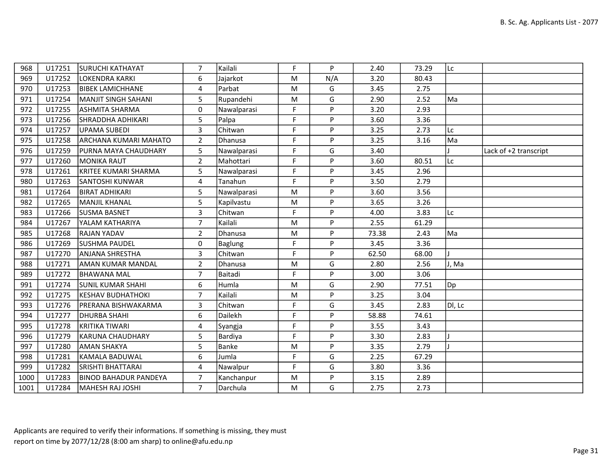| 968  | U17251 | <b>SURUCHI KATHAYAT</b>      | $\overline{7}$          | Kailali        | F         | P   | 2.40  | 73.29 | Lc     |                       |
|------|--------|------------------------------|-------------------------|----------------|-----------|-----|-------|-------|--------|-----------------------|
| 969  | U17252 | <b>LOKENDRA KARKI</b>        | 6                       | Jajarkot       | M         | N/A | 3.20  | 80.43 |        |                       |
| 970  | U17253 | <b>BIBEK LAMICHHANE</b>      | 4                       | Parbat         | M         | G   | 3.45  | 2.75  |        |                       |
| 971  | U17254 | MANJIT SINGH SAHANI          | 5                       | Rupandehi      | ${\sf M}$ | G   | 2.90  | 2.52  | Ma     |                       |
| 972  | U17255 | lashmita sharma              | 0                       | Nawalparasi    | F         | P   | 3.20  | 2.93  |        |                       |
| 973  | U17256 | İSHRADDHA ADHIKARI           | 5                       | Palpa          | F         | Þ.  | 3.60  | 3.36  |        |                       |
| 974  | U17257 | <b>UPAMA SUBEDI</b>          | $\mathsf{3}$            | Chitwan        | F.        | P   | 3.25  | 2.73  | Lc     |                       |
| 975  | U17258 | ARCHANA KUMARI MAHATO        | $\overline{2}$          | <b>Dhanusa</b> | F         | P   | 3.25  | 3.16  | Ma     |                       |
| 976  | U17259 | <b>PURNA MAYA CHAUDHARY</b>  | 5                       | Nawalparasi    | F         | G   | 3.40  |       |        | Lack of +2 transcript |
| 977  | U17260 | <b>MONIKA RAUT</b>           | $\overline{2}$          | Mahottari      | F         | P   | 3.60  | 80.51 | Lc     |                       |
| 978  | U17261 | KRITEE KUMARI SHARMA         | 5                       | Nawalparasi    | F.        | P   | 3.45  | 2.96  |        |                       |
| 980  | U17263 | <b>SANTOSHI KUNWAR</b>       | 4                       | Tanahun        | F.        | P   | 3.50  | 2.79  |        |                       |
| 981  | U17264 | BIRAT ADHIKARI               | 5                       | Nawalparasi    | M         | P   | 3.60  | 3.56  |        |                       |
| 982  | U17265 | MANJIL KHANAL                | 5                       | Kapilvastu     | M         | P   | 3.65  | 3.26  |        |                       |
| 983  | U17266 | <b>SUSMA BASNET</b>          | $\overline{3}$          | Chitwan        | F.        | P   | 4.00  | 3.83  | Lc     |                       |
| 984  | U17267 | YALAM KATHARIYA              | $\overline{7}$          | Kailali        | ${\sf M}$ | P   | 2.55  | 61.29 |        |                       |
| 985  | U17268 | RAJAN YADAV                  | $\overline{2}$          | Dhanusa        | M         | P   | 73.38 | 2.43  | Ma     |                       |
| 986  | U17269 | <b>SUSHMA PAUDEL</b>         | $\mathbf 0$             | <b>Baglung</b> | F.        | P   | 3.45  | 3.36  |        |                       |
| 987  | U17270 | ANJANA SHRESTHA              | $\mathbf{3}$            | Chitwan        | F.        | P   | 62.50 | 68.00 |        |                       |
| 988  | U17271 | AMAN KUMAR MANDAL            | $\overline{2}$          | Dhanusa        | M         | G   | 2.80  | 2.56  | J, Ma  |                       |
| 989  | U17272 | <b>BHAWANA MAL</b>           | $\overline{7}$          | Baitadi        | F.        | P   | 3.00  | 3.06  |        |                       |
| 991  | U17274 | <b>SUNIL KUMAR SHAHI</b>     | 6                       | Humla          | M         | G   | 2.90  | 77.51 | Dp     |                       |
| 992  | U17275 | lkeshav budhathoki           | $\overline{7}$          | Kailali        | M         | P   | 3.25  | 3.04  |        |                       |
| 993  | U17276 | PRERANA BISHWAKARMA          | 3                       | Chitwan        | F.        | G   | 3.45  | 2.83  | DI, Lc |                       |
| 994  | U17277 | <b>DHURBA SHAHI</b>          | 6                       | Dailekh        | F.        | P   | 58.88 | 74.61 |        |                       |
| 995  | U17278 | KRITIKA TIWARI               | $\overline{4}$          | Syangja        | F         | P   | 3.55  | 3.43  |        |                       |
| 996  | U17279 | <b>KARUNA CHAUDHARY</b>      | 5                       | Bardiya        | F.        | P   | 3.30  | 2.83  |        |                       |
| 997  | U17280 | AMAN SHAKYA                  | 5                       | Banke          | M         | P   | 3.35  | 2.79  |        |                       |
| 998  | U17281 | <b>KAMALA BADUWAL</b>        | 6                       | Jumla          | F         | G   | 2.25  | 67.29 |        |                       |
| 999  | U17282 | SRISHTI BHATTARAI            | $\overline{\mathbf{4}}$ | Nawalpur       | F.        | G   | 3.80  | 3.36  |        |                       |
| 1000 | U17283 | <b>BINOD BAHADUR PANDEYA</b> | $\overline{7}$          | Kanchanpur     | M         | Þ   | 3.15  | 2.89  |        |                       |
| 1001 | U17284 | MAHESH RAJ JOSHI             | $\overline{7}$          | Darchula       | M         | G   | 2.75  | 2.73  |        |                       |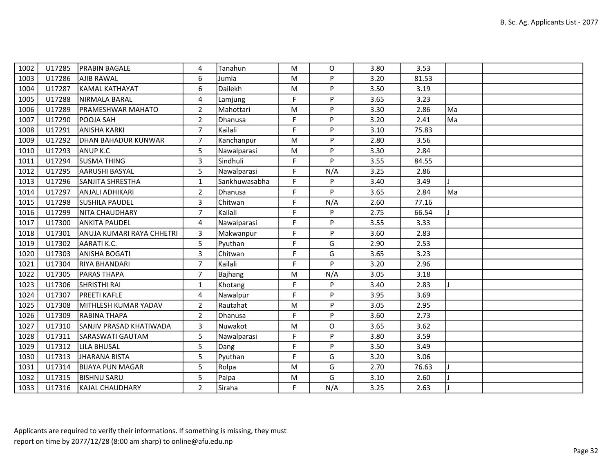| 1002 | U17285 | <b>PRABIN BAGALE</b>      | 4                       | Tanahun        | M  | $\Omega$     | 3.80 | 3.53  |      |  |
|------|--------|---------------------------|-------------------------|----------------|----|--------------|------|-------|------|--|
| 1003 | U17286 | <b>AJIB RAWAL</b>         | 6                       | Jumla          | M  | P            | 3.20 | 81.53 |      |  |
| 1004 | U17287 | KAMAL KATHAYAT            | 6                       | Dailekh        | M  | P            | 3.50 | 3.19  |      |  |
| 1005 | U17288 | <b>NIRMALA BARAL</b>      | 4                       | Lamjung        | F. | P            | 3.65 | 3.23  |      |  |
| 1006 | U17289 | <b>PRAMESHWAR MAHATO</b>  | $\overline{2}$          | Mahottari      | M  | P            | 3.30 | 2.86  | l Ma |  |
| 1007 | U17290 | POOJA SAH                 | $\overline{2}$          | <b>Dhanusa</b> | F. | Þ            | 3.20 | 2.41  | Ma   |  |
| 1008 | U17291 | ANISHA KARKI              | $\overline{7}$          | Kailali        | F. | P            | 3.10 | 75.83 |      |  |
| 1009 | U17292 | DHAN BAHADUR KUNWAR       | $\overline{7}$          | Kanchanpur     | M  | P            | 2.80 | 3.56  |      |  |
| 1010 | U17293 | ANUP K.C                  | 5                       | Nawalparasi    | M  | P            | 3.30 | 2.84  |      |  |
| 1011 | U17294 | SUSMA THING               | 3                       | Sindhuli       | F. | P            | 3.55 | 84.55 |      |  |
| 1012 | U17295 | <b>AARUSHI BASYAL</b>     | 5                       | Nawalparasi    | F. | N/A          | 3.25 | 2.86  |      |  |
| 1013 | U17296 | SANJITA SHRESTHA          | $\mathbf{1}$            | Sankhuwasabha  | F. | P            | 3.40 | 3.49  |      |  |
| 1014 | U17297 | ANJALI ADHIKARI           | $\overline{2}$          | Dhanusa        | F. | P            | 3.65 | 2.84  | Ma   |  |
| 1015 | U17298 | SUSHILA PAUDEL            | 3                       | Chitwan        | F. | N/A          | 2.60 | 77.16 |      |  |
| 1016 | U17299 | NITA CHAUDHARY            | $\overline{7}$          | Kailali        | F. | P            | 2.75 | 66.54 |      |  |
| 1017 | U17300 | ANKITA PAUDEL             | $\overline{\mathbf{4}}$ | Nawalparasi    | F  | P            | 3.55 | 3.33  |      |  |
| 1018 | U17301 | ANUJA KUMARI RAYA CHHETRI | $\mathbf{3}$            | Makwanpur      | F. | P            | 3.60 | 2.83  |      |  |
| 1019 | U17302 | AARATI K.C.               | 5                       | Pyuthan        | F. | G            | 2.90 | 2.53  |      |  |
| 1020 | U17303 | ANISHA BOGATI             | 3                       | Chitwan        | F. | G            | 3.65 | 3.23  |      |  |
| 1021 | U17304 | <b>RIYA BHANDARI</b>      | $\overline{7}$          | Kailali        | F. | P            | 3.20 | 2.96  |      |  |
| 1022 | U17305 | <b>PARAS THAPA</b>        | $\overline{7}$          | Bajhang        | M  | N/A          | 3.05 | 3.18  |      |  |
| 1023 | U17306 | <b>SHRISTHI RAI</b>       | $\mathbf{1}$            | Khotang        | F. | P            | 3.40 | 2.83  |      |  |
| 1024 | U17307 | <b>PREETI KAFLE</b>       | 4                       | Nawalpur       |    | P            | 3.95 | 3.69  |      |  |
| 1025 | U17308 | MITHLESH KUMAR YADAV      | $\overline{2}$          | Rautahat       | M  | P            | 3.05 | 2.95  |      |  |
| 1026 | U17309 | IRABINA THAPA             | $\overline{2}$          | Dhanusa        | F. | P            | 3.60 | 2.73  |      |  |
| 1027 | U17310 | SANJIV PRASAD KHATIWADA   | 3                       | Nuwakot        | M  | $\mathsf{O}$ | 3.65 | 3.62  |      |  |
| 1028 | U17311 | SARASWATI GAUTAM          | 5                       | Nawalparasi    | F. | P            | 3.80 | 3.59  |      |  |
| 1029 | U17312 | LILA BHUSAL               | 5                       | Dang           | F. | P            | 3.50 | 3.49  |      |  |
| 1030 | U17313 | <b>JHARANA BISTA</b>      | 5                       | Pyuthan        | F  | G            | 3.20 | 3.06  |      |  |
| 1031 | U17314 | <b>BIJAYA PUN MAGAR</b>   | 5                       | Rolpa          | M  | G            | 2.70 | 76.63 |      |  |
| 1032 | U17315 | <b>BISHNU SARU</b>        | 5                       | Palpa          | M  | G            | 3.10 | 2.60  |      |  |
| 1033 | U17316 | KAJAL CHAUDHARY           | $\overline{2}$          | Siraha         | F. | N/A          | 3.25 | 2.63  |      |  |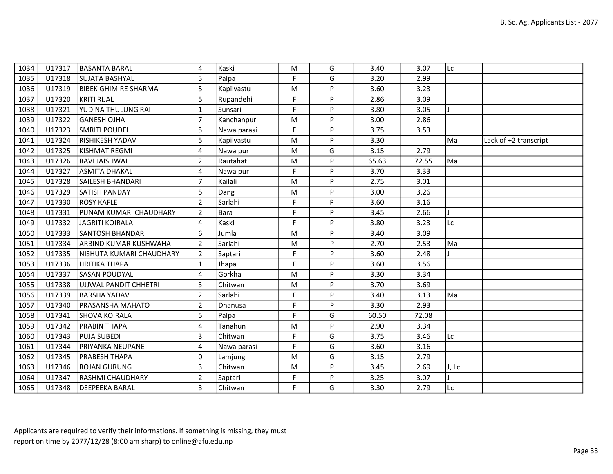| 1034 | U17317 | <b>BASANTA BARAL</b>        | 4              | Kaski       | M  | G        | 3.40  | 3.07  | Lc    |                       |
|------|--------|-----------------------------|----------------|-------------|----|----------|-------|-------|-------|-----------------------|
| 1035 | U17318 | SUJATA BASHYAL              | 5              | Palpa       | F. | G        | 3.20  | 2.99  |       |                       |
| 1036 | U17319 | <b>BIBEK GHIMIRE SHARMA</b> | 5              | Kapilvastu  | M  | P        | 3.60  | 3.23  |       |                       |
| 1037 | U17320 | KRITI RIJAL                 | 5              | Rupandehi   | F. | P        | 2.86  | 3.09  |       |                       |
| 1038 | U17321 | YUDINA THULUNG RAI          | $\mathbf{1}$   | Sunsari     | F. | P        | 3.80  | 3.05  |       |                       |
| 1039 | U17322 | GANESH OJHA                 | $\overline{7}$ | Kanchanpur  | M  | <b>D</b> | 3.00  | 2.86  |       |                       |
| 1040 | U17323 | SMRITI POUDEL               | 5              | Nawalparasi | F  | P        | 3.75  | 3.53  |       |                       |
| 1041 | U17324 | İRISHIKESH YADAV            | 5              | Kapilvastu  | M  | P        | 3.30  |       | lMa   | Lack of +2 transcript |
| 1042 | U17325 | KISHMAT REGMI               | 4              | Nawalpur    | M  | G        | 3.15  | 2.79  |       |                       |
| 1043 | U17326 | <b>RAVI JAISHWAL</b>        | $\overline{2}$ | Rautahat    | M  | P        | 65.63 | 72.55 | Ma    |                       |
| 1044 | U17327 | lasmita dhakal              | 4              | Nawalpur    | F  | P        | 3.70  | 3.33  |       |                       |
| 1045 | U17328 | SAILESH BHANDARI            | $\overline{7}$ | Kailali     | M  | P.       | 2.75  | 3.01  |       |                       |
| 1046 | U17329 | SATISH PANDAY               | 5              | Dang        | M  | P        | 3.00  | 3.26  |       |                       |
| 1047 | U17330 | ROSY KAFLE                  | $\overline{2}$ | Sarlahi     | F  | <b>D</b> | 3.60  | 3.16  |       |                       |
| 1048 | U17331 | PUNAM KUMARI CHAUDHARY      | $\overline{2}$ | Bara        | F. | P        | 3.45  | 2.66  |       |                       |
| 1049 | U17332 | <b>JAGRITI KOIRALA</b>      | 4              | Kaski       | F  | P        | 3.80  | 3.23  | Lc    |                       |
| 1050 | U17333 | <b>SANTOSH BHANDARI</b>     | 6              | Jumla       | M  | P        | 3.40  | 3.09  |       |                       |
| 1051 | U17334 | ARBIND KUMAR KUSHWAHA       | $\overline{2}$ | Sarlahi     | M  | P        | 2.70  | 2.53  | Ma    |                       |
| 1052 | U17335 | NISHUTA KUMARI CHAUDHARY    | $\overline{2}$ | Saptari     | F. | P        | 3.60  | 2.48  |       |                       |
| 1053 | U17336 | <b>HRITIKA THAPA</b>        | $\mathbf 1$    | Jhapa       | F  | P        | 3.60  | 3.56  |       |                       |
| 1054 | U17337 | <b>SASAN POUDYAL</b>        | 4              | Gorkha      | M  | P        | 3.30  | 3.34  |       |                       |
| 1055 | U17338 | UJJWAL PANDIT CHHETRI       | 3              | Chitwan     | M  | P        | 3.70  | 3.69  |       |                       |
| 1056 | U17339 | lBARSHA YADAV               | $\overline{2}$ | Sarlahi     | F  | P        | 3.40  | 3.13  | Ma    |                       |
| 1057 | U17340 | PRASANSHA MAHATO            | $\overline{2}$ | Dhanusa     | F. | P        | 3.30  | 2.93  |       |                       |
| 1058 | U17341 | SHOVA KOIRALA               | 5              | Palpa       | F. | G        | 60.50 | 72.08 |       |                       |
| 1059 | U17342 | PRABIN THAPA                | $\overline{4}$ | Tanahun     | M  | P        | 2.90  | 3.34  |       |                       |
| 1060 | U17343 | PUJA SUBEDI                 | 3              | Chitwan     | F. | G        | 3.75  | 3.46  | Lc    |                       |
| 1061 | U17344 | PRIYANKA NEUPANE            | 4              | Nawalparasi | F. | G        | 3.60  | 3.16  |       |                       |
| 1062 | U17345 | PRABESH THAPA               | $\mathbf 0$    | Lamjung     | M  | G        | 3.15  | 2.79  |       |                       |
| 1063 | U17346 | ROJAN GURUNG                | 3              | Chitwan     | M  | P        | 3.45  | 2.69  | J, Lc |                       |
| 1064 | U17347 | <b>RASHMI CHAUDHARY</b>     | $\overline{2}$ | Saptari     | F  | P        | 3.25  | 3.07  |       |                       |
| 1065 | U17348 | DEEPEEKA BARAL              | 3              | Chitwan     | F  | G        | 3.30  | 2.79  | Lc    |                       |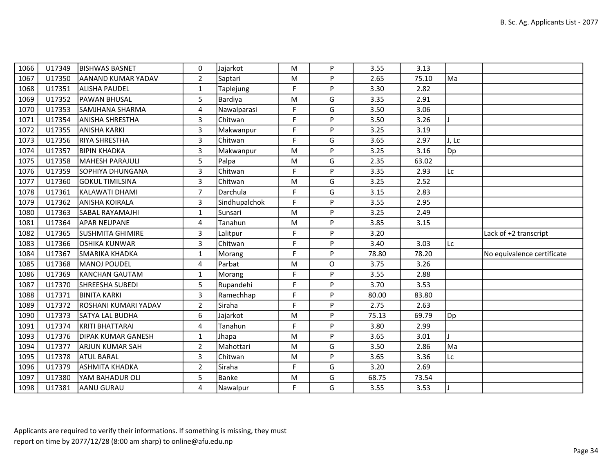| 1066 | U17349 | <b>BISHWAS BASNET</b>       | $\Omega$                | Jajarkot      | M  | P | 3.55  | 3.13  |       |                            |
|------|--------|-----------------------------|-------------------------|---------------|----|---|-------|-------|-------|----------------------------|
| 1067 | U17350 | <b>AANAND KUMAR YADAV</b>   | $\overline{2}$          | Saptari       | M  | P | 2.65  | 75.10 | l Ma  |                            |
| 1068 | U17351 | <b>ALISHA PAUDEL</b>        | $\mathbf{1}$            | Taplejung     | F. | Þ | 3.30  | 2.82  |       |                            |
| 1069 | U17352 | <b>PAWAN BHUSAL</b>         | 5                       | Bardiya       | M  | G | 3.35  | 2.91  |       |                            |
| 1070 | U17353 | SAMJHANA SHARMA             | $\overline{\mathbf{4}}$ | Nawalparasi   | F. | G | 3.50  | 3.06  |       |                            |
| 1071 | U17354 | <b>ANISHA SHRESTHA</b>      | 3                       | Chitwan       | F. | Þ | 3.50  | 3.26  |       |                            |
| 1072 | U17355 | <b>ANISHA KARKI</b>         | 3                       | Makwanpur     | F  | P | 3.25  | 3.19  |       |                            |
| 1073 | U17356 | <b>RIYA SHRESTHA</b>        | $\overline{3}$          | Chitwan       | F  | G | 3.65  | 2.97  | J, Lc |                            |
| 1074 | U17357 | <b>BIPIN KHADKA</b>         | 3                       | Makwanpur     | M  | P | 3.25  | 3.16  | Dp    |                            |
| 1075 | U17358 | MAHESH PARAJULI             | 5                       | Palpa         | M  | G | 2.35  | 63.02 |       |                            |
| 1076 | U17359 | SOPHIYA DHUNGANA            | 3                       | Chitwan       | F  | P | 3.35  | 2.93  | Lc    |                            |
| 1077 | U17360 | <b>GOKUL TIMILSINA</b>      | 3                       | Chitwan       | M  | G | 3.25  | 2.52  |       |                            |
| 1078 | U17361 | KALAWATI DHAMI              | $\overline{7}$          | Darchula      | F. | G | 3.15  | 2.83  |       |                            |
| 1079 | U17362 | ANISHA KOIRALA              | 3                       | Sindhupalchok | F  | P | 3.55  | 2.95  |       |                            |
| 1080 | U17363 | SABAL RAYAMAJHI             | $\mathbf 1$             | Sunsari       | M  | P | 3.25  | 2.49  |       |                            |
| 1081 | U17364 | <b>APAR NEUPANE</b>         | 4                       | Tanahun       | M  | P | 3.85  | 3.15  |       |                            |
| 1082 | U17365 | <b>SUSHMITA GHIMIRE</b>     | 3                       | Lalitpur      | F  | P | 3.20  |       |       | Lack of +2 transcript      |
| 1083 | U17366 | OSHIKA KUNWAR               | 3                       | Chitwan       | F. | P | 3.40  | 3.03  | Lc    |                            |
| 1084 | U17367 | SMARIKA KHADKA              | $\mathbf{1}$            | Morang        | F  | P | 78.80 | 78.20 |       | No equivalence certificate |
| 1085 | U17368 | MANOJ POUDEL                | 4                       | Parbat        | M  | O | 3.75  | 3.26  |       |                            |
| 1086 | U17369 | KANCHAN GAUTAM              | $\mathbf{1}$            | Morang        | F. | P | 3.55  | 2.88  |       |                            |
| 1087 | U17370 | SHREESHA SUBEDI             | 5                       | Rupandehi     | F  | P | 3.70  | 3.53  |       |                            |
| 1088 | U17371 | <b>BINITA KARKI</b>         | 3                       | Ramechhap     | F  | P | 80.00 | 83.80 |       |                            |
| 1089 | U17372 | <b>ROSHANI KUMARI YADAV</b> | $\overline{2}$          | Siraha        | F. | P | 2.75  | 2.63  |       |                            |
| 1090 | U17373 | SATYA LAL BUDHA             | 6                       | Jajarkot      | M  | P | 75.13 | 69.79 | Dp    |                            |
| 1091 | U17374 | KRITI BHATTARAI             | 4                       | Tanahun       | F  | P | 3.80  | 2.99  |       |                            |
| 1093 | U17376 | <b>DIPAK KUMAR GANESH</b>   | $\mathbf{1}$            | Jhapa         | M  | P | 3.65  | 3.01  |       |                            |
| 1094 | U17377 | <b>ARJUN KUMAR SAH</b>      | $\overline{2}$          | Mahottari     | M  | G | 3.50  | 2.86  | Ma    |                            |
| 1095 | U17378 | ATUL BARAL                  | 3                       | Chitwan       | M  | P | 3.65  | 3.36  | Lc.   |                            |
| 1096 | U17379 | ASHMITA KHADKA              | $\overline{2}$          | Siraha        | F. | G | 3.20  | 2.69  |       |                            |
| 1097 | U17380 | YAM BAHADUR OLI             | 5                       | Banke         | M  | G | 68.75 | 73.54 |       |                            |
| 1098 |        |                             |                         |               |    |   |       |       |       |                            |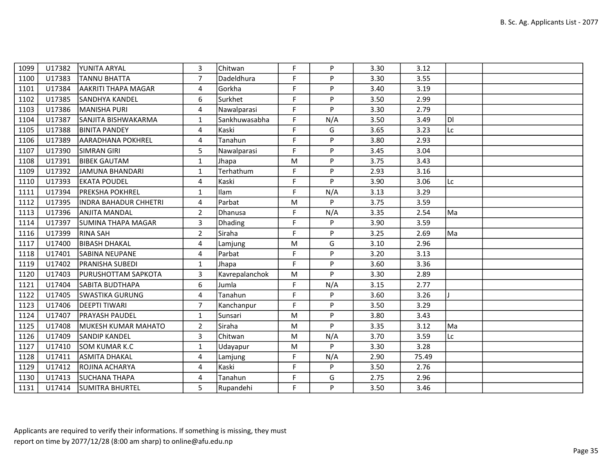| 1099 | U17382 | YUNITA ARYAL               | 3              | Chitwan        | F. | P   | 3.30 | 3.12  |     |  |
|------|--------|----------------------------|----------------|----------------|----|-----|------|-------|-----|--|
| 1100 | U17383 | <b>TANNU BHATTA</b>        | $\overline{7}$ | Dadeldhura     | F. | P   | 3.30 | 3.55  |     |  |
| 1101 | U17384 | <b>AAKRITI THAPA MAGAR</b> | 4              | Gorkha         | F. | P   | 3.40 | 3.19  |     |  |
| 1102 | U17385 | SANDHYA KANDEL             | 6              | Surkhet        | F. | P   | 3.50 | 2.99  |     |  |
| 1103 | U17386 | MANISHA PURI               | 4              | Nawalparasi    | F. | P   | 3.30 | 2.79  |     |  |
| 1104 | U17387 | SANJITA BISHWAKARMA        | $\mathbf{1}$   | Sankhuwasabha  | F. | N/A | 3.50 | 3.49  | DI. |  |
| 1105 | U17388 | <b>BINITA PANDEY</b>       | 4              | Kaski          | F. | G   | 3.65 | 3.23  | Lc  |  |
| 1106 | U17389 | <b>AARADHANA POKHREL</b>   | 4              | Tanahun        | F. | P   | 3.80 | 2.93  |     |  |
| 1107 | U17390 | SIMRAN GIRI                | 5              | Nawalparasi    | F. | P   | 3.45 | 3.04  |     |  |
| 1108 | U17391 | <b>BIBEK GAUTAM</b>        | $\mathbf{1}$   | Jhapa          | M  | P   | 3.75 | 3.43  |     |  |
| 1109 | U17392 | JAMUNA BHANDARI            | $\mathbf{1}$   | Terhathum      | F. | P   | 2.93 | 3.16  |     |  |
| 1110 | U17393 | <b>EKATA POUDEL</b>        | 4              | Kaski          | F. | P   | 3.90 | 3.06  | Lc  |  |
| 1111 | U17394 | PREKSHA POKHREL            | $\mathbf{1}$   | Ilam           | F. | N/A | 3.13 | 3.29  |     |  |
| 1112 | U17395 | INDRA BAHADUR CHHETRI      | 4              | Parbat         | M  | P   | 3.75 | 3.59  |     |  |
| 1113 | U17396 | ANJITA MANDAL              | $\overline{2}$ | Dhanusa        | F. | N/A | 3.35 | 2.54  | Ma  |  |
| 1114 | U17397 | SUMINA THAPA MAGAR         | 3              | <b>Dhading</b> | F. | P   | 3.90 | 3.59  |     |  |
| 1116 | U17399 | <b>RINA SAH</b>            | $\mathbf 2$    | Siraha         | F  | P   | 3.25 | 2.69  | Ma  |  |
| 1117 | U17400 | BIBASH DHAKAL              | 4              | Lamjung        | M  | G   | 3.10 | 2.96  |     |  |
| 1118 | U17401 | ISABINA NEUPANE            | 4              | Parbat         | F. | P   | 3.20 | 3.13  |     |  |
| 1119 | U17402 | PRANISHA SUBEDI            | $\mathbf 1$    | Jhapa          | F  | P   | 3.60 | 3.36  |     |  |
| 1120 | U17403 | PURUSHOTTAM SAPKOTA        | 3              | Kavrepalanchok | M  | P   | 3.30 | 2.89  |     |  |
| 1121 | U17404 | SABITA BUDTHAPA            | 6              | Jumla          | F. | N/A | 3.15 | 2.77  |     |  |
| 1122 | U17405 | SWASTIKA GURUNG            | $\pmb{4}$      | Tanahun        | F  | P   | 3.60 | 3.26  |     |  |
| 1123 | U17406 | DEEPTI TIWARI              | $\overline{7}$ | Kanchanpur     | F. | P   | 3.50 | 3.29  |     |  |
| 1124 | U17407 | PRAYASH PAUDEL             | $\mathbf{1}$   | Sunsari        | M  | P   | 3.80 | 3.43  |     |  |
| 1125 | U17408 | MUKESH KUMAR MAHATO        | $\overline{2}$ | Siraha         | M  | P   | 3.35 | 3.12  | Ma  |  |
| 1126 | U17409 | SANDIP KANDEL              | 3              | Chitwan        | M  | N/A | 3.70 | 3.59  | Lc  |  |
| 1127 | U17410 | SOM KUMAR K.C              | $\mathbf{1}$   | Udayapur       | M  | P   | 3.30 | 3.28  |     |  |
| 1128 | U17411 | <b>ASMITA DHAKAL</b>       | 4              | Lamjung        | F. | N/A | 2.90 | 75.49 |     |  |
| 1129 | U17412 | ROJINA ACHARYA             | 4              | Kaski          | F. | P   | 3.50 | 2.76  |     |  |
| 1130 | U17413 | SUCHANA THAPA              | 4              | Tanahun        | F. | G   | 2.75 | 2.96  |     |  |
| 1131 | U17414 | <b>SUMITRA BHURTEL</b>     | 5              | Rupandehi      | F. | P   | 3.50 | 3.46  |     |  |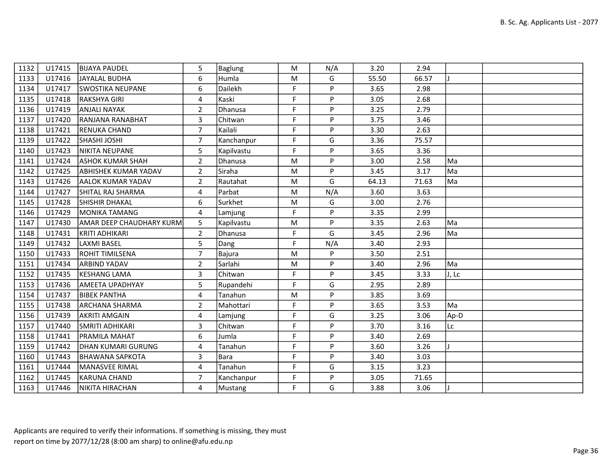| 1132 | U17415 | <b>BIJAYA PAUDEL</b>         | 5              | <b>Baglung</b> | M         | N/A | 3.20  | 2.94  |       |  |
|------|--------|------------------------------|----------------|----------------|-----------|-----|-------|-------|-------|--|
| 1133 | U17416 | JAYALAL BUDHA                | 6              | Humla          | M         | G   | 55.50 | 66.57 |       |  |
| 1134 | U17417 | <b>SWOSTIKA NEUPANE</b>      | 6              | Dailekh        | F         | P   | 3.65  | 2.98  |       |  |
| 1135 | U17418 | RAKSHYA GIRI                 | 4              | Kaski          | F         | P   | 3.05  | 2.68  |       |  |
| 1136 | U17419 | ANJALI NAYAK                 | $\overline{2}$ | Dhanusa        | F.        | P   | 3.25  | 2.79  |       |  |
| 1137 | U17420 | <b>IRANJANA RANABHAT</b>     | 3              | Chitwan        | F         | Þ   | 3.75  | 3.46  |       |  |
| 1138 | U17421 | <b>RENUKA CHAND</b>          | $\overline{7}$ | Kailali        | F         | P   | 3.30  | 2.63  |       |  |
| 1139 | U17422 | SHASHI JOSHI                 | $\overline{7}$ | Kanchanpur     | F         | G   | 3.36  | 75.57 |       |  |
| 1140 | U17423 | <b>NIKITA NEUPANE</b>        | 5              | Kapilvastu     | F.        | P   | 3.65  | 3.36  |       |  |
| 1141 | U17424 | <b>JASHOK KUMAR SHAH</b>     | $\overline{2}$ | Dhanusa        | M         | P   | 3.00  | 2.58  | Ma    |  |
| 1142 | U17425 | <b>JABHISHEK KUMAR YADAV</b> | $\overline{2}$ | Siraha         | M         | P   | 3.45  | 3.17  | Ma    |  |
| 1143 | U17426 | <b>AALOK KUMAR YADAV</b>     | $\overline{2}$ | Rautahat       | M         | G   | 64.13 | 71.63 | Ma    |  |
| 1144 | U17427 | SHITAL RAJ SHARMA            | 4              | Parbat         | M         | N/A | 3.60  | 3.63  |       |  |
| 1145 | U17428 | <b>SHISHIR DHAKAL</b>        | 6              | Surkhet        | M         | G   | 3.00  | 2.76  |       |  |
| 1146 | U17429 | MONIKA TAMANG                | $\overline{4}$ | Lamjung        | F.        | P.  | 3.35  | 2.99  |       |  |
| 1147 | U17430 | AMAR DEEP CHAUDHARY KURM     | 5              | Kapilvastu     | ${\sf M}$ | P   | 3.35  | 2.63  | Ma    |  |
| 1148 | U17431 | <b>KRITI ADHIKARI</b>        | $\overline{2}$ | Dhanusa        | F         | G   | 3.45  | 2.96  | Ma    |  |
| 1149 | U17432 | LAXMI BASEL                  | 5              | Dang           | F.        | N/A | 3.40  | 2.93  |       |  |
| 1150 | U17433 | <b>ROHIT TIMILSENA</b>       | $\overline{7}$ | Bajura         | M         | P   | 3.50  | 2.51  |       |  |
| 1151 | U17434 | <b>ARBIND YADAV</b>          | $\overline{2}$ | Sarlahi        | M         | P   | 3.40  | 2.96  | lMa   |  |
| 1152 | U17435 | KESHANG LAMA                 | 3              | Chitwan        | F.        | P.  | 3.45  | 3.33  | J, Lc |  |
| 1153 | U17436 | <b>AMEETA UPADHYAY</b>       | 5              | Rupandehi      | F.        | G   | 2.95  | 2.89  |       |  |
| 1154 | U17437 | <b>BIBEK PANTHA</b>          | 4              | Tanahun        | M         | P   | 3.85  | 3.69  |       |  |
| 1155 | U17438 | ARCHANA SHARMA               | $\overline{2}$ | Mahottari      | F.        | P   | 3.65  | 3.53  | Ma    |  |
| 1156 | U17439 | <b>AKRITI AMGAIN</b>         | 4              | Lamjung        | F.        | G   | 3.25  | 3.06  | Ap-D  |  |
| 1157 | U17440 | SMRITI ADHIKARI              | 3              | Chitwan        | F         | P   | 3.70  | 3.16  | Lc    |  |
| 1158 | U17441 | PRAMILA MAHAT                | 6              | Jumla          | F         | P   | 3.40  | 2.69  |       |  |
| 1159 | U17442 | DHAN KUMARI GURUNG           | 4              | Tanahun        | F.        | P   | 3.60  | 3.26  |       |  |
| 1160 | U17443 | BHAWANA SAPKOTA              | $\mathbf{3}$   | Bara           | F         | P   | 3.40  | 3.03  |       |  |
| 1161 | U17444 | MANASVEE RIMAL               | $\overline{4}$ | Tanahun        | F.        | G   | 3.15  | 3.23  |       |  |
| 1162 | U17445 | KARUNA CHAND                 | $\overline{7}$ | Kanchanpur     | F.        | Þ   | 3.05  | 71.65 |       |  |
| 1163 | U17446 | NIKITA HIRACHAN              | 4              | Mustang        | F.        | G   | 3.88  | 3.06  |       |  |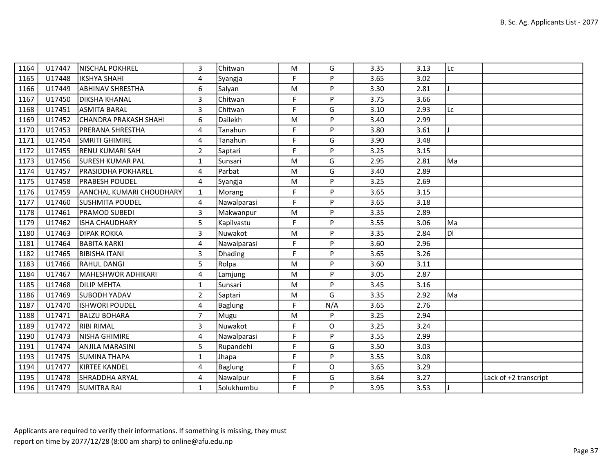| 1164 | U17447 | NISCHAL POKHREL           | 3                       | Chitwan     | M  | G            | 3.35 | 3.13 | Lc   |                       |
|------|--------|---------------------------|-------------------------|-------------|----|--------------|------|------|------|-----------------------|
| 1165 | U17448 | <b>IKSHYA SHAHI</b>       | 4                       | Syangja     | F. | P            | 3.65 | 3.02 |      |                       |
| 1166 | U17449 | <b>ABHINAV SHRESTHA</b>   | 6                       | Salyan      | M  | <b>D</b>     | 3.30 | 2.81 |      |                       |
| 1167 | U17450 | <b>DIKSHA KHANAL</b>      | 3                       | Chitwan     | F. | P            | 3.75 | 3.66 |      |                       |
| 1168 | U17451 | ASMITA BARAL              | 3                       | Chitwan     | F. | G            | 3.10 | 2.93 | Lc   |                       |
| 1169 | U17452 | CHANDRA PRAKASH SHAHI     | 6                       | Dailekh     | M  | P            | 3.40 | 2.99 |      |                       |
| 1170 | U17453 | <b>PRERANA SHRESTHA</b>   | 4                       | Tanahun     | F. | P            | 3.80 | 3.61 |      |                       |
| 1171 | U17454 | SMRITI GHIMIRE            | 4                       | Tanahun     | F. | G            | 3.90 | 3.48 |      |                       |
| 1172 | U17455 | RENU KUMARI SAH           | $\overline{2}$          | Saptari     | F. | P            | 3.25 | 3.15 |      |                       |
| 1173 | U17456 | <b>SURESH KUMAR PAL</b>   | $\mathbf{1}$            | Sunsari     | M  | G            | 2.95 | 2.81 | Ma   |                       |
| 1174 | U17457 | <b>PRASIDDHA POKHAREL</b> | 4                       | Parbat      | M  | G            | 3.40 | 2.89 |      |                       |
| 1175 | U17458 | PRABESH POUDEL            | 4                       | Syangja     | M  | P            | 3.25 | 2.69 |      |                       |
| 1176 | U17459 | AANCHAL KUMARI CHOUDHARY  | $\mathbf{1}$            | Morang      | F. | P            | 3.65 | 3.15 |      |                       |
| 1177 | U17460 | SUSHMITA POUDEL           | 4                       | Nawalparasi | F  | P            | 3.65 | 3.18 |      |                       |
| 1178 | U17461 | PRAMOD SUBEDI             | $\overline{3}$          | Makwanpur   | M  | P.           | 3.35 | 2.89 |      |                       |
| 1179 | U17462 | <b>ISHA CHAUDHARY</b>     | 5                       | Kapilvastu  | F  | P            | 3.55 | 3.06 | Ma   |                       |
| 1180 | U17463 | <b>DIPAK ROKKA</b>        | $\overline{3}$          | Nuwakot     | M  | P            | 3.35 | 2.84 | IDI. |                       |
| 1181 | U17464 | BABITA KARKI              | $\overline{4}$          | Nawalparasi | F. | P.           | 3.60 | 2.96 |      |                       |
| 1182 | U17465 | <b>BIBISHA ITANI</b>      | $\mathbf{3}$            | Dhading     | F  | P            | 3.65 | 3.26 |      |                       |
| 1183 | U17466 | <b>RAHUL DANGI</b>        | 5                       | Rolpa       | M  | P            | 3.60 | 3.11 |      |                       |
| 1184 | U17467 | MAHESHWOR ADHIKARI        | $\overline{4}$          | Lamjung     | M  | P.           | 3.05 | 2.87 |      |                       |
| 1185 | U17468 | <b>DILIP MEHTA</b>        | $\mathbf 1$             | Sunsari     | M  | P            | 3.45 | 3.16 |      |                       |
| 1186 | U17469 | ISUBODH YADAV             | $\overline{2}$          | Saptari     | M  | G            | 3.35 | 2.92 | lMa  |                       |
| 1187 | U17470 | <b>ISHWORI POUDEL</b>     | 4                       | Baglung     | F. | N/A          | 3.65 | 2.76 |      |                       |
| 1188 | U17471 | <b>BALZU BOHARA</b>       | $\overline{7}$          | Mugu        | M  | P            | 3.25 | 2.94 |      |                       |
| 1189 | U17472 | <b>RIBI RIMAL</b>         | $\mathbf{3}$            | Nuwakot     | F  | $\mathsf{O}$ | 3.25 | 3.24 |      |                       |
| 1190 | U17473 | <b>NISHA GHIMIRE</b>      | $\overline{4}$          | Nawalparasi | F  | P            | 3.55 | 2.99 |      |                       |
| 1191 | U17474 | <b>ANJILA MARASINI</b>    | 5                       | Rupandehi   | F. | G            | 3.50 | 3.03 |      |                       |
| 1193 | U17475 | SUMINA THAPA              | $\mathbf{1}$            | Jhapa       | F  | P            | 3.55 | 3.08 |      |                       |
| 1194 | U17477 | KIRTEE KANDEL             | $\overline{\mathbf{4}}$ | Baglung     | F. | $\mathsf O$  | 3.65 | 3.29 |      |                       |
| 1195 | U17478 | <b>SHRADDHA ARYAL</b>     | 4                       | Nawalpur    | F  | G            | 3.64 | 3.27 |      | Lack of +2 transcript |
| 1196 | U17479 | <b>SUMITRA RAI</b>        | $\mathbf{1}$            | Solukhumbu  | F. | P            | 3.95 | 3.53 |      |                       |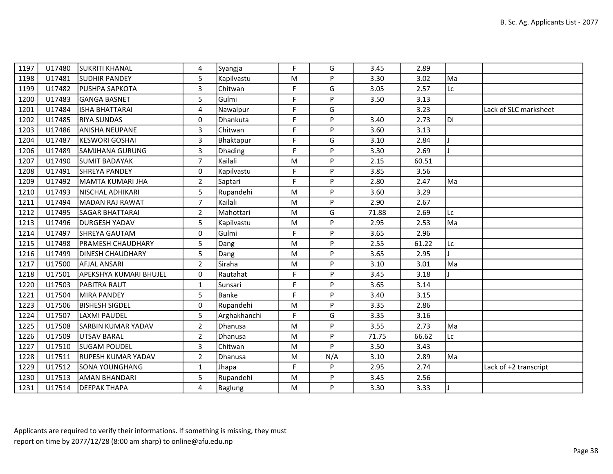| 1197 | U17480 | SUKRITI KHANAL            | 4              | Syangja        | F. | G   | 3.45  | 2.89  |      |                       |
|------|--------|---------------------------|----------------|----------------|----|-----|-------|-------|------|-----------------------|
| 1198 | U17481 | <b>SUDHIR PANDEY</b>      | 5              | Kapilvastu     | M  | P   | 3.30  | 3.02  | lMa  |                       |
| 1199 | U17482 | <b>PUSHPA SAPKOTA</b>     | $\mathbf{3}$   | Chitwan        | F. | G   | 3.05  | 2.57  | Lc   |                       |
| 1200 | U17483 | <b>GANGA BASNET</b>       | 5              | Gulmi          | F  | P   | 3.50  | 3.13  |      |                       |
| 1201 | U17484 | <b>ISHA BHATTARAI</b>     | 4              | Nawalpur       | F. | G   |       | 3.23  |      | Lack of SLC marksheet |
| 1202 | U17485 | <b>RIYA SUNDAS</b>        | $\mathbf 0$    | Dhankuta       | F. | P   | 3.40  | 2.73  | ldi  |                       |
| 1203 | U17486 | <b>ANISHA NEUPANE</b>     | 3              | Chitwan        | F. | P   | 3.60  | 3.13  |      |                       |
| 1204 | U17487 | <b>KESWORI GOSHAI</b>     | $\mathsf{3}$   | Bhaktapur      | F. | G   | 3.10  | 2.84  |      |                       |
| 1206 | U17489 | <b>SAMJHANA GURUNG</b>    | 3              | Dhading        | F  | P   | 3.30  | 2.69  |      |                       |
| 1207 | U17490 | SUMIT BADAYAK             | $\overline{7}$ | Kailali        | M  | P   | 2.15  | 60.51 |      |                       |
| 1208 | U17491 | <b>SHREYA PANDEY</b>      | $\mathbf 0$    | Kapilvastu     | F. | P   | 3.85  | 3.56  |      |                       |
| 1209 | U17492 | MAMTA KUMARI JHA          | $\overline{2}$ | Saptari        | F. | P   | 2.80  | 2.47  | Ma   |                       |
| 1210 | U17493 | NISCHAL ADHIKARI          | 5              | Rupandehi      | M  | P   | 3.60  | 3.29  |      |                       |
| 1211 | U17494 | <b>MADAN RAJ RAWAT</b>    | $\overline{7}$ | Kailali        | M  | P   | 2.90  | 2.67  |      |                       |
| 1212 | U17495 | SAGAR BHATTARAI           | $\overline{2}$ | Mahottari      | M  | G   | 71.88 | 2.69  | Lc   |                       |
| 1213 | U17496 | <b>DURGESH YADAV</b>      | 5              | Kapilvastu     | M  | P   | 2.95  | 2.53  | Ma   |                       |
| 1214 | U17497 | <b>SHREYA GAUTAM</b>      | $\mathbf 0$    | Gulmi          | F  | P   | 3.65  | 2.96  |      |                       |
| 1215 | U17498 | <b>PRAMESH CHAUDHARY</b>  | 5              | Dang           | M  | P   | 2.55  | 61.22 | Lc   |                       |
| 1216 | U17499 | <b>DINESH CHAUDHARY</b>   | 5              | Dang           | M  | P   | 3.65  | 2.95  |      |                       |
| 1217 | U17500 | <b>AFJAL ANSARI</b>       | $\overline{2}$ | Siraha         | M  | P   | 3.10  | 3.01  | Ma   |                       |
| 1218 | U17501 | APEKSHYA KUMARI BHUJEL    | $\mathbf 0$    | Rautahat       | F. | P   | 3.45  | 3.18  |      |                       |
| 1220 | U17503 | PABITRA RAUT              | $\mathbf{1}$   | Sunsari        | È. | P   | 3.65  | 3.14  |      |                       |
| 1221 | U17504 | <b>MIRA PANDEY</b>        | 5              | Banke          | F  | P   | 3.40  | 3.15  |      |                       |
| 1223 | U17506 | <b>BISHESH SIGDEL</b>     | $\mathbf 0$    | Rupandehi      | M  | P   | 3.35  | 2.86  |      |                       |
| 1224 | U17507 | LAXMI PAUDEL              | 5              | Arghakhanchi   | F. | G   | 3.35  | 3.16  |      |                       |
| 1225 | U17508 | <b>SARBIN KUMAR YADAV</b> | $\overline{2}$ | Dhanusa        | M  | P   | 3.55  | 2.73  | l Ma |                       |
| 1226 | U17509 | <b>UTSAV BARAL</b>        | $\overline{2}$ | Dhanusa        | M  | P   | 71.75 | 66.62 | Lc   |                       |
| 1227 | U17510 | lsugam poudel             | 3              | Chitwan        | M  | P   | 3.50  | 3.43  |      |                       |
| 1228 | U17511 | <b>RUPESH KUMAR YADAV</b> | $\overline{2}$ | Dhanusa        | M  | N/A | 3.10  | 2.89  | Ma   |                       |
| 1229 | U17512 | SONA YOUNGHANG            | $\mathbf{1}$   | Jhapa          | F. | P   | 2.95  | 2.74  |      | Lack of +2 transcript |
| 1230 | U17513 | AMAN BHANDARI             | 5              | Rupandehi      | M  | P   | 3.45  | 2.56  |      |                       |
| 1231 | U17514 | <b>DEEPAK THAPA</b>       | 4              | <b>Baglung</b> | M  | P   | 3.30  | 3.33  |      |                       |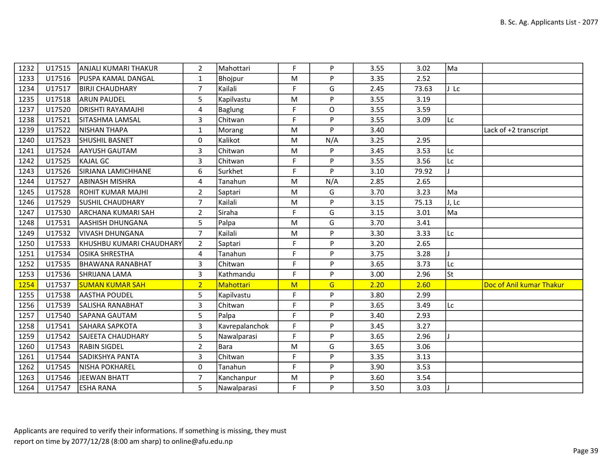| 1232 | U17515 | <b>ANJALI KUMARI THAKUR</b> | $\overline{2}$          | Mahottari        | F  | P   | 3.55 | 3.02  | Ma        |                          |
|------|--------|-----------------------------|-------------------------|------------------|----|-----|------|-------|-----------|--------------------------|
| 1233 | U17516 | <b>PUSPA KAMAL DANGAL</b>   | $\mathbf{1}$            | Bhojpur          | M  | P   | 3.35 | 2.52  |           |                          |
| 1234 | U17517 | <b>BIRJI CHAUDHARY</b>      | $\overline{7}$          | Kailali          | F. | G   | 2.45 | 73.63 | J Lc      |                          |
| 1235 | U17518 | <b>ARUN PAUDEL</b>          | 5                       | Kapilvastu       | M  | P   | 3.55 | 3.19  |           |                          |
| 1237 | U17520 | DRISHTI RAYAMAJHI           | $\overline{\mathbf{4}}$ | <b>Baglung</b>   | F. | O   | 3.55 | 3.59  |           |                          |
| 1238 | U17521 | SITASHMA LAMSAL             | 3                       | Chitwan          | F. | P   | 3.55 | 3.09  | <b>Lc</b> |                          |
| 1239 | U17522 | NISHAN THAPA                | $\mathbf{1}$            | Morang           | M  | P   | 3.40 |       |           | Lack of +2 transcript    |
| 1240 | U17523 | SHUSHIL BASNET              | 0                       | Kalikot          | M  | N/A | 3.25 | 2.95  |           |                          |
| 1241 | U17524 | <b>AAYUSH GAUTAM</b>        | 3                       | Chitwan          | M  | P   | 3.45 | 3.53  | Lc        |                          |
| 1242 | U17525 | KAJAL GC                    | 3                       | Chitwan          | F  | P   | 3.55 | 3.56  | Lc        |                          |
| 1243 | U17526 | SIRJANA LAMICHHANE          | 6                       | Surkhet          | F  | P   | 3.10 | 79.92 |           |                          |
| 1244 | U17527 | <b>ABINASH MISHRA</b>       | 4                       | Tanahun          | M  | N/A | 2.85 | 2.65  |           |                          |
| 1245 | U17528 | <b>ROHIT KUMAR MAJHI</b>    | $\overline{2}$          | Saptari          | M  | G   | 3.70 | 3.23  | Ma        |                          |
| 1246 | U17529 | <b>SUSHIL CHAUDHARY</b>     | $\overline{7}$          | Kailali          | M  | P   | 3.15 | 75.13 | J, Lc     |                          |
| 1247 | U17530 | <b>ARCHANA KUMARI SAH</b>   | $\overline{2}$          | Siraha           | F. | G   | 3.15 | 3.01  | l Ma      |                          |
| 1248 | U17531 | AASHISH DHUNGANA            | 5                       | Palpa            | M  | G   | 3.70 | 3.41  |           |                          |
| 1249 | U17532 | VIVASH DHUNGANA             | $\overline{7}$          | Kailali          | M  | P   | 3.30 | 3.33  | Lc        |                          |
| 1250 | U17533 | KHUSHBU KUMARI CHAUDHARY    | $\overline{2}$          | Saptari          | F  | P   | 3.20 | 2.65  |           |                          |
| 1251 | U17534 | <b>OSIKA SHRESTHA</b>       | 4                       | Tanahun          | F  | P   | 3.75 | 3.28  |           |                          |
| 1252 | U17535 | BHAWANA RANABHAT            | 3                       | Chitwan          | F. | P   | 3.65 | 3.73  | Lc        |                          |
| 1253 | U17536 | SHRIJANA LAMA               | 3                       | Kathmandu        | F. | P   | 3.00 | 2.96  | <b>St</b> |                          |
| 1254 | U17537 | <b>SUMAN KUMAR SAH</b>      | $\overline{2}$          | <b>Mahottari</b> | M  | G   | 2.20 | 2.60  |           | Doc of Anil kumar Thakur |
| 1255 | U17538 | <b>AASTHA POUDEL</b>        | 5                       | Kapilvastu       | F  | P   | 3.80 | 2.99  |           |                          |
| 1256 | U17539 | <b>SALISHA RANABHAT</b>     | 3                       | Chitwan          | F. | P   | 3.65 | 3.49  | Lc        |                          |
| 1257 | U17540 | SAPANA GAUTAM               | 5                       | Palpa            | E  | P   | 3.40 | 2.93  |           |                          |
| 1258 | U17541 | SAHARA SAPKOTA              | 3                       | Kavrepalanchok   | F  | P   | 3.45 | 3.27  |           |                          |
| 1259 | U17542 | SAJEETA CHAUDHARY           | 5                       | Nawalparasi      | F. | P   | 3.65 | 2.96  |           |                          |
| 1260 | U17543 | <b>RABIN SIGDEL</b>         | $\overline{2}$          | <b>Bara</b>      | M  | G   | 3.65 | 3.06  |           |                          |
| 1261 | U17544 | SADIKSHYA PANTA             | 3                       | Chitwan          | F  | P   | 3.35 | 3.13  |           |                          |
| 1262 | U17545 | NISHA POKHAREL              | 0                       | Tanahun          | F. | P   | 3.90 | 3.53  |           |                          |
| 1263 | U17546 | JEEWAN BHATT                | $\overline{7}$          | Kanchanpur       | M  | P   | 3.60 | 3.54  |           |                          |
| 1264 | U17547 | <b>ESHA RANA</b>            | 5                       | Nawalparasi      | F. | P   | 3.50 | 3.03  |           |                          |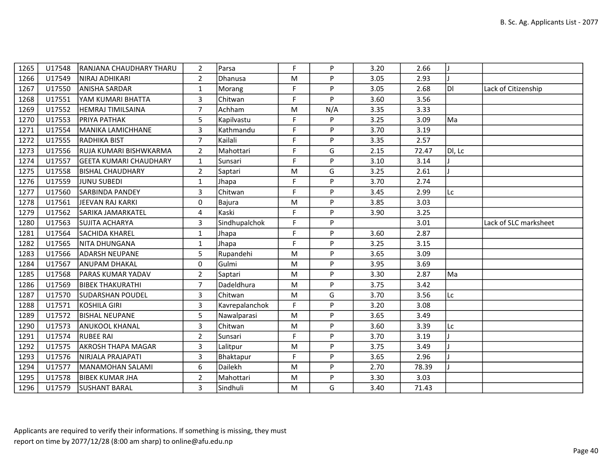| 1265 | U17548 | <b>RANJANA CHAUDHARY THARU</b> | $\overline{2}$ | Parsa          | F         | P   | 3.20 | 2.66  |        |                       |
|------|--------|--------------------------------|----------------|----------------|-----------|-----|------|-------|--------|-----------------------|
| 1266 | U17549 | NIRAJ ADHIKARI                 | $\overline{2}$ | Dhanusa        | M         | P   | 3.05 | 2.93  |        |                       |
| 1267 | U17550 | <b>ANISHA SARDAR</b>           | $\mathbf{1}$   | Morang         | F.        | Þ   | 3.05 | 2.68  | IDI.   | Lack of Citizenship   |
| 1268 | U17551 | YAM KUMARI BHATTA              | 3              | Chitwan        | F         | P   | 3.60 | 3.56  |        |                       |
| 1269 | U17552 | <b>HEMRAJ TIMILSAINA</b>       | $\overline{7}$ | Achham         | M         | N/A | 3.35 | 3.33  |        |                       |
| 1270 | U17553 | <b>PRIYA PATHAK</b>            | 5              | Kapilvastu     | F.        | D   | 3.25 | 3.09  | Ma     |                       |
| 1271 | U17554 | MANIKA LAMICHHANE              | $\overline{3}$ | Kathmandu      | F         | P   | 3.70 | 3.19  |        |                       |
| 1272 | U17555 | RADHIKA BIST                   | $\overline{7}$ | Kailali        | F.        | P   | 3.35 | 2.57  |        |                       |
| 1273 | U17556 | RUJA KUMARI BISHWKARMA         | $\overline{2}$ | Mahottari      | F         | G   | 2.15 | 72.47 | DI, LC |                       |
| 1274 | U17557 | <b>GEETA KUMARI CHAUDHARY</b>  | $\mathbf{1}$   | Sunsari        | F         | P   | 3.10 | 3.14  |        |                       |
| 1275 | U17558 | <b>BISHAL CHAUDHARY</b>        | $\overline{2}$ | Saptari        | M         | G   | 3.25 | 2.61  |        |                       |
| 1276 | U17559 | JUNU SUBEDI                    | $\mathbf{1}$   | Jhapa          | F         | Þ   | 3.70 | 2.74  |        |                       |
| 1277 | U17560 | <b>SARBINDA PANDEY</b>         | $\mathsf{3}$   | Chitwan        | F.        | P   | 3.45 | 2.99  | Lc     |                       |
| 1278 | U17561 | JEEVAN RAJ KARKI               | 0              | Bajura         | M         | P   | 3.85 | 3.03  |        |                       |
| 1279 | U17562 | SARIKA JAMARKATEL              | $\overline{4}$ | Kaski          | F.        | P   | 3.90 | 3.25  |        |                       |
| 1280 | U17563 | SUJITA ACHARYA                 | $\overline{3}$ | Sindhupalchok  | F         | P   |      | 3.01  |        | Lack of SLC marksheet |
| 1281 | U17564 | SACHIDA KHAREL                 | $\mathbf{1}$   | Jhapa          | F.        | P   | 3.60 | 2.87  |        |                       |
| 1282 | U17565 | <b>NITA DHUNGANA</b>           | $\mathbf{1}$   | Jhapa          | F.        | P   | 3.25 | 3.15  |        |                       |
| 1283 | U17566 | <b>ADARSH NEUPANE</b>          | 5              | Rupandehi      | M         | P   | 3.65 | 3.09  |        |                       |
| 1284 | U17567 | lanupam dhakal                 | 0              | Gulmi          | M         | P   | 3.95 | 3.69  |        |                       |
| 1285 | U17568 | <b>PARAS KUMAR YADAV</b>       | $\overline{2}$ | Saptari        | M         | P   | 3.30 | 2.87  | Ma     |                       |
| 1286 | U17569 | <b>BIBEK THAKURATHI</b>        | $\overline{7}$ | Dadeldhura     | M         | P   | 3.75 | 3.42  |        |                       |
| 1287 | U17570 | <b>SUDARSHAN POUDEL</b>        | 3              | Chitwan        | M         | G   | 3.70 | 3.56  | Lc     |                       |
| 1288 | U17571 | KOSHILA GIRI                   | $\mathsf{3}$   | Kavrepalanchok | F.        | P   | 3.20 | 3.08  |        |                       |
| 1289 | U17572 | <b>BISHAL NEUPANE</b>          | 5              | Nawalparasi    | M         | P   | 3.65 | 3.49  |        |                       |
| 1290 | U17573 | ANUKOOL KHANAL                 | $\overline{3}$ | Chitwan        | M         | P   | 3.60 | 3.39  | Lc     |                       |
| 1291 | U17574 | <b>RUBEE RAI</b>               | $\overline{2}$ | Sunsari        | F         | P   | 3.70 | 3.19  |        |                       |
| 1292 | U17575 | <b>AKROSH THAPA MAGAR</b>      | 3              | Lalitpur       | M         | Þ   | 3.75 | 3.49  |        |                       |
| 1293 | U17576 | NIRJALA PRAJAPATI              | $\overline{3}$ | Bhaktapur      | F         | P   | 3.65 | 2.96  |        |                       |
| 1294 | U17577 | MANAMOHAN SALAMI               | 6              | Dailekh        | ${\sf M}$ | P   | 2.70 | 78.39 |        |                       |
| 1295 | U17578 | <b>BIBEK KUMAR JHA</b>         | $\overline{2}$ | Mahottari      | M         | D   | 3.30 | 3.03  |        |                       |
| 1296 | U17579 | <b>SUSHANT BARAL</b>           | $\overline{3}$ | Sindhuli       | M         | G   | 3.40 | 71.43 |        |                       |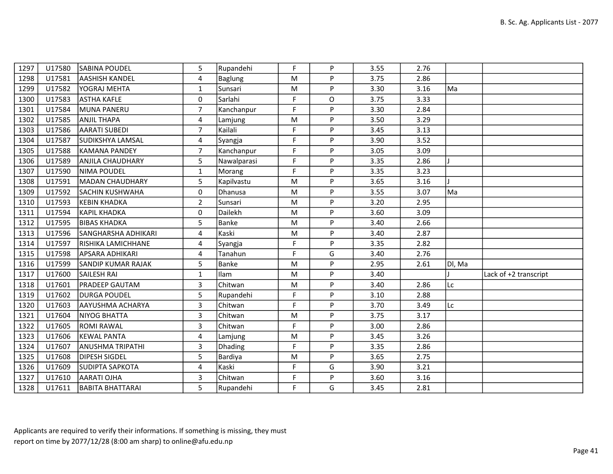| 1297 | U17580 | <b>SABINA POUDEL</b>    | 5              | Rupandehi      | F  | P            | 3.55 | 2.76 |        |                       |
|------|--------|-------------------------|----------------|----------------|----|--------------|------|------|--------|-----------------------|
| 1298 | U17581 | <b>AASHISH KANDEL</b>   | 4              | <b>Baglung</b> | M  | P            | 3.75 | 2.86 |        |                       |
| 1299 | U17582 | YOGRAJ MEHTA            | $\mathbf{1}$   | Sunsari        | M  | P            | 3.30 | 3.16 | l Ma   |                       |
| 1300 | U17583 | <b>ASTHA KAFLE</b>      | $\mathbf 0$    | Sarlahi        | F  | $\mathsf{O}$ | 3.75 | 3.33 |        |                       |
| 1301 | U17584 | MUNA PANERU             | $\overline{7}$ | Kanchanpur     | F. | P            | 3.30 | 2.84 |        |                       |
| 1302 | U17585 | <b>ANJIL THAPA</b>      | 4              | Lamjung        | M  | Þ            | 3.50 | 3.29 |        |                       |
| 1303 | U17586 | AARATI SUBEDI           | $\overline{7}$ | Kailali        | F  | P            | 3.45 | 3.13 |        |                       |
| 1304 | U17587 | SUDIKSHYA LAMSAL        | 4              | Syangja        | F  | P            | 3.90 | 3.52 |        |                       |
| 1305 | U17588 | KAMANA PANDEY           | $\overline{7}$ | Kanchanpur     | F  | P            | 3.05 | 3.09 |        |                       |
| 1306 | U17589 | ANJILA CHAUDHARY        | 5              | Nawalparasi    | F  | P            | 3.35 | 2.86 |        |                       |
| 1307 | U17590 | NIMA POUDEL             | $\mathbf{1}$   | Morang         | F  | P            | 3.35 | 3.23 |        |                       |
| 1308 | U17591 | MADAN CHAUDHARY         | 5              | Kapilvastu     | M  | P            | 3.65 | 3.16 |        |                       |
| 1309 | U17592 | SACHIN KUSHWAHA         | $\mathbf 0$    | Dhanusa        | M  | P            | 3.55 | 3.07 | Ma     |                       |
| 1310 | U17593 | KEBIN KHADKA            | $\overline{2}$ | Sunsari        | M  | P            | 3.20 | 2.95 |        |                       |
| 1311 | U17594 | KAPIL KHADKA            | $\mathbf 0$    | Dailekh        | M  | P            | 3.60 | 3.09 |        |                       |
| 1312 | U17595 | <b>BIBAS KHADKA</b>     | 5              | Banke          | M  | P            | 3.40 | 2.66 |        |                       |
| 1313 | U17596 | SANGHARSHA ADHIKARI     | 4              | Kaski          | M  | P            | 3.40 | 2.87 |        |                       |
| 1314 | U17597 | RISHIKA LAMICHHANE      | $\overline{4}$ | Syangja        | F. | P.           | 3.35 | 2.82 |        |                       |
| 1315 | U17598 | <b>APSARA ADHIKARI</b>  | 4              | Tanahun        | F  | G            | 3.40 | 2.76 |        |                       |
| 1316 | U17599 | SANDIP KUMAR RAJAK      | 5              | Banke          | M  | P            | 2.95 | 2.61 | Dl, Ma |                       |
| 1317 | U17600 | SAILESH RAI             | $\mathbf 1$    | Ilam           | M  | P.           | 3.40 |      |        | Lack of +2 transcript |
| 1318 | U17601 | <b>PRADEEP GAUTAM</b>   | $\mathbf{3}$   | Chitwan        | M  | P            | 3.40 | 2.86 | Lc     |                       |
| 1319 | U17602 | <b>DURGA POUDEL</b>     | 5              | Rupandehi      | F  | P            | 3.10 | 2.88 |        |                       |
| 1320 | U17603 | AAYUSHMA ACHARYA        | 3              | Chitwan        | F. | P            | 3.70 | 3.49 | Lc     |                       |
| 1321 | U17604 | <b>NIYOG BHATTA</b>     | 3              | Chitwan        | M  | P            | 3.75 | 3.17 |        |                       |
| 1322 | U17605 | ROMI RAWAL              | 3              | Chitwan        | F  | P            | 3.00 | 2.86 |        |                       |
| 1323 | U17606 | KEWAL PANTA             | 4              | Lamjung        | M  | P            | 3.45 | 3.26 |        |                       |
| 1324 | U17607 | <b>ANUSHMA TRIPATHI</b> | 3              | Dhading        | F. | P            | 3.35 | 2.86 |        |                       |
| 1325 | U17608 | <b>DIPESH SIGDEL</b>    | 5              | Bardiya        | M  | P            | 3.65 | 2.75 |        |                       |
| 1326 | U17609 | SUDIPTA SAPKOTA         | $\pmb{4}$      | Kaski          | F  | G            | 3.90 | 3.21 |        |                       |
| 1327 | U17610 | <b>AARATI OJHA</b>      | 3              | Chitwan        | E  | Þ            | 3.60 | 3.16 |        |                       |
| 1328 | U17611 | <b>BABITA BHATTARAI</b> | 5              | Rupandehi      | F. | G            | 3.45 | 2.81 |        |                       |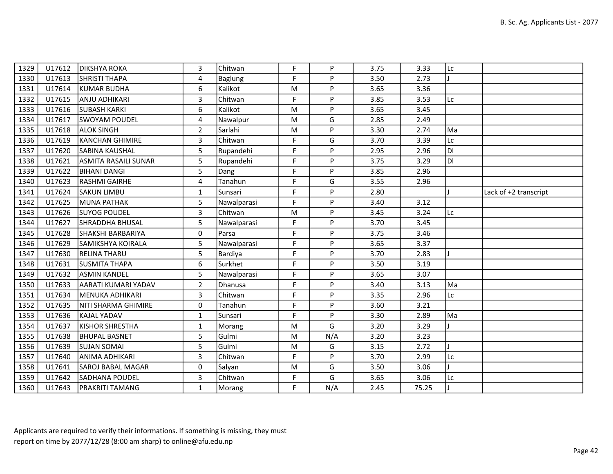| 1329 | U17612 | DIKSHYA ROKA           | 3              | Chitwan        | F         | P   | 3.75 | 3.33  | Lc |                       |
|------|--------|------------------------|----------------|----------------|-----------|-----|------|-------|----|-----------------------|
| 1330 | U17613 | SHRISTI THAPA          | 4              | <b>Baglung</b> | F         | P   | 3.50 | 2.73  |    |                       |
| 1331 | U17614 | KUMAR BUDHA            | 6              | Kalikot        | M         | P   | 3.65 | 3.36  |    |                       |
| 1332 | U17615 | ANJU ADHIKARI          | 3              | Chitwan        | F         | P   | 3.85 | 3.53  | Lc |                       |
| 1333 | U17616 | SUBASH KARKI           | 6              | Kalikot        | M         | P   | 3.65 | 3.45  |    |                       |
| 1334 | U17617 | SWOYAM POUDEL          | $\overline{4}$ | Nawalpur       | M         | G   | 2.85 | 2.49  |    |                       |
| 1335 | U17618 | ALOK SINGH             | $\overline{2}$ | Sarlahi        | M         | P   | 3.30 | 2.74  | Ma |                       |
| 1336 | U17619 | <b>KANCHAN GHIMIRE</b> | $\overline{3}$ | Chitwan        | F         | G   | 3.70 | 3.39  | Lc |                       |
| 1337 | U17620 | SABINA KAUSHAL         | 5              | Rupandehi      | F.        | P   | 2.95 | 2.96  | DI |                       |
| 1338 | U17621 | ASMITA RASAILI SUNAR   | 5              | Rupandehi      | F         | P   | 3.75 | 3.29  | DI |                       |
| 1339 | U17622 | <b>BIHANI DANGI</b>    | 5              | Dang           | F         | P   | 3.85 | 2.96  |    |                       |
| 1340 | U17623 | RASHMI GAIRHE          | $\overline{4}$ | Tanahun        | F.        | G   | 3.55 | 2.96  |    |                       |
| 1341 | U17624 | SAKUN LIMBU            | $\mathbf{1}$   | Sunsari        | F         | P   | 2.80 |       |    | Lack of +2 transcript |
| 1342 | U17625 | MUNA PATHAK            | 5              | Nawalparasi    | F         | P   | 3.40 | 3.12  |    |                       |
| 1343 | U17626 | SUYOG POUDEL           | 3              | Chitwan        | M         | P   | 3.45 | 3.24  | Lc |                       |
| 1344 | U17627 | SHRADDHA BHUSAL        | 5              | Nawalparasi    | F         | Þ   | 3.70 | 3.45  |    |                       |
| 1345 | U17628 | SHAKSHI BARBARIYA      | $\mathbf 0$    | Parsa          | F         | P   | 3.75 | 3.46  |    |                       |
| 1346 | U17629 | SAMIKSHYA KOIRALA      | 5              | Nawalparasi    | F.        | P   | 3.65 | 3.37  |    |                       |
| 1347 | U17630 | RELINA THARU           | 5              | Bardiya        | F.        | P   | 3.70 | 2.83  |    |                       |
| 1348 | U17631 | SUSMITA THAPA          | 6              | Surkhet        | F         | P   | 3.50 | 3.19  |    |                       |
| 1349 | U17632 | ASMIN KANDEL           | 5              | Nawalparasi    | F.        | P   | 3.65 | 3.07  |    |                       |
| 1350 | U17633 | AARATI KUMARI YADAV    | $\overline{2}$ | Dhanusa        | F.        | P   | 3.40 | 3.13  | Ma |                       |
| 1351 | U17634 | MENUKA ADHIKARI        | 3              | Chitwan        | F         | P   | 3.35 | 2.96  | Lc |                       |
| 1352 | U17635 | NITI SHARMA GHIMIRE    | $\mathbf 0$    | Tanahun        | F         | P   | 3.60 | 3.21  |    |                       |
| 1353 | U17636 | KAJAL YADAV            | $\mathbf{1}$   | Sunsari        | F         | Þ   | 3.30 | 2.89  | Ma |                       |
| 1354 | U17637 | KISHOR SHRESTHA        | $\mathbf{1}$   | Morang         | ${\sf M}$ | G   | 3.20 | 3.29  |    |                       |
| 1355 | U17638 | <b>BHUPAL BASNET</b>   | 5              | Gulmi          | M         | N/A | 3.20 | 3.23  |    |                       |
| 1356 | U17639 | SUJAN SOMAI            | 5              | Gulmi          | M         | G   | 3.15 | 2.72  |    |                       |
| 1357 | U17640 | ANIMA ADHIKARI         | $\mathsf{3}$   | Chitwan        | F         | P   | 3.70 | 2.99  | Lc |                       |
| 1358 | U17641 | SAROJ BABAL MAGAR      | $\pmb{0}$      | Salyan         | M         | G   | 3.50 | 3.06  |    |                       |
| 1359 | U17642 | SADHANA POUDEL         | $\mathbf{3}$   | Chitwan        | F.        | G   | 3.65 | 3.06  | Lc |                       |
| 1360 | U17643 | PRAKRITI TAMANG        | $\mathbf{1}$   | Morang         | F         | N/A | 2.45 | 75.25 |    |                       |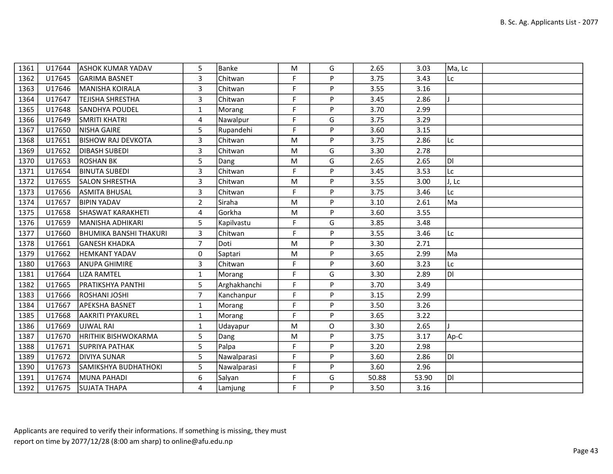| 1361 | U17644 | <b>ASHOK KUMAR YADAV</b>      | 5              | <b>Banke</b> | M         | G | 2.65  | 3.03  | Ma, Lc |  |
|------|--------|-------------------------------|----------------|--------------|-----------|---|-------|-------|--------|--|
| 1362 | U17645 | <b>GARIMA BASNET</b>          | $\overline{3}$ | Chitwan      | F         | P | 3.75  | 3.43  | Lc     |  |
| 1363 | U17646 | MANISHA KOIRALA               | $\mathbf{3}$   | Chitwan      | F.        | Þ | 3.55  | 3.16  |        |  |
| 1364 | U17647 | TEJISHA SHRESTHA              | $\overline{3}$ | Chitwan      | F         | P | 3.45  | 2.86  |        |  |
| 1365 | U17648 | <b>SANDHYA POUDEL</b>         | $\mathbf{1}$   | Morang       | F         | P | 3.70  | 2.99  |        |  |
| 1366 | U17649 | <b>SMRITI KHATRI</b>          | 4              | Nawalpur     | F         | G | 3.75  | 3.29  |        |  |
| 1367 | U17650 | NISHA GAIRE                   | 5              | Rupandehi    | F         | P | 3.60  | 3.15  |        |  |
| 1368 | U17651 | <b>BISHOW RAJ DEVKOTA</b>     | $\overline{3}$ | Chitwan      | M         | P | 3.75  | 2.86  | Lc     |  |
| 1369 | U17652 | <b>DIBASH SUBEDI</b>          | $\mathsf{3}$   | Chitwan      | M         | G | 3.30  | 2.78  |        |  |
| 1370 | U17653 | <b>ROSHAN BK</b>              | 5              | Dang         | M         | G | 2.65  | 2.65  | DI     |  |
| 1371 | U17654 | <b>BINUTA SUBEDI</b>          | 3              | Chitwan      | F         | P | 3.45  | 3.53  | Lc     |  |
| 1372 | U17655 | <b>SALON SHRESTHA</b>         | $\overline{3}$ | Chitwan      | M         | P | 3.55  | 3.00  | J, Lc  |  |
| 1373 | U17656 | <b>ASMITA BHUSAL</b>          | 3              | Chitwan      | F.        | P | 3.75  | 3.46  | Lc     |  |
| 1374 | U17657 | <b>BIPIN YADAV</b>            | $\overline{2}$ | Siraha       | M         | P | 3.10  | 2.61  | Ma     |  |
| 1375 | U17658 | SHASWAT KARAKHETI             | 4              | Gorkha       | M         | P | 3.60  | 3.55  |        |  |
| 1376 | U17659 | MANISHA ADHIKARI              | 5              | Kapilvastu   | F         | G | 3.85  | 3.48  |        |  |
| 1377 | U17660 | <b>BHUMIKA BANSHI THAKURI</b> | $\mathbf{3}$   | Chitwan      | F         | P | 3.55  | 3.46  | Lc     |  |
| 1378 | U17661 | <b>GANESH KHADKA</b>          | $\overline{7}$ | Doti         | M         | P | 3.30  | 2.71  |        |  |
| 1379 | U17662 | <b>HEMKANT YADAV</b>          | $\mathbf 0$    | Saptari      | M         | P | 3.65  | 2.99  | Ma     |  |
| 1380 | U17663 | <b>ANUPA GHIMIRE</b>          | 3              | Chitwan      | F         | P | 3.60  | 3.23  | Lc     |  |
| 1381 | U17664 | <b>LIZA RAMTEL</b>            | $\mathbf{1}$   | Morang       | F.        | G | 3.30  | 2.89  | DI     |  |
| 1382 | U17665 | <b>PRATIKSHYA PANTHI</b>      | 5              | Arghakhanchi | F         | P | 3.70  | 3.49  |        |  |
| 1383 | U17666 | <b>ROSHANI JOSHI</b>          | $\overline{7}$ | Kanchanpur   | F         | P | 3.15  | 2.99  |        |  |
| 1384 | U17667 | <b>APEKSHA BASNET</b>         | $\mathbf{1}$   | Morang       | F.        | P | 3.50  | 3.26  |        |  |
| 1385 | U17668 | AAKRITI PYAKUREL              | $\mathbf{1}$   | Morang       | F.        | P | 3.65  | 3.22  |        |  |
| 1386 | U17669 | <b>JUJWAL RAI</b>             | $\mathbf{1}$   | Udayapur     | M         | O | 3.30  | 2.65  |        |  |
| 1387 | U17670 | HRITHIK BISHWOKARMA           | 5              | Dang         | ${\sf M}$ | P | 3.75  | 3.17  | Ap-C   |  |
| 1388 | U17671 | <b>SUPRIYA PATHAK</b>         | 5              | Palpa        | F.        | P | 3.20  | 2.98  |        |  |
| 1389 | U17672 | <b>IDIVIYA SUNAR</b>          | 5              | Nawalparasi  | F         | P | 3.60  | 2.86  | DI.    |  |
| 1390 | U17673 | SAMIKSHYA BUDHATHOKI          | 5              | Nawalparasi  | F.        | P | 3.60  | 2.96  |        |  |
| 1391 | U17674 | MUNA PAHADI                   | 6              | Salyan       | F         | G | 50.88 | 53.90 | DI     |  |
| 1392 | U17675 | <b>SUJATA THAPA</b>           | 4              | Lamjung      | F.        | P | 3.50  | 3.16  |        |  |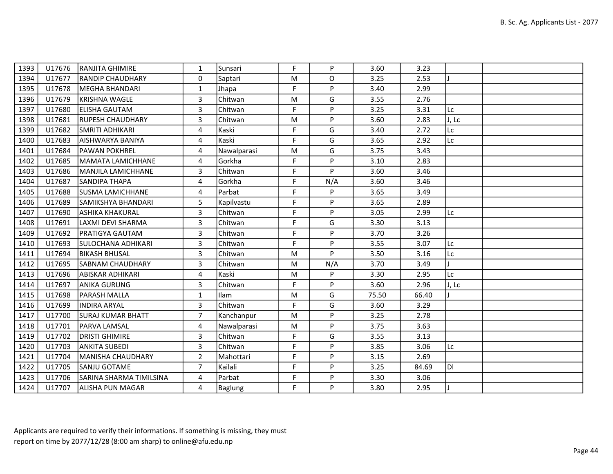| 1393 | U17676 | <b>RANJITA GHIMIRE</b>   | 1              | Sunsari        | F. | P   | 3.60  | 3.23  |           |  |
|------|--------|--------------------------|----------------|----------------|----|-----|-------|-------|-----------|--|
| 1394 | U17677 | <b>RANDIP CHAUDHARY</b>  | $\mathbf 0$    | Saptari        | M  | O   | 3.25  | 2.53  |           |  |
| 1395 | U17678 | <b>IMEGHA BHANDARI</b>   | $\mathbf{1}$   | Jhapa          | F. | Þ   | 3.40  | 2.99  |           |  |
| 1396 | U17679 | KRISHNA WAGLE            | $\overline{3}$ | Chitwan        | M  | G   | 3.55  | 2.76  |           |  |
| 1397 | U17680 | ELISHA GAUTAM            | 3              | Chitwan        | F  | P   | 3.25  | 3.31  | Lc        |  |
| 1398 | U17681 | <b>IRUPESH CHAUDHARY</b> | $\overline{3}$ | Chitwan        | M  | D   | 3.60  | 2.83  | J, Lc     |  |
| 1399 | U17682 | SMRITI ADHIKARI          | 4              | Kaski          | F. | G   | 3.40  | 2.72  | Lc        |  |
| 1400 | U17683 | AISHWARYA BANIYA         | 4              | Kaski          | F  | G   | 3.65  | 2.92  | Lc        |  |
| 1401 | U17684 | <b>PAWAN POKHREL</b>     | $\overline{4}$ | Nawalparasi    | M  | G   | 3.75  | 3.43  |           |  |
| 1402 | U17685 | MAMATA LAMICHHANE        | 4              | Gorkha         | F  | P   | 3.10  | 2.83  |           |  |
| 1403 | U17686 | MANJILA LAMICHHANE       | 3              | Chitwan        | F. | P   | 3.60  | 3.46  |           |  |
| 1404 | U17687 | SANDIPA THAPA            | 4              | Gorkha         | F. | N/A | 3.60  | 3.46  |           |  |
| 1405 | U17688 | <b>SUSMA LAMICHHANE</b>  | 4              | Parbat         | F  | P   | 3.65  | 3.49  |           |  |
| 1406 | U17689 | SAMIKSHYA BHANDARI       | 5              | Kapilvastu     | F  | P   | 3.65  | 2.89  |           |  |
| 1407 | U17690 | <b>ASHIKA KHAKURAL</b>   | 3              | Chitwan        | F. | P   | 3.05  | 2.99  | <b>Lc</b> |  |
| 1408 | U17691 | LAXMI DEVI SHARMA        | $\mathbf{3}$   | Chitwan        | F  | G   | 3.30  | 3.13  |           |  |
| 1409 | U17692 | PRATIGYA GAUTAM          | $\overline{3}$ | Chitwan        | F. | P   | 3.70  | 3.26  |           |  |
| 1410 | U17693 | SULOCHANA ADHIKARI       | $\overline{3}$ | Chitwan        | F. | P   | 3.55  | 3.07  | <b>Lc</b> |  |
| 1411 | U17694 | <b>BIKASH BHUSAL</b>     | 3              | Chitwan        | M  | P   | 3.50  | 3.16  | Lc        |  |
| 1412 | U17695 | SABNAM CHAUDHARY         | $\overline{3}$ | Chitwan        | M  | N/A | 3.70  | 3.49  |           |  |
| 1413 | U17696 | <b>ABISKAR ADHIKARI</b>  | $\overline{4}$ | Kaski          | M  | P   | 3.30  | 2.95  | Lc        |  |
| 1414 | U17697 | <b>ANIKA GURUNG</b>      | $\mathbf{3}$   | Chitwan        | F. | P   | 3.60  | 2.96  | J, Lc     |  |
| 1415 | U17698 | PARASH MALLA             | $\mathbf{1}$   | <b>Ilam</b>    | M  | G   | 75.50 | 66.40 |           |  |
| 1416 | U17699 | INDIRA ARYAL             | 3              | Chitwan        | F. | G   | 3.60  | 3.29  |           |  |
| 1417 | U17700 | <b>SURAJ KUMAR BHATT</b> | $\overline{7}$ | Kanchanpur     | M  | P   | 3.25  | 2.78  |           |  |
| 1418 | U17701 | IPARVA LAMSAL            | $\overline{4}$ | Nawalparasi    | M  | P   | 3.75  | 3.63  |           |  |
| 1419 | U17702 | <b>DRISTI GHIMIRE</b>    | 3              | Chitwan        | F  | G   | 3.55  | 3.13  |           |  |
| 1420 | U17703 | <b>ANKITA SUBEDI</b>     | 3              | Chitwan        | F. | Þ   | 3.85  | 3.06  | Lc        |  |
| 1421 | U17704 | MANISHA CHAUDHARY        | $\overline{2}$ | Mahottari      | F  | P   | 3.15  | 2.69  |           |  |
| 1422 | U17705 | SANJU GOTAME             | $\overline{7}$ | Kailali        | F. | P   | 3.25  | 84.69 | DI        |  |
| 1423 | U17706 | SARINA SHARMA TIMILSINA  | 4              | Parbat         | F. | D   | 3.30  | 3.06  |           |  |
| 1424 | U17707 | <b>ALISHA PUN MAGAR</b>  | $\overline{a}$ | <b>Baglung</b> | F. | P   | 3.80  | 2.95  |           |  |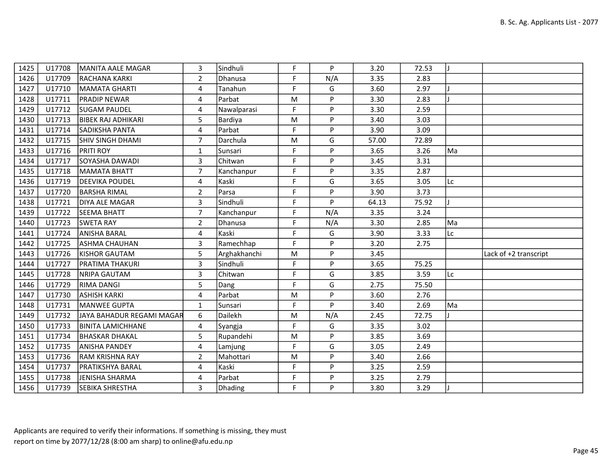| 1425 | U17708 | MANITA AALE MAGAR         | 3              | Sindhuli       | F         | P        | 3.20  | 72.53 |    |                       |
|------|--------|---------------------------|----------------|----------------|-----------|----------|-------|-------|----|-----------------------|
| 1426 | U17709 | RACHANA KARKI             | $\overline{2}$ | Dhanusa        | F         | N/A      | 3.35  | 2.83  |    |                       |
| 1427 | U17710 | MAMATA GHARTI             | 4              | Tanahun        | F.        | G        | 3.60  | 2.97  |    |                       |
| 1428 | U17711 | <b>PRADIP NEWAR</b>       | 4              | Parbat         | M         | P        | 3.30  | 2.83  |    |                       |
| 1429 | U17712 | SUGAM PAUDEL              | 4              | Nawalparasi    | F         | P        | 3.30  | 2.59  |    |                       |
| 1430 | U17713 | <b>BIBEK RAJ ADHIKARI</b> | 5              | Bardiya        | M         | <b>D</b> | 3.40  | 3.03  |    |                       |
| 1431 | U17714 | <b>SADIKSHA PANTA</b>     | $\overline{4}$ | Parbat         | F.        | P        | 3.90  | 3.09  |    |                       |
| 1432 | U17715 | SHIV SINGH DHAMI          | $\overline{7}$ | Darchula       | ${\sf M}$ | G        | 57.00 | 72.89 |    |                       |
| 1433 | U17716 | <b>PRITI ROY</b>          | $\mathbf{1}$   | Sunsari        | F         | P        | 3.65  | 3.26  | Ma |                       |
| 1434 | U17717 | SOYASHA DAWADI            | 3              | Chitwan        | F.        | P        | 3.45  | 3.31  |    |                       |
| 1435 | U17718 | MAMATA BHATT              | $\overline{7}$ | Kanchanpur     | F.        | P        | 3.35  | 2.87  |    |                       |
| 1436 | U17719 | <b>DEEVIKA POUDEL</b>     | 4              | Kaski          | F         | G        | 3.65  | 3.05  | Lc |                       |
| 1437 | U17720 | <b>BARSHA RIMAL</b>       | $\overline{2}$ | Parsa          | F.        | P        | 3.90  | 3.73  |    |                       |
| 1438 | U17721 | <b>DIYA ALE MAGAR</b>     | 3              | Sindhuli       | F         | P        | 64.13 | 75.92 |    |                       |
| 1439 | U17722 | SEEMA BHATT               | $\overline{7}$ | Kanchanpur     | F         | N/A      | 3.35  | 3.24  |    |                       |
| 1440 | U17723 | <b>SWETA RAY</b>          | $\overline{2}$ | Dhanusa        | F         | N/A      | 3.30  | 2.85  | Ma |                       |
| 1441 | U17724 | ANISHA BARAL              | $\overline{4}$ | Kaski          | F         | G        | 3.90  | 3.33  | Lc |                       |
| 1442 | U17725 | <b>ASHMA CHAUHAN</b>      | $\overline{3}$ | Ramechhap      | F.        | P        | 3.20  | 2.75  |    |                       |
| 1443 | U17726 | KISHOR GAUTAM             | 5              | Arghakhanchi   | M         | P        | 3.45  |       |    | Lack of +2 transcript |
| 1444 | U17727 | <b>IPRATIMA THAKURI</b>   | 3              | Sindhuli       | F         | P        | 3.65  | 75.25 |    |                       |
| 1445 | U17728 | NRIPA GAUTAM              | 3              | Chitwan        | F         | G        | 3.85  | 3.59  | Lc |                       |
| 1446 | U17729 | <b>RIMA DANGI</b>         | 5              | Dang           | F         | G        | 2.75  | 75.50 |    |                       |
| 1447 | U17730 | lashish Karki             | 4              | Parbat         | M         | P        | 3.60  | 2.76  |    |                       |
| 1448 | U17731 | MANWEE GUPTA              | $\mathbf{1}$   | Sunsari        | F.        | P        | 3.40  | 2.69  | Ma |                       |
| 1449 | U17732 | JAYA BAHADUR REGAMI MAGAR | 6              | Dailekh        | M         | N/A      | 2.45  | 72.75 |    |                       |
| 1450 | U17733 | BINITA LAMICHHANE         | $\overline{4}$ | Syangja        | F         | G        | 3.35  | 3.02  |    |                       |
| 1451 | U17734 | BHASKAR DHAKAL            | 5              | Rupandehi      | M         | P        | 3.85  | 3.69  |    |                       |
| 1452 | U17735 | <b>ANISHA PANDEY</b>      | 4              | Lamjung        | F.        | G        | 3.05  | 2.49  |    |                       |
| 1453 | U17736 | RAM KRISHNA RAY           | $\overline{2}$ | Mahottari      | M         | P        | 3.40  | 2.66  |    |                       |
| 1454 | U17737 | <b>PRATIKSHYA BARAL</b>   | 4              | Kaski          | F.        | P        | 3.25  | 2.59  |    |                       |
| 1455 | U17738 | JENISHA SHARMA            | 4              | Parbat         | F.        | P        | 3.25  | 2.79  |    |                       |
| 1456 | U17739 | SEBIKA SHRESTHA           | 3              | <b>Dhading</b> | F         | P        | 3.80  | 3.29  |    |                       |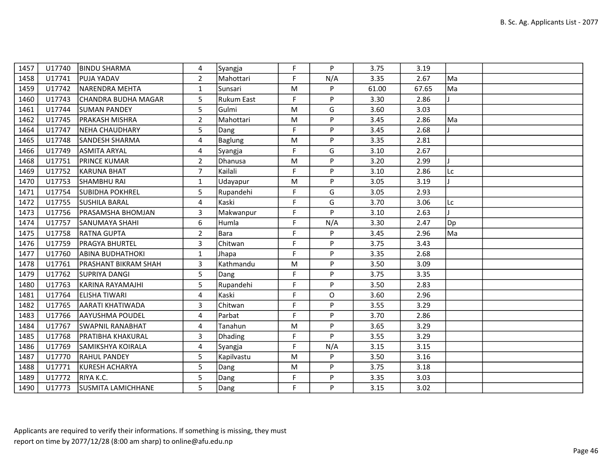| 1457 | U17740 | <b>BINDU SHARMA</b>         | 4              | Syangja           | F. | P   | 3.75  | 3.19  |      |  |
|------|--------|-----------------------------|----------------|-------------------|----|-----|-------|-------|------|--|
| 1458 | U17741 | PUJA YADAV                  | $\overline{2}$ | Mahottari         | F. | N/A | 3.35  | 2.67  | Ma   |  |
| 1459 | U17742 | NARENDRA MEHTA              | $\mathbf{1}$   | Sunsari           | M  | P   | 61.00 | 67.65 | l Ma |  |
| 1460 | U17743 | CHANDRA BUDHA MAGAR         | 5              | <b>Rukum East</b> | F. | P   | 3.30  | 2.86  |      |  |
| 1461 | U17744 | SUMAN PANDEY                | 5              | Gulmi             | M  | G   | 3.60  | 3.03  |      |  |
| 1462 | U17745 | PRAKASH MISHRA              | $\overline{2}$ | Mahottari         | M  | P   | 3.45  | 2.86  | l Ma |  |
| 1464 | U17747 | NEHA CHAUDHARY              | 5              | Dang              | F. | P   | 3.45  | 2.68  |      |  |
| 1465 | U17748 | SANDESH SHARMA              | 4              | <b>Baglung</b>    | M  | P   | 3.35  | 2.81  |      |  |
| 1466 | U17749 | <b>ASMITA ARYAL</b>         | 4              | Syangja           | F. | G   | 3.10  | 2.67  |      |  |
| 1468 | U17751 | <b>PRINCE KUMAR</b>         | $\overline{2}$ | Dhanusa           | M  | P   | 3.20  | 2.99  |      |  |
| 1469 | U17752 | KARUNA BHAT                 | $\overline{7}$ | Kailali           | F  | P   | 3.10  | 2.86  | Lc   |  |
| 1470 | U17753 | SHAMBHU RAI                 | $\mathbf{1}$   | Udayapur          | M  | P   | 3.05  | 3.19  |      |  |
| 1471 | U17754 | <b>SUBIDHA POKHREL</b>      | 5              | Rupandehi         | F. | G   | 3.05  | 2.93  |      |  |
| 1472 | U17755 | SUSHILA BARAL               | 4              | Kaski             | F. | G   | 3.70  | 3.06  | Lc   |  |
| 1473 | U17756 | PRASAMSHA BHOMJAN           | 3              | Makwanpur         | F. | P   | 3.10  | 2.63  |      |  |
| 1474 | U17757 | SANUMAYA SHAHI              | 6              | Humla             | F  | N/A | 3.30  | 2.47  | Dp   |  |
| 1475 | U17758 | <b>RATNA GUPTA</b>          | $\overline{2}$ | <b>Bara</b>       | F  | P   | 3.45  | 2.96  | l Ma |  |
| 1476 | U17759 | <b>PRAGYA BHURTEL</b>       | 3              | Chitwan           | F. | P   | 3.75  | 3.43  |      |  |
| 1477 | U17760 | labina budhathoki           | $\mathbf{1}$   | Jhapa             | F. | P   | 3.35  | 2.68  |      |  |
| 1478 | U17761 | <b>PRASHANT BIKRAM SHAH</b> | 3              | Kathmandu         | M  | P   | 3.50  | 3.09  |      |  |
| 1479 | U17762 | <b>SUPRIYA DANGI</b>        | 5              | Dang              | F. | P   | 3.75  | 3.35  |      |  |
| 1480 | U17763 | KARINA RAYAMAJHI            | 5              | Rupandehi         | F. | P   | 3.50  | 2.83  |      |  |
| 1481 | U17764 | <b>ELISHA TIWARI</b>        | 4              | Kaski             | F  | 0   | 3.60  | 2.96  |      |  |
| 1482 | U17765 | AARATI KHATIWADA            | 3              | Chitwan           | F. | P   | 3.55  | 3.29  |      |  |
| 1483 | U17766 | <b>AAYUSHMA POUDEL</b>      | 4              | Parbat            | F. | P   | 3.70  | 2.86  |      |  |
| 1484 | U17767 | <b>SWAPNIL RANABHAT</b>     | $\overline{4}$ | Tanahun           | M  | P   | 3.65  | 3.29  |      |  |
| 1485 | U17768 | <b>PRATIBHA KHAKURAL</b>    | 3              | Dhading           | F. | P   | 3.55  | 3.29  |      |  |
| 1486 | U17769 | SAMIKSHYA KOIRALA           | 4              | Syangja           | F. | N/A | 3.15  | 3.15  |      |  |
| 1487 | U17770 | <b>RAHUL PANDEY</b>         | 5              | Kapilvastu        | M  | P   | 3.50  | 3.16  |      |  |
| 1488 | U17771 | KURESH ACHARYA              | 5              | Dang              | M  | P   | 3.75  | 3.18  |      |  |
| 1489 | U17772 | RIYA K.C.                   | 5              | Dang              | E. | Þ   | 3.35  | 3.03  |      |  |
| 1490 | U17773 | SUSMITA LAMICHHANE          | 5              | Dang              | F. | P   | 3.15  | 3.02  |      |  |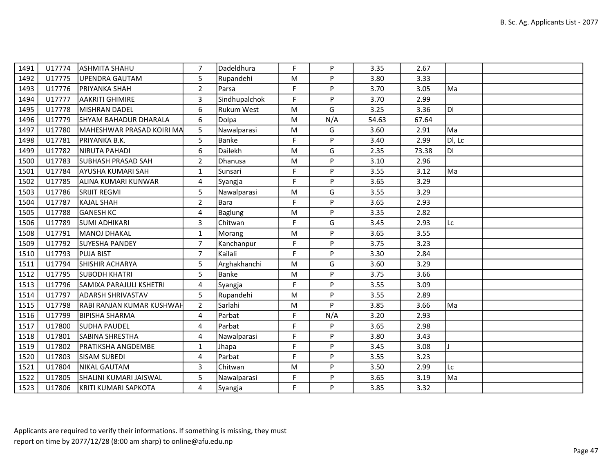| 1491 | U17774 | <b>ASHMITA SHAHU</b>       | $\overline{7}$ | Dadeldhura        | F.        | P   | 3.35  | 2.67  |        |  |
|------|--------|----------------------------|----------------|-------------------|-----------|-----|-------|-------|--------|--|
| 1492 | U17775 | <b>UPENDRA GAUTAM</b>      | 5              | Rupandehi         | M         | P   | 3.80  | 3.33  |        |  |
| 1493 | U17776 | <b>PRIYANKA SHAH</b>       | $\overline{2}$ | Parsa             | F.        | P   | 3.70  | 3.05  | lMa    |  |
| 1494 | U17777 | AAKRITI GHIMIRE            | 3              | Sindhupalchok     | F.        | P   | 3.70  | 2.99  |        |  |
| 1495 | U17778 | <b>MISHRAN DADEL</b>       | 6              | <b>Rukum West</b> | M         | G   | 3.25  | 3.36  | IDI.   |  |
| 1496 | U17779 | SHYAM BAHADUR DHARALA      | 6              | Dolpa             | M         | N/A | 54.63 | 67.64 |        |  |
| 1497 | U17780 | MAHESHWAR PRASAD KOIRI MA  | 5              | Nawalparasi       | ${\sf M}$ | G   | 3.60  | 2.91  | Ma     |  |
| 1498 | U17781 | PRIYANKA B.K.              | 5              | Banke             | F         | P   | 3.40  | 2.99  | DI, LC |  |
| 1499 | U17782 | NIRUTA PAHADI              | 6              | Dailekh           | M         | G   | 2.35  | 73.38 | ldi    |  |
| 1500 | U17783 | <b>ISUBHASH PRASAD SAH</b> | $\overline{2}$ | Dhanusa           | M         | P   | 3.10  | 2.96  |        |  |
| 1501 | U17784 | AYUSHA KUMARI SAH          | $\mathbf{1}$   | Sunsari           | F.        | P   | 3.55  | 3.12  | Ma     |  |
| 1502 | U17785 | ALINA KUMARI KUNWAR        | 4              | Syangja           | F.        | P   | 3.65  | 3.29  |        |  |
| 1503 | U17786 | SRIJIT REGMI               | 5              | Nawalparasi       | M         | G   | 3.55  | 3.29  |        |  |
| 1504 | U17787 | <b>KAJAL SHAH</b>          | $\overline{2}$ | Bara              | F         | P   | 3.65  | 2.93  |        |  |
| 1505 | U17788 | <b>GANESH KC</b>           | 4              | Baglung           | M         | P   | 3.35  | 2.82  |        |  |
| 1506 | U17789 | SUMI ADHIKARI              | 3              | Chitwan           | F.        | G   | 3.45  | 2.93  | Lc     |  |
| 1508 | U17791 | <b>MANOJ DHAKAL</b>        | $\mathbf{1}$   | Morang            | M         | P   | 3.65  | 3.55  |        |  |
| 1509 | U17792 | SUYESHA PANDEY             | $\overline{7}$ | Kanchanpur        | F.        | P   | 3.75  | 3.23  |        |  |
| 1510 | U17793 | <b>PUJA BIST</b>           | $\overline{7}$ | Kailali           | F.        | P   | 3.30  | 2.84  |        |  |
| 1511 | U17794 | SHISHIR ACHARYA            | 5              | Arghakhanchi      | M         | G   | 3.60  | 3.29  |        |  |
| 1512 | U17795 | SUBODH KHATRI              | 5              | Banke             | M         | P   | 3.75  | 3.66  |        |  |
| 1513 | U17796 | SAMIXA PARAJULI KSHETRI    | 4              | Syangja           | F.        | P   | 3.55  | 3.09  |        |  |
| 1514 | U17797 | <b>ADARSH SHRIVASTAV</b>   | 5              | Rupandehi         | M         | P   | 3.55  | 2.89  |        |  |
| 1515 | U17798 | RABI RANJAN KUMAR KUSHWAH  | $\overline{2}$ | Sarlahi           | M         | P   | 3.85  | 3.66  | Ma     |  |
| 1516 | U17799 | BIPISHA SHARMA             | 4              | Parbat            | F.        | N/A | 3.20  | 2.93  |        |  |
| 1517 | U17800 | <b>SUDHA PAUDEL</b>        | 4              | Parbat            | F         | P   | 3.65  | 2.98  |        |  |
| 1518 | U17801 | <b>SABINA SHRESTHA</b>     | 4              | Nawalparasi       | F.        | P   | 3.80  | 3.43  |        |  |
| 1519 | U17802 | PRATIKSHA ANGDEMBE         | $\mathbf{1}$   | Jhapa             | F.        | P   | 3.45  | 3.08  |        |  |
| 1520 | U17803 | SISAM SUBEDI               | 4              | Parbat            | F         | P   | 3.55  | 3.23  |        |  |
| 1521 | U17804 | <b>NIKAL GAUTAM</b>        | 3              | Chitwan           | M         | P   | 3.50  | 2.99  | Lc     |  |
| 1522 | U17805 | SHALINI KUMARI JAISWAL     | 5              | Nawalparasi       | E.        | P   | 3.65  | 3.19  | Ma     |  |
| 1523 | U17806 | KRITI KUMARI SAPKOTA       | 4              | Syangja           | F.        | P   | 3.85  | 3.32  |        |  |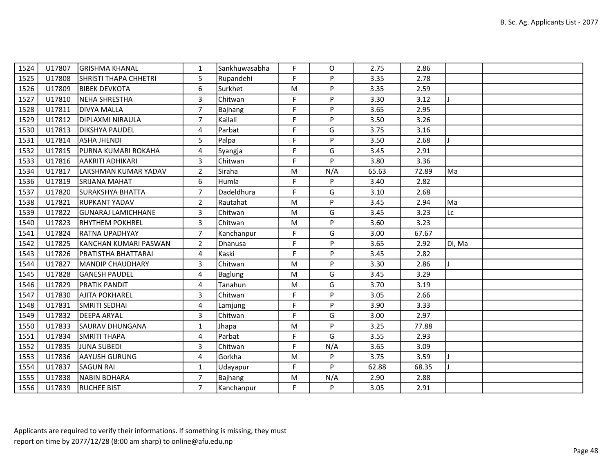| 1524 | U17807 | GRISHMA KHANAL            | 1              | Sankhuwasabha | F. | $\Omega$ | 2.75  | 2.86  |        |  |
|------|--------|---------------------------|----------------|---------------|----|----------|-------|-------|--------|--|
| 1525 | U17808 | SHRISTI THAPA CHHETRI     | 5              | Rupandehi     | F. | P        | 3.35  | 2.78  |        |  |
| 1526 | U17809 | <b>BIBEK DEVKOTA</b>      | 6              | Surkhet       | M  | P        | 3.35  | 2.59  |        |  |
| 1527 | U17810 | <b>NEHA SHRESTHA</b>      | 3              | Chitwan       | F. | P        | 3.30  | 3.12  |        |  |
| 1528 | U17811 | <b>DIVYA MALLA</b>        | $\overline{7}$ | Bajhang       | F. | P        | 3.65  | 2.95  |        |  |
| 1529 | U17812 | DIPLAXMI NIRAULA          | $\overline{7}$ | Kailali       | F. | P.       | 3.50  | 3.26  |        |  |
| 1530 | U17813 | DIKSHYA PAUDEL            | 4              | Parbat        | F. | G        | 3.75  | 3.16  |        |  |
| 1531 | U17814 | ASHA JHENDI               | 5              | Palpa         | F. | P        | 3.50  | 2.68  |        |  |
| 1532 | U17815 | PURNA KUMARI ROKAHA       | $\overline{4}$ | Syangja       | F  | G        | 3.45  | 2.91  |        |  |
| 1533 | U17816 | laakriti adhikari         | 3              | Chitwan       | F. | P        | 3.80  | 3.36  |        |  |
| 1534 | U17817 | LAKSHMAN KUMAR YADAV      | $\overline{2}$ | Siraha        | M  | N/A      | 65.63 | 72.89 | Ma     |  |
| 1536 | U17819 | <b>SRIJANA MAHAT</b>      | 6              | Humla         | F. | P        | 3.40  | 2.82  |        |  |
| 1537 | U17820 | SURAKSHYA BHATTA          | $\overline{7}$ | Dadeldhura    | F. | G        | 3.10  | 2.68  |        |  |
| 1538 | U17821 | <b>RUPKANT YADAV</b>      | $\overline{2}$ | Rautahat      | M  | P        | 3.45  | 2.94  | Ma     |  |
| 1539 | U17822 | <b>GUNARAJ LAMICHHANE</b> | 3              | Chitwan       | M  | G        | 3.45  | 3.23  | Lc     |  |
| 1540 | U17823 | <b>RHYTHEM POKHREL</b>    | 3              | Chitwan       | M  | P        | 3.60  | 3.23  |        |  |
| 1541 | U17824 | <b>RATNA UPADHYAY</b>     | $\overline{7}$ | Kanchanpur    | F. | G        | 3.00  | 67.67 |        |  |
| 1542 | U17825 | KANCHAN KUMARI PASWAN     | $\overline{2}$ | Dhanusa       | F. | P.       | 3.65  | 2.92  | DI, Ma |  |
| 1543 | U17826 | PRATISTHA BHATTARAI       | 4              | Kaski         | F. | P        | 3.45  | 2.82  |        |  |
| 1544 | U17827 | <b>MANDIP CHAUDHARY</b>   | 3              | Chitwan       | M  | P        | 3.30  | 2.86  |        |  |
| 1545 | U17828 | <b>GANESH PAUDEL</b>      | $\overline{4}$ | Baglung       | M  | G        | 3.45  | 3.29  |        |  |
| 1546 | U17829 | <b>PRATIK PANDIT</b>      | 4              | Tanahun       | M  | G        | 3.70  | 3.19  |        |  |
| 1547 | U17830 | <b>AJITA POKHAREL</b>     | 3              | Chitwan       | F  | P        | 3.05  | 2.66  |        |  |
| 1548 | U17831 | <b>SMRITI SEDHAI</b>      | 4              | Lamjung       | F. | P        | 3.90  | 3.33  |        |  |
| 1549 | U17832 | DEEPA ARYAL               | 3              | Chitwan       | F. | G        | 3.00  | 2.97  |        |  |
| 1550 | U17833 | <b>SAURAV DHUNGANA</b>    | $\mathbf{1}$   | Jhapa         | M  | P        | 3.25  | 77.88 |        |  |
| 1551 | U17834 | <b>SMRITI THAPA</b>       | 4              | Parbat        | F. | G        | 3.55  | 2.93  |        |  |
| 1552 | U17835 | JUNA SUBEDI               | 3              | Chitwan       | F. | N/A      | 3.65  | 3.09  |        |  |
| 1553 | U17836 | <b>AAYUSH GURUNG</b>      | 4              | Gorkha        | M  | P        | 3.75  | 3.59  |        |  |
| 1554 | U17837 | <b>SAGUN RAI</b>          | $\mathbf{1}$   | Udayapur      | F. | P        | 62.88 | 68.35 |        |  |
| 1555 | U17838 | NABIN BOHARA              | $\overline{7}$ | Bajhang       | M  | N/A      | 2.90  | 2.88  |        |  |
| 1556 | U17839 | <b>RUCHEE BIST</b>        | $\overline{7}$ | Kanchanpur    | F. | P        | 3.05  | 2.91  |        |  |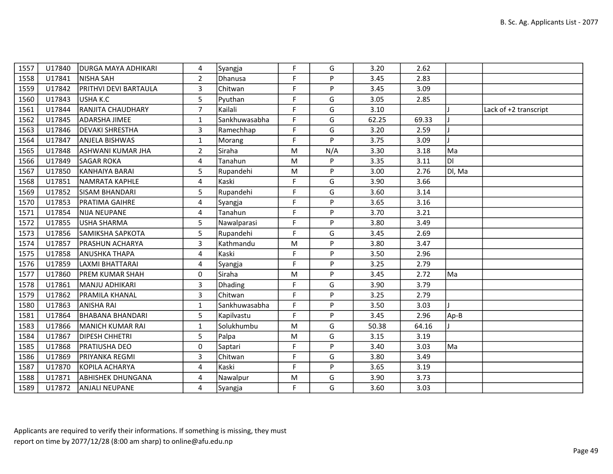| 1557 | U17840 | <b>DURGA MAYA ADHIKARI</b> | 4                       | Syangja       | F. | G   | 3.20  | 2.62  |        |                       |
|------|--------|----------------------------|-------------------------|---------------|----|-----|-------|-------|--------|-----------------------|
| 1558 | U17841 | <b>NISHA SAH</b>           | $\overline{2}$          | Dhanusa       | F. | P   | 3.45  | 2.83  |        |                       |
| 1559 | U17842 | PRITHVI DEVI BARTAULA      | 3                       | Chitwan       | E. | P   | 3.45  | 3.09  |        |                       |
| 1560 | U17843 | USHA K.C                   | 5                       | Pyuthan       | F. | G   | 3.05  | 2.85  |        |                       |
| 1561 | U17844 | <b>RANJITA CHAUDHARY</b>   | $\overline{7}$          | Kailali       | F. | G   | 3.10  |       |        | Lack of +2 transcript |
| 1562 | U17845 | ADARSHA JIMEE              | $\mathbf{1}$            | Sankhuwasabha | F. | G   | 62.25 | 69.33 |        |                       |
| 1563 | U17846 | DEVAKI SHRESTHA            | 3                       | Ramechhap     | F. | G   | 3.20  | 2.59  |        |                       |
| 1564 | U17847 | <b>ANJELA BISHWAS</b>      | $\mathbf{1}$            | Morang        | F. | P   | 3.75  | 3.09  |        |                       |
| 1565 | U17848 | ASHWANI KUMAR JHA          | $\overline{2}$          | Siraha        | M  | N/A | 3.30  | 3.18  | Ma     |                       |
| 1566 | U17849 | <b>SAGAR ROKA</b>          | 4                       | Tanahun       | M  | P   | 3.35  | 3.11  | ldi.   |                       |
| 1567 | U17850 | <b>KANHAIYA BARAI</b>      | 5                       | Rupandehi     | M  | P   | 3.00  | 2.76  | DI, Ma |                       |
| 1568 | U17851 | <b>NAMRATA KAPHLE</b>      | $\overline{\mathbf{4}}$ | Kaski         | F. | G   | 3.90  | 3.66  |        |                       |
| 1569 | U17852 | <b>SISAM BHANDARI</b>      | 5                       | Rupandehi     | F. | G   | 3.60  | 3.14  |        |                       |
| 1570 | U17853 | <b>PRATIMA GAIHRE</b>      | 4                       | Syangja       | F. | P   | 3.65  | 3.16  |        |                       |
| 1571 | U17854 | <b>NIJA NEUPANE</b>        | $\overline{4}$          | Tanahun       | F. | P   | 3.70  | 3.21  |        |                       |
| 1572 | U17855 | <b>USHA SHARMA</b>         | 5                       | Nawalparasi   | F. | P   | 3.80  | 3.49  |        |                       |
| 1573 | U17856 | <b>SAMIKSHA SAPKOTA</b>    | 5                       | Rupandehi     | F  | G   | 3.45  | 2.69  |        |                       |
| 1574 | U17857 | <b>PRASHUN ACHARYA</b>     | 3                       | Kathmandu     | M  | P   | 3.80  | 3.47  |        |                       |
| 1575 | U17858 | ANUSHKA THAPA              | 4                       | Kaski         | F. | P   | 3.50  | 2.96  |        |                       |
| 1576 | U17859 | LAXMI BHATTARAI            | 4                       | Syangja       | F  | P   | 3.25  | 2.79  |        |                       |
| 1577 | U17860 | <b>PREM KUMAR SHAH</b>     | $\mathbf 0$             | Siraha        | M  | P   | 3.45  | 2.72  | Ma     |                       |
| 1578 | U17861 | MANJU ADHIKARI             | 3                       | Dhading       | F. | G   | 3.90  | 3.79  |        |                       |
| 1579 | U17862 | PRAMILA KHANAL             | $\overline{3}$          | Chitwan       |    | P   | 3.25  | 2.79  |        |                       |
| 1580 | U17863 | <b>ANISHA RAI</b>          | $\mathbf{1}$            | Sankhuwasabha | F. | P   | 3.50  | 3.03  |        |                       |
| 1581 | U17864 | <b>BHABANA BHANDARI</b>    | 5                       | Kapilvastu    | F. | P   | 3.45  | 2.96  | Ap-B   |                       |
| 1583 | U17866 | MANICH KUMAR RAI           | $\mathbf 1$             | Solukhumbu    | M  | G   | 50.38 | 64.16 |        |                       |
| 1584 | U17867 | <b>DIPESH CHHETRI</b>      | 5                       | Palpa         | M  | G   | 3.15  | 3.19  |        |                       |
| 1585 | U17868 | <b>PRATIUSHA DEO</b>       | $\mathbf 0$             | Saptari       | E. | P   | 3.40  | 3.03  | Mal    |                       |
| 1586 | U17869 | PRIYANKA REGMI             | 3                       | Chitwan       | F  | G   | 3.80  | 3.49  |        |                       |
| 1587 | U17870 | KOPILA ACHARYA             | 4                       | Kaski         | F. | P   | 3.65  | 3.19  |        |                       |
| 1588 | U17871 | <b>ABHISHEK DHUNGANA</b>   | $\overline{4}$          | Nawalpur      | M  | G   | 3.90  | 3.73  |        |                       |
| 1589 | U17872 | <b>ANJALI NEUPANE</b>      | 4                       | Syangja       | F. | G   | 3.60  | 3.03  |        |                       |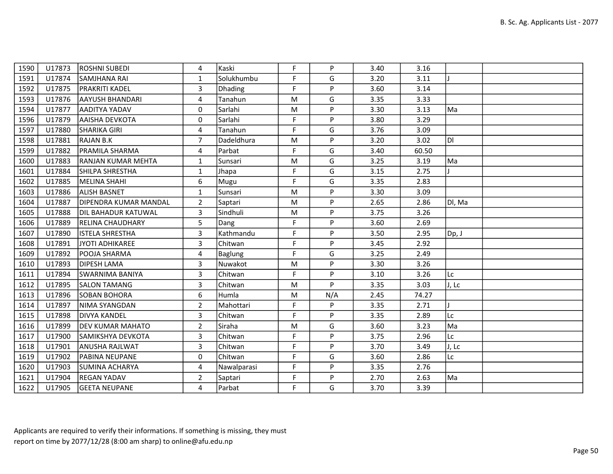| 1590 | U17873 | <b>ROSHNI SUBEDI</b>    | 4              | Kaski          | F  | P   | 3.40 | 3.16  |        |  |
|------|--------|-------------------------|----------------|----------------|----|-----|------|-------|--------|--|
| 1591 | U17874 | SAMJHANA RAI            | $\mathbf{1}$   | Solukhumbu     | F  | G   | 3.20 | 3.11  |        |  |
| 1592 | U17875 | <b>PRAKRITI KADEL</b>   | 3              | Dhading        | F. | P   | 3.60 | 3.14  |        |  |
| 1593 | U17876 | <b>AAYUSH BHANDARI</b>  | 4              | Tanahun        | M  | G   | 3.35 | 3.33  |        |  |
| 1594 | U17877 | <b>AADITYA YADAV</b>    | 0              | Sarlahi        | M  | P   | 3.30 | 3.13  | Ma     |  |
| 1596 | U17879 | <b>AAISHA DEVKOTA</b>   | $\Omega$       | Sarlahi        | F. | P.  | 3.80 | 3.29  |        |  |
| 1597 | U17880 | SHARIKA GIRI            | $\pmb{4}$      | Tanahun        | F. | G   | 3.76 | 3.09  |        |  |
| 1598 | U17881 | RAJAN B.K               | $\overline{7}$ | Dadeldhura     | M  | P   | 3.20 | 3.02  | DI.    |  |
| 1599 | U17882 | PRAMILA SHARMA          | $\overline{4}$ | Parbat         | F. | G   | 3.40 | 60.50 |        |  |
| 1600 | U17883 | lranjan kumar mehta     | 1              | Sunsari        | M  | G   | 3.25 | 3.19  | Ma     |  |
| 1601 | U17884 | <b>SHILPA SHRESTHA</b>  | $\mathbf{1}$   | Jhapa          | F  | G   | 3.15 | 2.75  |        |  |
| 1602 | U17885 | <b>MELINA SHAHI</b>     | 6              | Mugu           | F. | G   | 3.35 | 2.83  |        |  |
| 1603 | U17886 | ALISH BASNET            | $\mathbf{1}$   | Sunsari        | M  | P   | 3.30 | 3.09  |        |  |
| 1604 | U17887 | DIPENDRA KUMAR MANDAL   | $\overline{2}$ | Saptari        | M  | P   | 2.65 | 2.86  | Dl, Ma |  |
| 1605 | U17888 | DIL BAHADUR KATUWAL     | 3              | Sindhuli       | M  | P   | 3.75 | 3.26  |        |  |
| 1606 | U17889 | <b>RELINA CHAUDHARY</b> | 5              | Dang           | F. | P   | 3.60 | 2.69  |        |  |
| 1607 | U17890 | <b>ISTELA SHRESTHA</b>  | 3              | Kathmandu      | F. | P   | 3.50 | 2.95  | Dp, J  |  |
| 1608 | U17891 | JYOTI ADHIKAREE         | 3              | Chitwan        | F. | P   | 3.45 | 2.92  |        |  |
| 1609 | U17892 | POOJA SHARMA            | 4              | <b>Baglung</b> | F. | G   | 3.25 | 2.49  |        |  |
| 1610 | U17893 | DIPESH LAMA             | 3              | Nuwakot        | M  | P   | 3.30 | 3.26  |        |  |
| 1611 | U17894 | SWARNIMA BANIYA         | 3              | Chitwan        | F. | P   | 3.10 | 3.26  | Lc     |  |
| 1612 | U17895 | SALON TAMANG            | 3              | Chitwan        | M  | P   | 3.35 | 3.03  | J, Lc  |  |
| 1613 | U17896 | SOBAN BOHORA            | 6              | Humla          | M  | N/A | 2.45 | 74.27 |        |  |
| 1614 | U17897 | NIMA SYANGDAN           | $\overline{2}$ | Mahottari      | F. | P   | 3.35 | 2.71  |        |  |
| 1615 | U17898 | DIVYA KANDEL            | 3              | Chitwan        | F. | Þ   | 3.35 | 2.89  | Lc     |  |
| 1616 | U17899 | <b>DEV KUMAR MAHATO</b> | $\overline{2}$ | Siraha         | M  | G   | 3.60 | 3.23  | Ma     |  |
| 1617 | U17900 | SAMIKSHYA DEVKOTA       | 3              | Chitwan        | F. | P   | 3.75 | 2.96  | Lc     |  |
| 1618 | U17901 | <b>ANUSHA RAJLWAT</b>   | 3              | Chitwan        | F. | P   | 3.70 | 3.49  | J, Lc  |  |
| 1619 | U17902 | lPABINA NEUPANE         | $\mathbf 0$    | Chitwan        | F. | G   | 3.60 | 2.86  | Lc     |  |
| 1620 | U17903 | SUMINA ACHARYA          | 4              | Nawalparasi    | F. | P   | 3.35 | 2.76  |        |  |
| 1621 | U17904 | <b>REGAN YADAV</b>      | $\overline{2}$ | Saptari        | F. | P   | 2.70 | 2.63  | Ma     |  |
| 1622 | U17905 | <b>GEETA NEUPANE</b>    | 4              | Parbat         | F. | G   | 3.70 | 3.39  |        |  |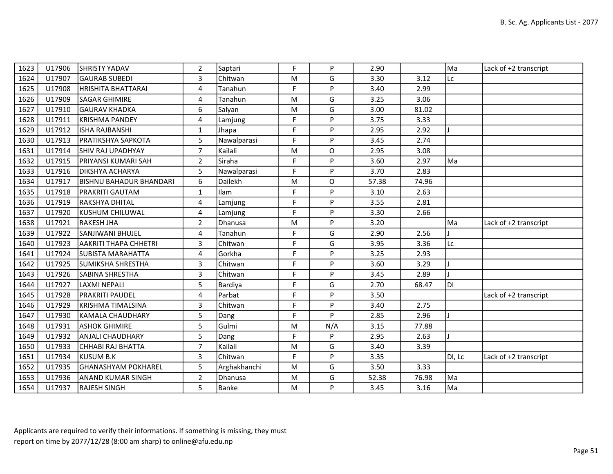| 1623 | U17906 | <b>SHRISTY YADAV</b>       | 2              | Saptari      | F         | P        | 2.90  |       | Ma     | Lack of +2 transcript |
|------|--------|----------------------------|----------------|--------------|-----------|----------|-------|-------|--------|-----------------------|
| 1624 | U17907 | <b>GAURAB SUBEDI</b>       | 3              | Chitwan      | M         | G        | 3.30  | 3.12  | Lc     |                       |
| 1625 | U17908 | <b>IHRISHITA BHATTARAI</b> | 4              | Tanahun      | F.        | P        | 3.40  | 2.99  |        |                       |
| 1626 | U17909 | SAGAR GHIMIRE              | 4              | Tanahun      | M         | G        | 3.25  | 3.06  |        |                       |
| 1627 | U17910 | lGAURAV KHADKA             | 6              | Salyan       | M         | G        | 3.00  | 81.02 |        |                       |
| 1628 | U17911 | lkrishma pandey            | 4              | Lamjung      | F.        | P        | 3.75  | 3.33  |        |                       |
| 1629 | U17912 | ISHA RAJBANSHI             | $\mathbf{1}$   | Jhapa        | F         | P        | 2.95  | 2.92  |        |                       |
| 1630 | U17913 | PRATIKSHYA SAPKOTA         | 5              | Nawalparasi  | F         | P        | 3.45  | 2.74  |        |                       |
| 1631 | U17914 | SHIV RAJ UPADHYAY          | $\overline{7}$ | Kailali      | M         | $\Omega$ | 2.95  | 3.08  |        |                       |
| 1632 | U17915 | PRIYANSI KUMARI SAH        | $\overline{2}$ | Siraha       | F         | P        | 3.60  | 2.97  | Ma     |                       |
| 1633 | U17916 | DIKSHYA ACHARYA            | 5              | Nawalparasi  | F         | P        | 3.70  | 2.83  |        |                       |
| 1634 | U17917 | BISHNU BAHADUR BHANDARI    | 6              | Dailekh      | M         | O        | 57.38 | 74.96 |        |                       |
| 1635 | U17918 | PRAKRITI GAUTAM            | $\mathbf{1}$   | Ilam         | F.        | P        | 3.10  | 2.63  |        |                       |
| 1636 | U17919 | RAKSHYA DHITAL             | 4              | Lamjung      | F.        | P        | 3.55  | 2.81  |        |                       |
| 1637 | U17920 | KUSHUM CHILUWAL            | 4              | Lamjung      | F.        | P        | 3.30  | 2.66  |        |                       |
| 1638 | U17921 | RAKESH JHA                 | $\overline{2}$ | Dhanusa      | ${\sf M}$ | P        | 3.20  |       | Ma     | Lack of +2 transcript |
| 1639 | U17922 | <b>SANJIWANI BHUJEL</b>    | 4              | Tanahun      | F.        | G        | 2.90  | 2.56  |        |                       |
| 1640 | U17923 | AAKRITI THAPA CHHETRI      | 3              | Chitwan      | F.        | G        | 3.95  | 3.36  | Lc     |                       |
| 1641 | U17924 | <b>SUBISTA MARAHATTA</b>   | 4              | Gorkha       | F.        | P        | 3.25  | 2.93  |        |                       |
| 1642 | U17925 | SUMIKSHA SHRESTHA          | $\overline{3}$ | Chitwan      | F.        | P        | 3.60  | 3.29  |        |                       |
| 1643 | U17926 | SABINA SHRESTHA            | 3              | Chitwan      | F.        | P        | 3.45  | 2.89  |        |                       |
| 1644 | U17927 | LAXMI NEPALI               | 5              | Bardiya      | F.        | G        | 2.70  | 68.47 | DI     |                       |
| 1645 | U17928 | lPRAKRITI PAUDEL           | 4              | Parbat       | F.        | P        | 3.50  |       |        | Lack of +2 transcript |
| 1646 | U17929 | <b>KRISHMA TIMALSINA</b>   | 3              | Chitwan      | F.        | P        | 3.40  | 2.75  |        |                       |
| 1647 | U17930 | KAMALA CHAUDHARY           | 5              | Dang         | F.        | P        | 2.85  | 2.96  |        |                       |
| 1648 | U17931 | ASHOK GHIMIRE              | 5              | Gulmi        | M         | N/A      | 3.15  | 77.88 |        |                       |
| 1649 | U17932 | <b>ANJALI CHAUDHARY</b>    | 5              | Dang         | F.        | P        | 2.95  | 2.63  |        |                       |
| 1650 | U17933 | CHHABI RAJ BHATTA          | $\overline{7}$ | Kailali      | M         | G        | 3.40  | 3.39  |        |                       |
| 1651 | U17934 | KUSUM B.K                  | 3              | Chitwan      | F         | P        | 3.35  |       | DI, Lc | Lack of +2 transcript |
| 1652 | U17935 | GHANASHYAM POKHAREL        | 5              | Arghakhanchi | ${\sf M}$ | G        | 3.50  | 3.33  |        |                       |
| 1653 | U17936 | ANAND KUMAR SINGH          | $\overline{2}$ | Dhanusa      | M         | G        | 52.38 | 76.98 | Ma     |                       |
| 1654 | U17937 | <b>RAJESH SINGH</b>        | 5              | <b>Banke</b> | M         | P        | 3.45  | 3.16  | Ma     |                       |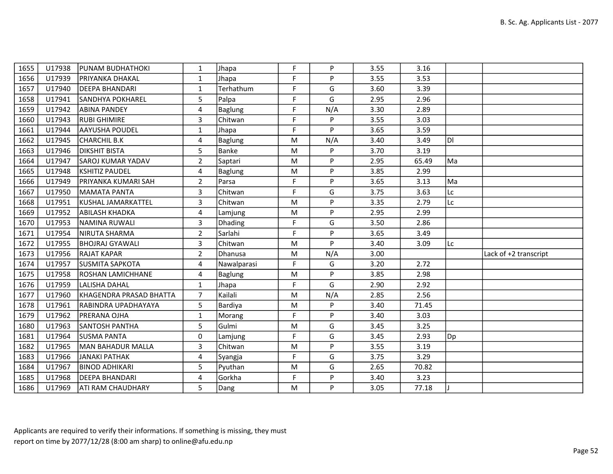| 1655 | U17938 | lpunam budhathoki       | $\mathbf{1}$   | Jhapa          | F. | P   | 3.55 | 3.16  |     |                       |
|------|--------|-------------------------|----------------|----------------|----|-----|------|-------|-----|-----------------------|
| 1656 | U17939 | PRIYANKA DHAKAL         | $\mathbf{1}$   | Jhapa          | F. | P   | 3.55 | 3.53  |     |                       |
| 1657 | U17940 | DEEPA BHANDARI          | $\mathbf{1}$   | Terhathum      | E. | G   | 3.60 | 3.39  |     |                       |
| 1658 | U17941 | SANDHYA POKHAREL        | 5              | Palpa          | F. | G   | 2.95 | 2.96  |     |                       |
| 1659 | U17942 | ABINA PANDEY            | 4              | Baglung        | F. | N/A | 3.30 | 2.89  |     |                       |
| 1660 | U17943 | RUBI GHIMIRE            | 3              | Chitwan        | F. | P   | 3.55 | 3.03  |     |                       |
| 1661 | U17944 | AAYUSHA POUDEL          | $\mathbf{1}$   | Jhapa          | F. | P   | 3.65 | 3.59  |     |                       |
| 1662 | U17945 | CHARCHIL B.K            | 4              | <b>Baglung</b> | M  | N/A | 3.40 | 3.49  | IDI |                       |
| 1663 | U17946 | DIKSHIT BISTA           | 5              | Banke          | M  | P   | 3.70 | 3.19  |     |                       |
| 1664 | U17947 | lsaroj kumar Yadav      | $\overline{2}$ | Saptari        | M  | P   | 2.95 | 65.49 | Ma  |                       |
| 1665 | U17948 | KSHITIZ PAUDEL          | 4              | <b>Baglung</b> | M  | P   | 3.85 | 2.99  |     |                       |
| 1666 | U17949 | PRIYANKA KUMARI SAH     | $\overline{2}$ | Parsa          | F. | P   | 3.65 | 3.13  | Ma  |                       |
| 1667 | U17950 | MAMATA PANTA            | 3              | Chitwan        | F  | G   | 3.75 | 3.63  | Lc  |                       |
| 1668 | U17951 | KUSHAL JAMARKATTEL      | 3              | Chitwan        | M  | P   | 3.35 | 2.79  | Lc  |                       |
| 1669 | U17952 | ABILASH KHADKA          | $\overline{4}$ | Lamjung        | M  | P   | 2.95 | 2.99  |     |                       |
| 1670 | U17953 | NAMINA RUWALI           | 3              | <b>Dhading</b> | F  | G   | 3.50 | 2.86  |     |                       |
| 1671 | U17954 | <b>NIRUTA SHARMA</b>    | $\overline{2}$ | Sarlahi        | E. | P   | 3.65 | 3.49  |     |                       |
| 1672 | U17955 | BHOJRAJ GYAWALI         | 3              | Chitwan        | M  | P   | 3.40 | 3.09  | Lc  |                       |
| 1673 | U17956 | RAJAT KAPAR             | $\overline{2}$ | Dhanusa        | M  | N/A | 3.00 |       |     | Lack of +2 transcript |
| 1674 | U17957 | SUSMITA SAPKOTA         | 4              | Nawalparasi    | F  | G   | 3.20 | 2.72  |     |                       |
| 1675 | U17958 | ROSHAN LAMICHHANE       | $\overline{4}$ | <b>Baglung</b> | M  | P   | 3.85 | 2.98  |     |                       |
| 1676 | U17959 | LALISHA DAHAL           | $\mathbf{1}$   | Jhapa          | F. | G   | 2.90 | 2.92  |     |                       |
| 1677 | U17960 | KHAGENDRA PRASAD BHATTA | $\overline{7}$ | Kailali        | M  | N/A | 2.85 | 2.56  |     |                       |
| 1678 | U17961 | RABINDRA UPADHAYAYA     | 5              | Bardiya        | M  | P   | 3.40 | 71.45 |     |                       |
| 1679 | U17962 | PRERANA OJHA            | $\mathbf{1}$   | Morang         | F. | P   | 3.40 | 3.03  |     |                       |
| 1680 | U17963 | <b>SANTOSH PANTHA</b>   | 5              | Gulmi          | M  | G   | 3.45 | 3.25  |     |                       |
| 1681 | U17964 | lsusma panta            | 0              | Lamjung        | F. | G   | 3.45 | 2.93  | Dp  |                       |
| 1682 | U17965 | MAN BAHADUR MALLA       | 3              | Chitwan        | M  | P   | 3.55 | 3.19  |     |                       |
| 1683 | U17966 | <b>JANAKI PATHAK</b>    | 4              | Syangja        | F  | G   | 3.75 | 3.29  |     |                       |
| 1684 | U17967 | <b>BINOD ADHIKARI</b>   | 5              | Pyuthan        | M  | G   | 2.65 | 70.82 |     |                       |
| 1685 | U17968 | DEEPA BHANDARI          | $\overline{4}$ | Gorkha         | F. | P   | 3.40 | 3.23  |     |                       |
| 1686 | U17969 | ATI RAM CHAUDHARY       | 5              | Dang           | M  | P   | 3.05 | 77.18 |     |                       |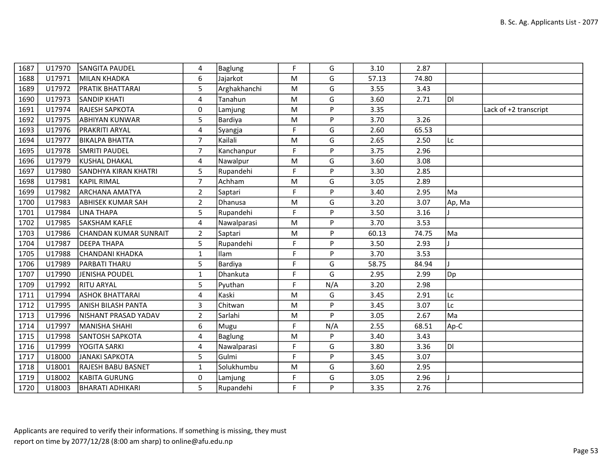| 1687 | U17970 | SANGITA PAUDEL              | 4                       | <b>Baglung</b> | F. | G   | 3.10  | 2.87  |        |                       |
|------|--------|-----------------------------|-------------------------|----------------|----|-----|-------|-------|--------|-----------------------|
| 1688 | U17971 | MILAN KHADKA                | 6                       | Jajarkot       | M  | G   | 57.13 | 74.80 |        |                       |
| 1689 | U17972 | <b>PRATIK BHATTARAI</b>     | 5                       | Arghakhanchi   | M  | G   | 3.55  | 3.43  |        |                       |
| 1690 | U17973 | <b>SANDIP KHATI</b>         | $\overline{4}$          | Tanahun        | M  | G   | 3.60  | 2.71  | DI.    |                       |
| 1691 | U17974 | <b>RAJESH SAPKOTA</b>       | 0                       | Lamjung        | M  | P   | 3.35  |       |        | Lack of +2 transcript |
| 1692 | U17975 | ABHIYAN KUNWAR              | 5                       | Bardiya        | M  | P   | 3.70  | 3.26  |        |                       |
| 1693 | U17976 | <b>PRAKRITI ARYAL</b>       | 4                       | Syangja        | F. | G   | 2.60  | 65.53 |        |                       |
| 1694 | U17977 | <b>BIKALPA BHATTA</b>       | $\overline{7}$          | Kailali        | M  | G   | 2.65  | 2.50  | Lc     |                       |
| 1695 | U17978 | SMRITI PAUDEL               | $\overline{7}$          | Kanchanpur     | F. | P   | 3.75  | 2.96  |        |                       |
| 1696 | U17979 | KUSHAL DHAKAL               | 4                       | Nawalpur       | M  | G   | 3.60  | 3.08  |        |                       |
| 1697 | U17980 | <b>SANDHYA KIRAN KHATRI</b> | 5                       | Rupandehi      | F. | P   | 3.30  | 2.85  |        |                       |
| 1698 | U17981 | <b>KAPIL RIMAL</b>          | $\overline{7}$          | Achham         | M  | G   | 3.05  | 2.89  |        |                       |
| 1699 | U17982 | <b>ARCHANA AMATYA</b>       | $\overline{2}$          | Saptari        | F. | P   | 3.40  | 2.95  | Ma     |                       |
| 1700 | U17983 | <b>ABHISEK KUMAR SAH</b>    | $\overline{2}$          | Dhanusa        | M  | G   | 3.20  | 3.07  | Ap, Ma |                       |
| 1701 | U17984 | <b>LINA THAPA</b>           | 5                       | Rupandehi      | F. | P   | 3.50  | 3.16  |        |                       |
| 1702 | U17985 | <b>SAKSHAM KAFLE</b>        | $\overline{\mathbf{4}}$ | Nawalparasi    | M  | P   | 3.70  | 3.53  |        |                       |
| 1703 | U17986 | CHANDAN KUMAR SUNRAIT       | $\overline{2}$          | Saptari        | M  | P   | 60.13 | 74.75 | lMa    |                       |
| 1704 | U17987 | <b>DEEPA THAPA</b>          | 5                       | Rupandehi      | F. | P   | 3.50  | 2.93  |        |                       |
| 1705 | U17988 | CHANDANI KHADKA             | $\mathbf 1$             | Ilam           | F. | P   | 3.70  | 3.53  |        |                       |
| 1706 | U17989 | PARBATI THARU               | 5                       | Bardiya        | F. | G   | 58.75 | 84.94 |        |                       |
| 1707 | U17990 | JENISHA POUDEL              | $\mathbf{1}$            | Dhankuta       | F. | G   | 2.95  | 2.99  | Dp     |                       |
| 1709 | U17992 | RITU ARYAL                  | 5                       | Pyuthan        | F. | N/A | 3.20  | 2.98  |        |                       |
| 1711 | U17994 | <b>ASHOK BHATTARAI</b>      | 4                       | Kaski          | M  | G   | 3.45  | 2.91  | Lc     |                       |
| 1712 | U17995 | <b>ANISH BILASH PANTA</b>   | 3                       | Chitwan        | M  | P   | 3.45  | 3.07  | Lc     |                       |
| 1713 | U17996 | NISHANT PRASAD YADAV        | $\overline{2}$          | Sarlahi        | M  | P   | 3.05  | 2.67  | Ma     |                       |
| 1714 | U17997 | <b>MANISHA SHAHI</b>        | 6                       | Mugu           | F  | N/A | 2.55  | 68.51 | Ap-C   |                       |
| 1715 | U17998 | <b>SANTOSH SAPKOTA</b>      | 4                       | Baglung        | M  | P   | 3.40  | 3.43  |        |                       |
| 1716 | U17999 | YOGITA SARKI                | $\overline{4}$          | Nawalparasi    | F. | G   | 3.80  | 3.36  | ldi    |                       |
| 1717 | U18000 | <b>JANAKI SAPKOTA</b>       | 5                       | Gulmi          | F  | P   | 3.45  | 3.07  |        |                       |
| 1718 | U18001 | RAJESH BABU BASNET          | $\mathbf{1}$            | Solukhumbu     | M  | G   | 3.60  | 2.95  |        |                       |
| 1719 | U18002 | KABITA GURUNG               | $\mathbf 0$             | Lamjung        | F  | G   | 3.05  | 2.96  |        |                       |
| 1720 | U18003 | BHARATI ADHIKARI            | 5                       | Rupandehi      | F. | P   | 3.35  | 2.76  |        |                       |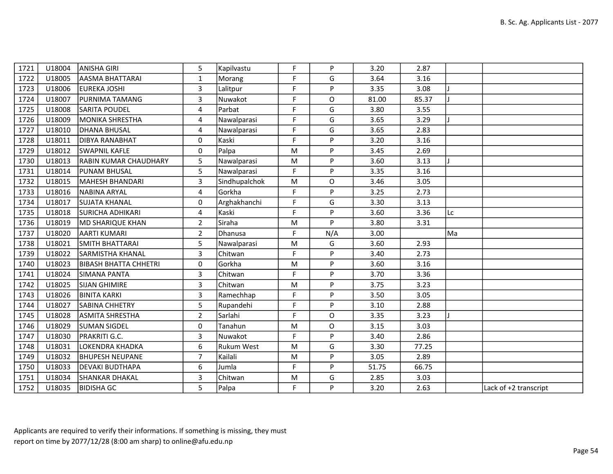| 1721 | U18004 | ANISHA GIRI                  | 5              | Kapilvastu        | F. | P        | 3.20  | 2.87  |      |                       |
|------|--------|------------------------------|----------------|-------------------|----|----------|-------|-------|------|-----------------------|
| 1722 | U18005 | <b>AASMA BHATTARAI</b>       | $\mathbf{1}$   | Morang            | F. | G        | 3.64  | 3.16  |      |                       |
| 1723 | U18006 | EUREKA JOSHI                 | 3              | Lalitpur          | F. | P        | 3.35  | 3.08  |      |                       |
| 1724 | U18007 | PURNIMA TAMANG               | 3              | Nuwakot           | F. | $\circ$  | 81.00 | 85.37 |      |                       |
| 1725 | U18008 | SARITA POUDEL                | 4              | Parbat            | F. | G        | 3.80  | 3.55  |      |                       |
| 1726 | U18009 | MONIKA SHRESTHA              | 4              | Nawalparasi       | F. | G        | 3.65  | 3.29  |      |                       |
| 1727 | U18010 | DHANA BHUSAL                 | 4              | Nawalparasi       | F. | G        | 3.65  | 2.83  |      |                       |
| 1728 | U18011 | <b>DIBYA RANABHAT</b>        | 0              | Kaski             | F. | P        | 3.20  | 3.16  |      |                       |
| 1729 | U18012 | SWAPNIL KAFLE                | 0              | Palpa             | M  | P        | 3.45  | 2.69  |      |                       |
| 1730 | U18013 | RABIN KUMAR CHAUDHARY        | 5              | Nawalparasi       | M  | P        | 3.60  | 3.13  |      |                       |
| 1731 | U18014 | PUNAM BHUSAL                 | 5              | Nawalparasi       | F. | P        | 3.35  | 3.16  |      |                       |
| 1732 | U18015 | <b>MAHESH BHANDARI</b>       | 3              | Sindhupalchok     | M  | $\Omega$ | 3.46  | 3.05  |      |                       |
| 1733 | U18016 | NABINA ARYAL                 | 4              | Gorkha            | F. | P        | 3.25  | 2.73  |      |                       |
| 1734 | U18017 | SUJATA KHANAL                | $\mathbf 0$    | Arghakhanchi      | F. | G        | 3.30  | 3.13  |      |                       |
| 1735 | U18018 | SURICHA ADHIKARI             | 4              | Kaski             | F. | P        | 3.60  | 3.36  | Lc   |                       |
| 1736 | U18019 | MD SHARIQUE KHAN             | $\overline{2}$ | Siraha            | M  | P        | 3.80  | 3.31  |      |                       |
| 1737 | U18020 | <b>AARTI KUMARI</b>          | $\overline{2}$ | Dhanusa           | F. | N/A      | 3.00  |       | l Ma |                       |
| 1738 | U18021 | SMITH BHATTARAI              | 5              | Nawalparasi       | M  | G        | 3.60  | 2.93  |      |                       |
| 1739 | U18022 | SARMISTHA KHANAL             | 3              | Chitwan           | F. | P        | 3.40  | 2.73  |      |                       |
| 1740 | U18023 | <b>BIBASH BHATTA CHHETRI</b> | 0              | Gorkha            | M  | P        | 3.60  | 3.16  |      |                       |
| 1741 | U18024 | SIMANA PANTA                 | 3              | Chitwan           | F. | P        | 3.70  | 3.36  |      |                       |
| 1742 | U18025 | <b>SIJAN GHIMIRE</b>         | 3              | Chitwan           | M  | P        | 3.75  | 3.23  |      |                       |
| 1743 | U18026 | BINITA KARKI                 | 3              | Ramechhap         | F. | P        | 3.50  | 3.05  |      |                       |
| 1744 | U18027 | SABINA CHHETRY               | 5              | Rupandehi         | F. | P        | 3.10  | 2.88  |      |                       |
| 1745 | U18028 | ASMITA SHRESTHA              | $\overline{2}$ | Sarlahi           | F. | $\circ$  | 3.35  | 3.23  |      |                       |
| 1746 | U18029 | <b>SUMAN SIGDEL</b>          | 0              | Tanahun           | M  | $\circ$  | 3.15  | 3.03  |      |                       |
| 1747 | U18030 | PRAKRITI G.C.                | 3              | Nuwakot           | F. | P        | 3.40  | 2.86  |      |                       |
| 1748 | U18031 | LOKENDRA KHADKA              | 6              | <b>Rukum West</b> | M  | G        | 3.30  | 77.25 |      |                       |
| 1749 | U18032 | <b>BHUPESH NEUPANE</b>       | $\overline{7}$ | Kailali           | M  | P        | 3.05  | 2.89  |      |                       |
| 1750 | U18033 | <b>DEVAKI BUDTHAPA</b>       | 6              | Jumla             | F. | P        | 51.75 | 66.75 |      |                       |
| 1751 | U18034 | SHANKAR DHAKAL               | 3              | Chitwan           | M  | G        | 2.85  | 3.03  |      |                       |
| 1752 | U18035 | <b>BIDISHA GC</b>            | 5              | Palpa             | F. | P        | 3.20  | 2.63  |      | Lack of +2 transcript |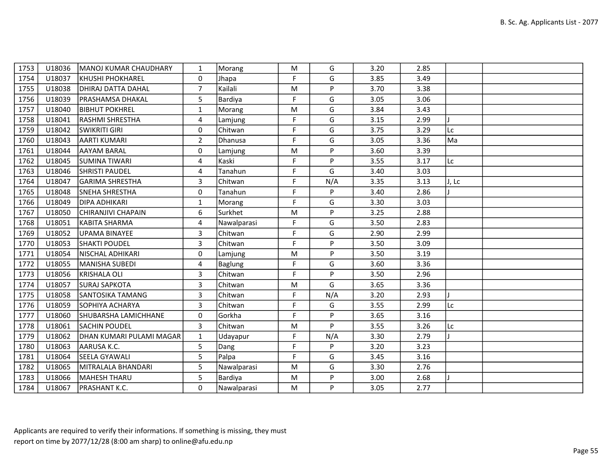| 1753 | U18036 | İMANOJ KUMAR CHAUDHARY   | 1              | Morang      | M         | G   | 3.20 | 2.85 |       |  |
|------|--------|--------------------------|----------------|-------------|-----------|-----|------|------|-------|--|
| 1754 | U18037 | KHUSHI PHOKHAREL         | 0              | Jhapa       | F.        | G   | 3.85 | 3.49 |       |  |
| 1755 | U18038 | DHIRAJ DATTA DAHAL       | $\overline{7}$ | Kailali     | M         | P   | 3.70 | 3.38 |       |  |
| 1756 | U18039 | PRASHAMSA DHAKAL         | 5              | Bardiya     | F.        | G   | 3.05 | 3.06 |       |  |
| 1757 | U18040 | <b>BIBHUT POKHREL</b>    | $\mathbf{1}$   | Morang      | M         | G   | 3.84 | 3.43 |       |  |
| 1758 | U18041 | <b>RASHMI SHRESTHA</b>   | 4              | Lamjung     | F.        | G   | 3.15 | 2.99 |       |  |
| 1759 | U18042 | SWIKRITI GIRI            | 0              | Chitwan     | F.        | G   | 3.75 | 3.29 | Lc    |  |
| 1760 | U18043 | <b>AARTI KUMARI</b>      | $\overline{2}$ | Dhanusa     | F.        | G   | 3.05 | 3.36 | l Ma  |  |
| 1761 | U18044 | <b>AAYAM BARAL</b>       | $\Omega$       | Lamjung     | M         | P   | 3.60 | 3.39 |       |  |
| 1762 | U18045 | İSUMINA TIWARI           | 4              | Kaski       | F.        | P   | 3.55 | 3.17 | Lc    |  |
| 1763 | U18046 | SHRISTI PAUDEL           | 4              | Tanahun     | F.        | G   | 3.40 | 3.03 |       |  |
| 1764 | U18047 | <b>GARIMA SHRESTHA</b>   | 3              | Chitwan     | F.        | N/A | 3.35 | 3.13 | J, Lc |  |
| 1765 | U18048 | SNEHA SHRESTHA           | $\mathbf 0$    | Tanahun     | F.        | P   | 3.40 | 2.86 |       |  |
| 1766 | U18049 | <b>DIPA ADHIKARI</b>     | $\mathbf{1}$   | Morang      | F.        | G   | 3.30 | 3.03 |       |  |
| 1767 | U18050 | CHIRANJIVI CHAPAIN       | 6              | Surkhet     | M         | P   | 3.25 | 2.88 |       |  |
| 1768 | U18051 | <b>KABITA SHARMA</b>     | $\pmb{4}$      | Nawalparasi | F.        | G   | 3.50 | 2.83 |       |  |
| 1769 | U18052 | <b>UPAMA BINAYEE</b>     | 3              | Chitwan     | F.        | G   | 2.90 | 2.99 |       |  |
| 1770 | U18053 | SHAKTI POUDEL            | 3              | Chitwan     | F.        | P   | 3.50 | 3.09 |       |  |
| 1771 | U18054 | NISCHAL ADHIKARI         | $\pmb{0}$      | Lamjung     | M         | P   | 3.50 | 3.19 |       |  |
| 1772 | U18055 | <b>MANISHA SUBEDI</b>    | 4              | Baglung     | F.        | G   | 3.60 | 3.36 |       |  |
| 1773 | U18056 | KRISHALA OLI             | 3              | Chitwan     | F.        | P   | 3.50 | 2.96 |       |  |
| 1774 | U18057 | <b>SURAJ SAPKOTA</b>     | 3              | Chitwan     | M         | G   | 3.65 | 3.36 |       |  |
| 1775 | U18058 | SANTOSIKA TAMANG         | 3              | Chitwan     | F.        | N/A | 3.20 | 2.93 |       |  |
| 1776 | U18059 | SOPHIYA ACHARYA          | 3              | Chitwan     | F.        | G   | 3.55 | 2.99 | Lc    |  |
| 1777 | U18060 | SHUBARSHA LAMICHHANE     | $\mathbf 0$    | Gorkha      | F.        | P   | 3.65 | 3.16 |       |  |
| 1778 | U18061 | lsachin POUDEL           | 3              | Chitwan     | M         | P   | 3.55 | 3.26 | Lc    |  |
| 1779 | U18062 | DHAN KUMARI PULAMI MAGAR | $\mathbf{1}$   | Udayapur    | F.        | N/A | 3.30 | 2.79 |       |  |
| 1780 | U18063 | AARUSA K.C.              | 5              | Dang        | F.        | P   | 3.20 | 3.23 |       |  |
| 1781 | U18064 | SEELA GYAWALI            | 5              | Palpa       | F         | G   | 3.45 | 3.16 |       |  |
| 1782 | U18065 | MITRALALA BHANDARI       | 5              | Nawalparasi | ${\sf M}$ | G   | 3.30 | 2.76 |       |  |
| 1783 | U18066 | MAHESH THARU             | 5              | Bardiya     | M         | Þ   | 3.00 | 2.68 |       |  |
| 1784 | U18067 | PRASHANT K.C.            | $\Omega$       | Nawalparasi | M         | P   | 3.05 | 2.77 |       |  |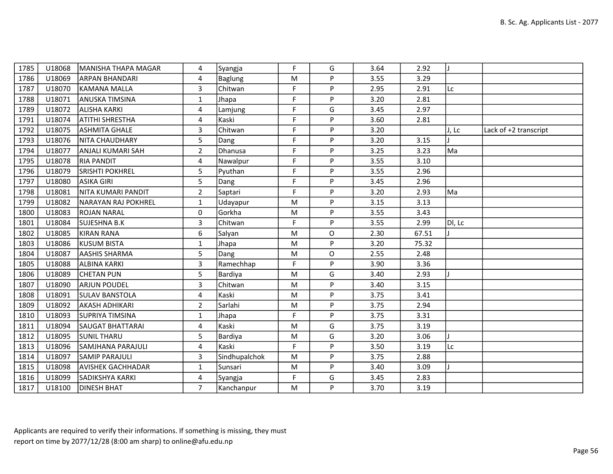| 1785 | U18068 | MANISHA THAPA MAGAR        | 4              | Syangja        | F. | G | 3.64 | 2.92  |        |                       |
|------|--------|----------------------------|----------------|----------------|----|---|------|-------|--------|-----------------------|
| 1786 | U18069 | ARPAN BHANDARI             | 4              | <b>Baglung</b> | M  | P | 3.55 | 3.29  |        |                       |
| 1787 | U18070 | KAMANA MALLA               | $\mathbf{3}$   | Chitwan        | F. | P | 2.95 | 2.91  | Lc     |                       |
| 1788 | U18071 | <b>ANUSKA TIMSINA</b>      | $\mathbf{1}$   | Jhapa          | F. | P | 3.20 | 2.81  |        |                       |
| 1789 | U18072 | ALISHA KARKI               | 4              | Lamjung        | F. | G | 3.45 | 2.97  |        |                       |
| 1791 | U18074 | ATITHI SHRESTHA            | $\overline{4}$ | Kaski          | È. | P | 3.60 | 2.81  |        |                       |
| 1792 | U18075 | <b>ASHMITA GHALE</b>       | 3              | Chitwan        | F. | P | 3.20 |       | J, Lc  | Lack of +2 transcript |
| 1793 | U18076 | <b>NITA CHAUDHARY</b>      | 5              | Dang           | F. | P | 3.20 | 3.15  |        |                       |
| 1794 | U18077 | ANJALI KUMARI SAH          | $\overline{2}$ | Dhanusa        | F. | P | 3.25 | 3.23  | Ma     |                       |
| 1795 | U18078 | <b>RIA PANDIT</b>          | 4              | Nawalpur       | F  | P | 3.55 | 3.10  |        |                       |
| 1796 | U18079 | <b>SRISHTI POKHREL</b>     | 5              | Pyuthan        | F. | P | 3.55 | 2.96  |        |                       |
| 1797 | U18080 | ASIKA GIRI                 | 5              | Dang           | F. | P | 3.45 | 2.96  |        |                       |
| 1798 | U18081 | NITA KUMARI PANDIT         | $\overline{2}$ | Saptari        | F. | P | 3.20 | 2.93  | Ma     |                       |
| 1799 | U18082 | <b>NARAYAN RAJ POKHREL</b> | 1              | Udayapur       | M  | P | 3.15 | 3.13  |        |                       |
| 1800 | U18083 | <b>ROJAN NARAL</b>         | $\mathbf 0$    | Gorkha         | M  | P | 3.55 | 3.43  |        |                       |
| 1801 | U18084 | SUJESHNA B.K               | 3              | Chitwan        | F. | P | 3.55 | 2.99  | DI, Lc |                       |
| 1802 | U18085 | KIRAN RANA                 | 6              | Salyan         | M  | 0 | 2.30 | 67.51 |        |                       |
| 1803 | U18086 | <b>KUSUM BISTA</b>         | $\mathbf{1}$   | Jhapa          | M  | P | 3.20 | 75.32 |        |                       |
| 1804 | U18087 | AASHIS SHARMA              | 5              | Dang           | M  | O | 2.55 | 2.48  |        |                       |
| 1805 | U18088 | <b>ALBINA KARKI</b>        | $\mathsf{3}$   | Ramechhap      | F. | P | 3.90 | 3.36  |        |                       |
| 1806 | U18089 | CHETAN PUN                 | 5              | Bardiya        | M  | G | 3.40 | 2.93  |        |                       |
| 1807 | U18090 | <b>ARJUN POUDEL</b>        | $\mathbf{3}$   | Chitwan        | M  | P | 3.40 | 3.15  |        |                       |
| 1808 | U18091 | <b>SULAV BANSTOLA</b>      | 4              | Kaski          | M  | P | 3.75 | 3.41  |        |                       |
| 1809 | U18092 | <b>AKASH ADHIKARI</b>      | $\overline{2}$ | Sarlahi        | M  | P | 3.75 | 2.94  |        |                       |
| 1810 | U18093 | SUPRIYA TIMSINA            | $\mathbf{1}$   | Jhapa          | F. | P | 3.75 | 3.31  |        |                       |
| 1811 | U18094 | <b>SAUGAT BHATTARAI</b>    | 4              | Kaski          | M  | G | 3.75 | 3.19  |        |                       |
| 1812 | U18095 | <b>SUNIL THARU</b>         | 5              | Bardiya        | M  | G | 3.20 | 3.06  |        |                       |
| 1813 | U18096 | SAMJHANA PARAJULI          | 4              | Kaski          | F. | P | 3.50 | 3.19  | Lc     |                       |
| 1814 | U18097 | <b>SAMIP PARAJULI</b>      | $\mathbf{3}$   | Sindhupalchok  | M  | P | 3.75 | 2.88  |        |                       |
| 1815 | U18098 | <b>AVISHEK GACHHADAR</b>   | $\mathbf 1$    | Sunsari        | M  | P | 3.40 | 3.09  |        |                       |
| 1816 | U18099 | SADIKSHYA KARKI            | 4              | Syangja        | F. | G | 3.45 | 2.83  |        |                       |
| 1817 | U18100 | <b>DINESH BHAT</b>         | $\overline{7}$ | Kanchanpur     | M  | P | 3.70 | 3.19  |        |                       |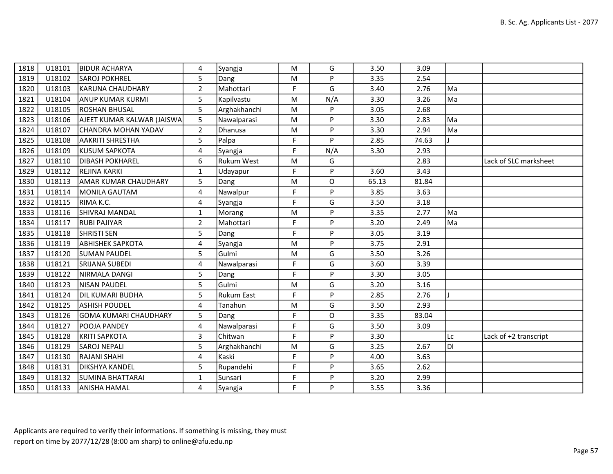| 1818 | U18101 | <b>BIDUR ACHARYA</b>       | 4              | Syangja           | M  | G   | 3.50  | 3.09  |     |                       |
|------|--------|----------------------------|----------------|-------------------|----|-----|-------|-------|-----|-----------------------|
| 1819 | U18102 | SAROJ POKHREL              | 5              | Dang              | M  | P   | 3.35  | 2.54  |     |                       |
| 1820 | U18103 | KARUNA CHAUDHARY           | $\overline{2}$ | Mahottari         | F. | G   | 3.40  | 2.76  | lMa |                       |
| 1821 | U18104 | ANUP KUMAR KURMI           | 5              | Kapilvastu        | M  | N/A | 3.30  | 3.26  | Ma  |                       |
| 1822 | U18105 | ROSHAN BHUSAL              | 5              | Arghakhanchi      | M  | P   | 3.05  | 2.68  |     |                       |
| 1823 | U18106 | AJEET KUMAR KALWAR (JAISWA | 5              | Nawalparasi       | M  | P   | 3.30  | 2.83  | Ma  |                       |
| 1824 | U18107 | <b>CHANDRA MOHAN YADAV</b> | $\overline{2}$ | Dhanusa           | M  | P   | 3.30  | 2.94  | Ma  |                       |
| 1825 | U18108 | AAKRITI SHRESTHA           | 5              | Palpa             | F. | P   | 2.85  | 74.63 |     |                       |
| 1826 | U18109 | KUSUM SAPKOTA              | $\overline{4}$ | Syangja           | F. | N/A | 3.30  | 2.93  |     |                       |
| 1827 | U18110 | IDIBASH POKHAREL           | 6              | <b>Rukum West</b> | M  | G   |       | 2.83  |     | Lack of SLC marksheet |
| 1829 | U18112 | REJINA KARKI               | $\mathbf{1}$   | Udayapur          | F. | P   | 3.60  | 3.43  |     |                       |
| 1830 | U18113 | AMAR KUMAR CHAUDHARY       | 5              | Dang              | M  | 0   | 65.13 | 81.84 |     |                       |
| 1831 | U18114 | MONILA GAUTAM              | 4              | Nawalpur          | F. | P   | 3.85  | 3.63  |     |                       |
| 1832 | U18115 | RIMA K.C.                  | 4              | Syangja           | F  | G   | 3.50  | 3.18  |     |                       |
| 1833 | U18116 | SHIVRAJ MANDAL             | $\mathbf{1}$   | Morang            | M  | P   | 3.35  | 2.77  | Ma  |                       |
| 1834 | U18117 | <b>RUBI PAJIYAR</b>        | $\overline{2}$ | Mahottari         | F. | P   | 3.20  | 2.49  | Ma  |                       |
| 1835 | U18118 | İSHRISTI SEN               | 5              | Dang              | F. | P   | 3.05  | 3.19  |     |                       |
| 1836 | U18119 | ABHISHEK SAPKOTA           | $\pmb{4}$      | Syangja           | M  | P   | 3.75  | 2.91  |     |                       |
| 1837 | U18120 | SUMAN PAUDEL               | 5              | Gulmi             | M  | G   | 3.50  | 3.26  |     |                       |
| 1838 | U18121 | SRIJANA SUBEDI             | 4              | Nawalparasi       | F. | G   | 3.60  | 3.39  |     |                       |
| 1839 | U18122 | NIRMALA DANGI              | 5              | Dang              | F. | P   | 3.30  | 3.05  |     |                       |
| 1840 | U18123 | NISAN PAUDEL               | 5              | Gulmi             | M  | G   | 3.20  | 3.16  |     |                       |
| 1841 | U18124 | DIL KUMARI BUDHA           | 5              | <b>Rukum East</b> | F  | P   | 2.85  | 2.76  |     |                       |
| 1842 | U18125 | <b>ASHISH POUDEL</b>       | 4              | Tanahun           | M  | G   | 3.50  | 2.93  |     |                       |
| 1843 | U18126 | GOMA KUMARI CHAUDHARY      | 5              | Dang              | F. | O   | 3.35  | 83.04 |     |                       |
| 1844 | U18127 | POOJA PANDEY               | 4              | Nawalparasi       | F  | G   | 3.50  | 3.09  |     |                       |
| 1845 | U18128 | <b>KRITI SAPKOTA</b>       | 3              | Chitwan           | F. | P   | 3.30  |       | Lc  | Lack of +2 transcript |
| 1846 | U18129 | SAROJ NEPALI               | 5              | Arghakhanchi      | M  | G   | 3.25  | 2.67  | ldi |                       |
| 1847 | U18130 | RAJANI SHAHI               | 4              | Kaski             | F. | P   | 4.00  | 3.63  |     |                       |
| 1848 | U18131 | DIKSHYA KANDEL             | 5              | Rupandehi         | F. | P   | 3.65  | 2.62  |     |                       |
| 1849 | U18132 | SUMINA BHATTARAI           | $\mathbf{1}$   | Sunsari           | F  | Þ   | 3.20  | 2.99  |     |                       |
| 1850 | U18133 | ANISHA HAMAL               | 4              | Syangja           | F. | P   | 3.55  | 3.36  |     |                       |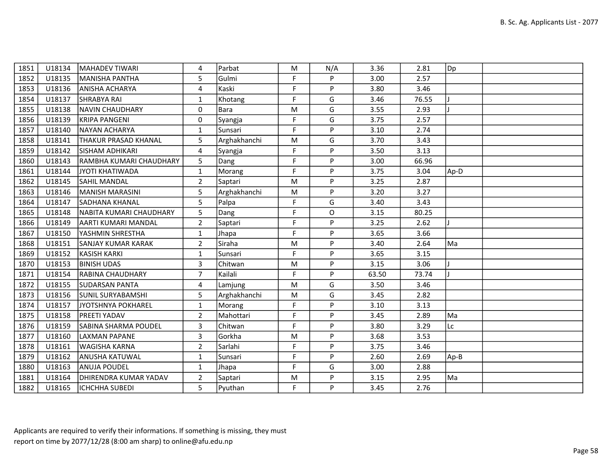| 1851 | U18134 | MAHADEV TIWARI                | 4              | Parbat       | M  | N/A      | 3.36  | 2.81  | Dp   |  |
|------|--------|-------------------------------|----------------|--------------|----|----------|-------|-------|------|--|
| 1852 | U18135 | <b>MANISHA PANTHA</b>         | 5              | Gulmi        | F. | P        | 3.00  | 2.57  |      |  |
| 1853 | U18136 | <b>JANISHA ACHARYA</b>        | 4              | Kaski        | F. | P        | 3.80  | 3.46  |      |  |
| 1854 | U18137 | <b>SHRABYA RAI</b>            | $\mathbf{1}$   | Khotang      | F  | G        | 3.46  | 76.55 |      |  |
| 1855 | U18138 | NAVIN CHAUDHARY               | $\mathbf 0$    | Bara         | M  | G        | 3.55  | 2.93  |      |  |
| 1856 | U18139 | KRIPA PANGENI                 | $\mathbf 0$    | Syangja      | F. | G        | 3.75  | 2.57  |      |  |
| 1857 | U18140 | NAYAN ACHARYA                 | $\mathbf{1}$   | Sunsari      | F  | P        | 3.10  | 2.74  |      |  |
| 1858 | U18141 | THAKUR PRASAD KHANAL          | 5              | Arghakhanchi | M  | G        | 3.70  | 3.43  |      |  |
| 1859 | U18142 | <b>SISHAM ADHIKARI</b>        | 4              | Syangja      | F  | P        | 3.50  | 3.13  |      |  |
| 1860 | U18143 | RAMBHA KUMARI CHAUDHARY       | 5              | Dang         | F  | P        | 3.00  | 66.96 |      |  |
| 1861 | U18144 | IJYOTI KHATIWADA              | $\mathbf{1}$   | Morang       | F  | P        | 3.75  | 3.04  | Ap-D |  |
| 1862 | U18145 | <b>SAHIL MANDAL</b>           | $\overline{2}$ | Saptari      | M  | <b>P</b> | 3.25  | 2.87  |      |  |
| 1863 | U18146 | <b>IMANISH MARASINI</b>       | 5              | Arghakhanchi | M  | P        | 3.20  | 3.27  |      |  |
| 1864 | U18147 | lSADHANA KHANAL               | 5              | Palpa        | F. | G        | 3.40  | 3.43  |      |  |
| 1865 | U18148 | NABITA KUMARI CHAUDHARY       | 5              | Dang         | F. | $\Omega$ | 3.15  | 80.25 |      |  |
| 1866 | U18149 | AARTI KUMARI MANDAL           | $\overline{2}$ | Saptari      | F. | P        | 3.25  | 2.62  |      |  |
| 1867 | U18150 | YASHMIN SHRESTHA              | $\mathbf{1}$   | Jhapa        | F  | P        | 3.65  | 3.66  |      |  |
| 1868 | U18151 | SANJAY KUMAR KARAK            | $\overline{2}$ | Siraha       | M  | P        | 3.40  | 2.64  | Ma   |  |
| 1869 | U18152 | KASISH KARKI                  | $\mathbf{1}$   | Sunsari      | F  | P        | 3.65  | 3.15  |      |  |
| 1870 | U18153 | <b>BINISH UDAS</b>            | 3              | Chitwan      | M  | P        | 3.15  | 3.06  |      |  |
| 1871 | U18154 | RABINA CHAUDHARY              | $\overline{7}$ | Kailali      | F. | P        | 63.50 | 73.74 |      |  |
| 1872 | U18155 | <b>SUDARSAN PANTA</b>         | 4              | Lamjung      | M  | G        | 3.50  | 3.46  |      |  |
| 1873 | U18156 | <b>SUNIL SURYABAMSHI</b>      | 5              | Arghakhanchi | M  | G        | 3.45  | 2.82  |      |  |
| 1874 | U18157 | JYOTSHNYA POKHAREL            | $\mathbf{1}$   | Morang       | F. | P        | 3.10  | 3.13  |      |  |
| 1875 | U18158 | <b>PREETI YADAV</b>           | $\overline{2}$ | Mahottari    | F  | P        | 3.45  | 2.89  | Ma   |  |
| 1876 | U18159 | ISABINA SHARMA POUDEL         | 3              | Chitwan      | F  | P        | 3.80  | 3.29  | Lc   |  |
| 1877 | U18160 | LAXMAN PAPANE                 | 3              | Gorkha       | M  | P        | 3.68  | 3.53  |      |  |
| 1878 | U18161 | <b>UVAGISHA KARNA</b>         | $\overline{2}$ | Sarlahi      | F  | P        | 3.75  | 3.46  |      |  |
| 1879 | U18162 | ANUSHA KATUWAL                | $\mathbf{1}$   | Sunsari      | F. | P        | 2.60  | 2.69  | Ap-B |  |
| 1880 | U18163 | <b>ANUJA POUDEL</b>           | $\mathbf{1}$   | Jhapa        | F. | G        | 3.00  | 2.88  |      |  |
| 1881 | U18164 | <b>IDHIRENDRA KUMAR YADAV</b> | $\overline{2}$ | Saptari      | M  | P        | 3.15  | 2.95  | Ma   |  |
| 1882 | U18165 | <b>ICHCHHA SUBEDI</b>         | 5              | Pyuthan      | F. | P        | 3.45  | 2.76  |      |  |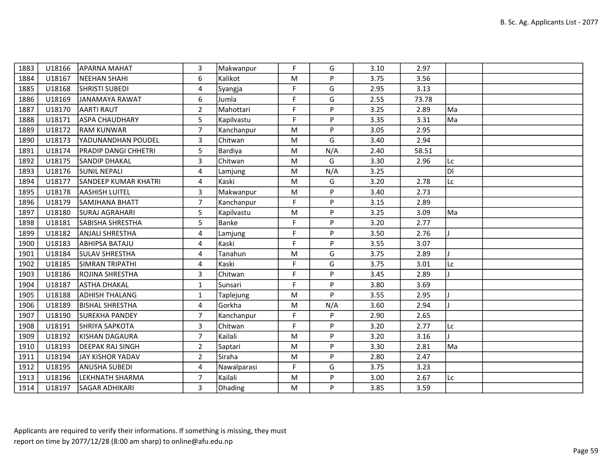| 1883 | U18166 | <b>APARNA MAHAT</b>     | 3              | Makwanpur      | F. | G   | 3.10 | 2.97  |      |  |
|------|--------|-------------------------|----------------|----------------|----|-----|------|-------|------|--|
| 1884 | U18167 | NEEHAN SHAHI            | 6              | Kalikot        | M  | P   | 3.75 | 3.56  |      |  |
| 1885 | U18168 | SHRISTI SUBEDI          | $\overline{4}$ | Syangja        | F. | G   | 2.95 | 3.13  |      |  |
| 1886 | U18169 | <b>JANAMAYA RAWAT</b>   | 6              | Jumla          | F. | G   | 2.55 | 73.78 |      |  |
| 1887 | U18170 | AARTI RAUT              | $\overline{2}$ | Mahottari      | F. | P   | 3.25 | 2.89  | l Ma |  |
| 1888 | U18171 | ASPA CHAUDHARY          | 5              | Kapilvastu     | F. | P   | 3.35 | 3.31  | Ma   |  |
| 1889 | U18172 | RAM KUNWAR              | $\overline{7}$ | Kanchanpur     | M  | P   | 3.05 | 2.95  |      |  |
| 1890 | U18173 | YADUNANDHAN POUDEL      | 3              | Chitwan        | M  | G   | 3.40 | 2.94  |      |  |
| 1891 | U18174 | PRADIP DANGI CHHETRI    | 5              | Bardiya        | M  | N/A | 2.40 | 58.51 |      |  |
| 1892 | U18175 | lsandip dhakal          | 3              | Chitwan        | M  | G   | 3.30 | 2.96  | Lc   |  |
| 1893 | U18176 | SUNIL NEPALI            | 4              | Lamjung        | M  | N/A | 3.25 |       | ldi  |  |
| 1894 | U18177 | SANDEEP KUMAR KHATRI    | $\overline{4}$ | Kaski          | M  | G   | 3.20 | 2.78  | Lc   |  |
| 1895 | U18178 | <b>AASHISH LUITEL</b>   | 3              | Makwanpur      | M  | P   | 3.40 | 2.73  |      |  |
| 1896 | U18179 | SAMJHANA BHATT          | $\overline{7}$ | Kanchanpur     | F  | P   | 3.15 | 2.89  |      |  |
| 1897 | U18180 | SURAJ AGRAHARI          | 5              | Kapilvastu     | M  | P   | 3.25 | 3.09  | Ma   |  |
| 1898 | U18181 | SABISHA SHRESTHA        | 5              | Banke          | F. | P   | 3.20 | 2.77  |      |  |
| 1899 | U18182 | <b>ANJALI SHRESTHA</b>  | 4              | Lamjung        | F  | P   | 3.50 | 2.76  |      |  |
| 1900 | U18183 | ABHIPSA BATAJU          | 4              | Kaski          | F. | P   | 3.55 | 3.07  |      |  |
| 1901 | U18184 | <b>SULAV SHRESTHA</b>   | 4              | Tanahun        | M  | G   | 3.75 | 2.89  |      |  |
| 1902 | U18185 | SIMRAN TRIPATHI         | 4              | Kaski          | F. | G   | 3.75 | 3.01  | Lc   |  |
| 1903 | U18186 | ROJINA SHRESTHA         | 3              | Chitwan        | F. | P   | 3.45 | 2.89  |      |  |
| 1904 | U18187 | ASTHA DHAKAL            | $\mathbf{1}$   | Sunsari        | F. | P   | 3.80 | 3.69  |      |  |
| 1905 | U18188 | <b>ADHISH THALANG</b>   | $\mathbf{1}$   | Taplejung      | M  | P   | 3.55 | 2.95  |      |  |
| 1906 | U18189 | BISHAL SHRESTHA         | $\overline{4}$ | Gorkha         | M  | N/A | 3.60 | 2.94  |      |  |
| 1907 | U18190 | <b>SUREKHA PANDEY</b>   | $\overline{7}$ | Kanchanpur     | F. | P   | 2.90 | 2.65  |      |  |
| 1908 | U18191 | SHRIYA SAPKOTA          | 3              | Chitwan        | F. | P   | 3.20 | 2.77  | Lc   |  |
| 1909 | U18192 | KISHAN DAGAURA          | $\overline{7}$ | Kailali        | M  | P   | 3.20 | 3.16  |      |  |
| 1910 | U18193 | <b>DEEPAK RAJ SINGH</b> | $\overline{2}$ | Saptari        | M  | P   | 3.30 | 2.81  | Ma   |  |
| 1911 | U18194 | <b>JAY KISHOR YADAV</b> | $\overline{2}$ | Siraha         | M  | P   | 2.80 | 2.47  |      |  |
| 1912 | U18195 | ANUSHA SUBEDI           | $\pmb{4}$      | Nawalparasi    | F. | G   | 3.75 | 3.23  |      |  |
| 1913 | U18196 | LEKHNATH SHARMA         | $\overline{7}$ | Kailali        | M  | Þ   | 3.00 | 2.67  | Lc   |  |
| 1914 | U18197 | SAGAR ADHIKARI          | 3              | <b>Dhading</b> | M  | P   | 3.85 | 3.59  |      |  |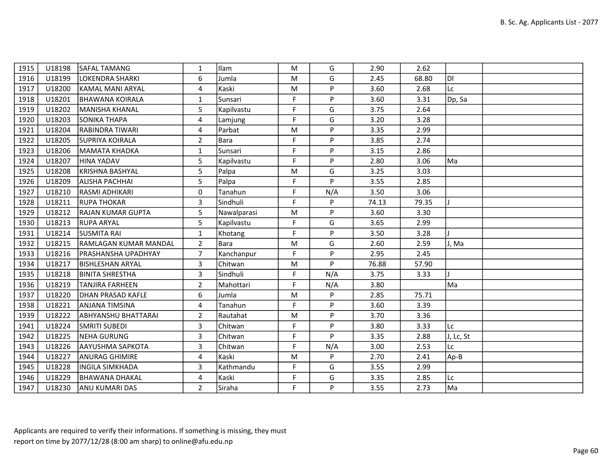| 1915 | U18198 | <b>SAFAL TAMANG</b>        | $\mathbf{1}$   | Ilam        | M  | G   | 2.90  | 2.62  |           |  |
|------|--------|----------------------------|----------------|-------------|----|-----|-------|-------|-----------|--|
| 1916 | U18199 | <b>LOKENDRA SHARKI</b>     | 6              | Jumla       | M  | G   | 2.45  | 68.80 | IDI.      |  |
| 1917 | U18200 | KAMAL MANI ARYAL           | $\overline{4}$ | Kaski       | M  | P   | 3.60  | 2.68  | Lc        |  |
| 1918 | U18201 | BHAWANA KOIRALA            | $\mathbf 1$    | Sunsari     | F  | P   | 3.60  | 3.31  | Dp, Sa    |  |
| 1919 | U18202 | <b>MANISHA KHANAL</b>      | 5              | Kapilvastu  | F. | G   | 3.75  | 2.64  |           |  |
| 1920 | U18203 | SONIKA THAPA               | 4              | Lamjung     | F  | G   | 3.20  | 3.28  |           |  |
| 1921 | U18204 | <b>RABINDRA TIWARI</b>     | 4              | Parbat      | M  | P   | 3.35  | 2.99  |           |  |
| 1922 | U18205 | SUPRIYA KOIRALA            | $\overline{2}$ | Bara        | F  | P   | 3.85  | 2.74  |           |  |
| 1923 | U18206 | MAMATA KHADKA              | $\mathbf{1}$   | Sunsari     | F  | P   | 3.15  | 2.86  |           |  |
| 1924 | U18207 | IHINA YADAV                | 5              | Kapilvastu  | F  | P   | 2.80  | 3.06  | Ma        |  |
| 1925 | U18208 | <b>KRISHNA BASHYAL</b>     | 5              | Palpa       | M  | G   | 3.25  | 3.03  |           |  |
| 1926 | U18209 | <b>ALISHA PACHHAI</b>      | 5              | Palpa       | F. | P   | 3.55  | 2.85  |           |  |
| 1927 | U18210 | RASMI ADHIKARI             | $\mathbf 0$    | Tanahun     | F  | N/A | 3.50  | 3.06  |           |  |
| 1928 | U18211 | <b>RUPA THOKAR</b>         | $\mathbf{3}$   | Sindhuli    | F  | P   | 74.13 | 79.35 |           |  |
| 1929 | U18212 | RAJAN KUMAR GUPTA          | 5              | Nawalparasi | M  | P.  | 3.60  | 3.30  |           |  |
| 1930 | U18213 | <b>RUPA ARYAL</b>          | 5              | Kapilvastu  | F  | G   | 3.65  | 2.99  |           |  |
| 1931 | U18214 | <b>SUSMITA RAI</b>         | $\mathbf{1}$   | Khotang     | F  | P   | 3.50  | 3.28  |           |  |
| 1932 | U18215 | RAMLAGAN KUMAR MANDAL      | $\overline{2}$ | Bara        | M  | G   | 2.60  | 2.59  | J, Ma     |  |
| 1933 | U18216 | <b>PRASHANSHA UPADHYAY</b> | $\overline{7}$ | Kanchanpur  | F. | P   | 2.95  | 2.45  |           |  |
| 1934 | U18217 | <b>BISHLESHAN ARYAL</b>    | $\mathbf{3}$   | Chitwan     | M  | P   | 76.88 | 57.90 |           |  |
| 1935 | U18218 | <b>BINITA SHRESTHA</b>     | 3              | Sindhuli    | F. | N/A | 3.75  | 3.33  |           |  |
| 1936 | U18219 | <b>TANJIRA FARHEEN</b>     | $\overline{2}$ | Mahottari   | F. | N/A | 3.80  |       | Ma        |  |
| 1937 | U18220 | <b>DHAN PRASAD KAFLE</b>   | 6              | Jumla       | M  | P   | 2.85  | 75.71 |           |  |
| 1938 | U18221 | <b>ANJANA TIMSINA</b>      | 4              | Tanahun     | F. | P   | 3.60  | 3.39  |           |  |
| 1939 | U18222 | ABHYANSHU BHATTARAI        | $\overline{2}$ | Rautahat    | M  | P   | 3.70  | 3.36  |           |  |
| 1941 | U18224 | <b>SMRITI SUBEDI</b>       | 3              | Chitwan     | F  | P   | 3.80  | 3.33  | Lc        |  |
| 1942 | U18225 | <b>NEHA GURUNG</b>         | 3              | Chitwan     | F  | P   | 3.35  | 2.88  | J, Lc, St |  |
| 1943 | U18226 | <b>AAYUSHMA SAPKOTA</b>    | 3              | Chitwan     | F. | N/A | 3.00  | 2.53  | Lc        |  |
| 1944 | U18227 | <b>ANURAG GHIMIRE</b>      | 4              | Kaski       | M  | P   | 2.70  | 2.41  | Ap-B      |  |
| 1945 | U18228 | <b>INGILA SIMKHADA</b>     | $\mathbf{3}$   | Kathmandu   | F. | G   | 3.55  | 2.99  |           |  |
| 1946 | U18229 | BHAWANA DHAKAL             | 4              | Kaski       | E  | G   | 3.35  | 2.85  | Lc        |  |
| 1947 | U18230 | ANU KUMARI DAS             | $\overline{2}$ | Siraha      | F. | P   | 3.55  | 2.73  | Ma        |  |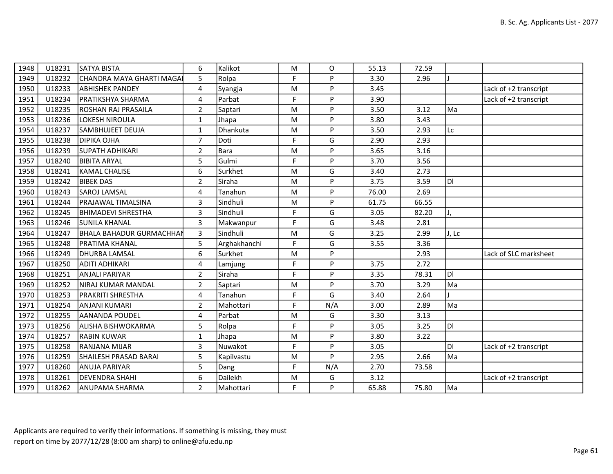| 1948 | U18231 | <b>SATYA BISTA</b>              | 6              | Kalikot      | M  | $\Omega$ | 55.13 | 72.59 |       |                       |
|------|--------|---------------------------------|----------------|--------------|----|----------|-------|-------|-------|-----------------------|
| 1949 | U18232 | CHANDRA MAYA GHARTI MAGAI       | 5              | Rolpa        | F. | P        | 3.30  | 2.96  |       |                       |
| 1950 | U18233 | <b>ABHISHEK PANDEY</b>          | 4              | Syangja      | M  | P        | 3.45  |       |       | Lack of +2 transcript |
| 1951 | U18234 | <b>PRATIKSHYA SHARMA</b>        | 4              | Parbat       | F  | P        | 3.90  |       |       | Lack of +2 transcript |
| 1952 | U18235 | <b>ROSHAN RAJ PRASAILA</b>      | $\overline{2}$ | Saptari      | M  | P        | 3.50  | 3.12  | Ma    |                       |
| 1953 | U18236 | <b>LOKESH NIROULA</b>           | $\mathbf{1}$   | Jhapa        | M  | P        | 3.80  | 3.43  |       |                       |
| 1954 | U18237 | SAMBHUJEET DEUJA                | $\mathbf{1}$   | Dhankuta     | M  | P        | 3.50  | 2.93  | Lc    |                       |
| 1955 | U18238 | <b>DIPIKA OJHA</b>              | $\overline{7}$ | Doti         | F  | G        | 2.90  | 2.93  |       |                       |
| 1956 | U18239 | <b>SUPATH ADHIKARI</b>          | $\overline{2}$ | Bara         | M  | P        | 3.65  | 3.16  |       |                       |
| 1957 | U18240 | <b>BIBITA ARYAL</b>             | 5              | Gulmi        | F  | P        | 3.70  | 3.56  |       |                       |
| 1958 | U18241 | <b>KAMAL CHALISE</b>            | 6              | Surkhet      | M  | G        | 3.40  | 2.73  |       |                       |
| 1959 | U18242 | <b>BIBEK DAS</b>                | $\overline{2}$ | Siraha       | M  | P        | 3.75  | 3.59  | IDI   |                       |
| 1960 | U18243 | <b>SAROJ LAMSAL</b>             | 4              | Tanahun      | M  | P        | 76.00 | 2.69  |       |                       |
| 1961 | U18244 | PRAJAWAL TIMALSINA              | 3              | Sindhuli     | M  | P        | 61.75 | 66.55 |       |                       |
| 1962 | U18245 | <b>BHIMADEVI SHRESTHA</b>       | 3              | Sindhuli     | F. | G        | 3.05  | 82.20 |       |                       |
| 1963 | U18246 | SUNILA KHANAL                   | 3              | Makwanpur    | E. | G        | 3.48  | 2.81  |       |                       |
| 1964 | U18247 | <b>BHALA BAHADUR GURMACHHAN</b> | $\mathsf{3}$   | Sindhuli     | M  | G        | 3.25  | 2.99  | J, Lc |                       |
| 1965 | U18248 | <b>PRATIMA KHANAL</b>           | 5              | Arghakhanchi | F. | G        | 3.55  | 3.36  |       |                       |
| 1966 | U18249 | <b>DHURBA LAMSAL</b>            | 6              | Surkhet      | M  | P        |       | 2.93  |       | Lack of SLC marksheet |
| 1967 | U18250 | <b>ADITI ADHIKARI</b>           | 4              | Lamjung      | F. | P        | 3.75  | 2.72  |       |                       |
| 1968 | U18251 | ANJALI PARIYAR                  | $\overline{2}$ | Siraha       | È. | P        | 3.35  | 78.31 | Ini   |                       |
| 1969 | U18252 | NIRAJ KUMAR MANDAL              | $\overline{2}$ | Saptari      | M  | P        | 3.70  | 3.29  | Ma    |                       |
| 1970 | U18253 | <b>PRAKRITI SHRESTHA</b>        | 4              | Tanahun      | F. | G        | 3.40  | 2.64  |       |                       |
| 1971 | U18254 | <b>ANJANI KUMARI</b>            | $\overline{2}$ | Mahottari    | F. | N/A      | 3.00  | 2.89  | Ma    |                       |
| 1972 | U18255 | <b>AANANDA POUDEL</b>           | 4              | Parbat       | M  | G        | 3.30  | 3.13  |       |                       |
| 1973 | U18256 | ALISHA BISHWOKARMA              | 5              | Rolpa        | F. | P        | 3.05  | 3.25  | ldi.  |                       |
| 1974 | U18257 | <b>RABIN KUWAR</b>              | $\mathbf{1}$   | Jhapa        | M  | P        | 3.80  | 3.22  |       |                       |
| 1975 | U18258 | RANJANA MIJAR                   | 3              | Nuwakot      | E. | P        | 3.05  |       | Iы    | Lack of +2 transcript |
| 1976 | U18259 | <b>SHAILESH PRASAD BARAI</b>    | 5              | Kapilvastu   | M  | P        | 2.95  | 2.66  | Ma    |                       |
| 1977 | U18260 | <b>ANUJA PARIYAR</b>            | 5              | Dang         | F. | N/A      | 2.70  | 73.58 |       |                       |
| 1978 | U18261 | <b>DEVENDRA SHAHI</b>           | 6              | Dailekh      | M  | G        | 3.12  |       |       | Lack of +2 transcript |
| 1979 | U18262 | ANUPAMA SHARMA                  | $\overline{2}$ | Mahottari    | F. | P        | 65.88 | 75.80 | Ma    |                       |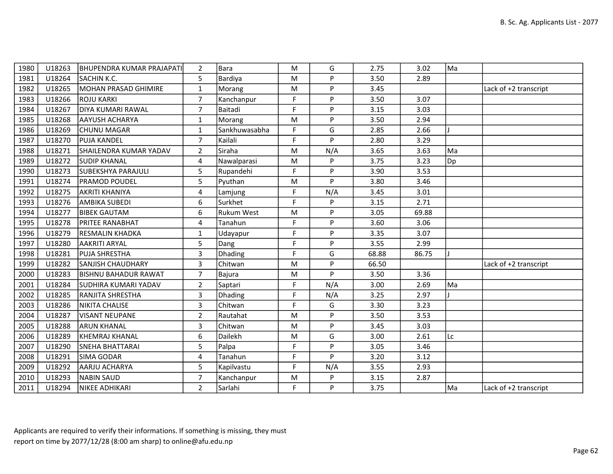| 1980 | U18263 | BHUPENDRA KUMAR PRAJAPATI | $\overline{2}$ | Bara           | M  | G   | 2.75  | 3.02  | Ma  |                       |
|------|--------|---------------------------|----------------|----------------|----|-----|-------|-------|-----|-----------------------|
| 1981 | U18264 | lsachin k.c.              | 5              | Bardiya        | M  | P   | 3.50  | 2.89  |     |                       |
| 1982 | U18265 | MOHAN PRASAD GHIMIRE      | $\mathbf{1}$   | Morang         | M  | Þ.  | 3.45  |       |     | Lack of +2 transcript |
| 1983 | U18266 | <b>ROJU KARKI</b>         | $\overline{7}$ | Kanchanpur     | F  | P   | 3.50  | 3.07  |     |                       |
| 1984 | U18267 | DIYA KUMARI RAWAL         | $\overline{7}$ | Baitadi        | F. | P   | 3.15  | 3.03  |     |                       |
| 1985 | U18268 | AAYUSH ACHARYA            | $\mathbf{1}$   | Morang         | M  | Þ   | 3.50  | 2.94  |     |                       |
| 1986 | U18269 | <b>CHUNU MAGAR</b>        | $\mathbf 1$    | Sankhuwasabha  | F  | G   | 2.85  | 2.66  |     |                       |
| 1987 | U18270 | PUJA KANDEL               | $\overline{7}$ | Kailali        | F  | P   | 2.80  | 3.29  |     |                       |
| 1988 | U18271 | SHAILENDRA KUMAR YADAV    | $\overline{2}$ | Siraha         | M  | N/A | 3.65  | 3.63  | lMa |                       |
| 1989 | U18272 | <b>SUDIP KHANAL</b>       | 4              | Nawalparasi    | M  | P   | 3.75  | 3.23  | Dp  |                       |
| 1990 | U18273 | SUBEKSHYA PARAJULI        | 5              | Rupandehi      | F. | P   | 3.90  | 3.53  |     |                       |
| 1991 | U18274 | <b>PRAMOD POUDEL</b>      | 5              | Pyuthan        | M  | Þ   | 3.80  | 3.46  |     |                       |
| 1992 | U18275 | AKRITI KHANIYA            | 4              | Lamjung        | F  | N/A | 3.45  | 3.01  |     |                       |
| 1993 | U18276 | AMBIKA SUBEDI             | 6              | Surkhet        | F  | P   | 3.15  | 2.71  |     |                       |
| 1994 | U18277 | <b>BIBEK GAUTAM</b>       | 6              | Rukum West     | M  | P   | 3.05  | 69.88 |     |                       |
| 1995 | U18278 | <b>PRITEE RANABHAT</b>    | 4              | Tanahun        | F  | P   | 3.60  | 3.06  |     |                       |
| 1996 | U18279 | lresmalin Khadka          | $\mathbf{1}$   | Udayapur       | F. | P   | 3.35  | 3.07  |     |                       |
| 1997 | U18280 | <b>AAKRITI ARYAL</b>      | 5              | Dang           | F  | P   | 3.55  | 2.99  |     |                       |
| 1998 | U18281 | PUJA SHRESTHA             | 3              | Dhading        | F  | G   | 68.88 | 86.75 |     |                       |
| 1999 | U18282 | <b>SANJISH CHAUDHARY</b>  | 3              | Chitwan        | M  | P   | 66.50 |       |     | Lack of +2 transcript |
| 2000 | U18283 | BISHNU BAHADUR RAWAT      | $\overline{7}$ | Bajura         | M  | P.  | 3.50  | 3.36  |     |                       |
| 2001 | U18284 | SUDHIRA KUMARI YADAV      | $\overline{2}$ | Saptari        | F  | N/A | 3.00  | 2.69  | Ma  |                       |
| 2002 | U18285 | RANJITA SHRESTHA          | 3              | <b>Dhading</b> | F  | N/A | 3.25  | 2.97  |     |                       |
| 2003 | U18286 | NIKITA CHALISE            | 3              | Chitwan        | F  | G   | 3.30  | 3.23  |     |                       |
| 2004 | U18287 | <b>VISANT NEUPANE</b>     | $\overline{2}$ | Rautahat       | M  | P   | 3.50  | 3.53  |     |                       |
| 2005 | U18288 | <b>ARUN KHANAL</b>        | $\overline{3}$ | Chitwan        | M  | P   | 3.45  | 3.03  |     |                       |
| 2006 | U18289 | KHEMRAJ KHANAL            | 6              | Dailekh        | M  | G   | 3.00  | 2.61  | Lc  |                       |
| 2007 | U18290 | SNEHA BHATTARAI           | 5              | Palpa          | F  | P   | 3.05  | 3.46  |     |                       |
| 2008 | U18291 | SIMA GODAR                | $\overline{4}$ | Tanahun        | F. | P   | 3.20  | 3.12  |     |                       |
| 2009 | U18292 | AARJU ACHARYA             | 5              | Kapilvastu     | F. | N/A | 3.55  | 2.93  |     |                       |
| 2010 | U18293 | NABIN SAUD                | $\overline{7}$ | Kanchanpur     | M  | P   | 3.15  | 2.87  |     |                       |
| 2011 | U18294 | NIKEE ADHIKARI            | $\overline{2}$ | Sarlahi        | F. | P   | 3.75  |       | Ma  | Lack of +2 transcript |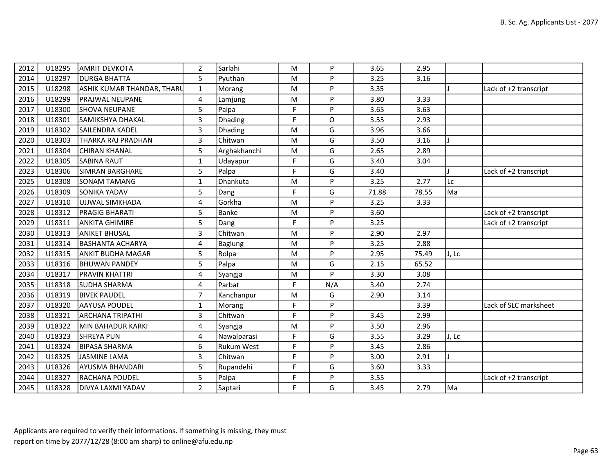| 2012 | U18295 | AMRIT DEVKOTA              | $\overline{2}$ | Sarlahi           | M         | P   | 3.65  | 2.95  |       |                       |
|------|--------|----------------------------|----------------|-------------------|-----------|-----|-------|-------|-------|-----------------------|
| 2014 | U18297 | ldurga bhatta              | 5              | Pyuthan           | M         | P   | 3.25  | 3.16  |       |                       |
| 2015 | U18298 | ASHIK KUMAR THANDAR, THARL | $\mathbf{1}$   | Morang            | M         | P   | 3.35  |       |       | Lack of +2 transcript |
| 2016 | U18299 | PRAJWAL NEUPANE            | $\pmb{4}$      | Lamjung           | M         | P   | 3.80  | 3.33  |       |                       |
| 2017 | U18300 | SHOVA NEUPANE              | 5              | Palpa             | F.        | P   | 3.65  | 3.63  |       |                       |
| 2018 | U18301 | SAMIKSHYA DHAKAL           | 3              | <b>Dhading</b>    | F.        | 0   | 3.55  | 2.93  |       |                       |
| 2019 | U18302 | SAILENDRA KADEL            | 3              | <b>Dhading</b>    | M         | G   | 3.96  | 3.66  |       |                       |
| 2020 | U18303 | THARKA RAJ PRADHAN         | 3              | Chitwan           | M         | G   | 3.50  | 3.16  |       |                       |
| 2021 | U18304 | <b>CHIRAN KHANAL</b>       | 5              | Arghakhanchi      | M         | G   | 2.65  | 2.89  |       |                       |
| 2022 | U18305 | <b>SABINA RAUT</b>         | $\mathbf{1}$   | Udayapur          | F.        | G   | 3.40  | 3.04  |       |                       |
| 2023 | U18306 | <b>SIMRAN BARGHARE</b>     | 5              | Palpa             | F.        | G   | 3.40  |       |       | Lack of +2 transcript |
| 2025 | U18308 | SONAM TAMANG               | $\mathbf{1}$   | Dhankuta          | M         | P   | 3.25  | 2.77  | Lc    |                       |
| 2026 | U18309 | SONIKA YADAV               | 5              | Dang              | F.        | G   | 71.88 | 78.55 | Ma    |                       |
| 2027 | U18310 | UJJWAL SIMKHADA            | 4              | Gorkha            | M         | P   | 3.25  | 3.33  |       |                       |
| 2028 | U18312 | <b>PRAGIG BHARATI</b>      | 5              | Banke             | ${\sf M}$ | P   | 3.60  |       |       | Lack of +2 transcript |
| 2029 | U18311 | <b>ANKITA GHIMIRE</b>      | 5              | Dang              | F.        | P   | 3.25  |       |       | Lack of +2 transcript |
| 2030 | U18313 | <b>ANIKET BHUSAL</b>       | 3              | Chitwan           | M         | P   | 2.90  | 2.97  |       |                       |
| 2031 | U18314 | BASHANTA ACHARYA           | 4              | <b>Baglung</b>    | M         | P   | 3.25  | 2.88  |       |                       |
| 2032 | U18315 | ANKIT BUDHA MAGAR          | 5              | Rolpa             | M         | P   | 2.95  | 75.49 | J, Lc |                       |
| 2033 | U18316 | <b>BHUWAN PANDEY</b>       | 5              | Palpa             | M         | G   | 2.15  | 65.52 |       |                       |
| 2034 | U18317 | PRAVIN KHATTRI             | 4              | Syangja           | M         | P   | 3.30  | 3.08  |       |                       |
| 2035 | U18318 | SUDHA SHARMA               | 4              | Parbat            | F.        | N/A | 3.40  | 2.74  |       |                       |
| 2036 | U18319 | BIVEK PAUDEL               | $\overline{7}$ | Kanchanpur        | M         | G   | 2.90  | 3.14  |       |                       |
| 2037 | U18320 | AAYUSA POUDEL              | $\mathbf{1}$   | Morang            | F.        | P   |       | 3.39  |       | Lack of SLC marksheet |
| 2038 | U18321 | ARCHANA TRIPATHI           | 3              | Chitwan           | F.        | P   | 3.45  | 2.99  |       |                       |
| 2039 | U18322 | <b>MIN BAHADUR KARKI</b>   | 4              | Syangja           | M         | P   | 3.50  | 2.96  |       |                       |
| 2040 | U18323 | SHREYA PUN                 | 4              | Nawalparasi       | F.        | G   | 3.55  | 3.29  | J, Lc |                       |
| 2041 | U18324 | BIPASA SHARMA              | 6              | <b>Rukum West</b> | F.        | P   | 3.45  | 2.86  |       |                       |
| 2042 | U18325 | <b>JASMINE LAMA</b>        | 3              | Chitwan           | F.        | P   | 3.00  | 2.91  |       |                       |
| 2043 | U18326 | AYUSMA BHANDARI            | 5              | Rupandehi         | F.        | G   | 3.60  | 3.33  |       |                       |
| 2044 | U18327 | RACHANA POUDEL             | 5              | Palpa             | F.        | P   | 3.55  |       |       | Lack of +2 transcript |
| 2045 | U18328 | DIVYA LAXMI YADAV          | $\overline{2}$ | Saptari           | F.        | G   | 3.45  | 2.79  | Ma    |                       |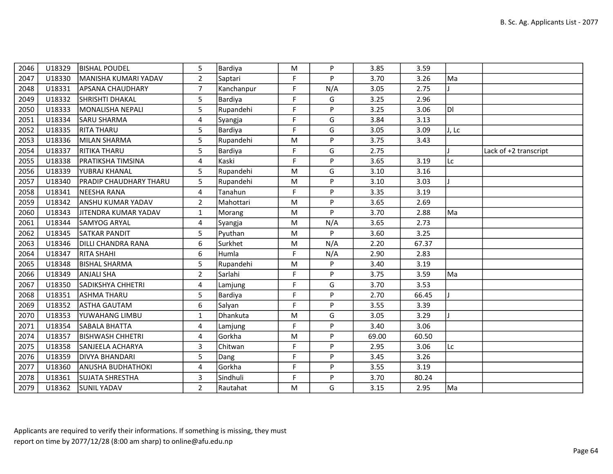| 2046 | U18329 | BISHAL POUDEL            | 5                       | Bardiya    | M  | P   | 3.85  | 3.59  |           |                       |
|------|--------|--------------------------|-------------------------|------------|----|-----|-------|-------|-----------|-----------------------|
| 2047 | U18330 | MANISHA KUMARI YADAV     | $\overline{2}$          | Saptari    | F. | P   | 3.70  | 3.26  | Ma        |                       |
| 2048 | U18331 | APSANA CHAUDHARY         | $\overline{7}$          | Kanchanpur | F. | N/A | 3.05  | 2.75  |           |                       |
| 2049 | U18332 | SHRISHTI DHAKAL          | 5                       | Bardiya    | F. | G   | 3.25  | 2.96  |           |                       |
| 2050 | U18333 | MONALISHA NEPALI         | 5                       | Rupandehi  | F. | P   | 3.25  | 3.06  | IDI.      |                       |
| 2051 | U18334 | SARU SHARMA              | 4                       | Syangja    | F. | G   | 3.84  | 3.13  |           |                       |
| 2052 | U18335 | RITA THARU               | 5                       | Bardiya    | F. | G   | 3.05  | 3.09  | J, Lc     |                       |
| 2053 | U18336 | MILAN SHARMA             | 5                       | Rupandehi  | M  | P   | 3.75  | 3.43  |           |                       |
| 2054 | U18337 | RITIKA THARU             | 5                       | Bardiya    | F. | G   | 2.75  |       |           | Lack of +2 transcript |
| 2055 | U18338 | PRATIKSHA TIMSINA        | 4                       | Kaski      | È. | P   | 3.65  | 3.19  | Lc        |                       |
| 2056 | U18339 | YUBRAJ KHANAL            | 5                       | Rupandehi  | M  | G   | 3.10  | 3.16  |           |                       |
| 2057 | U18340 | PRADIP CHAUDHARY THARU   | 5                       | Rupandehi  | M  | P   | 3.10  | 3.03  |           |                       |
| 2058 | U18341 | NEESHA RANA              | 4                       | Tanahun    | F. | P   | 3.35  | 3.19  |           |                       |
| 2059 | U18342 | lanshu kumar yadav       | $\overline{2}$          | Mahottari  | M  | P   | 3.65  | 2.69  |           |                       |
| 2060 | U18343 | JITENDRA KUMAR YADAV     | $\mathbf{1}$            | Morang     | M  | P   | 3.70  | 2.88  | Ma        |                       |
| 2061 | U18344 | SAMYOG ARYAL             | 4                       | Syangja    | M  | N/A | 3.65  | 2.73  |           |                       |
| 2062 | U18345 | <b>SATKAR PANDIT</b>     | 5                       | Pyuthan    | M  | P   | 3.60  | 3.25  |           |                       |
| 2063 | U18346 | DILLI CHANDRA RANA       | 6                       | Surkhet    | M  | N/A | 2.20  | 67.37 |           |                       |
| 2064 | U18347 | RITA SHAHI               | 6                       | Humla      | F. | N/A | 2.90  | 2.83  |           |                       |
| 2065 | U18348 | BISHAL SHARMA            | 5                       | Rupandehi  | M  | P   | 3.40  | 3.19  |           |                       |
| 2066 | U18349 | ANJALI SHA               | $\overline{2}$          | Sarlahi    | F. | P   | 3.75  | 3.59  | Ma        |                       |
| 2067 | U18350 | SADIKSHYA CHHETRI        | 4                       | Lamjung    | F. | G   | 3.70  | 3.53  |           |                       |
| 2068 | U18351 | ASHMA THARU              | 5                       | Bardiya    | E  | P   | 2.70  | 66.45 |           |                       |
| 2069 | U18352 | <b>ASTHA GAUTAM</b>      | 6                       | Salyan     | F. | P   | 3.55  | 3.39  |           |                       |
| 2070 | U18353 | lyuwahang limbu          | $\mathbf{1}$            | Dhankuta   | M  | G   | 3.05  | 3.29  |           |                       |
| 2071 | U18354 | SABALA BHATTA            | 4                       | Lamjung    | F  | P   | 3.40  | 3.06  |           |                       |
| 2074 | U18357 | <b>BISHWASH CHHETRI</b>  | 4                       | Gorkha     | M  | P   | 69.00 | 60.50 |           |                       |
| 2075 | U18358 | SANJEELA ACHARYA         | 3                       | Chitwan    | F. | P   | 2.95  | 3.06  | <b>Lc</b> |                       |
| 2076 | U18359 | DIVYA BHANDARI           | 5                       | Dang       | F  | P   | 3.45  | 3.26  |           |                       |
| 2077 | U18360 | <b>ANUSHA BUDHATHOKI</b> | $\overline{\mathbf{4}}$ | Gorkha     | F. | P   | 3.55  | 3.19  |           |                       |
| 2078 | U18361 | SUJATA SHRESTHA          | 3                       | Sindhuli   | È. | P   | 3.70  | 80.24 |           |                       |
| 2079 | U18362 | <b>SUNIL YADAV</b>       | $\overline{2}$          | Rautahat   | M  | G   | 3.15  | 2.95  | Ma        |                       |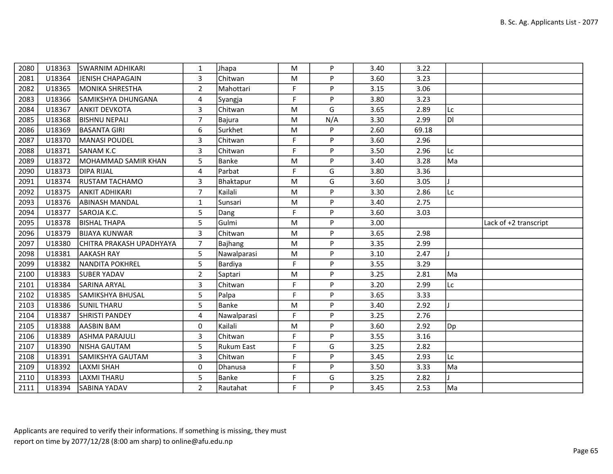| 2080 | U18363 | İSWARNIM ADHIKARI        | 1              | Jhapa             | M  | P   | 3.40 | 3.22  |    |                       |
|------|--------|--------------------------|----------------|-------------------|----|-----|------|-------|----|-----------------------|
| 2081 | U18364 | <b>JENISH CHAPAGAIN</b>  | 3              | Chitwan           | M  | P   | 3.60 | 3.23  |    |                       |
| 2082 | U18365 | lmonika SHRESTHA         | $\overline{2}$ | Mahottari         | F  | P   | 3.15 | 3.06  |    |                       |
| 2083 | U18366 | SAMIKSHYA DHUNGANA       | $\overline{4}$ | Syangja           | F  | P   | 3.80 | 3.23  |    |                       |
| 2084 | U18367 | ANKIT DEVKOTA            | 3              | Chitwan           | M  | G   | 3.65 | 2.89  | Lc |                       |
| 2085 | U18368 | IBISHNU NEPALI           | $\overline{7}$ | Bajura            | M  | N/A | 3.30 | 2.99  | DI |                       |
| 2086 | U18369 | <b>BASANTA GIRI</b>      | 6              | Surkhet           | M  | P   | 2.60 | 69.18 |    |                       |
| 2087 | U18370 | MANASI POUDEL            | 3              | Chitwan           | F. | P   | 3.60 | 2.96  |    |                       |
| 2088 | U18371 | SANAM K.C                | 3              | Chitwan           | F  | P   | 3.50 | 2.96  | Lc |                       |
| 2089 | U18372 | MOHAMMAD SAMIR KHAN      | 5              | Banke             | M  | P   | 3.40 | 3.28  | Ma |                       |
| 2090 | U18373 | IDIPA RIJAL              | 4              | Parbat            | F  | G   | 3.80 | 3.36  |    |                       |
| 2091 | U18374 | RUSTAM TACHAMO           | 3              | Bhaktapur         | M  | G   | 3.60 | 3.05  |    |                       |
| 2092 | U18375 | ANKIT ADHIKARI           | $\overline{7}$ | Kailali           | M  | P   | 3.30 | 2.86  | Lc |                       |
| 2093 | U18376 | ABINASH MANDAL           | $\mathbf{1}$   | Sunsari           | M  | P   | 3.40 | 2.75  |    |                       |
| 2094 | U18377 | SAROJA K.C.              | 5              | Dang              | F. | Þ   | 3.60 | 3.03  |    |                       |
| 2095 | U18378 | <b>BISHAL THAPA</b>      | 5              | Gulmi             | M  | Þ   | 3.00 |       |    | Lack of +2 transcript |
| 2096 | U18379 | IBIJAYA KUNWAR           | $\mathbf{3}$   | Chitwan           | M  | P   | 3.65 | 2.98  |    |                       |
| 2097 | U18380 | CHITRA PRAKASH UPADHYAYA | $\overline{7}$ | Bajhang           | M  | P   | 3.35 | 2.99  |    |                       |
| 2098 | U18381 | AAKASH RAY               | 5              | Nawalparasi       | M  | P   | 3.10 | 2.47  |    |                       |
| 2099 | U18382 | <b>NANDITA POKHREL</b>   | 5              | Bardiya           | F  | P   | 3.55 | 3.29  |    |                       |
| 2100 | U18383 | SUBER YADAV              | $\overline{2}$ | Saptari           | M  | P   | 3.25 | 2.81  | Ma |                       |
| 2101 | U18384 | lSARINA ARYAL            | 3              | Chitwan           | F  | P   | 3.20 | 2.99  | Lc |                       |
| 2102 | U18385 | <b>SAMIKSHYA BHUSAL</b>  | 5              | Palpa             | F  | P   | 3.65 | 3.33  |    |                       |
| 2103 | U18386 | SUNIL THARU              | 5              | Banke             | M  | P   | 3.40 | 2.92  |    |                       |
| 2104 | U18387 | SHRISTI PANDEY           | 4              | Nawalparasi       | F. | P   | 3.25 | 2.76  |    |                       |
| 2105 | U18388 | <b>AASBIN BAM</b>        | $\mathbf 0$    | Kailali           | M  | P   | 3.60 | 2.92  | Dp |                       |
| 2106 | U18389 | <b>ASHMA PARAJULI</b>    | 3              | Chitwan           | F. | P   | 3.55 | 3.16  |    |                       |
| 2107 | U18390 | NISHA GAUTAM             | 5              | <b>Rukum East</b> | F. | G   | 3.25 | 2.82  |    |                       |
| 2108 | U18391 | SAMIKSHYA GAUTAM         | 3              | Chitwan           | F  | P   | 3.45 | 2.93  | Lc |                       |
| 2109 | U18392 | <b>LAXMI SHAH</b>        | $\pmb{0}$      | Dhanusa           | F. | P   | 3.50 | 3.33  | Ma |                       |
| 2110 | U18393 | LAXMI THARU              | 5              | Banke             | F  | G   | 3.25 | 2.82  |    |                       |
| 2111 | U18394 | SABINA YADAV             | $\overline{2}$ | Rautahat          | F. | P   | 3.45 | 2.53  | Ma |                       |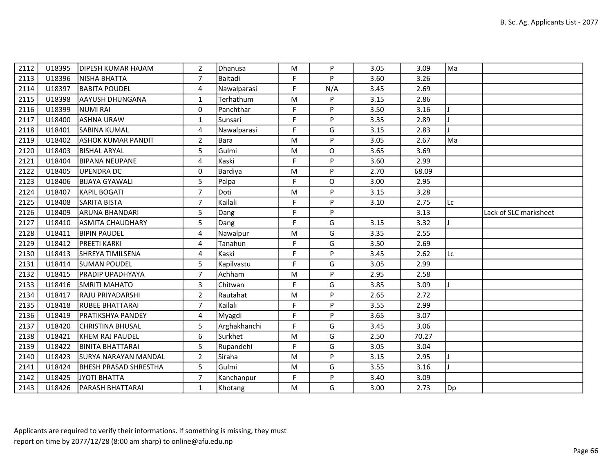| 2112 | U18395 | <b>DIPESH KUMAR HAJAM</b>    | $\overline{2}$ | Dhanusa      | M  | P        | 3.05 | 3.09  | Ma  |                       |
|------|--------|------------------------------|----------------|--------------|----|----------|------|-------|-----|-----------------------|
| 2113 | U18396 | NISHA BHATTA                 | $\overline{7}$ | Baitadi      | F  | P        | 3.60 | 3.26  |     |                       |
| 2114 | U18397 | <b>BABITA POUDEL</b>         | 4              | Nawalparasi  | F. | N/A      | 3.45 | 2.69  |     |                       |
| 2115 | U18398 | AAYUSH DHUNGANA              | $\mathbf{1}$   | Terhathum    | M  | P        | 3.15 | 2.86  |     |                       |
| 2116 | U18399 | NUMI RAI                     | 0              | Panchthar    | F. | P        | 3.50 | 3.16  |     |                       |
| 2117 | U18400 | ASHNA URAW                   | $\mathbf{1}$   | Sunsari      | F  | Þ        | 3.35 | 2.89  |     |                       |
| 2118 | U18401 | SABINA KUMAL                 | 4              | Nawalparasi  | F. | G        | 3.15 | 2.83  |     |                       |
| 2119 | U18402 | ASHOK KUMAR PANDIT           | $\overline{2}$ | <b>Bara</b>  | M  | P        | 3.05 | 2.67  | Ma  |                       |
| 2120 | U18403 | BISHAL ARYAL                 | 5              | Gulmi        | M  | $\Omega$ | 3.65 | 3.69  |     |                       |
| 2121 | U18404 | <b>BIPANA NEUPANE</b>        | 4              | Kaski        | F. | P        | 3.60 | 2.99  |     |                       |
| 2122 | U18405 | <b>UPENDRA DC</b>            | 0              | Bardiya      | M  | P        | 2.70 | 68.09 |     |                       |
| 2123 | U18406 | BIJAYA GYAWALI               | 5              | Palpa        | F. | $\Omega$ | 3.00 | 2.95  |     |                       |
| 2124 | U18407 | KAPIL BOGATI                 | $\overline{7}$ | Doti         | M  | P        | 3.15 | 3.28  |     |                       |
| 2125 | U18408 | SARITA BISTA                 | $\overline{7}$ | Kailali      | F. | P        | 3.10 | 2.75  | Lc: |                       |
| 2126 | U18409 | ARUNA BHANDARI               | 5              | Dang         | F. | P        |      | 3.13  |     | Lack of SLC marksheet |
| 2127 | U18410 | <b>ASMITA CHAUDHARY</b>      | 5              | Dang         | F. | G        | 3.15 | 3.32  |     |                       |
| 2128 | U18411 | <b>BIPIN PAUDEL</b>          | 4              | Nawalpur     | M  | G        | 3.35 | 2.55  |     |                       |
| 2129 | U18412 | PREETI KARKI                 | 4              | Tanahun      | F. | G        | 3.50 | 2.69  |     |                       |
| 2130 | U18413 | SHREYA TIMILSENA             | 4              | Kaski        | F. | P        | 3.45 | 2.62  | Lc  |                       |
| 2131 | U18414 | SUMAN POUDEL                 | 5              | Kapilvastu   | F. | G        | 3.05 | 2.99  |     |                       |
| 2132 | U18415 | PRADIP UPADHYAYA             | $\overline{7}$ | Achham       | M  | P        | 2.95 | 2.58  |     |                       |
| 2133 | U18416 | <b>SMRITI MAHATO</b>         | 3              | Chitwan      | F. | G        | 3.85 | 3.09  |     |                       |
| 2134 | U18417 | RAJU PRIYADARSHI             | $\overline{2}$ | Rautahat     | M  | P        | 2.65 | 2.72  |     |                       |
| 2135 | U18418 | RUBEE BHATTARAI              | $\overline{7}$ | Kailali      | F  | P        | 3.55 | 2.99  |     |                       |
| 2136 | U18419 | <b>PRATIKSHYA PANDEY</b>     | 4              | Myagdi       | F  | P        | 3.65 | 3.07  |     |                       |
| 2137 | U18420 | CHRISTINA BHUSAL             | 5              | Arghakhanchi | F  | G        | 3.45 | 3.06  |     |                       |
| 2138 | U18421 | <b>KHEM RAJ PAUDEL</b>       | 6              | Surkhet      | M  | G        | 2.50 | 70.27 |     |                       |
| 2139 | U18422 | BINITA BHATTARAI             | 5              | Rupandehi    | F. | G        | 3.05 | 3.04  |     |                       |
| 2140 | U18423 | SURYA NARAYAN MANDAL         | $\overline{2}$ | Siraha       | M  | P        | 3.15 | 2.95  |     |                       |
| 2141 | U18424 | <b>BHESH PRASAD SHRESTHA</b> | 5              | Gulmi        | M  | G        | 3.55 | 3.16  |     |                       |
| 2142 | U18425 | JYOTI BHATTA                 | $\overline{7}$ | Kanchanpur   | F. | D        | 3.40 | 3.09  |     |                       |
| 2143 | U18426 | <b>PARASH BHATTARAI</b>      | $\mathbf{1}$   | Khotang      | M  | G        | 3.00 | 2.73  | Dp  |                       |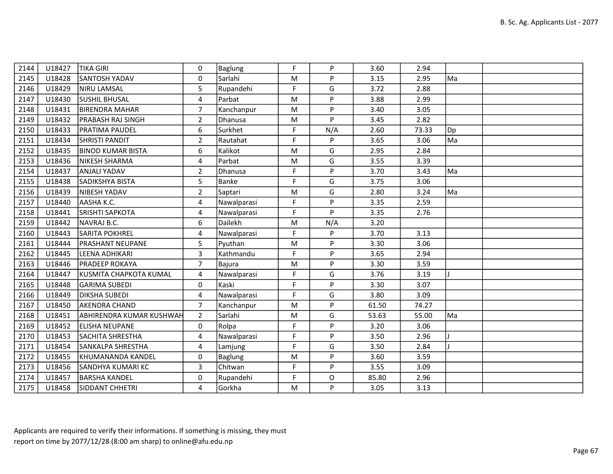| 2144 | U18427 | <b>TIKA GIRI</b>         | $\Omega$       | <b>Baglung</b> | F. | P        | 3.60  | 2.94  |    |  |
|------|--------|--------------------------|----------------|----------------|----|----------|-------|-------|----|--|
| 2145 | U18428 | <b>SANTOSH YADAV</b>     | 0              | Sarlahi        | M  | P        | 3.15  | 2.95  | Ma |  |
| 2146 | U18429 | NIRU LAMSAL              | 5              | Rupandehi      | F. | G        | 3.72  | 2.88  |    |  |
| 2147 | U18430 | <b>SUSHIL BHUSAL</b>     | 4              | Parbat         | M  | P        | 3.88  | 2.99  |    |  |
| 2148 | U18431 | <b>BIRENDRA MAHAR</b>    | $\overline{7}$ | Kanchanpur     | M  | P        | 3.40  | 3.05  |    |  |
| 2149 | U18432 | PRABASH RAJ SINGH        | $\overline{2}$ | <b>Dhanusa</b> | M  | <b>P</b> | 3.45  | 2.82  |    |  |
| 2150 | U18433 | <b>PRATIMA PAUDEL</b>    | 6              | Surkhet        | F. | N/A      | 2.60  | 73.33 | Dp |  |
| 2151 | U18434 | <b>SHRISTI PANDIT</b>    | $\overline{2}$ | Rautahat       | F. | P        | 3.65  | 3.06  | Ma |  |
| 2152 | U18435 | BINOD KUMAR BISTA        | 6              | Kalikot        | M  | G        | 2.95  | 2.84  |    |  |
| 2153 | U18436 | <b>NIKESH SHARMA</b>     | 4              | Parbat         | M  | G        | 3.55  | 3.39  |    |  |
| 2154 | U18437 | <b>ANJALI YADAV</b>      | $\overline{2}$ | Dhanusa        | F. | P        | 3.70  | 3.43  | Ma |  |
| 2155 | U18438 | SADIKSHYA BISTA          | 5              | Banke          | F. | G        | 3.75  | 3.06  |    |  |
| 2156 | U18439 | <b>NIBESH YADAV</b>      | $\overline{2}$ | Saptari        | M  | G        | 2.80  | 3.24  | Ma |  |
| 2157 | U18440 | AASHA K.C.               | 4              | Nawalparasi    | F  | P        | 3.35  | 2.59  |    |  |
| 2158 | U18441 | <b>SRISHTI SAPKOTA</b>   | $\overline{4}$ | Nawalparasi    | F. | P        | 3.35  | 2.76  |    |  |
| 2159 | U18442 | NAVRAJ B.C.              | 6              | Dailekh        | M  | N/A      | 3.20  |       |    |  |
| 2160 | U18443 | <b>SARITA POKHREL</b>    | 4              | Nawalparasi    | F  | P        | 3.70  | 3.13  |    |  |
| 2161 | U18444 | <b>PRASHANT NEUPANE</b>  | 5              | Pyuthan        | M  | P        | 3.30  | 3.06  |    |  |
| 2162 | U18445 | LEENA ADHIKARI           | 3              | Kathmandu      | F. | P        | 3.65  | 2.94  |    |  |
| 2163 | U18446 | <b>PRADEEP ROKAYA</b>    | $\overline{7}$ | Bajura         | M  | P        | 3.30  | 3.59  |    |  |
| 2164 | U18447 | KUSMITA CHAPKOTA KUMAL   | 4              | Nawalparasi    | F. | G        | 3.76  | 3.19  |    |  |
| 2165 | U18448 | GARIMA SUBEDI            | 0              | Kaski          | F. | P        | 3.30  | 3.07  |    |  |
| 2166 | U18449 | <b>DIKSHA SUBEDI</b>     | 4              | Nawalparasi    | F  | G        | 3.80  | 3.09  |    |  |
| 2167 | U18450 | <b>AKENDRA CHAND</b>     | $\overline{7}$ | Kanchanpur     | M  | P        | 61.50 | 74.27 |    |  |
| 2168 | U18451 | ABHIRENDRA KUMAR KUSHWAH | $\overline{2}$ | Sarlahi        | M  | G        | 53.63 | 55.00 | Ma |  |
| 2169 | U18452 | <b>ELISHA NEUPANE</b>    | $\mathbf 0$    | Rolpa          | F  | P        | 3.20  | 3.06  |    |  |
| 2170 | U18453 | <b>SACHITA SHRESTHA</b>  | 4              | Nawalparasi    | F. | P        | 3.50  | 2.96  |    |  |
| 2171 | U18454 | SANKALPA SHRESTHA        | 4              | Lamjung        | F. | G        | 3.50  | 2.84  |    |  |
| 2172 | U18455 | KHUMANANDA KANDEL        | $\mathbf 0$    | <b>Baglung</b> | M  | P        | 3.60  | 3.59  |    |  |
| 2173 | U18456 | <b>SANDHYA KUMARI KC</b> | $\mathsf{3}$   | Chitwan        | F. | P        | 3.55  | 3.09  |    |  |
| 2174 | U18457 | <b>BARSHA KANDEL</b>     | $\mathbf 0$    | Rupandehi      | F. | O        | 85.80 | 2.96  |    |  |
| 2175 | U18458 | SIDDANT CHHETRI          | 4              | Gorkha         | M  | P        | 3.05  | 3.13  |    |  |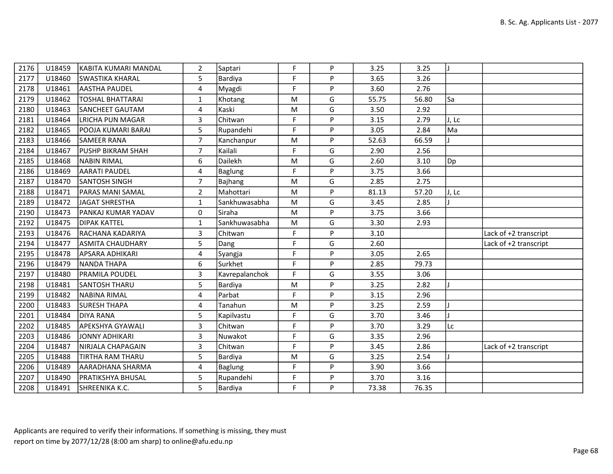| 2176 | U18459 | KABITA KUMARI MANDAL      | $\overline{2}$          | Saptari        | F. | P | 3.25  | 3.25  |           |                       |
|------|--------|---------------------------|-------------------------|----------------|----|---|-------|-------|-----------|-----------------------|
| 2177 | U18460 | <b>SWASTIKA KHARAL</b>    | 5                       | Bardiya        | F  | P | 3.65  | 3.26  |           |                       |
| 2178 | U18461 | <b>AASTHA PAUDEL</b>      | 4                       | Myagdi         | F  | Þ | 3.60  | 2.76  |           |                       |
| 2179 | U18462 | <b>TOSHAL BHATTARAI</b>   | $\mathbf{1}$            | Khotang        | M  | G | 55.75 | 56.80 | Sa        |                       |
| 2180 | U18463 | SANCHEET GAUTAM           | 4                       | Kaski          | M  | G | 3.50  | 2.92  |           |                       |
| 2181 | U18464 | LRICHA PUN MAGAR          | 3                       | Chitwan        | F. | P | 3.15  | 2.79  | J, Lc     |                       |
| 2182 | U18465 | <b>POOJA KUMARI BARAI</b> | 5                       | Rupandehi      | F  | P | 3.05  | 2.84  | Ma        |                       |
| 2183 | U18466 | SAMEER RANA               | $\overline{7}$          | Kanchanpur     | M  | P | 52.63 | 66.59 |           |                       |
| 2184 | U18467 | <b>PUSHP BIKRAM SHAH</b>  | $\overline{7}$          | Kailali        | F. | G | 2.90  | 2.56  |           |                       |
| 2185 | U18468 | <b>NABIN RIMAL</b>        | 6                       | Dailekh        | M  | G | 2.60  | 3.10  | Dp        |                       |
| 2186 | U18469 | AARATI PAUDEL             | 4                       | <b>Baglung</b> | F  | P | 3.75  | 3.66  |           |                       |
| 2187 | U18470 | <b>SANTOSH SINGH</b>      | $\overline{7}$          | <b>Bajhang</b> | M  | G | 2.85  | 2.75  |           |                       |
| 2188 | U18471 | <b>PARAS MANI SAMAL</b>   | $\overline{2}$          | Mahottari      | M  | P | 81.13 | 57.20 | J, Lc     |                       |
| 2189 | U18472 | JAGAT SHRESTHA            | $\mathbf{1}$            | Sankhuwasabha  | M  | G | 3.45  | 2.85  |           |                       |
| 2190 | U18473 | PANKAJ KUMAR YADAV        | 0                       | Siraha         | M  | P | 3.75  | 3.66  |           |                       |
| 2192 | U18475 | <b>DIPAK KATTEL</b>       | $\mathbf{1}$            | Sankhuwasabha  | M  | G | 3.30  | 2.93  |           |                       |
| 2193 | U18476 | IRACHANA KADARIYA         | 3                       | Chitwan        | F  | P | 3.10  |       |           | Lack of +2 transcript |
| 2194 | U18477 | <b>ASMITA CHAUDHARY</b>   | 5                       | Dang           | F. | G | 2.60  |       |           | Lack of +2 transcript |
| 2195 | U18478 | <b>APSARA ADHIKARI</b>    | 4                       | Syangja        | F  | P | 3.05  | 2.65  |           |                       |
| 2196 | U18479 | NANDA THAPA               | 6                       | Surkhet        | F  | P | 2.85  | 79.73 |           |                       |
| 2197 | U18480 | <b>PRAMILA POUDEL</b>     | 3                       | Kavrepalanchok | F. | G | 3.55  | 3.06  |           |                       |
| 2198 | U18481 | <b>SANTOSH THARU</b>      | 5                       | Bardiya        | M  | P | 3.25  | 2.82  |           |                       |
| 2199 | U18482 | NABINA RIMAL              | 4                       | Parbat         | F  | P | 3.15  | 2.96  |           |                       |
| 2200 | U18483 | <b>SURESH THAPA</b>       | 4                       | Tanahun        | M  | P | 3.25  | 2.59  |           |                       |
| 2201 | U18484 | <b>DIYA RANA</b>          | 5                       | Kapilvastu     | F  | G | 3.70  | 3.46  |           |                       |
| 2202 | U18485 | APEKSHYA GYAWALI          | 3                       | Chitwan        | F  | P | 3.70  | 3.29  | <b>Lc</b> |                       |
| 2203 | U18486 | JONNY ADHIKARI            | 3                       | Nuwakot        | F. | G | 3.35  | 2.96  |           |                       |
| 2204 | U18487 | NIRJALA CHAPAGAIN         | 3                       | Chitwan        | F. | P | 3.45  | 2.86  |           | Lack of +2 transcript |
| 2205 | U18488 | TIRTHA RAM THARU          | 5                       | Bardiya        | M  | G | 3.25  | 2.54  |           |                       |
| 2206 | U18489 | AARADHANA SHARMA          | $\overline{\mathbf{4}}$ | <b>Baglung</b> | F  | P | 3.90  | 3.66  |           |                       |
| 2207 | U18490 | <b>PRATIKSHYA BHUSAL</b>  | 5                       | Rupandehi      | F  | Þ | 3.70  | 3.16  |           |                       |
| 2208 | U18491 | SHREENIKA K.C.            | 5                       | Bardiya        | F. | P | 73.38 | 76.35 |           |                       |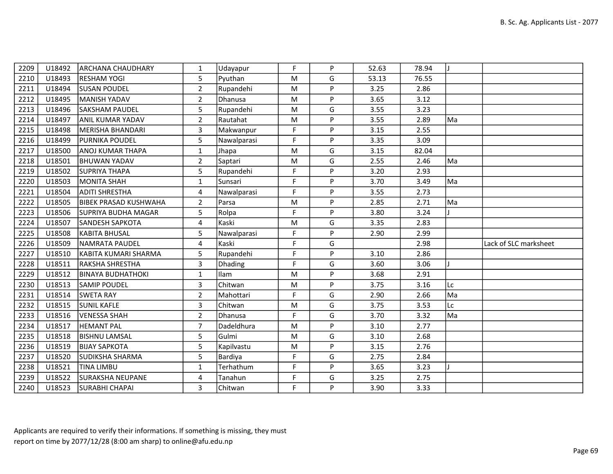| 2209 | U18492 | <b>ARCHANA CHAUDHARY</b>   | $\mathbf{1}$            | Udayapur       | F. | P        | 52.63 | 78.94 |           |                       |
|------|--------|----------------------------|-------------------------|----------------|----|----------|-------|-------|-----------|-----------------------|
| 2210 | U18493 | <b>RESHAM YOGI</b>         | 5                       | Pyuthan        | M  | G        | 53.13 | 76.55 |           |                       |
| 2211 | U18494 | <b>SUSAN POUDEL</b>        | $\overline{2}$          | Rupandehi      | M  | Þ        | 3.25  | 2.86  |           |                       |
| 2212 | U18495 | MANISH YADAV               | $\overline{2}$          | Dhanusa        | M  | P        | 3.65  | 3.12  |           |                       |
| 2213 | U18496 | SAKSHAM PAUDEL             | 5                       | Rupandehi      | M  | G        | 3.55  | 3.23  |           |                       |
| 2214 | U18497 | <b>ANIL KUMAR YADAV</b>    | $\overline{2}$          | Rautahat       | M  | <b>D</b> | 3.55  | 2.89  | Ma        |                       |
| 2215 | U18498 | MERISHA BHANDARI           | 3                       | Makwanpur      | F  | P        | 3.15  | 2.55  |           |                       |
| 2216 | U18499 | <b>PURNIKA POUDEL</b>      | 5                       | Nawalparasi    | F  | P        | 3.35  | 3.09  |           |                       |
| 2217 | U18500 | <b>ANOJ KUMAR THAPA</b>    | $\mathbf{1}$            | Jhapa          | M  | G        | 3.15  | 82.04 |           |                       |
| 2218 | U18501 | <b>BHUWAN YADAV</b>        | $\overline{2}$          | Saptari        | M  | G        | 2.55  | 2.46  | Ma        |                       |
| 2219 | U18502 | <b>SUPRIYA THAPA</b>       | 5                       | Rupandehi      | F. | P        | 3.20  | 2.93  |           |                       |
| 2220 | U18503 | MONITA SHAH                | $\mathbf{1}$            | Sunsari        | F. | P        | 3.70  | 3.49  | Ma        |                       |
| 2221 | U18504 | <b>ADITI SHRESTHA</b>      | $\overline{4}$          | Nawalparasi    | F  | P        | 3.55  | 2.73  |           |                       |
| 2222 | U18505 | BIBEK PRASAD KUSHWAHA      | $\overline{2}$          | Parsa          | M  | P        | 2.85  | 2.71  | lMa       |                       |
| 2223 | U18506 | <b>SUPRIYA BUDHA MAGAR</b> | 5                       | Rolpa          | F. | P        | 3.80  | 3.24  |           |                       |
| 2224 | U18507 | <b>SANDESH SAPKOTA</b>     | $\overline{\mathbf{4}}$ | Kaski          | M  | G        | 3.35  | 2.83  |           |                       |
| 2225 | U18508 | KABITA BHUSAL              | 5                       | Nawalparasi    | F. | P        | 2.90  | 2.99  |           |                       |
| 2226 | U18509 | NAMRATA PAUDEL             | $\overline{4}$          | Kaski          | F. | G        |       | 2.98  |           | Lack of SLC marksheet |
| 2227 | U18510 | KABITA KUMARI SHARMA       | 5                       | Rupandehi      | F  | P        | 3.10  | 2.86  |           |                       |
| 2228 | U18511 | RAKSHA SHRESTHA            | 3                       | <b>Dhading</b> | F. | G        | 3.60  | 3.06  |           |                       |
| 2229 | U18512 | <b>BINAYA BUDHATHOKI</b>   | $\mathbf{1}$            | Ilam           | M  | P        | 3.68  | 2.91  |           |                       |
| 2230 | U18513 | <b>SAMIP POUDEL</b>        | 3                       | Chitwan        | M  | P        | 3.75  | 3.16  | <b>Lc</b> |                       |
| 2231 | U18514 | <b>SWETA RAY</b>           | $\overline{2}$          | Mahottari      | F  | G        | 2.90  | 2.66  | l Ma      |                       |
| 2232 | U18515 | <b>SUNIL KAFLE</b>         | 3                       | Chitwan        | M  | G        | 3.75  | 3.53  | Lc        |                       |
| 2233 | U18516 | VENESSA SHAH               | $\overline{2}$          | <b>Dhanusa</b> | F. | G        | 3.70  | 3.32  | Ma        |                       |
| 2234 | U18517 | <b>HEMANT PAL</b>          | $\overline{7}$          | Dadeldhura     | M  | P        | 3.10  | 2.77  |           |                       |
| 2235 | U18518 | <b>BISHNU LAMSAL</b>       | 5                       | Gulmi          | M  | G        | 3.10  | 2.68  |           |                       |
| 2236 | U18519 | <b>BIJAY SAPKOTA</b>       | 5                       | Kapilvastu     | M  | P        | 3.15  | 2.76  |           |                       |
| 2237 | U18520 | SUDIKSHA SHARMA            | 5                       | Bardiya        | F  | G        | 2.75  | 2.84  |           |                       |
| 2238 | U18521 | <b>TINA LIMBU</b>          | $\mathbf{1}$            | Terhathum      | F  | P        | 3.65  | 3.23  |           |                       |
| 2239 | U18522 | <b>SURAKSHA NEUPANE</b>    | 4                       | Tanahun        | F. | G        | 3.25  | 2.75  |           |                       |
| 2240 | U18523 | <b>SURABHI CHAPAI</b>      | 3                       | Chitwan        | F. | P        | 3.90  | 3.33  |           |                       |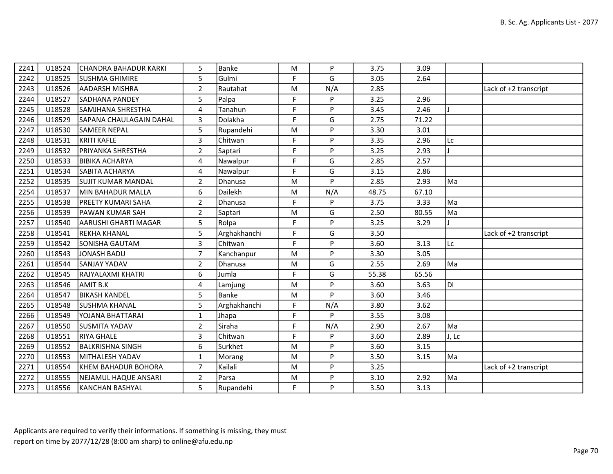| 2241 | U18524 | CHANDRA BAHADUR KARKI     | 5              | Banke          | M  | P   | 3.75  | 3.09  |       |                       |
|------|--------|---------------------------|----------------|----------------|----|-----|-------|-------|-------|-----------------------|
| 2242 | U18525 | lsushma Ghimire           | 5              | Gulmi          | F. | G   | 3.05  | 2.64  |       |                       |
| 2243 | U18526 | AADARSH MISHRA            | $\overline{2}$ | Rautahat       | M  | N/A | 2.85  |       |       | Lack of +2 transcript |
| 2244 | U18527 | SADHANA PANDEY            | 5              | Palpa          | F  | P   | 3.25  | 2.96  |       |                       |
| 2245 | U18528 | lsamjhana shrestha        | $\overline{4}$ | Tanahun        | F. | P   | 3.45  | 2.46  |       |                       |
| 2246 | U18529 | lSAPANA CHAULAGAIN DAHAL  | 3              | Dolakha        | F  | G   | 2.75  | 71.22 |       |                       |
| 2247 | U18530 | SAMEER NEPAL              | 5              | Rupandehi      | M  | P   | 3.30  | 3.01  |       |                       |
| 2248 | U18531 | <b>KRITI KAFLE</b>        | $\overline{3}$ | Chitwan        | F. | P   | 3.35  | 2.96  | Lc    |                       |
| 2249 | U18532 | PRIYANKA SHRESTHA         | $\overline{2}$ | Saptari        | F  | P   | 3.25  | 2.93  |       |                       |
| 2250 | U18533 | <b>BIBIKA ACHARYA</b>     | 4              | Nawalpur       | F. | G   | 2.85  | 2.57  |       |                       |
| 2251 | U18534 | SABITA ACHARYA            | 4              | Nawalpur       | F  | G   | 3.15  | 2.86  |       |                       |
| 2252 | U18535 | SUJIT KUMAR MANDAL        | $\overline{2}$ | Dhanusa        | M  | P   | 2.85  | 2.93  | Ma    |                       |
| 2254 | U18537 | lMIN BAHADUR MALLA        | 6              | Dailekh        | M  | N/A | 48.75 | 67.10 |       |                       |
| 2255 | U18538 | <b>PREETY KUMARI SAHA</b> | $\overline{2}$ | <b>Dhanusa</b> | F. | P   | 3.75  | 3.33  | Ma    |                       |
| 2256 | U18539 | PAWAN KUMAR SAH           | $\overline{2}$ | Saptari        | M  | G   | 2.50  | 80.55 | Ma    |                       |
| 2257 | U18540 | lAARUSHI GHARTI MAGAR     | 5              | Rolpa          | F. | P   | 3.25  | 3.29  |       |                       |
| 2258 | U18541 | <b>REKHA KHANAL</b>       | 5              | Arghakhanchi   | F  | G   | 3.50  |       |       | Lack of +2 transcript |
| 2259 | U18542 | SONISHA GAUTAM            | 3              | Chitwan        | F. | P   | 3.60  | 3.13  | Lc    |                       |
| 2260 | U18543 | <b>JONASH BADU</b>        | $\overline{7}$ | Kanchanpur     | M  | P   | 3.30  | 3.05  |       |                       |
| 2261 | U18544 | <b>SANJAY YADAV</b>       | $\overline{2}$ | Dhanusa        | M  | G   | 2.55  | 2.69  | Ma    |                       |
| 2262 | U18545 | RAJYALAXMI KHATRI         | 6              | Jumla          | F. | G   | 55.38 | 65.56 |       |                       |
| 2263 | U18546 | AMIT B.K                  | $\pmb{4}$      | Lamjung        | M  | P   | 3.60  | 3.63  | DI.   |                       |
| 2264 | U18547 | <b>BIKASH KANDEL</b>      | 5              | Banke          | M  | P   | 3.60  | 3.46  |       |                       |
| 2265 | U18548 | SUSHMA KHANAL             | 5              | Arghakhanchi   | F. | N/A | 3.80  | 3.62  |       |                       |
| 2266 | U18549 | YOJANA BHATTARAI          | $\mathbf 1$    | Jhapa          | F  | P   | 3.55  | 3.08  |       |                       |
| 2267 | U18550 | <b>SUSMITA YADAV</b>      | $\overline{2}$ | Siraha         | F  | N/A | 2.90  | 2.67  | Ma    |                       |
| 2268 | U18551 | <b>RIYA GHALE</b>         | 3              | Chitwan        | F. | P   | 3.60  | 2.89  | J, Lc |                       |
| 2269 | U18552 | <b>BALKRISHNA SINGH</b>   | 6              | Surkhet        | M  | P   | 3.60  | 3.15  |       |                       |
| 2270 | U18553 | MITHALESH YADAV           | $\mathbf{1}$   | Morang         | M  | P   | 3.50  | 3.15  | Ma    |                       |
| 2271 | U18554 | KHEM BAHADUR BOHORA       | $\overline{7}$ | Kailali        | M  | P   | 3.25  |       |       | Lack of +2 transcript |
| 2272 | U18555 | NEJAMUL HAQUE ANSARI      | $\overline{2}$ | Parsa          | M  | P   | 3.10  | 2.92  | Ma    |                       |
| 2273 | U18556 | <b>KANCHAN BASHYAL</b>    | 5              | Rupandehi      | F  | P   | 3.50  | 3.13  |       |                       |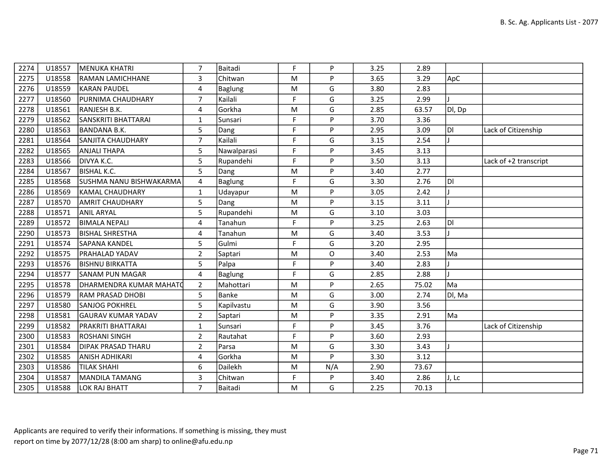| 2274 | U18557 | <b>MENUKA KHATRI</b>       | $\overline{7}$   | Baitadi        | F         | P   | 3.25 | 2.89  |        |                       |
|------|--------|----------------------------|------------------|----------------|-----------|-----|------|-------|--------|-----------------------|
| 2275 | U18558 | RAMAN LAMICHHANE           | 3                | Chitwan        | M         | P   | 3.65 | 3.29  | ApC    |                       |
| 2276 | U18559 | <b>KARAN PAUDEL</b>        | $\overline{4}$   | <b>Baglung</b> | M         | G   | 3.80 | 2.83  |        |                       |
| 2277 | U18560 | PURNIMA CHAUDHARY          | $\overline{7}$   | Kailali        | F         | G   | 3.25 | 2.99  |        |                       |
| 2278 | U18561 | RANJESH B.K.               | 4                | Gorkha         | M         | G   | 2.85 | 63.57 | DI, Dp |                       |
| 2279 | U18562 | SANSKRITI BHATTARAI        | $\mathbf{1}$     | Sunsari        | F         | P   | 3.70 | 3.36  |        |                       |
| 2280 | U18563 | BANDANA B.K.               | 5                | Dang           | F         | P   | 2.95 | 3.09  | IDI.   | Lack of Citizenship   |
| 2281 | U18564 | SANJITA CHAUDHARY          | $\overline{7}$   | Kailali        | F         | G   | 3.15 | 2.54  |        |                       |
| 2282 | U18565 | <b>ANJALI THAPA</b>        | 5                | Nawalparasi    | F         | P   | 3.45 | 3.13  |        |                       |
| 2283 | U18566 | DIVYA K.C.                 | 5                | Rupandehi      | F         | P   | 3.50 | 3.13  |        | Lack of +2 transcript |
| 2284 | U18567 | BISHAL K.C.                | 5                | Dang           | M         | P   | 3.40 | 2.77  |        |                       |
| 2285 | U18568 | SUSHMA NANU BISHWAKARMA    | $\overline{4}$   | <b>Baglung</b> | F.        | G   | 3.30 | 2.76  | l DI   |                       |
| 2286 | U18569 | KAMAL CHAUDHARY            | $\mathbf 1$      | Udayapur       | M         | P   | 3.05 | 2.42  |        |                       |
| 2287 | U18570 | AMRIT CHAUDHARY            | 5                | Dang           | M         | P   | 3.15 | 3.11  |        |                       |
| 2288 | U18571 | ANIL ARYAL                 | 5                | Rupandehi      | M         | G   | 3.10 | 3.03  |        |                       |
| 2289 | U18572 | <b>BIMALA NEPALI</b>       | $\pmb{4}$        | Tanahun        | F         | P   | 3.25 | 2.63  | DI.    |                       |
| 2290 | U18573 | <b>BISHAL SHRESTHA</b>     | $\overline{4}$   | Tanahun        | M         | G   | 3.40 | 3.53  |        |                       |
| 2291 | U18574 | SAPANA KANDEL              | 5                | Gulmi          | F.        | G   | 3.20 | 2.95  |        |                       |
| 2292 | U18575 | <b>PRAHALAD YADAV</b>      | $\overline{2}$   | Saptari        | M         | 0   | 3.40 | 2.53  | Ma     |                       |
| 2293 | U18576 | BISHNU BIRKATTA            | 5                | Palpa          | F         | P   | 3.40 | 2.83  |        |                       |
| 2294 | U18577 | SANAM PUN MAGAR            | $\overline{4}$   | Baglung        | F.        | G   | 2.85 | 2.88  |        |                       |
| 2295 | U18578 | DHARMENDRA KUMAR MAHATO    | $\overline{2}$   | Mahottari      | M         | P   | 2.65 | 75.02 | Ma     |                       |
| 2296 | U18579 | IRAM PRASAD DHOBI          | 5                | <b>Banke</b>   | M         | G   | 3.00 | 2.74  | DI, Ma |                       |
| 2297 | U18580 | <b>SANJOG POKHREL</b>      | 5                | Kapilvastu     | M         | G   | 3.90 | 3.56  |        |                       |
| 2298 | U18581 | <b>IGAURAV KUMAR YADAV</b> | $\overline{2}$   | Saptari        | M         | P   | 3.35 | 2.91  | Ma     |                       |
| 2299 | U18582 | PRAKRITI BHATTARAI         | $\mathbf{1}$     | Sunsari        | F         | P   | 3.45 | 3.76  |        | Lack of Citizenship   |
| 2300 | U18583 | ROSHANI SINGH              | $\overline{2}$   | Rautahat       | F         | P   | 3.60 | 2.93  |        |                       |
| 2301 | U18584 | <b>DIPAK PRASAD THARU</b>  | $\overline{2}$   | Parsa          | M         | G   | 3.30 | 3.43  |        |                       |
| 2302 | U18585 | <b>ANISH ADHIKARI</b>      | 4                | Gorkha         | M         | P   | 3.30 | 3.12  |        |                       |
| 2303 | U18586 | TILAK SHAHI                | $\boldsymbol{6}$ | Dailekh        | ${\sf M}$ | N/A | 2.90 | 73.67 |        |                       |
| 2304 | U18587 | MANDILA TAMANG             | 3                | Chitwan        | Е         | P   | 3.40 | 2.86  | J, Lc  |                       |
| 2305 | U18588 | LOK RAJ BHATT              | $\overline{7}$   | Baitadi        | M         | G   | 2.25 | 70.13 |        |                       |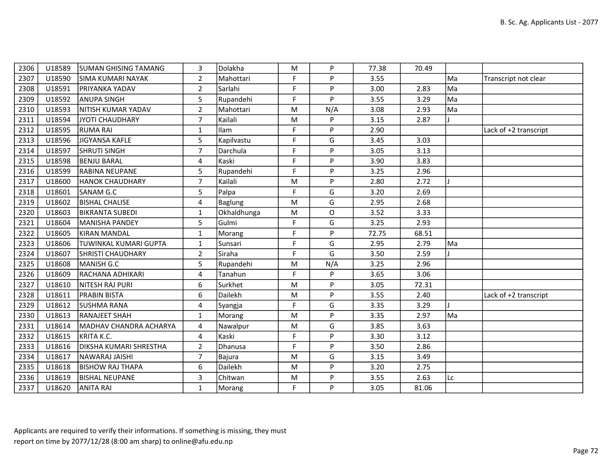| 2306 | U18589 | <b>SUMAN GHISING TAMANG</b>   | 3              | Dolakha        | M         | P        | 77.38 | 70.49 |    |                       |
|------|--------|-------------------------------|----------------|----------------|-----------|----------|-------|-------|----|-----------------------|
| 2307 | U18590 | SIMA KUMARI NAYAK             | $\overline{2}$ | Mahottari      | F         | P        | 3.55  |       | Ma | Transcript not clear  |
| 2308 | U18591 | <b>PRIYANKA YADAV</b>         | $\overline{2}$ | Sarlahi        | F.        | Þ        | 3.00  | 2.83  | Ma |                       |
| 2309 | U18592 | <b>ANUPA SINGH</b>            | 5              | Rupandehi      | F         | P        | 3.55  | 3.29  | Ma |                       |
| 2310 | U18593 | NITISH KUMAR YADAV            | $\overline{2}$ | Mahottari      | M         | N/A      | 3.08  | 2.93  | Ma |                       |
| 2311 | U18594 | JYOTI CHAUDHARY               | $\overline{7}$ | Kailali        | M         | Þ        | 3.15  | 2.87  |    |                       |
| 2312 | U18595 | <b>RUMA RAI</b>               | $\mathbf{1}$   | Ilam           | F.        | P        | 2.90  |       |    | Lack of +2 transcript |
| 2313 | U18596 | <b>JIGYANSA KAFLE</b>         | 5              | Kapilvastu     | F         | G        | 3.45  | 3.03  |    |                       |
| 2314 | U18597 | <b>SHRUTI SINGH</b>           | $\overline{7}$ | Darchula       | F         | P        | 3.05  | 3.13  |    |                       |
| 2315 | U18598 | <b>BENJU BARAL</b>            | 4              | Kaski          | F.        | P        | 3.90  | 3.83  |    |                       |
| 2316 | U18599 | <b>RABINA NEUPANE</b>         | 5              | Rupandehi      | F         | P        | 3.25  | 2.96  |    |                       |
| 2317 | U18600 | <b>HANOK CHAUDHARY</b>        | $\overline{7}$ | Kailali        | M         | P        | 2.80  | 2.72  |    |                       |
| 2318 | U18601 | SANAM G.C                     | 5              | Palpa          | F.        | G        | 3.20  | 2.69  |    |                       |
| 2319 | U18602 | <b>BISHAL CHALISE</b>         | $\pmb{4}$      | <b>Baglung</b> | M         | G        | 2.95  | 2.68  |    |                       |
| 2320 | U18603 | <b>BIKRANTA SUBEDI</b>        | $\mathbf{1}$   | Okhaldhunga    | M         | $\Omega$ | 3.52  | 3.33  |    |                       |
| 2321 | U18604 | MANISHA PANDEY                | 5              | Gulmi          | F         | G        | 3.25  | 2.93  |    |                       |
| 2322 | U18605 | KIRAN MANDAL                  | $\mathbf{1}$   | Morang         | F         | P        | 72.75 | 68.51 |    |                       |
| 2323 | U18606 | <b>TUWINKAL KUMARI GUPTA</b>  | $\mathbf{1}$   | Sunsari        | F.        | G        | 2.95  | 2.79  | Ma |                       |
| 2324 | U18607 | <b>SHRISTI CHAUDHARY</b>      | $\overline{2}$ | Siraha         | F         | G        | 3.50  | 2.59  |    |                       |
| 2325 | U18608 | MANISH G.C                    | 5              | Rupandehi      | M         | N/A      | 3.25  | 2.96  |    |                       |
| 2326 | U18609 | RACHANA ADHIKARI              | 4              | Tanahun        | F.        | P        | 3.65  | 3.06  |    |                       |
| 2327 | U18610 | NITESH RAJ PURI               | 6              | Surkhet        | M         | P        | 3.05  | 72.31 |    |                       |
| 2328 | U18611 | <b>PRABIN BISTA</b>           | 6              | Dailekh        | M         | P        | 3.55  | 2.40  |    | Lack of +2 transcript |
| 2329 | U18612 | SUSHMA RANA                   | 4              | Syangja        | F.        | G        | 3.35  | 3.29  |    |                       |
| 2330 | U18613 | <b>RANAJEET SHAH</b>          | $\mathbf{1}$   | Morang         | M         | P        | 3.35  | 2.97  | Ma |                       |
| 2331 | U18614 | MADHAV CHANDRA ACHARYA        | 4              | Nawalpur       | M         | G        | 3.85  | 3.63  |    |                       |
| 2332 | U18615 | KRITA K.C.                    | 4              | Kaski          | F.        | P        | 3.30  | 3.12  |    |                       |
| 2333 | U18616 | <b>DIKSHA KUMARI SHRESTHA</b> | $\overline{2}$ | Dhanusa        | F.        | P        | 3.50  | 2.86  |    |                       |
| 2334 | U18617 | NAWARAJ JAISHI                | $\overline{7}$ | <b>Bajura</b>  | M         | G        | 3.15  | 3.49  |    |                       |
| 2335 | U18618 | <b>BISHOW RAJ THAPA</b>       | 6              | Dailekh        | ${\sf M}$ | P        | 3.20  | 2.75  |    |                       |
| 2336 | U18619 | <b>BISHAL NEUPANE</b>         | 3              | Chitwan        | M         | P        | 3.55  | 2.63  | Lc |                       |
| 2337 | U18620 | <b>ANITA RAI</b>              | $\mathbf{1}$   | Morang         | F.        | P        | 3.05  | 81.06 |    |                       |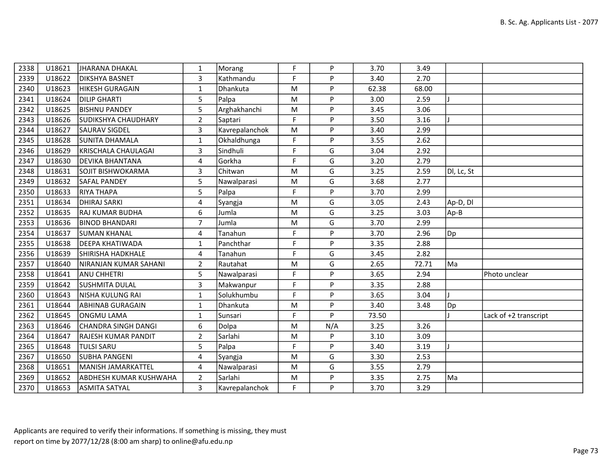| 2338 | U18621 | JHARANA DHAKAL             | 1              | Morang         | F.        | P   | 3.70  | 3.49  |            |                       |
|------|--------|----------------------------|----------------|----------------|-----------|-----|-------|-------|------------|-----------------------|
| 2339 | U18622 | <b>DIKSHYA BASNET</b>      | $\mathsf{3}$   | Kathmandu      | F.        | P   | 3.40  | 2.70  |            |                       |
| 2340 | U18623 | <b>HIKESH GURAGAIN</b>     | $\mathbf{1}$   | Dhankuta       | M         | P   | 62.38 | 68.00 |            |                       |
| 2341 | U18624 | <b>DILIP GHARTI</b>        | 5              | Palpa          | M         | P   | 3.00  | 2.59  |            |                       |
| 2342 | U18625 | <b>BISHNU PANDEY</b>       | 5              | Arghakhanchi   | M         | P   | 3.45  | 3.06  |            |                       |
| 2343 | U18626 | SUDIKSHYA CHAUDHARY        | $\overline{2}$ | Saptari        | F.        | P   | 3.50  | 3.16  |            |                       |
| 2344 | U18627 | SAURAV SIGDEL              | 3              | Kavrepalanchok | ${\sf M}$ | P   | 3.40  | 2.99  |            |                       |
| 2345 | U18628 | <b>SUNITA DHAMALA</b>      | $\mathbf{1}$   | Okhaldhunga    | F.        | P   | 3.55  | 2.62  |            |                       |
| 2346 | U18629 | KRISCHALA CHAULAGAI        | 3              | Sindhuli       | F.        | G   | 3.04  | 2.92  |            |                       |
| 2347 | U18630 | <b>DEVIKA BHANTANA</b>     | 4              | Gorkha         | F         | G   | 3.20  | 2.79  |            |                       |
| 2348 | U18631 | SOJIT BISHWOKARMA          | 3              | Chitwan        | M         | G   | 3.25  | 2.59  | DI, Lc, St |                       |
| 2349 | U18632 | <b>SAFAL PANDEY</b>        | 5              | Nawalparasi    | M         | G   | 3.68  | 2.77  |            |                       |
| 2350 | U18633 | <b>RIYA THAPA</b>          | 5              | Palpa          | F.        | P   | 3.70  | 2.99  |            |                       |
| 2351 | U18634 | <b>DHIRAJ SARKI</b>        | 4              | Syangja        | M         | G   | 3.05  | 2.43  | Ap-D, DI   |                       |
| 2352 | U18635 | <b>RAJ KUMAR BUDHA</b>     | 6              | Jumla          | M         | G   | 3.25  | 3.03  | Ap-B       |                       |
| 2353 | U18636 | <b>BINOD BHANDARI</b>      | $\overline{7}$ | Jumla          | M         | G   | 3.70  | 2.99  |            |                       |
| 2354 | U18637 | <b>SUMAN KHANAL</b>        | 4              | Tanahun        | F.        | P   | 3.70  | 2.96  | Dp         |                       |
| 2355 | U18638 | <b>DEEPA KHATIWADA</b>     | $\mathbf{1}$   | Panchthar      | F.        | P   | 3.35  | 2.88  |            |                       |
| 2356 | U18639 | İSHIRISHA HADKHALE         | 4              | Tanahun        | F.        | G   | 3.45  | 2.82  |            |                       |
| 2357 | U18640 | NIRANJAN KUMAR SAHANI      | $\overline{2}$ | Rautahat       | M         | G   | 2.65  | 72.71 | Ma         |                       |
| 2358 | U18641 | <b>ANU CHHETRI</b>         | 5              | Nawalparasi    | F.        | P   | 3.65  | 2.94  |            | Photo unclear         |
| 2359 | U18642 | SUSHMITA DULAL             | 3              | Makwanpur      | F.        | P   | 3.35  | 2.88  |            |                       |
| 2360 | U18643 | NISHA KULUNG RAI           | $\mathbf{1}$   | Solukhumbu     | F         | P   | 3.65  | 3.04  |            |                       |
| 2361 | U18644 | <b>ABHINAB GURAGAIN</b>    | $\mathbf{1}$   | Dhankuta       | M         | P   | 3.40  | 3.48  | Dp         |                       |
| 2362 | U18645 | lONGMU LAMA                | $\mathbf{1}$   | Sunsari        | F.        | P   | 73.50 |       |            | Lack of +2 transcript |
| 2363 | U18646 | <b>CHANDRA SINGH DANGI</b> | 6              | Dolpa          | M         | N/A | 3.25  | 3.26  |            |                       |
| 2364 | U18647 | RAJESH KUMAR PANDIT        | $\overline{2}$ | Sarlahi        | M         | P   | 3.10  | 3.09  |            |                       |
| 2365 | U18648 | <b>TULSI SARU</b>          | 5              | Palpa          | F.        | P   | 3.40  | 3.19  |            |                       |
| 2367 | U18650 | <b>SUBHA PANGENI</b>       | 4              | Syangja        | M         | G   | 3.30  | 2.53  |            |                       |
| 2368 | U18651 | MANISH JAMARKATTEL         | 4              | Nawalparasi    | M         | G   | 3.55  | 2.79  |            |                       |
| 2369 | U18652 | ABDHESH KUMAR KUSHWAHA     | $\overline{2}$ | Sarlahi        | M         | P   | 3.35  | 2.75  | Ma         |                       |
| 2370 | U18653 | ASMITA SATYAL              | 3              | Kavrepalanchok | F.        | P   | 3.70  | 3.29  |            |                       |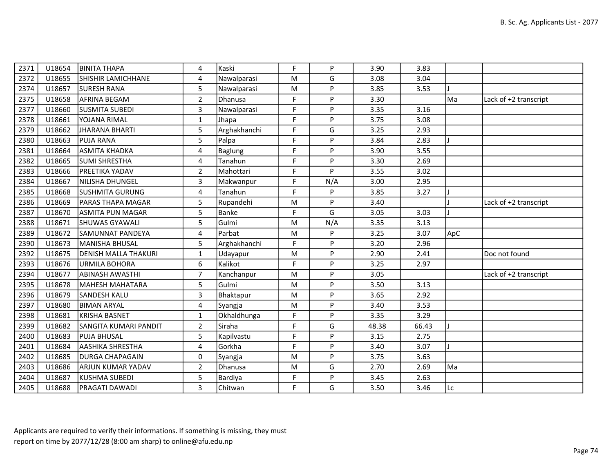| 2371 | U18654 | BINITA THAPA                | 4              | Kaski          | F  | P   | 3.90  | 3.83  |     |                       |
|------|--------|-----------------------------|----------------|----------------|----|-----|-------|-------|-----|-----------------------|
| 2372 | U18655 | SHISHIR LAMICHHANE          | 4              | Nawalparasi    | M  | G   | 3.08  | 3.04  |     |                       |
| 2374 | U18657 | <b>SURESH RANA</b>          | 5              | Nawalparasi    | M  | P   | 3.85  | 3.53  |     |                       |
| 2375 | U18658 | AFRINA BEGAM                | $\mathbf 2$    | <b>Dhanusa</b> | F  | P   | 3.30  |       | Ma  | Lack of +2 transcript |
| 2377 | U18660 | SUSMITA SUBEDI              | 3              | Nawalparasi    | F. | P   | 3.35  | 3.16  |     |                       |
| 2378 | U18661 | YOJANA RIMAL                | $\mathbf{1}$   | Jhapa          | F  | Þ   | 3.75  | 3.08  |     |                       |
| 2379 | U18662 | <b>JHARANA BHARTI</b>       | 5              | Arghakhanchi   | F  | G   | 3.25  | 2.93  |     |                       |
| 2380 | U18663 | PUJA RANA                   | 5              | Palpa          | F  | P   | 3.84  | 2.83  |     |                       |
| 2381 | U18664 | ASMITA KHADKA               | 4              | <b>Baglung</b> | F  | P   | 3.90  | 3.55  |     |                       |
| 2382 | U18665 | SUMI SHRESTHA               | 4              | Tanahun        | F  | P   | 3.30  | 2.69  |     |                       |
| 2383 | U18666 | PREETIKA YADAV              | $\overline{2}$ | Mahottari      | F  | P   | 3.55  | 3.02  |     |                       |
| 2384 | U18667 | NILISHA DHUNGEL             | 3              | Makwanpur      | F. | N/A | 3.00  | 2.95  |     |                       |
| 2385 | U18668 | SUSHMITA GURUNG             | 4              | Tanahun        | F  | Þ   | 3.85  | 3.27  |     |                       |
| 2386 | U18669 | PARAS THAPA MAGAR           | 5              | Rupandehi      | M  | P   | 3.40  |       |     | Lack of +2 transcript |
| 2387 | U18670 | <b>ASMITA PUN MAGAR</b>     | 5              | <b>Banke</b>   | F. | G   | 3.05  | 3.03  |     |                       |
| 2388 | U18671 | SHUWAS GYAWALI              | 5              | Gulmi          | M  | N/A | 3.35  | 3.13  |     |                       |
| 2389 | U18672 | <b>SAMUNNAT PANDEYA</b>     | $\overline{4}$ | Parbat         | M  | P   | 3.25  | 3.07  | ApC |                       |
| 2390 | U18673 | MANISHA BHUSAL              | 5              | Arghakhanchi   | F. | P   | 3.20  | 2.96  |     |                       |
| 2392 | U18675 | <b>DENISH MALLA THAKURI</b> | $\mathbf 1$    | Udayapur       | M  | P   | 2.90  | 2.41  |     | Doc not found         |
| 2393 | U18676 | URMILA BOHORA               | 6              | Kalikot        | F  | P   | 3.25  | 2.97  |     |                       |
| 2394 | U18677 | ABINASH AWASTHI             | $\overline{7}$ | Kanchanpur     | M  | P.  | 3.05  |       |     | Lack of +2 transcript |
| 2395 | U18678 | MAHESH MAHATARA             | 5              | Gulmi          | M  | P   | 3.50  | 3.13  |     |                       |
| 2396 | U18679 | <b>SANDESH KALU</b>         | $\overline{3}$ | Bhaktapur      | M  | P   | 3.65  | 2.92  |     |                       |
| 2397 | U18680 | <b>BIMAN ARYAL</b>          | $\overline{4}$ | Syangja        | M  | P   | 3.40  | 3.53  |     |                       |
| 2398 | U18681 | İKRISHA BASNET              | $\mathbf{1}$   | Okhaldhunga    | F  | P   | 3.35  | 3.29  |     |                       |
| 2399 | U18682 | SANGITA KUMARI PANDIT       | $\overline{2}$ | Siraha         | F  | G   | 48.38 | 66.43 |     |                       |
| 2400 | U18683 | PUJA BHUSAL                 | 5              | Kapilvastu     | F  | P   | 3.15  | 2.75  |     |                       |
| 2401 | U18684 | <b>AASHIKA SHRESTHA</b>     | 4              | Gorkha         | E. | Þ   | 3.40  | 3.07  |     |                       |
| 2402 | U18685 | DURGA CHAPAGAIN             | $\mathbf 0$    | Syangja        | M  | P   | 3.75  | 3.63  |     |                       |
| 2403 | U18686 | ARJUN KUMAR YADAV           | $\overline{2}$ | Dhanusa        | M  | G   | 2.70  | 2.69  | Ma  |                       |
| 2404 | U18687 | KUSHMA SUBEDI               | 5              | Bardiya        | Е  | Þ   | 3.45  | 2.63  |     |                       |
| 2405 | U18688 | PRAGATI DAWADI              | $\overline{3}$ | Chitwan        | F. | G   | 3.50  | 3.46  | Lc  |                       |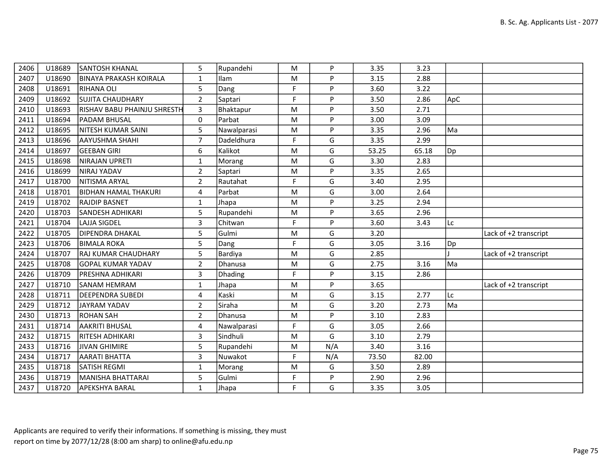| 2406 | U18689 | SANTOSH KHANAL                | 5              | Rupandehi      | M         | P   | 3.35  | 3.23  |           |                       |
|------|--------|-------------------------------|----------------|----------------|-----------|-----|-------|-------|-----------|-----------------------|
| 2407 | U18690 | <b>BINAYA PRAKASH KOIRALA</b> | $\mathbf{1}$   | Ilam           | M         | P   | 3.15  | 2.88  |           |                       |
| 2408 | U18691 | <b>RIHANA OLI</b>             | 5              | Dang           | F         | Þ   | 3.60  | 3.22  |           |                       |
| 2409 | U18692 | SUJITA CHAUDHARY              | $\overline{2}$ | Saptari        | F         | P   | 3.50  | 2.86  | ApC       |                       |
| 2410 | U18693 | RISHAV BABU PHAINJU SHRESTH   | 3              | Bhaktapur      | M         | P   | 3.50  | 2.71  |           |                       |
| 2411 | U18694 | <b>PADAM BHUSAL</b>           | $\mathbf 0$    | Parbat         | M         | Þ   | 3.00  | 3.09  |           |                       |
| 2412 | U18695 | NITESH KUMAR SAINI            | 5              | Nawalparasi    | M         | P   | 3.35  | 2.96  | Ma        |                       |
| 2413 | U18696 | AAYUSHMA SHAHI                | $\overline{7}$ | Dadeldhura     | F.        | G   | 3.35  | 2.99  |           |                       |
| 2414 | U18697 | <b>GEEBAN GIRI</b>            | 6              | Kalikot        | M         | G   | 53.25 | 65.18 | Dp        |                       |
| 2415 | U18698 | NIRAJAN UPRETI                | $\mathbf{1}$   | Morang         | M         | G   | 3.30  | 2.83  |           |                       |
| 2416 | U18699 | NIRAJ YADAV                   | $\overline{2}$ | Saptari        | M         | P   | 3.35  | 2.65  |           |                       |
| 2417 | U18700 | NITISMA ARYAL                 | $\overline{2}$ | Rautahat       | F.        | G   | 3.40  | 2.95  |           |                       |
| 2418 | U18701 | <b>BIDHAN HAMAL THAKURI</b>   | 4              | Parbat         | M         | G   | 3.00  | 2.64  |           |                       |
| 2419 | U18702 | RAJDIP BASNET                 | $\mathbf{1}$   | Jhapa          | M         | P   | 3.25  | 2.94  |           |                       |
| 2420 | U18703 | SANDESH ADHIKARI              | 5              | Rupandehi      | M         | P.  | 3.65  | 2.96  |           |                       |
| 2421 | U18704 | LAJJA SIGDEL                  | 3              | Chitwan        | F         | P   | 3.60  | 3.43  | Lc        |                       |
| 2422 | U18705 | DIPENDRA DHAKAL               | 5              | Gulmi          | M         | G   | 3.20  |       |           | Lack of +2 transcript |
| 2423 | U18706 | <b>BIMALA ROKA</b>            | 5              | Dang           | F.        | G   | 3.05  | 3.16  | Dp        |                       |
| 2424 | U18707 | <b>RAJ KUMAR CHAUDHARY</b>    | 5              | Bardiya        | M         | G   | 2.85  |       |           | Lack of +2 transcript |
| 2425 | U18708 | GOPAL KUMAR YADAV             | $\overline{2}$ | Dhanusa        | M         | G   | 2.75  | 3.16  | l Ma      |                       |
| 2426 | U18709 | PRESHNA ADHIKARI              | $\overline{3}$ | <b>Dhading</b> | F.        | P.  | 3.15  | 2.86  |           |                       |
| 2427 | U18710 | <b>SANAM HEMRAM</b>           | $\mathbf{1}$   | Jhapa          | M         | P   | 3.65  |       |           | Lack of +2 transcript |
| 2428 | U18711 | DEEPENDRA SUBEDI              | 4              | Kaski          | M         | G   | 3.15  | 2.77  | <b>Lc</b> |                       |
| 2429 | U18712 | JAYRAM YADAV                  | $\overline{2}$ | Siraha         | M         | G   | 3.20  | 2.73  | Ma        |                       |
| 2430 | U18713 | <b>ROHAN SAH</b>              | $\overline{2}$ | <b>Dhanusa</b> | M         | P   | 3.10  | 2.83  |           |                       |
| 2431 | U18714 | AAKRITI BHUSAL                | $\pmb{4}$      | Nawalparasi    | F         | G   | 3.05  | 2.66  |           |                       |
| 2432 | U18715 | RITESH ADHIKARI               | 3              | Sindhuli       | M         | G   | 3.10  | 2.79  |           |                       |
| 2433 | U18716 | <b>JIVAN GHIMIRE</b>          | 5              | Rupandehi      | M         | N/A | 3.40  | 3.16  |           |                       |
| 2434 | U18717 | AARATI BHATTA                 | $\mathbf{3}$   | Nuwakot        | F         | N/A | 73.50 | 82.00 |           |                       |
| 2435 | U18718 | SATISH REGMI                  | $\mathbf 1$    | Morang         | ${\sf M}$ | G   | 3.50  | 2.89  |           |                       |
| 2436 | U18719 | MANISHA BHATTARAI             | 5              | Gulmi          | E         | Þ   | 2.90  | 2.96  |           |                       |
| 2437 | U18720 | <b>APEKSHYA BARAL</b>         | $\mathbf{1}$   | Jhapa          | F.        | G   | 3.35  | 3.05  |           |                       |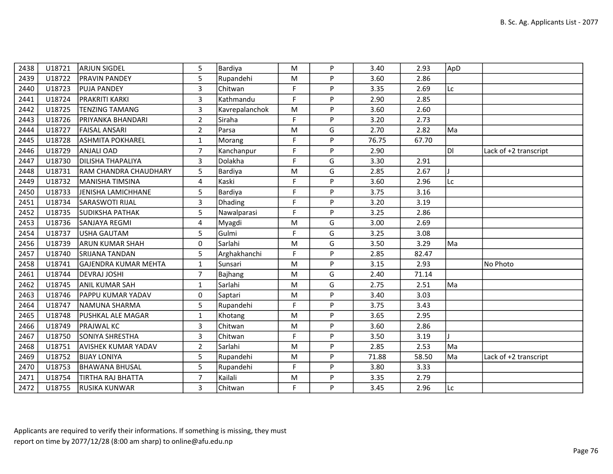| 2438 | U18721 | ARJUN SIGDEL                | 5              | Bardiya        | M         | P  | 3.40  | 2.93  | ApD |                       |
|------|--------|-----------------------------|----------------|----------------|-----------|----|-------|-------|-----|-----------------------|
| 2439 | U18722 | <b>PRAVIN PANDEY</b>        | 5              | Rupandehi      | M         | P  | 3.60  | 2.86  |     |                       |
| 2440 | U18723 | PUJA PANDEY                 | 3              | Chitwan        | F.        | Þ. | 3.35  | 2.69  | Lc. |                       |
| 2441 | U18724 | PRAKRITI KARKI              | 3              | Kathmandu      | F         | P  | 2.90  | 2.85  |     |                       |
| 2442 | U18725 | <b>TENZING TAMANG</b>       | 3              | Kavrepalanchok | M         | P  | 3.60  | 2.60  |     |                       |
| 2443 | U18726 | PRIYANKA BHANDARI           | $\overline{2}$ | Siraha         | F         | Þ. | 3.20  | 2.73  |     |                       |
| 2444 | U18727 | <b>FAISAL ANSARI</b>        | $\overline{2}$ | Parsa          | ${\sf M}$ | G  | 2.70  | 2.82  | Ma  |                       |
| 2445 | U18728 | <b>ASHMITA POKHAREL</b>     | $\mathbf{1}$   | Morang         | F         | P  | 76.75 | 67.70 |     |                       |
| 2446 | U18729 | <b>ANJALI OAD</b>           | $\overline{7}$ | Kanchanpur     | F         | Þ  | 2.90  |       | DI. | Lack of +2 transcript |
| 2447 | U18730 | DILISHA THAPALIYA           | 3              | Dolakha        | F         | G  | 3.30  | 2.91  |     |                       |
| 2448 | U18731 | RAM CHANDRA CHAUDHARY       | 5              | Bardiya        | M         | G  | 2.85  | 2.67  |     |                       |
| 2449 | U18732 | <b>MANISHA TIMSINA</b>      | $\overline{4}$ | Kaski          | F         | Þ  | 3.60  | 2.96  | Lc  |                       |
| 2450 | U18733 | JENISHA LAMICHHANE          | 5              | Bardiya        | F         | P  | 3.75  | 3.16  |     |                       |
| 2451 | U18734 | <b>SARASWOTI RIJAL</b>      | 3              | <b>Dhading</b> | F         | P  | 3.20  | 3.19  |     |                       |
| 2452 | U18735 | <b>SUDIKSHA PATHAK</b>      | 5              | Nawalparasi    | F.        | P  | 3.25  | 2.86  |     |                       |
| 2453 | U18736 | SANJAYA REGMI               | 4              | Myagdi         | M         | G  | 3.00  | 2.69  |     |                       |
| 2454 | U18737 | <b>USHA GAUTAM</b>          | 5              | Gulmi          | F         | G  | 3.25  | 3.08  |     |                       |
| 2456 | U18739 | <b>ARUN KUMAR SHAH</b>      | 0              | Sarlahi        | M         | G  | 3.50  | 3.29  | Ma  |                       |
| 2457 | U18740 | <b>SRIJANA TANDAN</b>       | 5              | Arghakhanchi   | F         | P  | 2.85  | 82.47 |     |                       |
| 2458 | U18741 | <b>GAJENDRA KUMAR MEHTA</b> | $\mathbf{1}$   | Sunsari        | M         | P  | 3.15  | 2.93  |     | No Photo              |
| 2461 | U18744 | <b>DEVRAJ JOSHI</b>         | $\overline{7}$ | Bajhang        | ${\sf M}$ | G  | 2.40  | 71.14 |     |                       |
| 2462 | U18745 | <b>ANIL KUMAR SAH</b>       | $\mathbf{1}$   | Sarlahi        | M         | G  | 2.75  | 2.51  | Ma  |                       |
| 2463 | U18746 | PAPPU KUMAR YADAV           | 0              | Saptari        | M         | P  | 3.40  | 3.03  |     |                       |
| 2464 | U18747 | NAMUNA SHARMA               | 5              | Rupandehi      | F.        | P  | 3.75  | 3.43  |     |                       |
| 2465 | U18748 | PUSHKAL ALE MAGAR           | $\mathbf{1}$   | Khotang        | M         | P  | 3.65  | 2.95  |     |                       |
| 2466 | U18749 | PRAJWAL KC                  | 3              | Chitwan        | M         | P  | 3.60  | 2.86  |     |                       |
| 2467 | U18750 | SONIYA SHRESTHA             | $\overline{3}$ | Chitwan        | F.        | P  | 3.50  | 3.19  |     |                       |
| 2468 | U18751 | <b>AVISHEK KUMAR YADAV</b>  | $\overline{2}$ | Sarlahi        | M         | P  | 2.85  | 2.53  | Ma  |                       |
| 2469 | U18752 | <b>BIJAY LONIYA</b>         | 5              | Rupandehi      | M         | P  | 71.88 | 58.50 | Ma  | Lack of +2 transcript |
| 2470 | U18753 | <b>BHAWANA BHUSAL</b>       | 5              | Rupandehi      | F.        | P  | 3.80  | 3.33  |     |                       |
| 2471 | U18754 | <b>TIRTHA RAJ BHATTA</b>    | $\overline{7}$ | Kailali        | M         | P  | 3.35  | 2.79  |     |                       |
| 2472 | U18755 | RUSIKA KUNWAR               | 3              | Chitwan        | F.        | P  | 3.45  | 2.96  | Lc  |                       |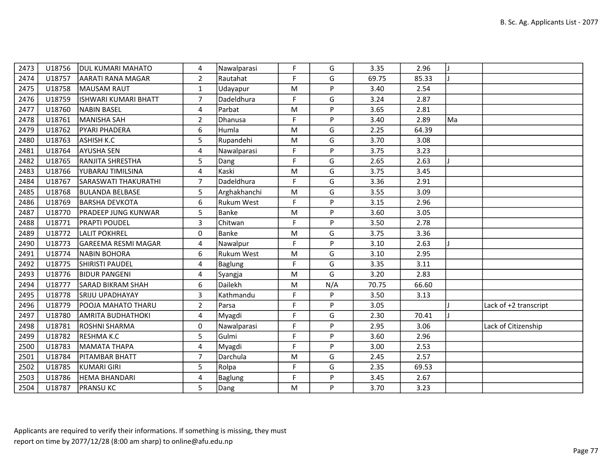| 2473 | U18756 | <b>DUL KUMARI MAHATO</b>    | 4              | Nawalparasi       | F  | G   | 3.35  | 2.96  |    |                       |
|------|--------|-----------------------------|----------------|-------------------|----|-----|-------|-------|----|-----------------------|
| 2474 | U18757 | <b>AARATI RANA MAGAR</b>    | $\overline{2}$ | Rautahat          | F  | G   | 69.75 | 85.33 |    |                       |
| 2475 | U18758 | MAUSAM RAUT                 | $\mathbf{1}$   | Udayapur          | M  | Þ   | 3.40  | 2.54  |    |                       |
| 2476 | U18759 | <b>ISHWARI KUMARI BHATT</b> | $\overline{7}$ | Dadeldhura        | F  | G   | 3.24  | 2.87  |    |                       |
| 2477 | U18760 | NABIN BASEL                 | 4              | Parbat            | M  | P   | 3.65  | 2.81  |    |                       |
| 2478 | U18761 | MANISHA SAH                 | $\overline{2}$ | <b>Dhanusa</b>    | F. | Þ   | 3.40  | 2.89  | Ma |                       |
| 2479 | U18762 | PYARI PHADERA               | 6              | Humla             | M  | G   | 2.25  | 64.39 |    |                       |
| 2480 | U18763 | ASHISH K.C                  | 5              | Rupandehi         | M  | G   | 3.70  | 3.08  |    |                       |
| 2481 | U18764 | <b>AYUSHA SEN</b>           | $\overline{4}$ | Nawalparasi       | F. | P   | 3.75  | 3.23  |    |                       |
| 2482 | U18765 | <b>RANJITA SHRESTHA</b>     | 5              | Dang              | F  | G   | 2.65  | 2.63  |    |                       |
| 2483 | U18766 | YUBARAJ TIMILSINA           | 4              | Kaski             | M  | G   | 3.75  | 3.45  |    |                       |
| 2484 | U18767 | SARASWATI THAKURATHI        | $\overline{7}$ | Dadeldhura        | F. | G   | 3.36  | 2.91  |    |                       |
| 2485 | U18768 | <b>BULANDA BELBASE</b>      | 5              | Arghakhanchi      | M  | G   | 3.55  | 3.09  |    |                       |
| 2486 | U18769 | <b>BARSHA DEVKOTA</b>       | 6              | <b>Rukum West</b> | F. | P   | 3.15  | 2.96  |    |                       |
| 2487 | U18770 | <b>PRADEEP JUNG KUNWAR</b>  | 5              | <b>Banke</b>      | M  | P   | 3.60  | 3.05  |    |                       |
| 2488 | U18771 | <b>PRAPTI POUDEL</b>        | 3              | Chitwan           | F. | P   | 3.50  | 2.78  |    |                       |
| 2489 | U18772 | LALIT POKHREL               | $\mathbf 0$    | Banke             | M  | G   | 3.75  | 3.36  |    |                       |
| 2490 | U18773 | GAREEMA RESMI MAGAR         | $\overline{4}$ | Nawalpur          | F. | P   | 3.10  | 2.63  |    |                       |
| 2491 | U18774 | <b>NABIN BOHORA</b>         | 6              | Rukum West        | M  | G   | 3.10  | 2.95  |    |                       |
| 2492 | U18775 | SHIRISTI PAUDEL             | 4              | <b>Baglung</b>    | F. | G   | 3.35  | 3.11  |    |                       |
| 2493 | U18776 | <b>BIDUR PANGENI</b>        | 4              | Syangja           | M  | G   | 3.20  | 2.83  |    |                       |
| 2494 | U18777 | <b>SARAD BIKRAM SHAH</b>    | 6              | Dailekh           | M  | N/A | 70.75 | 66.60 |    |                       |
| 2495 | U18778 | ISRIJU UPADHAYAY            | 3              | Kathmandu         | F. | P   | 3.50  | 3.13  |    |                       |
| 2496 | U18779 | POOJA MAHATO THARU          | $\overline{2}$ | Parsa             | F. | P   | 3.05  |       |    | Lack of +2 transcript |
| 2497 | U18780 | <b>AMRITA BUDHATHOKI</b>    | 4              | Myagdi            | F. | G   | 2.30  | 70.41 |    |                       |
| 2498 | U18781 | <b>ROSHNI SHARMA</b>        | 0              | Nawalparasi       | F  | P   | 2.95  | 3.06  |    | Lack of Citizenship   |
| 2499 | U18782 | RESHMA K.C                  | 5              | Gulmi             | F  | P   | 3.60  | 2.96  |    |                       |
| 2500 | U18783 | MAMATA THAPA                | 4              | Myagdi            | F. | P   | 3.00  | 2.53  |    |                       |
| 2501 | U18784 | PITAMBAR BHATT              | $\overline{7}$ | Darchula          | M  | G   | 2.45  | 2.57  |    |                       |
| 2502 | U18785 | KUMARI GIRI                 | 5              | Rolpa             | F. | G   | 2.35  | 69.53 |    |                       |
| 2503 | U18786 | <b>HEMA BHANDARI</b>        | 4              | <b>Baglung</b>    | F. | D   | 3.45  | 2.67  |    |                       |
| 2504 | U18787 | <b>PRANSU KC</b>            | 5              | Dang              | M  | P   | 3.70  | 3.23  |    |                       |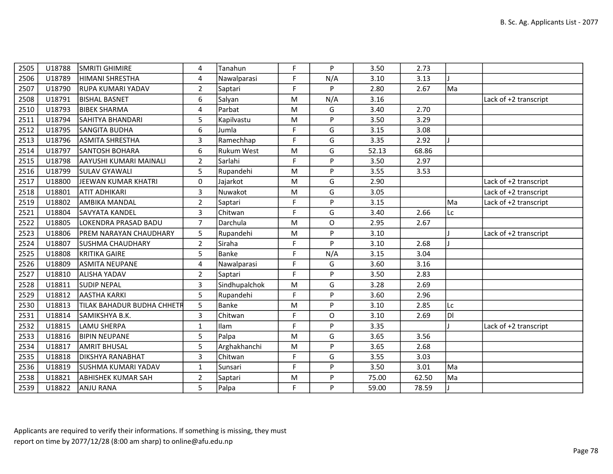| 2505 | U18788 | <b>SMRITI GHIMIRE</b>      | 4                       | Tanahun           | F  | P           | 3.50  | 2.73  |    |                       |
|------|--------|----------------------------|-------------------------|-------------------|----|-------------|-------|-------|----|-----------------------|
| 2506 | U18789 | HIMANI SHRESTHA            | $\overline{4}$          | Nawalparasi       | F. | N/A         | 3.10  | 3.13  |    |                       |
| 2507 | U18790 | <b>RUPA KUMARI YADAV</b>   | $\overline{2}$          | Saptari           | F. | D           | 2.80  | 2.67  | Ma |                       |
| 2508 | U18791 | <b>BISHAL BASNET</b>       | 6                       | Salyan            | M  | N/A         | 3.16  |       |    | Lack of +2 transcript |
| 2510 | U18793 | <b>BIBEK SHARMA</b>        | $\overline{\mathbf{4}}$ | Parbat            | M  | G           | 3.40  | 2.70  |    |                       |
| 2511 | U18794 | SAHITYA BHANDARI           | 5                       | Kapilvastu        | M  | Þ           | 3.50  | 3.29  |    |                       |
| 2512 | U18795 | SANGITA BUDHA              | 6                       | Jumla             | F  | G           | 3.15  | 3.08  |    |                       |
| 2513 | U18796 | <b>ASMITA SHRESTHA</b>     | $\mathbf{3}$            | Ramechhap         | F  | G           | 3.35  | 2.92  |    |                       |
| 2514 | U18797 | <b>SANTOSH BOHARA</b>      | 6                       | <b>Rukum West</b> | M  | G           | 52.13 | 68.86 |    |                       |
| 2515 | U18798 | AAYUSHI KUMARI MAINALI     | $\overline{2}$          | Sarlahi           | F. | P           | 3.50  | 2.97  |    |                       |
| 2516 | U18799 | <b>SULAV GYAWALI</b>       | 5                       | Rupandehi         | M  | P           | 3.55  | 3.53  |    |                       |
| 2517 | U18800 | JEEWAN KUMAR KHATRI        | $\pmb{0}$               | Jajarkot          | M  | G           | 2.90  |       |    | Lack of +2 transcript |
| 2518 | U18801 | ATIT ADHIKARI              | 3                       | Nuwakot           | M  | G           | 3.05  |       |    | Lack of +2 transcript |
| 2519 | U18802 | AMBIKA MANDAL              | $\overline{2}$          | Saptari           | F  | P           | 3.15  |       | Ma | Lack of +2 transcript |
| 2521 | U18804 | SAVYATA KANDEL             | 3                       | Chitwan           | F. | G           | 3.40  | 2.66  | Lc |                       |
| 2522 | U18805 | LOKENDRA PRASAD BADU       | $\overline{7}$          | Darchula          | M  | $\mathsf O$ | 2.95  | 2.67  |    |                       |
| 2523 | U18806 | PREM NARAYAN CHAUDHARY     | 5                       | Rupandehi         | M  | P           | 3.10  |       |    | Lack of +2 transcript |
| 2524 | U18807 | <b>SUSHMA CHAUDHARY</b>    | $\overline{2}$          | Siraha            | F. | P           | 3.10  | 2.68  |    |                       |
| 2525 | U18808 | KRITIKA GAIRE              | 5                       | Banke             | F. | N/A         | 3.15  | 3.04  |    |                       |
| 2526 | U18809 | ASMITA NEUPANE             | $\overline{\mathbf{4}}$ | Nawalparasi       | F  | G           | 3.60  | 3.16  |    |                       |
| 2527 | U18810 | ALISHA YADAV               | $\overline{2}$          | Saptari           | F. | P           | 3.50  | 2.83  |    |                       |
| 2528 | U18811 | <b>SUDIP NEPAL</b>         | $\overline{3}$          | Sindhupalchok     | M  | G           | 3.28  | 2.69  |    |                       |
| 2529 | U18812 | AASTHA KARKI               | 5                       | Rupandehi         | F. | P           | 3.60  | 2.96  |    |                       |
| 2530 | U18813 | TILAK BAHADUR BUDHA CHHETR | 5                       | <b>Banke</b>      | M  | P           | 3.10  | 2.85  | Lc |                       |
| 2531 | U18814 | SAMIKSHYA B.K.             | $\overline{3}$          | Chitwan           | F. | O           | 3.10  | 2.69  | ÌЫ |                       |
| 2532 | U18815 | <b>LAMU SHERPA</b>         | $\mathbf{1}$            | Ilam              | F  | P           | 3.35  |       |    | Lack of +2 transcript |
| 2533 | U18816 | <b>BIPIN NEUPANE</b>       | 5                       | Palpa             | M  | G           | 3.65  | 3.56  |    |                       |
| 2534 | U18817 | <b>AMRIT BHUSAL</b>        | 5                       | Arghakhanchi      | M  | P           | 3.65  | 2.68  |    |                       |
| 2535 | U18818 | <b>DIKSHYA RANABHAT</b>    | $\overline{3}$          | Chitwan           | F  | G           | 3.55  | 3.03  |    |                       |
| 2536 | U18819 | SUSHMA KUMARI YADAV        | $\mathbf 1$             | Sunsari           | F  | P           | 3.50  | 3.01  | Ma |                       |
| 2538 | U18821 | <b>ABHISHEK KUMAR SAH</b>  | $\overline{2}$          | Saptari           | M  | P           | 75.00 | 62.50 | Ma |                       |
| 2539 | U18822 | ANJU RANA                  | 5                       | Palpa             | F  | P           | 59.00 | 78.59 |    |                       |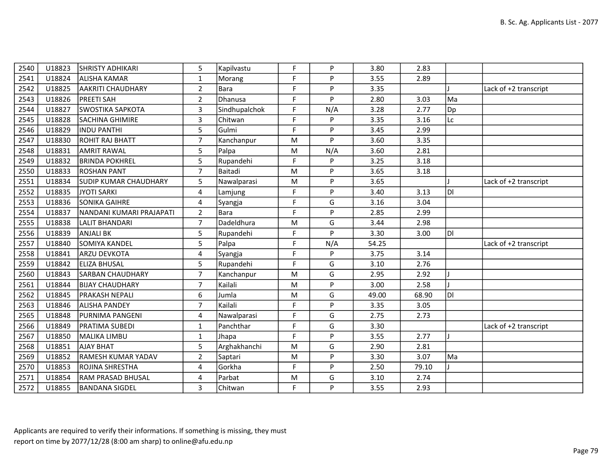| 2540 | U18823 | <b>SHRISTY ADHIKARI</b>      | 5              | Kapilvastu    | F  | P   | 3.80  | 2.83  |      |                       |
|------|--------|------------------------------|----------------|---------------|----|-----|-------|-------|------|-----------------------|
| 2541 | U18824 | ALISHA KAMAR                 | $\mathbf{1}$   | Morang        | F  | P   | 3.55  | 2.89  |      |                       |
| 2542 | U18825 | <b>AAKRITI CHAUDHARY</b>     | $\overline{2}$ | <b>Bara</b>   | F  | P   | 3.35  |       |      | Lack of +2 transcript |
| 2543 | U18826 | <b>PREETI SAH</b>            | $\mathbf 2$    | Dhanusa       | F  | P   | 2.80  | 3.03  | Ma   |                       |
| 2544 | U18827 | <b>SWOSTIKA SAPKOTA</b>      | 3              | Sindhupalchok | F. | N/A | 3.28  | 2.77  | Dp   |                       |
| 2545 | U18828 | SACHINA GHIMIRE              | $\overline{3}$ | Chitwan       | F  | Þ   | 3.35  | 3.16  | Lc   |                       |
| 2546 | U18829 | <b>INDU PANTHI</b>           | 5              | Gulmi         | F. | P   | 3.45  | 2.99  |      |                       |
| 2547 | U18830 | <b>ROHIT RAJ BHATT</b>       | $\overline{7}$ | Kanchanpur    | M  | P   | 3.60  | 3.35  |      |                       |
| 2548 | U18831 | <b>AMRIT RAWAL</b>           | 5              | Palpa         | M  | N/A | 3.60  | 2.81  |      |                       |
| 2549 | U18832 | <b>BRINDA POKHREL</b>        | 5              | Rupandehi     | F  | P   | 3.25  | 3.18  |      |                       |
| 2550 | U18833 | <b>ROSHAN PANT</b>           | $\overline{7}$ | Baitadi       | M  | P   | 3.65  | 3.18  |      |                       |
| 2551 | U18834 | <b>SUDIP KUMAR CHAUDHARY</b> | 5              | Nawalparasi   | M  | P   | 3.65  |       |      | Lack of +2 transcript |
| 2552 | U18835 | JYOTI SARKI                  | $\overline{4}$ | Lamjung       | F  | P   | 3.40  | 3.13  | ÌЫ   |                       |
| 2553 | U18836 | <b>SONIKA GAIHRE</b>         | 4              | Syangja       | F  | G   | 3.16  | 3.04  |      |                       |
| 2554 | U18837 | NANDANI KUMARI PRAJAPATI     | $\overline{2}$ | <b>Bara</b>   | F. | P.  | 2.85  | 2.99  |      |                       |
| 2555 | U18838 | <b>LALIT BHANDARI</b>        | $\overline{7}$ | Dadeldhura    | M  | G   | 3.44  | 2.98  |      |                       |
| 2556 | U18839 | <b>ANJALI BK</b>             | 5              | Rupandehi     | F  | P   | 3.30  | 3.00  | IDI. |                       |
| 2557 | U18840 | <b>SOMIYA KANDEL</b>         | 5              | Palpa         | F. | N/A | 54.25 |       |      | Lack of +2 transcript |
| 2558 | U18841 | ARZU DEVKOTA                 | 4              | Syangja       | F  | P   | 3.75  | 3.14  |      |                       |
| 2559 | U18842 | <b>ELIZA BHUSAL</b>          | 5              | Rupandehi     | F  | G   | 3.10  | 2.76  |      |                       |
| 2560 | U18843 | <b>SARBAN CHAUDHARY</b>      | $\overline{7}$ | Kanchanpur    | M  | G   | 2.95  | 2.92  |      |                       |
| 2561 | U18844 | <b>BIJAY CHAUDHARY</b>       | $\overline{7}$ | Kailali       | M  | P   | 3.00  | 2.58  |      |                       |
| 2562 | U18845 | <b>PRAKASH NEPALI</b>        | 6              | Jumla         | M  | G   | 49.00 | 68.90 | ldi. |                       |
| 2563 | U18846 | <b>ALISHA PANDEY</b>         | $\overline{7}$ | Kailali       | F. | P   | 3.35  | 3.05  |      |                       |
| 2565 | U18848 | IPURNIMA PANGENI             | 4              | Nawalparasi   | F  | G   | 2.75  | 2.73  |      |                       |
| 2566 | U18849 | <b>PRATIMA SUBEDI</b>        | $\mathbf{1}$   | Panchthar     | F  | G   | 3.30  |       |      | Lack of +2 transcript |
| 2567 | U18850 | <b>MALIKA LIMBU</b>          | $\mathbf{1}$   | Jhapa         | F  | P   | 3.55  | 2.77  |      |                       |
| 2568 | U18851 | <b>AJAY BHAT</b>             | 5              | Arghakhanchi  | M  | G   | 2.90  | 2.81  |      |                       |
| 2569 | U18852 | <b>RAMESH KUMAR YADAV</b>    | $\overline{2}$ | Saptari       | M  | P   | 3.30  | 3.07  | Ma   |                       |
| 2570 | U18853 | ROJINA SHRESTHA              | 4              | Gorkha        | F. | P   | 2.50  | 79.10 |      |                       |
| 2571 | U18854 | RAM PRASAD BHUSAL            | 4              | Parbat        | M  | G   | 3.10  | 2.74  |      |                       |
| 2572 | U18855 | <b>BANDANA SIGDEL</b>        | 3              | Chitwan       | F. | P   | 3.55  | 2.93  |      |                       |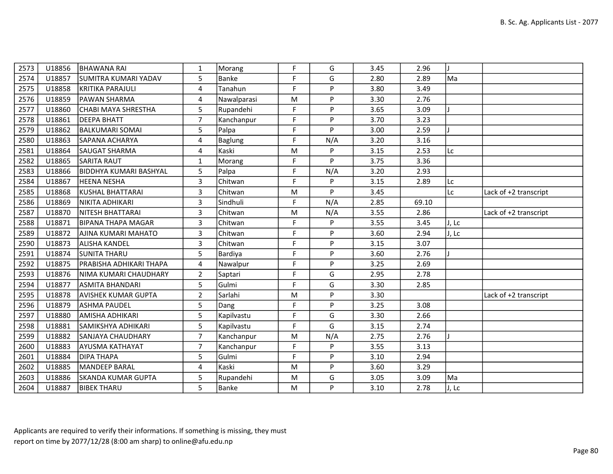| 2573 | U18856 | BHAWANA RAI                | $\mathbf{1}$            | Morang         | F. | G   | 3.45 | 2.96  |           |                       |
|------|--------|----------------------------|-------------------------|----------------|----|-----|------|-------|-----------|-----------------------|
| 2574 | U18857 | SUMITRA KUMARI YADAV       | 5                       | Banke          | F  | G   | 2.80 | 2.89  | Ma        |                       |
| 2575 | U18858 | KRITIKA PARAJULI           | 4                       | Tanahun        | F. | P   | 3.80 | 3.49  |           |                       |
| 2576 | U18859 | PAWAN SHARMA               | 4                       | Nawalparasi    | M  | P   | 3.30 | 2.76  |           |                       |
| 2577 | U18860 | CHABI MAYA SHRESTHA        | 5                       | Rupandehi      | F. | P   | 3.65 | 3.09  |           |                       |
| 2578 | U18861 | DEEPA BHATT                | $\overline{7}$          | Kanchanpur     | F. | P   | 3.70 | 3.23  |           |                       |
| 2579 | U18862 | BALKUMARI SOMAI            | 5                       | Palpa          | F. | P   | 3.00 | 2.59  |           |                       |
| 2580 | U18863 | SAPANA ACHARYA             | 4                       | <b>Baglung</b> | F. | N/A | 3.20 | 3.16  |           |                       |
| 2581 | U18864 | SAUGAT SHARMA              | 4                       | Kaski          | M  | P   | 3.15 | 2.53  | <b>Lc</b> |                       |
| 2582 | U18865 | SARITA RAUT                | 1                       | Morang         | F. | Þ   | 3.75 | 3.36  |           |                       |
| 2583 | U18866 | İBIDDHYA KUMARI BASHYAL    | 5                       | Palpa          | F. | N/A | 3.20 | 2.93  |           |                       |
| 2584 | U18867 | HEENA NESHA                | 3                       | Chitwan        | F. | P   | 3.15 | 2.89  | <b>Lc</b> |                       |
| 2585 | U18868 | <b>KUSHAL BHATTARAI</b>    | 3                       | Chitwan        | M  | P   | 3.45 |       | Lc        | Lack of +2 transcript |
| 2586 | U18869 | NIKITA ADHIKARI            | 3                       | Sindhuli       | F. | N/A | 2.85 | 69.10 |           |                       |
| 2587 | U18870 | NITESH BHATTARAI           | 3                       | Chitwan        | M  | N/A | 3.55 | 2.86  |           | Lack of +2 transcript |
| 2588 | U18871 | BIPANA THAPA MAGAR         | 3                       | Chitwan        | È. | P   | 3.55 | 3.45  | J, Lc     |                       |
| 2589 | U18872 | AJINA KUMARI MAHATO        | 3                       | Chitwan        | E. | P   | 3.60 | 2.94  | J, Lc     |                       |
| 2590 | U18873 | ALISHA KANDEL              | 3                       | Chitwan        | F. | P   | 3.15 | 3.07  |           |                       |
| 2591 | U18874 | SUNITA THARU               | 5                       | Bardiya        | E. | P   | 3.60 | 2.76  |           |                       |
| 2592 | U18875 | lPRABISHA ADHIKARI THAPA   | 4                       | Nawalpur       | F  | P   | 3.25 | 2.69  |           |                       |
| 2593 | U18876 | NIMA KUMARI CHAUDHARY      | $\overline{2}$          | Saptari        | F. | G   | 2.95 | 2.78  |           |                       |
| 2594 | U18877 | ASMITA BHANDARI            | 5                       | Gulmi          | F. | G   | 3.30 | 2.85  |           |                       |
| 2595 | U18878 | <b>AVISHEK KUMAR GUPTA</b> | $\overline{2}$          | Sarlahi        | M  | P   | 3.30 |       |           | Lack of +2 transcript |
| 2596 | U18879 | <b>ASHMA PAUDEL</b>        | 5                       | Dang           | F. | P   | 3.25 | 3.08  |           |                       |
| 2597 | U18880 | lamisha adhikari           | 5                       | Kapilvastu     | F. | G   | 3.30 | 2.66  |           |                       |
| 2598 | U18881 | SAMIKSHYA ADHIKARI         | 5                       | Kapilvastu     | F  | G   | 3.15 | 2.74  |           |                       |
| 2599 | U18882 | <b>SANJAYA CHAUDHARY</b>   | $\overline{7}$          | Kanchanpur     | M  | N/A | 2.75 | 2.76  |           |                       |
| 2600 | U18883 | AYUSMA KATHAYAT            | $\overline{7}$          | Kanchanpur     | F. | P   | 3.55 | 3.13  |           |                       |
| 2601 | U18884 | <b>DIPA THAPA</b>          | 5                       | Gulmi          | F  | P   | 3.10 | 2.94  |           |                       |
| 2602 | U18885 | <b>MANDEEP BARAL</b>       | $\overline{\mathbf{4}}$ | Kaski          | M  | P   | 3.60 | 3.29  |           |                       |
| 2603 | U18886 | SKANDA KUMAR GUPTA         | 5                       | Rupandehi      | M  | G   | 3.05 | 3.09  | Ma        |                       |
| 2604 | U18887 | <b>BIBEK THARU</b>         | 5                       | <b>Banke</b>   | M  | P   | 3.10 | 2.78  | J, Lc     |                       |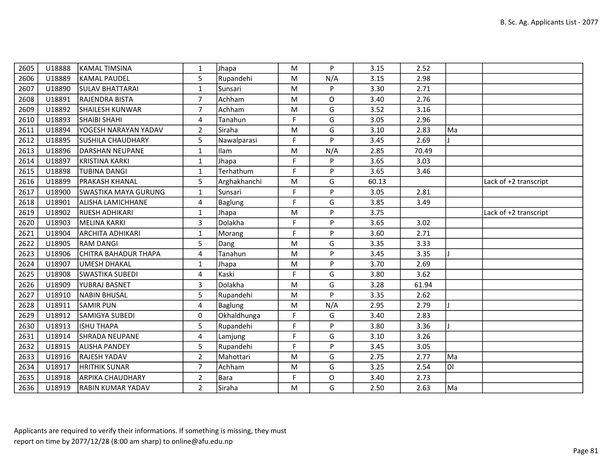| 2605 | U18888 | KAMAL TIMSINA            | 1              | Jhapa          | M  | P           | 3.15  | 2.52  |    |                       |
|------|--------|--------------------------|----------------|----------------|----|-------------|-------|-------|----|-----------------------|
| 2606 | U18889 | <b>KAMAL PAUDEL</b>      | 5              | Rupandehi      | M  | N/A         | 3.15  | 2.98  |    |                       |
| 2607 | U18890 | <b>SULAV BHATTARAI</b>   | $\mathbf{1}$   | Sunsari        | M  | P           | 3.30  | 2.71  |    |                       |
| 2608 | U18891 | RAJENDRA BISTA           | $\overline{7}$ | Achham         | M  | $\circ$     | 3.40  | 2.76  |    |                       |
| 2609 | U18892 | <b>SHAILESH KUNWAR</b>   | $\overline{7}$ | Achham         | M  | G           | 3.52  | 3.16  |    |                       |
| 2610 | U18893 | <b>SHAIBI SHAHI</b>      | 4              | Tanahun        | F. | G           | 3.05  | 2.96  |    |                       |
| 2611 | U18894 | YOGESH NARAYAN YADAV     | $\overline{2}$ | Siraha         | M  | G           | 3.10  | 2.83  | Ma |                       |
| 2612 | U18895 | <b>SUSHILA CHAUDHARY</b> | 5              | Nawalparasi    | F. | P           | 3.45  | 2.69  |    |                       |
| 2613 | U18896 | DARSHAN NEUPANE          | $\mathbf 1$    | <b>Ilam</b>    | M  | N/A         | 2.85  | 70.49 |    |                       |
| 2614 | U18897 | <b>KRISTINA KARKI</b>    | $\mathbf{1}$   | Jhapa          | F. | P           | 3.65  | 3.03  |    |                       |
| 2615 | U18898 | <b>TUBINA DANGI</b>      | $\mathbf{1}$   | Terhathum      | F  | P           | 3.65  | 3.46  |    |                       |
| 2616 | U18899 | <b>PRAKASH KHANAL</b>    | 5              | Arghakhanchi   | M  | G           | 60.13 |       |    | Lack of +2 transcript |
| 2617 | U18900 | SWASTIKA MAYA GURUNG     | $\mathbf{1}$   | Sunsari        | F. | P           | 3.05  | 2.81  |    |                       |
| 2618 | U18901 | <b>ALISHA LAMICHHANE</b> | 4              | <b>Baglung</b> | F. | G           | 3.85  | 3.49  |    |                       |
| 2619 | U18902 | RIJESH ADHIKARI          | $\mathbf{1}$   | Jhapa          | M  | P           | 3.75  |       |    | Lack of +2 transcript |
| 2620 | U18903 | <b>MELINA KARKI</b>      | 3              | Dolakha        | F  | P           | 3.65  | 3.02  |    |                       |
| 2621 | U18904 | <b>ARCHITA ADHIKARI</b>  | $\mathbf{1}$   | Morang         | F  | P           | 3.60  | 2.71  |    |                       |
| 2622 | U18905 | <b>RAM DANGI</b>         | 5              | Dang           | M  | G           | 3.35  | 3.33  |    |                       |
| 2623 | U18906 | CHITRA BAHADUR THAPA     | 4              | Tanahun        | M  | P           | 3.45  | 3.35  |    |                       |
| 2624 | U18907 | <b>UMESH DHAKAL</b>      | $\mathbf{1}$   | Jhapa          | M  | P           | 3.70  | 2.69  |    |                       |
| 2625 | U18908 | <b>SWASTIKA SUBEDI</b>   | $\overline{4}$ | Kaski          | F. | G           | 3.80  | 3.62  |    |                       |
| 2626 | U18909 | YUBRAJ BASNET            | 3              | Dolakha        | M  | G           | 3.28  | 61.94 |    |                       |
| 2627 | U18910 | <b>NABIN BHUSAL</b>      | 5              | Rupandehi      | M  | P           | 3.35  | 2.62  |    |                       |
| 2628 | U18911 | <b>SAMIR PUN</b>         | 4              | <b>Baglung</b> | M  | N/A         | 2.95  | 2.79  |    |                       |
| 2629 | U18912 | SAMIGYA SUBEDI           | $\mathbf 0$    | Okhaldhunga    | F. | G           | 3.40  | 2.83  |    |                       |
| 2630 | U18913 | <b>ISHU THAPA</b>        | 5              | Rupandehi      | F  | P           | 3.80  | 3.36  |    |                       |
| 2631 | U18914 | SHRADA NEUPANE           | 4              | Lamjung        | F. | G           | 3.10  | 3.26  |    |                       |
| 2632 | U18915 | <b>ALISHA PANDEY</b>     | 5              | Rupandehi      | F. | P           | 3.45  | 3.05  |    |                       |
| 2633 | U18916 | <b>RAJESH YADAV</b>      | $\overline{2}$ | Mahottari      | M  | G           | 2.75  | 2.77  | Ma |                       |
| 2634 | U18917 | <b>HRITHIK SUNAR</b>     | $\overline{7}$ | Achham         | M  | G           | 3.25  | 2.54  | DI |                       |
| 2635 | U18918 | <b>ARPIKA CHAUDHARY</b>  | $\overline{2}$ | Bara           | F. | $\mathsf O$ | 3.40  | 2.73  |    |                       |
| 2636 | U18919 | RABIN KUMAR YADAV        | $\overline{2}$ | Siraha         | M  | G           | 2.50  | 2.63  | Ma |                       |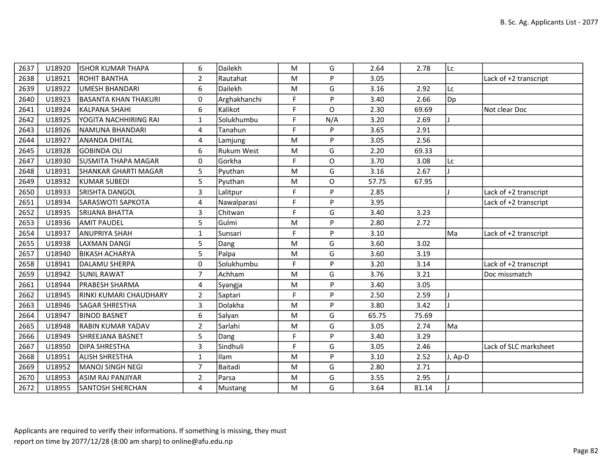| 2637 | U18920 | <b>ISHOR KUMAR THAPA</b>    | 6                       | Dailekh      | M         | G        | 2.64  | 2.78  | Lc      |                       |
|------|--------|-----------------------------|-------------------------|--------------|-----------|----------|-------|-------|---------|-----------------------|
| 2638 | U18921 | <b>ROHIT BANTHA</b>         | $\overline{2}$          | Rautahat     | M         | P        | 3.05  |       |         | Lack of +2 transcript |
| 2639 | U18922 | <b>UMESH BHANDARI</b>       | 6                       | Dailekh      | M         | G        | 3.16  | 2.92  | Lc      |                       |
| 2640 | U18923 | <b>BASANTA KHAN THAKURI</b> | $\mathbf 0$             | Arghakhanchi | F         | P        | 3.40  | 2.66  | Dp      |                       |
| 2641 | U18924 | KALPANA SHAHI               | 6                       | Kalikot      | F         | $\Omega$ | 2.30  | 69.69 |         | Not clear Doc         |
| 2642 | U18925 | YOGITA NACHHIRING RAI       | $\mathbf{1}$            | Solukhumbu   | F         | N/A      | 3.20  | 2.69  |         |                       |
| 2643 | U18926 | NAMUNA BHANDARI             | 4                       | Tanahun      | F         | P        | 3.65  | 2.91  |         |                       |
| 2644 | U18927 | ANANDA DHITAL               | $\overline{\mathbf{4}}$ | Lamjung      | M         | P        | 3.05  | 2.56  |         |                       |
| 2645 | U18928 | <b>GOBINDA OLI</b>          | 6                       | Rukum West   | M         | G        | 2.20  | 69.33 |         |                       |
| 2647 | U18930 | SUSMITA THAPA MAGAR         | 0                       | Gorkha       | F.        | O        | 3.70  | 3.08  | Lc      |                       |
| 2648 | U18931 | İSHANKAR GHARTI MAGAR       | 5                       | Pyuthan      | M         | G        | 3.16  | 2.67  |         |                       |
| 2649 | U18932 | KUMAR SUBEDI                | 5                       | Pyuthan      | M         | $\circ$  | 57.75 | 67.95 |         |                       |
| 2650 | U18933 | <b>SRISHTA DANGOL</b>       | $\overline{3}$          | Lalitpur     | F.        | P        | 2.85  |       |         | Lack of +2 transcript |
| 2651 | U18934 | <b>SARASWOTI SAPKOTA</b>    | $\overline{\mathbf{4}}$ | Nawalparasi  | F         | P        | 3.95  |       |         | Lack of +2 transcript |
| 2652 | U18935 | <b>SRIJANA BHATTA</b>       | $\mathsf{3}$            | Chitwan      | F         | G        | 3.40  | 3.23  |         |                       |
| 2653 | U18936 | AMIT PAUDEL                 | 5                       | Gulmi        | ${\sf M}$ | P        | 2.80  | 2.72  |         |                       |
| 2654 | U18937 | ANUPRIYA SHAH               | $\mathbf{1}$            | Sunsari      | F.        | P        | 3.10  |       | Ma      | Lack of +2 transcript |
| 2655 | U18938 | LAXMAN DANGI                | 5                       | Dang         | M         | G        | 3.60  | 3.02  |         |                       |
| 2657 | U18940 | <b>BIKASH ACHARYA</b>       | 5                       | Palpa        | M         | G        | 3.60  | 3.19  |         |                       |
| 2658 | U18941 | DALAMU SHERPA               | 0                       | Solukhumbu   | F.        | P        | 3.20  | 3.14  |         | Lack of +2 transcript |
| 2659 | U18942 | <b>SUNIL RAWAT</b>          | $\overline{7}$          | Achham       | M         | G        | 3.76  | 3.21  |         | Doc missmatch         |
| 2661 | U18944 | <b>PRABESH SHARMA</b>       | 4                       | Syangja      | M         | P        | 3.40  | 3.05  |         |                       |
| 2662 | U18945 | RINKI KUMARI CHAUDHARY      | $\overline{2}$          | Saptari      | F         | P        | 2.50  | 2.59  |         |                       |
| 2663 | U18946 | SAGAR SHRESTHA              | $\overline{3}$          | Dolakha      | M         | P        | 3.80  | 3.42  |         |                       |
| 2664 | U18947 | <b>BINOD BASNET</b>         | 6                       | Salyan       | M         | G        | 65.75 | 75.69 |         |                       |
| 2665 | U18948 | IRABIN KUMAR YADAV          | $\overline{2}$          | Sarlahi      | M         | G        | 3.05  | 2.74  | Ma      |                       |
| 2666 | U18949 | SHREEJANA BASNET            | 5                       | Dang         | F.        | P        | 3.40  | 3.29  |         |                       |
| 2667 | U18950 | <b>DIPA SHRESTHA</b>        | $\overline{3}$          | Sindhuli     | F.        | G        | 3.05  | 2.46  |         | Lack of SLC marksheet |
| 2668 | U18951 | <b>ALISH SHRESTHA</b>       | $\mathbf{1}$            | Ilam         | M         | P        | 3.10  | 2.52  | J, Ap-D |                       |
| 2669 | U18952 | MANOJ SINGH NEGI            | $\overline{7}$          | Baitadi      | ${\sf M}$ | G        | 2.80  | 2.71  |         |                       |
| 2670 | U18953 | <b>ASIM RAJ PANJIYAR</b>    | $\overline{2}$          | Parsa        | M         | G        | 3.55  | 2.95  |         |                       |
| 2672 | U18955 | SANTOSH SHERCHAN            | $\overline{4}$          | Mustang      | M         | G        | 3.64  | 81.14 |         |                       |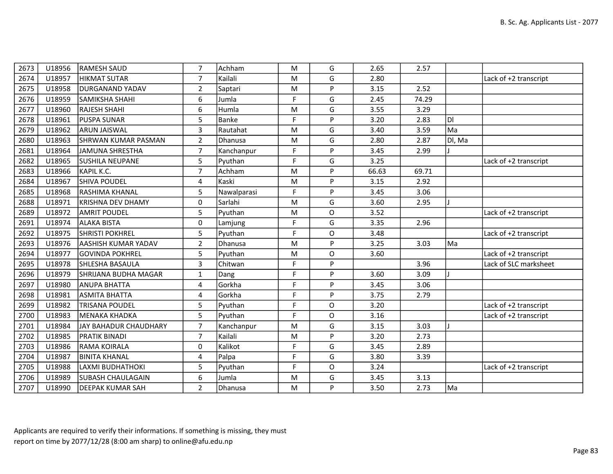| 2673 | U18956 | RAMESH SAUD                | $\overline{7}$ | Achham         | M  | G        | 2.65  | 2.57  |        |                       |
|------|--------|----------------------------|----------------|----------------|----|----------|-------|-------|--------|-----------------------|
| 2674 | U18957 | <b>HIKMAT SUTAR</b>        | $\overline{7}$ | Kailali        | M  | G        | 2.80  |       |        | Lack of +2 transcript |
| 2675 | U18958 | <b>DURGANAND YADAV</b>     | $\overline{2}$ | Saptari        | M  | Þ        | 3.15  | 2.52  |        |                       |
| 2676 | U18959 | <b>SAMIKSHA SHAHI</b>      | 6              | Jumla          | F  | G        | 2.45  | 74.29 |        |                       |
| 2677 | U18960 | <b>RAJESH SHAHI</b>        | 6              | Humla          | M  | G        | 3.55  | 3.29  |        |                       |
| 2678 | U18961 | PUSPA SUNAR                | 5              | <b>Banke</b>   | F. | Þ        | 3.20  | 2.83  | DI     |                       |
| 2679 | U18962 | <b>ARUN JAISWAL</b>        | 3              | Rautahat       | M  | G        | 3.40  | 3.59  | Ma     |                       |
| 2680 | U18963 | <b>SHRWAN KUMAR PASMAN</b> | $\overline{2}$ | <b>Dhanusa</b> | M  | G        | 2.80  | 2.87  | DI, Ma |                       |
| 2681 | U18964 | <b>JAMUNA SHRESTHA</b>     | $\overline{7}$ | Kanchanpur     | F  | P        | 3.45  | 2.99  |        |                       |
| 2682 | U18965 | <b>SUSHILA NEUPANE</b>     | 5              | Pyuthan        | F. | G        | 3.25  |       |        | Lack of +2 transcript |
| 2683 | U18966 | KAPIL K.C.                 | $\overline{7}$ | Achham         | M  | P        | 66.63 | 69.71 |        |                       |
| 2684 | U18967 | SHIVA POUDEL               | 4              | Kaski          | M  | P        | 3.15  | 2.92  |        |                       |
| 2685 | U18968 | RASHIMA KHANAL             | 5              | Nawalparasi    | F. | P        | 3.45  | 3.06  |        |                       |
| 2688 | U18971 | <b>KRISHNA DEV DHAMY</b>   | $\mathbf 0$    | Sarlahi        | M  | G        | 3.60  | 2.95  |        |                       |
| 2689 | U18972 | AMRIT POUDEL               | 5              | Pyuthan        | M  | O        | 3.52  |       |        | Lack of +2 transcript |
| 2691 | U18974 | ALLAKA BISTA               | $\mathbf 0$    | Lamjung        | F. | G        | 3.35  | 2.96  |        |                       |
| 2692 | U18975 | SHRISTI POKHREL            | 5              | Pyuthan        | F  | $\Omega$ | 3.48  |       |        | Lack of +2 transcript |
| 2693 | U18976 | AASHISH KUMAR YADAV        | $\overline{2}$ | Dhanusa        | M  | P        | 3.25  | 3.03  | Ma     |                       |
| 2694 | U18977 | <b>GOVINDA POKHREL</b>     | 5              | Pyuthan        | M  | O        | 3.60  |       |        | Lack of +2 transcript |
| 2695 | U18978 | SHLESHA BASAULA            | 3              | Chitwan        | F  | P        |       | 3.96  |        | Lack of SLC marksheet |
| 2696 | U18979 | SHRIJANA BUDHA MAGAR       | $\mathbf{1}$   | Dang           | F  | P        | 3.60  | 3.09  |        |                       |
| 2697 | U18980 | ANUPA BHATTA               | 4              | Gorkha         | F. | P        | 3.45  | 3.06  |        |                       |
| 2698 | U18981 | ASMITA BHATTA              | $\overline{4}$ | Gorkha         | F. | P        | 3.75  | 2.79  |        |                       |
| 2699 | U18982 | <b>TRISANA POUDEL</b>      | 5              | Pyuthan        | F. | O        | 3.20  |       |        | Lack of +2 transcript |
| 2700 | U18983 | <b>MENAKA KHADKA</b>       | 5              | Pyuthan        | F. | O        | 3.16  |       |        | Lack of +2 transcript |
| 2701 | U18984 | JAY BAHADUR CHAUDHARY      | $\overline{7}$ | Kanchanpur     | M  | G        | 3.15  | 3.03  |        |                       |
| 2702 | U18985 | <b>PRATIK BINADI</b>       | $\overline{7}$ | Kailali        | M  | P        | 3.20  | 2.73  |        |                       |
| 2703 | U18986 | <b>RAMA KOIRALA</b>        | $\mathbf 0$    | Kalikot        | F. | G        | 3.45  | 2.89  |        |                       |
| 2704 | U18987 | <b>BINITA KHANAL</b>       | 4              | Palpa          | F  | G        | 3.80  | 3.39  |        |                       |
| 2705 | U18988 | LAXMI BUDHATHOKI           | 5              | Pyuthan        | F. | O        | 3.24  |       |        | Lack of +2 transcript |
| 2706 | U18989 | lSUBASH CHAULAGAIN         | 6              | Jumla          | M  | G        | 3.45  | 3.13  |        |                       |
| 2707 | U18990 | <b>DEEPAK KUMAR SAH</b>    | $\overline{2}$ | Dhanusa        | M  | P        | 3.50  | 2.73  | Ma     |                       |